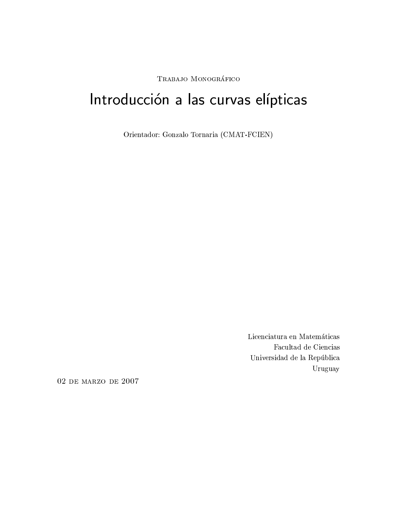TRABAJO MONOGRÁFICO

# Introducción a las curvas elípticas

Orientador: Gonzalo Tornaria (CMAT-FCIEN)

Licenciatura en Matemáticas Facultad de Ciencias Universidad de la República Uruguay

02 DE MARZO DE 2007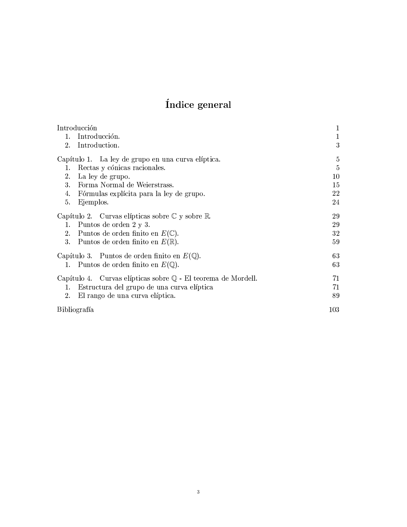## Índice general

| Introducción                                                         | 1           |
|----------------------------------------------------------------------|-------------|
| Introducción.<br>1.                                                  | $\mathbf 1$ |
| Introduction.<br>2.                                                  | 3           |
| Capítulo 1. La ley de grupo en una curva elíptica.                   | 5           |
| Rectas y cónicas racionales.<br>1.                                   | 5           |
| 2.<br>La ley de grupo.                                               | 10          |
| 3.<br>Forma Normal de Weierstrass.                                   | 15          |
| 4.<br>Fórmulas explícita para la ley de grupo.                       | 22          |
| 5.<br>Ejemplos.                                                      | 24          |
| Capítulo 2. Curvas elípticas sobre $\mathbb C$ y sobre $\mathbb R$ . | 29          |
| Puntos de orden 2 y 3.<br>1.                                         | 29          |
| 2.<br>Puntos de orden finito en $E(\mathbb{C})$ .                    | 32          |
| 3.<br>Puntos de orden finito en $E(\mathbb{R})$ .                    | 59          |
| Capítulo 3. Puntos de orden finito en $E(\mathbb{Q})$ .              | 63          |
| 1. Puntos de orden finito en $E(\mathbb{Q})$ .                       | 63          |
| Capítulo 4. Curvas elípticas sobre Q - El teorema de Mordell.        | 71          |
| Estructura del grupo de una curva elíptica<br>1.                     | 71          |
| 2.<br>El rango de una curva elíptica.                                | 89          |
| Bibliografía                                                         | 103         |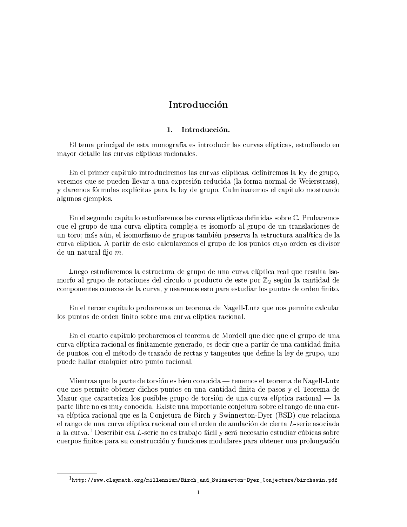### Introducción

#### 1. Introducción.

El tema principal de esta monografía es introducir las curvas elípticas, estudiando en mayor detalle las curvas elípticas racionales.

En el primer capítulo introduciremos las curvas elípticas, definiremos la ley de grupo, veremos que se pueden llevar a una expresión reducida (la forma normal de Weierstrass), y daremos fórmulas explícitas para la ley de grupo. Culminaremos el capítulo mostrando algunos ejemplos.

En el segundo capítulo estudiaremos las curvas elípticas definidas sobre C. Probaremos que el grupo de una curva elíptica compleja es isomorfo al grupo de un translaciones de un toro: más aún, el isomorfismo de grupos también preserva la estructura analítica de la curva elíptica. A partir de esto calcularemos el grupo de los puntos cuyo orden es divisor de un natural fijo  $m$ .

Luego estudiaremos la estructura de grupo de una curva elíptica real que resulta isomorfo al grupo de rotaciones del círculo o producto de este por  $\mathbb{Z}_2$  según la cantidad de componentes conexas de la curva, y usaremos esto para estudiar los puntos de orden finito.

En el tercer capítulo probaremos un teorema de Nagell-Lutz que nos permite calcular los puntos de orden finito sobre una curva elíptica racional.

En el cuarto capítulo probaremos el teorema de Mordell que dice que el grupo de una curva elíptica racional es finitamente generado, es decir que a partir de una cantidad finita de puntos, con el método de trazado de rectas y tangentes que define la ley de grupo, uno puede hallar cualquier otro punto racional.

Mientras que la parte de torsión es bien conocida — tenemos el teorema de Nagell-Lutz que nos permite obtener dichos puntos en una cantidad finita de pasos y el Teorema de Mazur que caracteriza los posibles grupo de torsión de una curva elíptica racional — la parte libre no es muy conocida. Existe una importante conjetura sobre el rango de una curva elíptica racional que es la Conjetura de Birch y Swinnerton-Dyer (BSD) que relaciona el rango de una curva elíptica racional con el orden de anulación de cierta L-serie asociada a la curva.<sup>1</sup> Describir esa L-serie no es trabajo fácil y será necesario estudiar cúbicas sobre cuerpos finitos para su construcción y funciones modulares para obtener una prolongación

 $1$ http://www.claymath.org/millennium/Birch\_and\_Swinnerton-Dyer\_Conjecture/birchswin.pdf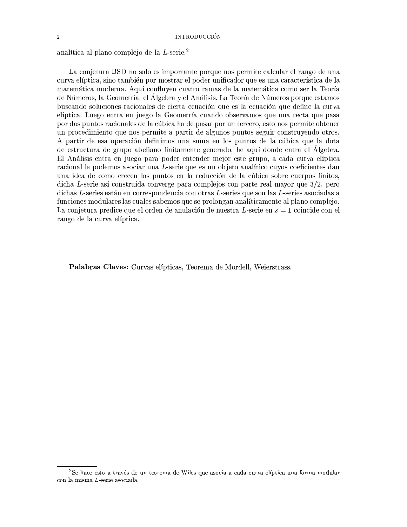### **INTRODUCCIÓN**

analítica al plano complejo de la L-serie.<sup>2</sup>

La conjetura BSD no solo es importante porque nos permite calcular el rango de una curva elíptica, sino también por mostrar el poder unificador que es una característica de la matemática moderna. Aquí confluyen cuatro ramas de la matemática como ser la Teoría de Números, la Geometría, el Álgebra y el Análisis. La Teoría de Números porque estamos buscando soluciones racionales de cierta ecuación que es la ecuación que define la curva elíptica. Luego entra en juego la Geometría cuando observamos que una recta que pasa por dos puntos racionales de la cúbica ha de pasar por un tercero, esto nos permite obtener un procedimiento que nos permite a partir de algunos puntos seguir construyendo otros. A partir de esa operación definimos una suma en los puntos de la cúbica que la dota de estructura de grupo abeliano finitamente generado, he aquí donde entra el Álgebra. El Análisis entra en juego para poder entender mejor este grupo, a cada curva elíptica racional le podemos asociar una L-serie que es un objeto analítico cuyos coeficientes dan una idea de como crecen los puntos en la reducción de la cúbica sobre cuerpos finitos, dicha L-serie así construida converge para complejos con parte real mayor que  $3/2$ , pero dichas L-series están en correspondencia con otras L-series que son las L-series asociadas a funciones modulares las cuales sabemos que se prolongan analíticamente al plano complejo. La conjetura predice que el orden de anulación de nuestra L-serie en  $s = 1$  coincide con el rango de la curva elíptica.

Palabras Claves: Curvas elípticas, Teorema de Mordell, Weierstrass.

<sup>&</sup>lt;sup>2</sup>Se hace esto a través de un teorema de Wiles que asocia a cada curva elíptica una forma modular con la misma  $L$ -serie asociada.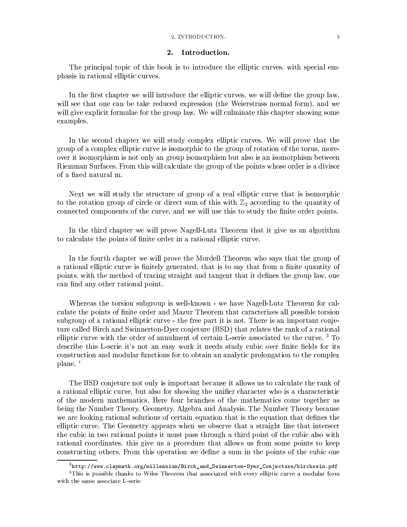### 2. INTRODUCTION.

#### $2.$ Introduction.

The principal topic of this book is to introduce the elliptic curves, with special emphasis in rational elliptic curves.

In the first chapter we will introduce the elliptic curves, we will define the group law. will see that one can be take reduced expression (the Weierstrass normal form), and we will give explicit formulae for the group law. We will culminate this chapter showing some examples.

In the second chapter we will study complex elliptic curves. We will prove that the group of a complex elliptic curve is isomorphic to the group of rotation of the torus, moreover it isomorphism is not only an group isomorphism but also is an isomorphism between Riemman Surfaces. From this will calculate the group of the points whose order is a divisor of a fixed natural m.

Next we will study the structure of group of a real elliptic curve that is isomorphic to the rotation group of circle or direct sum of this with  $\mathbb{Z}_2$  according to the quantity of connected components of the curve, and we will use this to study the finite order points.

In the third chapter we will prove Nagell-Lutz Theorem that it give us an algorithm to calculate the points of finite order in a rational elliptic curve.

In the fourth chapter we will prove the Mordell Theorem who says that the group of a rational elliptic curve is finitely generated, that is to say that from a finite quantity of points, with the method of tracing straight and tangent that it defines the group law, one can find any other rational point.

Whereas the torsion subgroup is well-known - we have Nagell-Lutz Theorem for calculate the points of finite order and Mazur Theorem that caracterizes all possible torsion subgroup of a rational elliptic curve - the free part it is not. There is an important conjeture called Birch and Swinnerton-Dyer conjeture (BSD) that relates the rank of a rational elliptic curve with the order of annulment of certain L-serie associated to the curve.<sup>3</sup> To describe this L-serie it's not an easy work it needs study cubic over finite fields for its construction and modular functions for to obtain an analytic prolongation to the complex plane.<sup>4</sup>

The BSD conjeture not only is important because it allows us to calculate the rank of a rational elliptic curve, but also for showing the unifier character who is a characteristic of the modern mathematics. Here four branches of the mathematics come together as being the Number Theory, Geometry, Algebra and Analysis. The Number Theory because we are looking rational solutions of certain equation that is the equation that defines the elliptic curve. The Geometry appears when we observe that a straight line that intersect the cubic in two rational points it must pass through a third point of the cubic also with rational coordinates, this give us a procedure that allows us from some points to keep constructing others. From this operation we define a sum in the points of the cubic one

 ${}^{3}$ http://www.claymath.org/millennium/Birch\_and\_Swinnerton-Dyer\_Conjecture/birchswin.pdf

<sup>&</sup>lt;sup>4</sup>This is possible thanks to Wiles Theorem that associated with every elliptic curve a modular form with the same associate L-serie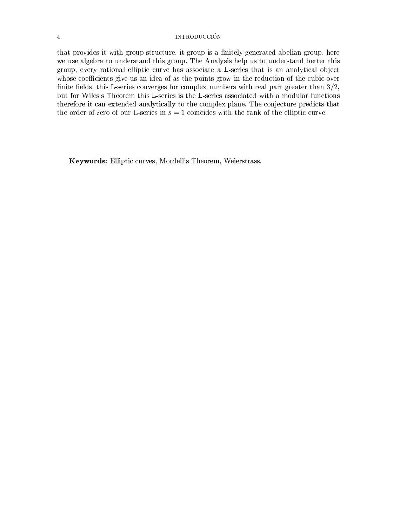### **INTRODUCCIÓN**

that provides it with group structure, it group is a finitely generated abelian group, here we use algebra to understand this group. The Analysis help us to understand better this group, every rational elliptic curve has associate a L-series that is an analytical object whose coefficients give us an idea of as the points grow in the reduction of the cubic over finite fields, this L-series converges for complex numbers with real part greater than  $3/2$ , but for Wiles's Theorem this L-series is the L-series associated with a modular functions therefore it can extended analytically to the complex plane. The conjecture predicts that the order of zero of our L-series in  $s = 1$  coincides with the rank of the elliptic curve.

Keywords: Elliptic curves, Mordell's Theorem, Weierstrass.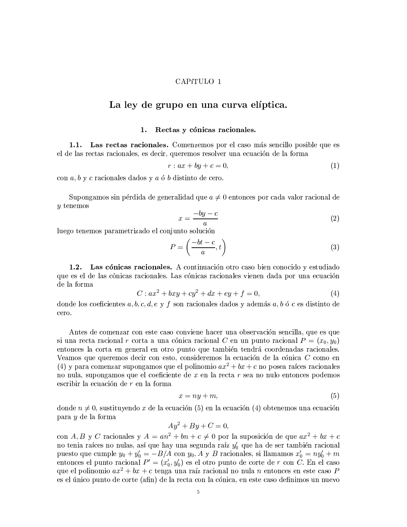### CAPíTULO 1

### La ley de grupo en una curva elíptica.

#### Rectas y cónicas racionales. 1.

Las rectas racionales. Comenzemos por el caso más sencillo posible que es  $1.1.$ el de las rectas racionales, es decir, queremos resolver una ecuación de la forma

$$
r: ax + by + c = 0,\t\t(1)
$$

con  $a, b, y$  c racionales dados y  $a, b, b$  distinto de cero.

Supongamos sin pérdida de generalidad que  $a \neq 0$  entonces por cada valor racional de  $y$  tenemos

$$
x = \frac{-by - c}{a} \tag{2}
$$

luego tenemos parametrizado el conjunto solución

$$
P = \left(\frac{-bt - c}{a}, t\right) \tag{3}
$$

Las cónicas racionales. A continuación otro caso bien conocido y estudiado  $1.2.$ que es el de las cónicas racionales. Las cónicas racionales vienen dada por una ecuación de la forma

$$
C: ax2 + bxy + cy2 + dx + ey + f = 0,
$$
\n(4)

donde los coeficientes  $a, b, c, d, e, y, f$  son racionales dados y además  $a, b, \phi, c$  es distinto de cero.

Antes de comenzar con este caso conviene hacer una observación sencilla, que es que si una recta racional r corta a una cónica racional C en un punto racional  $P = (x_0, y_0)$ entonces la corta en general en otro punto que también tendrá coordenadas racionales. Veamos que queremos decir con esto, consideremos la ecuación de la cónica C como en (4) y para comenzar supongamos que el polinomio  $ax^2 + bx + c$  no posea raíces racionales no nula, supongamos que el coeficiente de x en la recta r sea no nulo entonces podemos escribir la ecuación de  $r$  en la forma

$$
x = ny + m,\tag{5}
$$

donde  $n \neq 0$ , sustituyendo x de la ecuación (5) en la ecuación (4) obtenemos una ecuación para y de la forma

$$
Ay^2 + By + C = 0,
$$

con A, B y C racionales y  $A = an^2 + bn + c \neq 0$  por la suposición de que  $ax^2 + bx + c$ no tenia raíces no nulas, así que hay una segunda raíz $y_0'$ que ha de ser también racional puesto que cumple  $y_0 + y'_0 = -B/A$  con  $y_0$ ,  $A \, y \, B$  racionales, si llamamos  $x'_0 = ny'_0 + m$ <br>entonces el punto racional  $P' = (x'_0, y'_0)$  es el otro punto de corte de r con C. En el caso que el polinomio  $ax^2 + bx + c$  tenga una raíz racional no nula n entonces en este caso P es el único punto de corte (afin) de la recta con la cónica, en este caso definimos un nuevo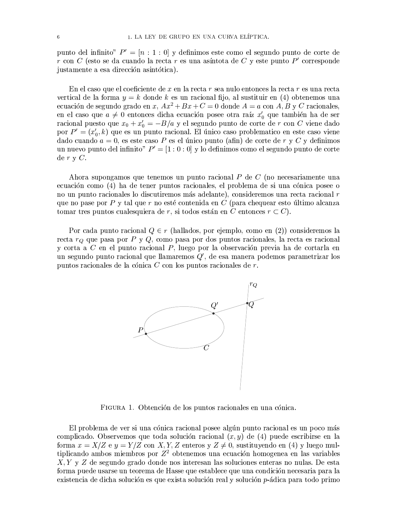punto del infinito"  $P' = [n : 1 : 0]$  y definimos este como el segundo punto de corte de r con C (esto se da cuando la recta r es una asíntota de C y este punto P' corresponde justamente a esa dirección asintótica).

En el caso que el coeficiente de x en la recta r sea nulo entonces la recta r es una recta vertical de la forma  $y = k$  donde k es un racional fijo, al sustituir en (4) obtenemos una ecuación de segundo grado en x,  $Ax^2 + Bx + C = 0$  donde  $A = a$  con A, B y C racionales, en el caso que  $a \neq 0$  entonces dicha ecuación posee otra raíz  $x'_0$  que también ha de ser racional puesto que  $x_0 + x'_0 = -B/a$  y el segundo punto de corte de r con C viene dado por  $P' = (x'_0, k)$  que es un punto racional. El único caso problematico en este caso viene dado cuando  $a = 0$ , es este caso P es el único punto (afin) de corte de r y C y definimos un nuevo punto del infinito"  $P' = [1:0:0]$  y lo definimos como el segundo punto de corte de  $r \vee C$ .

Ahora supongamos que tenemos un punto racional  $P$  de  $C$  (no necessariamente una ecuación como (4) ha de tener puntos racionales, el problema de si una cónica posee o no un punto racionales lo discutiremos más adelante), consideremos una recta racional r que no pase por  $P$  y tal que  $r$  no esté contenida en  $C$  (para chequear esto último alcanza tomar tres puntos cualesquiera de r, si todos están en C entonces  $r \subset C$ .

Por cada punto racional  $Q \in r$  (hallados, por ejemplo, como en (2)) consideremos la recta  $r_Q$  que pasa por P y Q, como pasa por dos puntos racionales, la recta es racional y corta a  $C$  en el punto racional  $P$ , luego por la observación previa ha de cortarla en un segundo punto racional que llamaremos  $Q'$ , de esa manera podemos parametrizar los puntos racionales de la cónica C con los puntos racionales de  $r$ .



FIGURA 1. Obtención de los puntos racionales en una cónica.

El problema de ver si una cónica racional posee algún punto racional es un poco más complicado. Observemos que toda solución racional  $(x, y)$  de (4) puede escribirse en la forma  $x = X/Z$  e  $y = Y/Z$  con X, Y, Z enteros y  $Z \neq 0$ , sustituyendo en (4) y luego multiplicando ambos miembros por  $Z^2$  obtenemos una ecuación homogenea en las variables  $X, Y, Y, Z$  de segundo grado donde nos interesan las soluciones enteras no nulas. De esta forma puede usarse un teorema de Hasse que establece que una condición necesaria para la existencia de dicha solución es que exista solución real y solución p-ádica para todo primo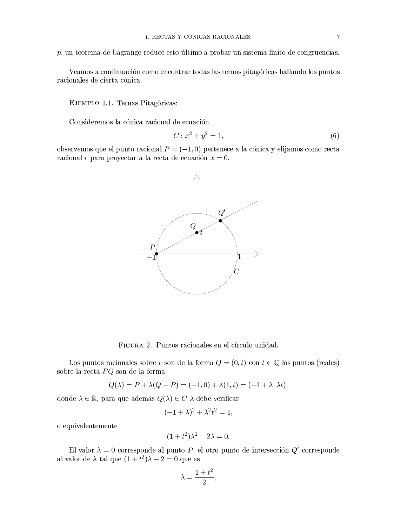$p$ , un teorema de Lagrange reduce esto último a probar un sistema finito de congruencias.

Veamos a continuación como encontrar todas las ternas pitagóricas hallando los puntos racionales de cierta cónica.

EJEMPLO 1.1. Ternas Pitagóricas:

Consideremos la cónica racional de ecuación

$$
C: x^2 + y^2 = 1,
$$
 (6)

observemos que el punto racional  $P = (-1,0)$  pertenece a la cónica y elijamos como recta racional r para proyectar a la recta de ecuación  $x = 0$ .



FIGURA 2. Puntos racionales en el círculo unidad.

Los puntos racionales sobre r son de la forma  $Q = (0, t)$  con  $t \in \mathbb{Q}$  los puntos (reales) sobre la recta ${\cal PQ}$ son de la forma

$$
Q(\lambda) = P + \lambda(Q - P) = (-1, 0) + \lambda(1, t) = (-1 + \lambda, \lambda t),
$$

donde  $\lambda \in \mathbb{R}$ , para que además  $Q(\lambda) \in C$   $\lambda$  debe verificar

$$
(-1+\lambda)^2 + \lambda^2 t^2 = 1,
$$

o equivalentemente

$$
(1+t^2)\lambda^2 - 2\lambda = 0.
$$

El valor  $\lambda = 0$  corresponde al punto P, el otro punto de intersección  $Q'$  corresponde al valor de $\lambda$ tal que  $(1+t^2)\lambda-2=0$ que es

$$
\lambda = \frac{1+t^2}{2},
$$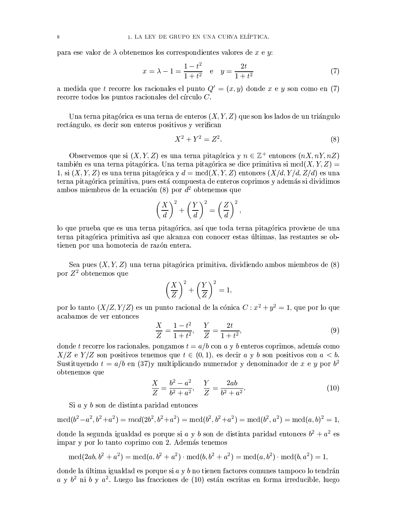para ese valor de  $\lambda$  obtenemos los correspondientes valores de x e y:

$$
x = \lambda - 1 = \frac{1 - t^2}{1 + t^2} \quad e \quad y = \frac{2t}{1 + t^2} \tag{7}
$$

a medida que t recorre los racionales el punto  $Q' = (x, y)$  donde x e y son como en (7) recorre todos los puntos racionales del círculo  $C$ .

Una terna pitagórica es una terna de enteros  $(X, Y, Z)$  que son los lados de un triángulo rectángulo, es decir son enteros positivos y verifican

$$
X^2 + Y^2 = Z^2.
$$
 (8)

Observemos que si  $(X, Y, Z)$  es una terna pitagórica y  $n \in \mathbb{Z}^+$  entonces  $(nX, nY, nZ)$ también es una terna pitagórica. Una terna pitagórica se dice primitiva si mcd $(X, Y, Z)$ 1, si  $(X, Y, Z)$  es una terna pitagórica y  $d = \text{med}(X, Y, Z)$  entonces  $(X/d, Y/d, Z/d)$  es una terna pitagórica primitiva, pues está compuesta de enteros coprimos y además si dividimos ambos miembros de la ecuación (8) por  $d^2$  obtenemos que

$$
\left(\frac{X}{d}\right)^2 + \left(\frac{Y}{d}\right)^2 = \left(\frac{Z}{d}\right)^2,
$$

lo que prueba que es una terna pitagórica, así que toda terna pitagórica proviene de una terna pitagórica primitiva así que alcanza con conocer estas últimas, las restantes se obtienen por una homotecia de razón entera.

Sea pues  $(X, Y, Z)$  una terna pitagórica primitiva, dividiendo ambos miembros de  $(8)$ por  $Z^2$  obtenemos que

$$
\left(\frac{X}{Z}\right)^2 + \left(\frac{Y}{Z}\right)^2 = 1,
$$

por lo tanto  $(X/Z, Y/Z)$  es un punto racional de la cónica  $C: x^2 + y^2 = 1$ , que por lo que acabamos de ver entonces

$$
\frac{X}{Z} = \frac{1 - t^2}{1 + t^2}, \quad \frac{Y}{Z} = \frac{2t}{1 + t^2},\tag{9}
$$

donde t recorre los racionales, pongamos  $t = a/b$  con a y b enteros coprimos, además como  $X/Z$  e  $Y/Z$  son positivos tenemos que  $t \in (0,1)$ , es decir a y b son positivos con  $a < b$ . Sustituyendo  $t = a/b$  en (37)y multiplicando numerador y denominador de x e y por  $b^2$ obtenemos que

$$
\frac{X}{Z} = \frac{b^2 - a^2}{b^2 + a^2}, \quad \frac{Y}{Z} = \frac{2ab}{b^2 + a^2}.
$$
\n(10)

Si a y b son de distinta paridad entonces

$$
\mathrm{mcd}(b^2-a^2,b^2+a^2)=\mathrm{mcd}(2b^2,b^2+a^2)=\mathrm{mcd}(b^2,b^2+a^2)=\mathrm{mcd}(b^2,a^2)=\mathrm{mcd}(a,b)^2=1,
$$

donde la segunda igualdad es porque si  $a \, y \, b$  son de distinta paridad entonces  $b^2 + a^2$  es impar y por lo tanto coprimo con 2. Además tenemos

$$
\mathrm{mcd}(2ab, b^2 + a^2) = \mathrm{mcd}(a, b^2 + a^2) \cdot \mathrm{mcd}(b, b^2 + a^2) = \mathrm{mcd}(a, b^2) \cdot \mathrm{mcd}(b, a^2) = 1,
$$

donde la última igualdad es porque si  $a \, y \, b$  no tienen factores comunes tampoco lo tendrán  $a \, y \, b^2$  ni  $b \, y \, a^2$ . Luego las fracciones de (10) están escritas en forma irreducible, luego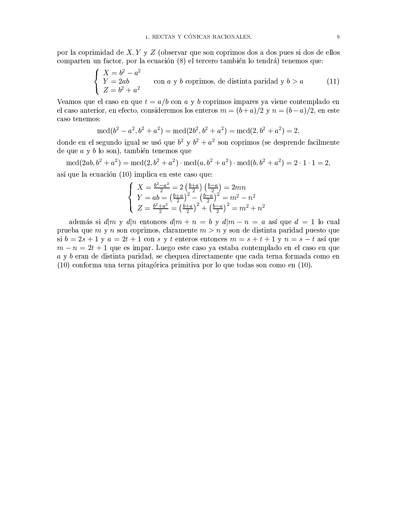por la coprimidad de  $X, Y, Y, Z$  (observar que son coprimos dos a dos pues si dos de ellos comparten un factor, por la ecuación (8) el tercero también lo tendrá) tenemos que:

$$
\begin{cases}\nX = b^2 - a^2 \\
Y = 2ab \\
Z = b^2 + a^2\n\end{cases}
$$
con *a* y *b* coprimos, de distinta paridad y *b* > *a* (11)

Veamos que el caso en que  $t = a/b$  con a y b coprimos impares ya viene contemplado en el caso anterior, en efecto, consideremos los enteros  $m = (b+a)/2$  y  $n = (b-a)/2$ , en este caso tenemos:

$$
\mathrm{mcd}(b^2 - a^2, b^2 + a^2) = \mathrm{mcd}(2b^2, b^2 + a^2) = \mathrm{mcd}(2, b^2 + a^2) = 2,
$$

donde en el segundo igual se usó que  $b^2$  y  $b^2 + a^2$  son coprimos (se desprende facilmente de que  $a \, y \, b$  lo son), también tenemos que

 $\text{med}(2ab, b^2 + a^2) = \text{med}(2, b^2 + a^2) \cdot \text{med}(a, b^2 + a^2) \cdot \text{med}(b, b^2 + a^2) = 2 \cdot 1 \cdot 1 = 2,$ así que la ecuación (10) implica en este caso que:

$$
\begin{cases}\nX = \frac{b^2 - a^2}{2} = 2\left(\frac{b + a}{2}\right)\left(\frac{b - a}{2}\right) = 2mn \\
Y = ab = \left(\frac{b + a}{2}\right)^2 - \left(\frac{b - a}{2}\right)^2 = m^2 - n^2 \\
Z = \frac{b^2 + a^2}{2} = \left(\frac{b + a}{2}\right)^2 + \left(\frac{b - a}{2}\right)^2 = m^2 + n^2\n\end{cases}
$$

además si  $d|m \, y \, d|n$  entonces  $d|m + n = b \, y \, d|m - n = a$  así que  $d = 1$  lo cual prueba que m y n son coprimos, claramente  $m > n$  y son de distinta paridad puesto que si  $b = 2s + 1$  y  $a = 2t + 1$  con s y t enteros entonces  $m = s + t + 1$  y  $n = s - t$  así que  $m - n = 2t + 1$  que es impar. Luego este caso ya estaba contemplado en el caso en que a y b eran de distinta paridad, se chequea directamente que cada terna formada como en  $(10)$  conforma una terna pitagórica primitiva por lo que todas son como en  $(10)$ .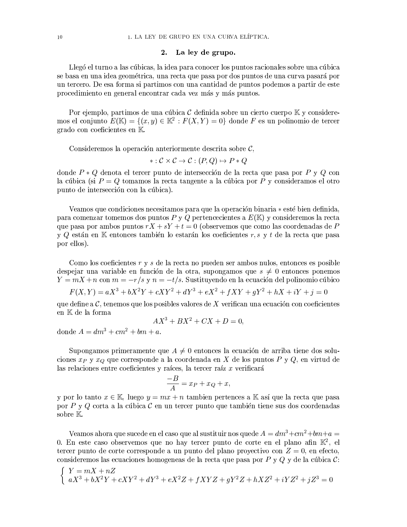### 2. La ley de grupo.

Llegó el turno a las cúbicas, la idea para conocer los puntos racionales sobre una cúbica se basa en una idea geométrica, una recta que pasa por dos puntos de una curva pasará por un tercero. De esa forma si partimos con una cantidad de puntos podemos a partir de este procedimiento en general encontrar cada vez más y más puntos.

Por ejemplo, partimos de una cúbica  $\mathcal C$  definida sobre un cierto cuerpo  $\mathbb K$  y consideremos el conjunto  $E(\mathbb{K}) = \{(x, y) \in \mathbb{K}^2 : F(X, Y) = 0\}$  donde F es un polinomio de tercer grado con coeficientes en K.

Consideremos la operación anteriormente descrita sobre  $\mathcal{C}$ ,

$$
*:\mathcal{C}\times\mathcal{C}\rightarrow\mathcal{C}:(P,Q)\mapsto P*Q
$$

donde  $P * Q$  denota el tercer punto de intersección de la recta que pasa por  $P \text{ y } Q$  con la cúbica (si  $P = Q$  tomamos la recta tangente a la cúbica por P y consideramos el otro punto de intersección con la cúbica).

Veamos que condiciones necesitamos para que la operación binaria \* esté bien definida, para comenzar tomemos dos puntos P y Q pertencecientes a  $E(\mathbb{K})$  y consideremos la recta que pasa por ambos puntos  $rX + sY + t = 0$  (observemos que como las coordenadas de P y Q están en K entonces también lo estarán los coeficientes r, s y t de la recta que pasa por ellos).

Como los coeficientes  $r \, y \, s$  de la recta no pueden ser ambos nulos, entonces es posible despejar una variable en función de la otra, supongamos que  $s \neq 0$  entonces ponemos  $Y = mX + n$  con  $m = -r/s$  y  $n = -t/s$ . Sustituyendo en la ecuación del polinomio cúbico

$$
F(X,Y) = aX^3 + bX^2Y + cXY^2 + dY^3 + eX^2 + fXY + gY^2 + hX + iY + j = 0
$$

que define a  $\mathcal{C}$ , tenemos que los posibles valores de X verifican una ecuación con coeficientes en K de la forma

$$
AX^3 + BX^2 + CX + D = 0,
$$

donde  $A = dm^3 + cm^2 + bm + a$ .

Supongamos primeramente que  $A \neq 0$  entonces la ecuación de arriba tiene dos soluciones  $x_P$  y  $x_Q$  que corresponde a la coordenada en X de los puntos P y Q, en virtud de las relaciones entre coeficientes y raíces, la tercer raíz x verificará

$$
\frac{-B}{A} = x_P + x_Q + x,
$$

y por lo tanto  $x \in \mathbb{K}$ , luego  $y = mx + n$  tambien pertences a K así que la recta que pasa por P y Q corta a la cúbica  $\mathcal C$  en un tercer punto que también tiene sus dos coordenadas sobre  $\mathbb{K}$ .

Veamos ahora que sucede en el caso que al sustituir nos quede  $A=dm^3+cm^2+bm+a=$ 0. En este caso observemos que no hay tercer punto de corte en el plano afin  $\mathbb{K}^2$ , el tercer punto de corte corresponde a un punto del plano proyectivo con  $Z=0$ , en efecto, consideremos las ecuaciones homogeneas de la recta que pasa por P y Q y de la cúbica  $\mathcal{C}$ :

$$
\begin{cases}\nY = mX + nZ \\
aX^3 + bX^2Y + cXY^2 + dY^3 + eX^2Z + fXYZ + gY^2Z + hXZ^2 + iYZ^2 + jZ^3 = 0\n\end{cases}
$$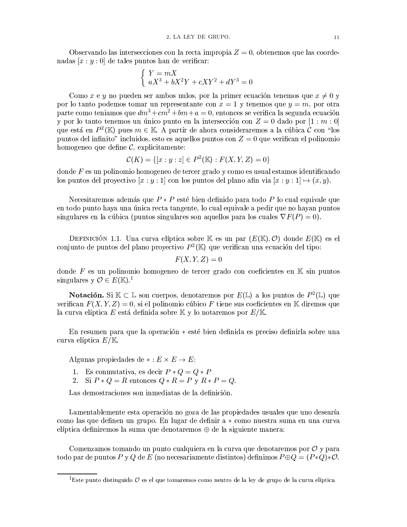Observando las intersecciones con la recta impropia  $Z = 0$ , obtenemos que las coordenadas  $[x:y:0]$  de tales puntos han de verificar:

$$
\begin{cases}\nY = mX \\
aX^3 + bX^2Y + cXY^2 + dY^3 = 0\n\end{cases}
$$

Como x e y no pueden ser ambos nulos, por la primer ecuación tenemos que  $x \neq 0$  y por lo tanto podemos tomar un representante con  $x = 1$  y tenemos que  $y = m$ , por otra parte como teniamos que  $dm^3 + cm^2 + bm + a = 0$ , entonces se verifica la segunda ecuación y por lo tanto tenemos un único punto en la intersección con  $Z = 0$  dado por [1 : m : 0] que está en  $P^2(\mathbb{K})$  pues  $m \in \mathbb{K}$ . A partir de ahora consideraremos a la cúbica  $\mathcal{C}$  con "los puntos del infinito" incluidos, esto es aquellos puntos con  $Z=0$  que verifican el polinomio homogeneo que define  $\mathcal{C}$ , explicitamente:

$$
\mathcal{C}(K) = \{ [x : y : z] \in P^2(\mathbb{K}) : F(X, Y, Z) = 0 \}
$$

donde  $F$  es un polinomio homogeneo de tercer grado y como es usual estamos identificando los puntos del proyectivo  $[x:y:1]$  con los puntos del plano afin via  $[x:y:1] \mapsto (x,y)$ .

Necesitaremos además que  $P * P$  esté bien definido para todo P lo cual equivale que en todo punto haya una única recta tangente, lo cual equivale a pedir que no hayan puntos singulares en la cúbica (puntos singulares son aquellos para los cuales  $\nabla F(P) = 0$ ).

DEFINICIÓN 1.1. Una curva elíptica sobre K es un par  $(E(\mathbb{K}), \mathcal{O})$  donde  $E(\mathbb{K})$  es el conjunto de puntos del plano provectivo  $P^2(\mathbb{K})$  que verifican una ecuación del tipo:

$$
F(X, Y, Z) = 0
$$

donde F es un polinomio homogeneo de tercer grado con coeficientes en  $K \sin$  puntos singulares y  $\mathcal{O} \in E(\mathbb{K})$ .

**Notación.** Si  $K \subset \mathbb{L}$  son cuerpos, denotaremos por  $E(\mathbb{L})$  a los puntos de  $P^2(\mathbb{L})$  que verifican  $F(X, Y, Z) = 0$ , si el polinomio cúbico F tiene sus coeficientes en K diremos que la curva elíptica E está definida sobre  $\mathbb K$  y lo notaremos por  $E/\mathbb K$ .

En resumen para que la operación \* esté bien definida es preciso definir la sobre una curva elíptica  $E/\mathbb{K}$ .

Algunas propiedades de  $\ast : E \times E \rightarrow E$ :

- 
- 1. Es conmutativa, es decir  $P * Q = Q * P$ <br>2. Si  $P * Q = R$  entonces  $Q * R = P y R * P = Q$ .

Las demostraciones son inmediatas de la definición.

Lamentablemente esta operación no goza de las propiedades usuales que uno desearía como las que definen un grupo. En lugar de definir a  $*$  como nuestra suma en una curva elíptica definiremos la suma que denotaremos  $\oplus$  de la siguiente manera:

Comenzamos tomando un punto cualquiera en la curva que denotaremos por  $\mathcal O$  y para todo par de puntos P y Q de E (no necesariamente distintos) definimos  $P \oplus Q = (P * Q) * \mathcal{O}$ .

<sup>&</sup>lt;sup>1</sup>Este punto distinguido  $\mathcal O$  es el que tomaremos como neutro de la ley de grupo de la curva elíptica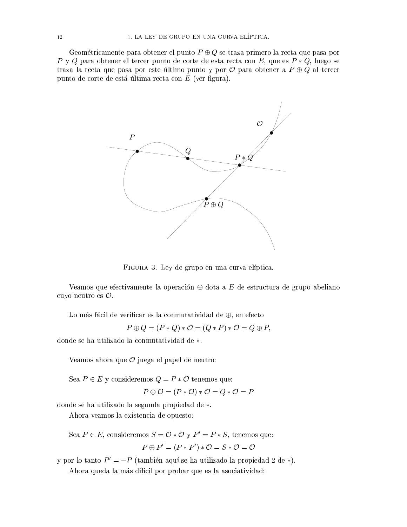Geométricamente para obtener el punto  $P \oplus Q$  se traza primero la recta que pasa por P y Q para obtener el tercer punto de corte de esta recta con E, que es  $P * Q$ , luego se traza la recta que pasa por este último punto y por  $\mathcal O$  para obtener a  $P \oplus Q$  al tercer punto de corte de está última recta con  $E$  (ver figura).



FIGURA 3. Ley de grupo en una curva elíptica.

Veamos que efectivamente la operación  $\oplus$  dota a E de estructura de grupo abeliano cuyo neutro es  $O$ .

Lo más fácil de verificar es la conmutatividad de  $\oplus$ , en efecto

 $P \oplus Q = (P * Q) * \mathcal{O} = (Q * P) * \mathcal{O} = Q \oplus P$ 

donde se ha utilizado la conmutatividad de \*.

Veamos ahora que  $\mathcal O$  juega el papel de neutro:

Sea  $P \in E$  y consideremos  $Q = P * \mathcal{O}$  tenemos que:

$$
P \oplus O = (P * O) * O = Q * O = P
$$

donde se ha utilizado la segunda propiedad de \*.

Ahora veamos la existencia de opuesto:

Sea 
$$
P \in E
$$
, consideremos  $S = \mathcal{O} * \mathcal{O} \text{ y } P' = P * S$ , tenemos que:  

$$
P \oplus P' = (P * P') * \mathcal{O} = S * \mathcal{O} = \mathcal{O}
$$

y por lo tanto  $P' = -P$  (también aquí se ha utilizado la propiedad 2 de \*). Ahora queda la más dificil por probar que es la asociatividad: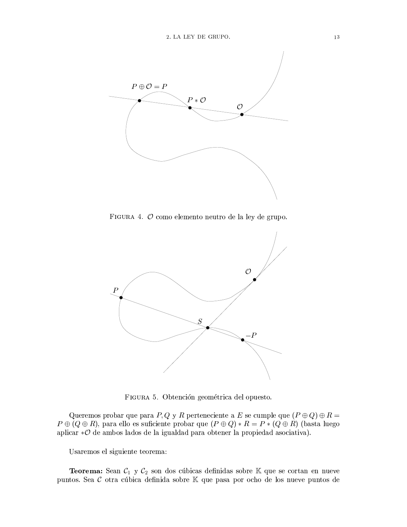

FIGURA 4.  $O$  como elemento neutro de la ley de grupo.



FIGURA 5. Obtención geométrica del opuesto.

Queremos probar que para P, Q y R perteneciente a E se cumple que  $(P \oplus Q) \oplus R =$  $P \oplus (Q \oplus R)$ , para ello es suficiente probar que  $(P \oplus Q) * R = P * (Q \oplus R)$  (basta luego aplicar  $\mathcal{O}$  de ambos lados de la igualdad para obtener la propiedad asociativa).

Usaremos el siguiente teorema:

**Teorema:** Sean  $C_1$  y  $C_2$  son dos cúbicas definidas sobre  $K$  que se cortan en nueve puntos. Sea  $\mathcal C$  otra cúbica definida sobre  $\mathbb K$  que pasa por ocho de los nueve puntos de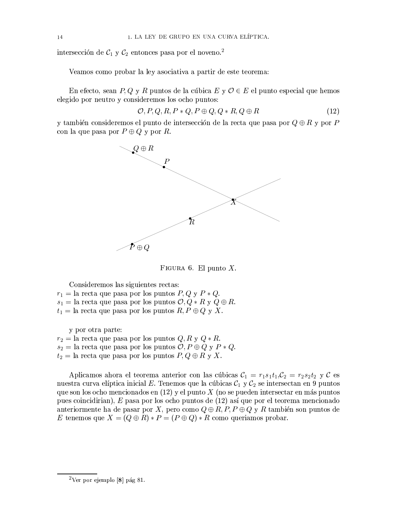intersección de  $C_1$  y  $C_2$  entonces pasa por el noveno.<sup>2</sup>

Veamos como probar la ley asociativa a partir de este teorema:

En efecto, sean P, Q y R puntos de la cúbica E y  $\mathcal{O} \in E$  el punto especial que hemos elegido por neutro y consideremos los ocho puntos:

$$
O, P, Q, R, P * Q, P \oplus Q, Q * R, Q \oplus R \tag{12}
$$

y también consideremos el punto de intersección de la recta que pasa por  $Q \oplus R$  y por P con la que pasa por  $P \oplus Q$  y por R.



FIGURA 6. El punto  $X$ .

Consideremos las siguientes rectas:  $r_1 =$  la recta que pasa por los puntos  $P, Q, y, P, Q$ .  $s_1 =$  la recta que pasa por los puntos  $\mathcal{O}, Q * R$  y  $Q \oplus R$ .  $t_1 =$  la recta que pasa por los puntos  $R, P \oplus Q$  y X.

y por otra parte:

 $r_2 =$  la recta que pasa por los puntos  $Q, R, y, Q, k$ .  $s_2 =$  la recta que pasa por los puntos  $\mathcal{O}, P \oplus Q$  y  $P * Q$ .  $t_2 =$  la recta que pasa por los puntos  $P, Q \oplus R$  y X.

Aplicamos ahora el teorema anterior con las cúbicas  $C_1 = r_1 s_1 t_1$ ,  $C_2 = r_2 s_2 t_2$  y C es nuestra curva elíptica inicial E. Tenemos que la cúbicas  $C_1$  y  $C_2$  se intersectan en 9 puntos que son los ocho mencionados en  $(12)$  y el punto X (no se pueden intersectar en más puntos pues coincidirian), E pasa por los ocho puntos de (12) así que por el teorema mencionado anteriormente ha de pasar por X, pero como  $Q \oplus R$ , P, P  $\oplus Q$  y R también son puntos de E tenemos que  $X = (Q \oplus R) * P = (P \oplus Q) * R$  como queriamos probar.

 $2$ Ver por ejemplo [8] pág 81.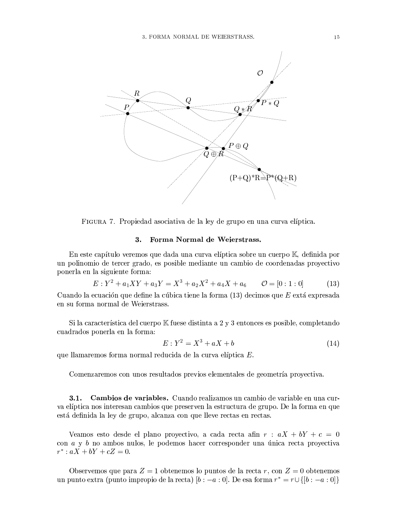

FIGURA 7. Propiedad asociativa de la ley de grupo en una curva elíptica.

#### $3.$ Forma Normal de Weierstrass.

En este capítulo veremos que dada una curva elíptica sobre un cuerpo K, definida por un polinomio de tercer grado, es posible mediante un cambio de coordenadas proyectivo ponerla en la siguiente forma:

$$
E: Y^2 + a_1XY + a_3Y = X^3 + a_2X^2 + a_4X + a_6 \qquad \mathcal{O} = [0:1:0]
$$
 (13)

Cuando la ecuación que define la cúbica tiene la forma  $(13)$  decimos que E extá expresada en su forma normal de Weierstrass.

Si la característica del cuerpo K fuese distinta a 2 y 3 entonces es posible, completando cuadrados ponerla en la forma:

$$
E: Y^2 = X^3 + aX + b \tag{14}
$$

que llamaremos forma normal reducida de la curva elíptica E.

Comenzaremos con unos resultados previos elementales de geometría proyectiva.

 $3.1.$ Cambios de variables. Cuando realizamos un cambio de variable en una curva elíptica nos interesan cambios que preserven la estructura de grupo. De la forma en que está definida la ley de grupo, alcanza con que lleve rectas en rectas.

Veamos esto desde el plano proyectivo, a cada recta afin  $r : aX + bY + c = 0$ con  $a \, y \, b$  no ambos nulos, le podemos hacer corresponder una única recta proyectiva  $r^*$  :  $aX + bY + cZ = 0$ .

Observemos que para  $Z = 1$  obtenemos lo puntos de la recta r, con  $Z = 0$  obtenemos un punto extra (punto impropio de la recta)  $[b: -a: 0]$ . De esa forma  $r^* = r \cup \{[b: -a: 0]\}$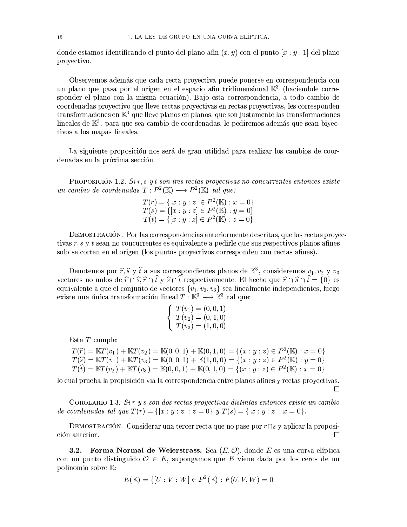donde estamos identificando el punto del plano afin  $(x, y)$  con el punto  $[x : y : 1]$  del plano proyectivo.

Observemos además que cada recta proyectiva puede ponerse en correspondencia con un plano que pasa por el origen en el espacio afin tridimensional  $\mathbb{K}^3$  (haciendole corresponder el plano con la misma ecuación). Bajo esta correspondencia, a todo cambio de coordenadas proyectivo que lleve rectas proyectivas en rectas proyectivas, les corresponden transformaciones en  $\mathbb{K}^3$  que lleve planos en planos, que son justamente las transformaciones lineales de  $\mathbb{K}^3$ , para que sea cambio de coordenadas, le pediremos además que sean biyectivos a los mapas lineales.

La siguiente proposición nos será de gran utilidad para realizar los cambios de coordenadas en la próxima sección.

PROPOSICIÓN 1.2. Sir, s y t son tres rectas proyectivas no concurrentes entonces existe un cambio de coordenadas  $T: P^2(\mathbb{K}) \longrightarrow P^2(\mathbb{K})$  tal que:

$$
T(r) = \{ [x : y : z] \in P^2(\mathbb{K}) : x = 0 \}
$$
  
\n
$$
T(s) = \{ [x : y : z] \in P^2(\mathbb{K}) : y = 0 \}
$$
  
\n
$$
T(t) = \{ [x : y : z] \in P^2(\mathbb{K}) : z = 0 \}
$$

DEMOSTRACIÓN. Por las correspondencias anteriormente descritas, que las rectas proyectivas r, s y t sean no concurrentes es equivalente a pedirle que sus respectivos planos afines solo se corten en el origen (los puntos proyectivos corresponden con rectas afines).

Denotemos por  $\hat{r}, \hat{s}$  y  $\hat{t}$  a sus correspondientes planos de  $\mathbb{K}^3$ , consideremos  $v_1, v_2$  y  $v_3$ vectores no nulos de  $\hat{r} \cap \hat{s}, \hat{r} \cap \hat{t}$  y  $\hat{s} \cap \hat{t}$  respectivamente. El hecho que  $\hat{r} \cap \hat{s} \cap \hat{t} = \{0\}$  es equivalente a que el conjunto de vectores  $\{v_1, v_2, v_3\}$  sea linealmente independientes, luego existe una única transformación lineal  $T: \mathbb{K}^3 \longrightarrow \mathbb{K}^3$  tal que:

$$
\begin{cases}\nT(v_1) = (0, 0, 1) \\
T(v_2) = (0, 1, 0) \\
T(v_3) = (1, 0, 0)\n\end{cases}
$$

Esta  $T$  cumple:

$$
T(\widehat{r}) = \mathbb{K}T(v_1) + \mathbb{K}T(v_2) = \mathbb{K}(0, 0, 1) + \mathbb{K}(0, 1, 0) = \{(x : y : z) \in P^2(\mathbb{K}) : x = 0\}
$$
  

$$
T(\widehat{s}) = \mathbb{K}T(v_1) + \mathbb{K}T(v_3) = \mathbb{K}(0, 0, 1) + \mathbb{K}(1, 0, 0) = \{(x : y : z) \in P^2(\mathbb{K}) : y = 0\}
$$
  

$$
T(\widehat{t}) = \mathbb{K}T(v_2) + \mathbb{K}T(v_3) = \mathbb{K}(0, 0, 1) + \mathbb{K}(0, 1, 0) = \{(x : y : z) \in P^2(\mathbb{K}) : x = 0\}
$$

lo cual prueba la propisición via la correspondencia entre planos afines y rectas proyectivas.  $\Box$ 

COROLARIO 1.3. Sir y s son dos rectas proyectivas distintas entonces existe un cambio de coordenadas tal que  $T(r) = \{ [x:y:z] : z = 0 \}$  y  $T(s) = \{ [x:y:z] : x = 0 \}$ .

DEMOSTRACIÓN. Considerar una tercer recta que no pase por  $r \cap s$  y aplicar la proposi- $\Box$ ción anterior.

Forma Normal de Weierstrass. Sea  $(E, \mathcal{O})$ , donde E es una curva elíptica  $3.2.$ con un punto distinguido  $\mathcal{O} \in E$ , supongamos que E viene dada por los ceros de un polinomio sobre K:

$$
E(\mathbb{K}) = \{ [U : V : W] \in P^2(\mathbb{K}) : F(U, V, W) = 0 \}
$$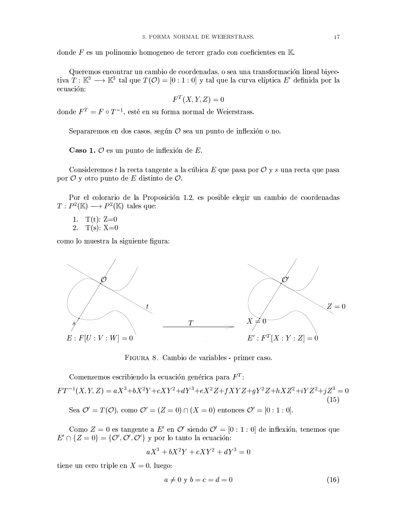donde F es un polinomio homogeneo de tercer grado con coeficientes en  $K$ 

Queremos encontrar un cambio de coordenadas, o sea una transformación lineal biyectiva  $T: \mathbb{K}^3 \longrightarrow \mathbb{K}^3$  tal que  $T(\mathcal{O}) = [0:1:0]$  y tal que la curva elíptica E' definida por la ecuación:

$$
F^T(X, Y, Z) = 0
$$

donde  $F^T = F \circ T^{-1}$ , esté en su forma normal de Weierstrass.

Separaremos en dos casos, según  $\mathcal O$  sea un punto de inflexión o no.

Caso 1.  $\mathcal O$  es un punto de inflexión de E.

Consideremos t la recta tangente a la cúbica E que pasa por  $\mathcal O$  y s una recta que pasa por  $\mathcal O$  y otro punto de E distinto de  $\mathcal O$ .

Por el colorario de la Proposición 1.2, es posible elegir un cambio de coordenadas  $T: P^2(\mathbb{K}) \longrightarrow P^2(\mathbb{K})$  tales que:

- $T(t)$ : Z=0  $1.$
- $T(s)$ : X=0  $\overline{2}$ .

como lo muestra la siguiente figura:



FIGURA 8. Cambio de variables - primer caso.

Comenzemos escribiendo la ecuación genérica para  $F<sup>T</sup>$ :  $FT^{-1}(X, Y, Z) = aX^{3} + bX^{2}Y + cXY^{2} + dY^{3} + eX^{2}Z + fXYZ + gY^{2}Z + hXZ^{2} + iYZ^{2} + jZ^{3} = 0$  $(15)$ Sea  $\mathcal{O}' = T(\mathcal{O})$ , como  $\mathcal{O}' = (Z = 0) \cap (X = 0)$  entonces  $\mathcal{O}' = [0:1:0]$ .

Como  $Z = 0$  es tangente a E' en  $\mathcal{O}'$  siendo  $\mathcal{O}' = [0 : 1 : 0]$  de inflexión, tenemos que  $E' \cap \{Z=0\} = \{O', O', O'\}$  y por lo tanto la ecuación:

$$
aX^3 + bX^2Y + cXY^2 + dY^3 = 0
$$

tiene un cero triple en  $X = 0$ , luego:

$$
a \neq 0 \ y \ b = c = d = 0 \tag{16}
$$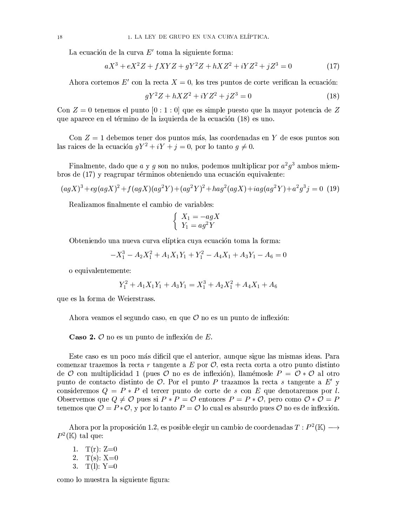La ecuación de la curva  $E'$  toma la siguiente forma:

$$
aX^{3} + eX^{2}Z + fXYZ + gY^{2}Z + hXZ^{2} + iYZ^{2} + jZ^{3} = 0
$$
\n(17)

Ahora cortemos E' con la recta  $X = 0$ , los tres puntos de corte verifican la ecuación:

$$
gY^2Z + hXZ^2 + iYZ^2 + jZ^3 = 0
$$
\n(18)

Con  $Z = 0$  tenemos el punto  $[0:1:0]$  que es simple puesto que la mayor potencia de Z que aparece en el término de la izquierda de la ecuación (18) es uno.

Con  $Z = 1$  debemos tener dos puntos más, las coordenadas en Y de esos puntos son las raices de la ecuación  $qY^2 + iY + j = 0$ , por lo tanto  $q \neq 0$ .

Finalmente, dado que a y g son no nulos, podemos multiplicar por  $a^2g^3$  ambos miembros de (17) y reagrupar términos obteniendo una ecuación equivalente:

$$
(agX)3 + eg (agX)2 + f (agX)(ag2Y) + (ag2Y)2 + hag2 (agX) + iag (ag2Y) + a2g3 j = 0
$$
(19)

Realizamos finalmente el cambio de variables:

$$
\begin{cases}\nX_1 = -agX \\
Y_1 = ag^2Y\n\end{cases}
$$

Obteniendo una nueva curva elíptica cuya ecuación toma la forma:

 $-X_1^3 - A_2X_1^2 + A_1X_1Y_1 + Y_1^2 - A_4X_1 + A_3Y_1 - A_6 = 0$ 

o equivalentemente:

$$
Y_1^2 + A_1 X_1 Y_1 + A_3 Y_1 = X_1^3 + A_2 X_1^2 + A_4 X_1 + A_6
$$

que es la forma de Weierstrass.

Ahora veamos el segundo caso, en que  $\mathcal O$  no es un punto de inflexión:

Caso 2.  $\mathcal O$  no es un punto de inflexión de E.

Este caso es un poco más dificil que el anterior, aunque sigue las mismas ideas. Para comenzar trazemos la recta r tangente a E por  $\mathcal O$ , esta recta corta a otro punto distinto de O con multiplicidad 1 (pues O no es de inflexión), llamémosle  $P = \mathcal{O} * \mathcal{O}$  al otro punto de contacto distinto de  $\mathcal O$ . Por el punto P trazamos la recta s tangente a E' y consideremos  $Q = P * P$  el tercer punto de corte de s con E que denotaremos por l. Observemos que  $Q \neq \mathcal{O}$  pues si  $P * P = \mathcal{O}$  entonces  $P = P * \mathcal{O}$ , pero como  $\mathcal{O} * \mathcal{O} = P$ tenemos que  $\mathcal{O} = P * \mathcal{O}$ , y por lo tanto  $P = \mathcal{O}$  lo cual es absurdo pues  $\mathcal{O}$  no es de inflexión.

Ahora por la proposición 1.2, es posible elegir un cambio de coordenadas  $T: P^2(\mathbb{K}) \longrightarrow$  $P^2(\mathbb{K})$ tal que:

- 1.  $T(r)$ : Z=0
- 2.  $T(s)$ : X=0
- 3.  $T(l): Y=0$

como lo muestra la siguiente figura: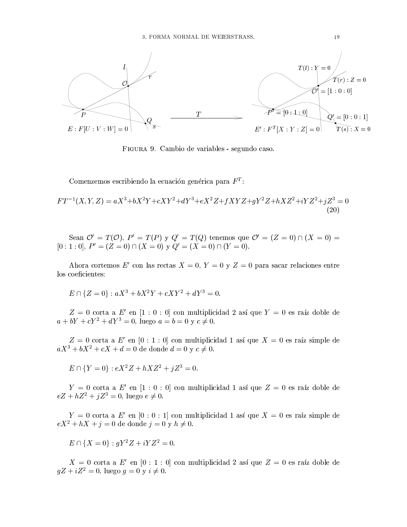

FIGURA 9. Cambio de variables - segundo caso.

Comenzemos escribiendo la ecuación genérica para  $F<sup>T</sup>$ .

$$
FT^{-1}(X,Y,Z) = aX^3 + bX^2Y + cXY^2 + dY^3 + eX^2Z + fXYZ + gY^2Z + hXZ^2 + iYZ^2 + jZ^3 = 0
$$
\n(20)

Sean  $\mathcal{O}' = T(\mathcal{O}), P' = T(P)$  y  $Q' = T(Q)$  tenemos que  $\mathcal{O}' = (Z = 0) \cap (X = 0)$  $[0:1:0], P' = (Z = 0) \cap (X = 0)$  y  $Q' = (X = 0) \cap (Y = 0)$ .

Ahora cortemos E' con las rectas  $X = 0$ ,  $Y = 0$  y  $Z = 0$  para sacar relaciones entre los coeficientes:

$$
E \cap \{Z = 0\} : aX^3 + bX^2Y + cXY^2 + dY^3 = 0.
$$

 $Z = 0$ corta a $E'$ en [1 : 0 : 0] con multiplicidad $2$ así que  $Y = 0$ es raíz doble de  $a + bY + cY^2 + dY^3 = 0$ , luego  $a = b = 0$  y  $c \neq 0$ .

 $Z = 0$  corta a E' en [0 : 1 : 0] con multiplicidad 1 así que  $X = 0$  es raíz simple de  $aX^3 + bX^2 + cX + d = 0$  de donde  $d = 0$  y  $c \neq 0$ .

 $E \cap {Y = 0} : eX^2Z + hXZ^2 + iZ^3 = 0.$ 

 $Y = 0$  corta a E' en [1 : 0 : 0] con multiplicidad 1 así que  $Z = 0$  es raíz doble de  $eZ + hZ^2 + jZ^3 = 0$ , luego  $e \neq 0$ .

 $Y = 0$  corta a E' en [0 : 0 : 1] con multiplicidad 1 así que  $X = 0$  es raíz simple de  $eX^2 + hX + j = 0$  de donde  $j = 0$  y  $h \neq 0$ .

$$
E \cap \{X = 0\} : gY^2 Z + iYZ^2 = 0.
$$

 $X = 0$  corta a E' en [0 : 1 : 0] con multiplicidad 2 así que  $Z = 0$  es raíz doble de  $gZ + iZ^2 = 0$ , luego  $g = 0$  y  $i \neq 0$ .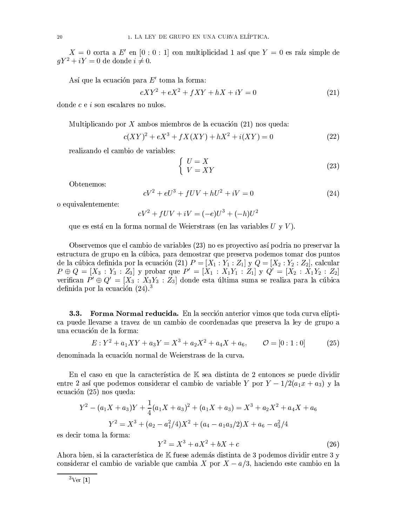$X = 0$  corta a  $E'$  en  $[0:0:1]$  con multiplicidad 1 así que  $Y = 0$  es raíz simple de  $qY^2 + iY = 0$  de donde  $i \neq 0$ .

Así que la ecuación para  $E'$  toma la forma:

$$
cXY^2 + eX^2 + fXY + hX + iY = 0\tag{21}
$$

donde  $c e i$  son escalares no nulos.

Multiplicando por X ambos miembros de la ecuación  $(21)$  nos queda:

$$
c(XY)^{2} + eX^{3} + fX(XY) + hX^{2} + i(XY) = 0
$$
\n(22)

realizando el cambio de variables:

$$
\begin{cases}\n U = X \\
 V = XY\n\end{cases} \tag{23}
$$

Obtenemos:

$$
cV^2 + eU^3 + fUV + hU^2 + iV = 0
$$
\n(24)

o equivalentemente:

$$
cV^2 + fUV + iV = (-e)U^3 + (-h)U^2
$$

que es está en la forma normal de Weierstrass (en las variables  $U_y V$ ).

Observemos que el cambio de variables (23) no es proyectivo así podria no preservar la estructura de grupo en la cúbica, para demostrar que preserva podemos tomar dos puntos de la cúbica definida por la ecuación (21)  $P = [X_1 : Y_1 : Z_1]$  y  $Q = [X_2 : Y_2 : Z_2]$ , calcular  $P \oplus Q = [X_3 : Y_3 : Z_3]$  y probar que  $P' = [X_1 : X_1Y_1 : Z_1]$  y  $Q' = [X_2 : X_1Y_2 : Z_2]$ verifican  $P' \oplus Q' = [X_3 : X_3Y_3 : Z_3]$  donde esta última suma se realiza para la cúbica definida por la ecuación  $(24).<sup>3</sup>$ 

 $3.3.$ Forma Normal reducida. En la sección anterior vimos que toda curva elíptica puede llevarse a travez de un cambio de coordenadas que preserva la ley de grupo a una ecuación de la forma:

$$
E: Y^2 + a_1XY + a_3Y = X^3 + a_2X^2 + a_4X + a_6, \qquad \mathcal{O} = [0:1:0]
$$
 (25)

denominada la ecuación normal de Weierstrass de la curva.

En el caso en que la característica de K sea distinta de 2 entonces se puede dividir entre 2 así que podemos considerar el cambio de variable Y por  $Y - 1/2(a_1x + a_3)$  y la ecuación  $(25)$  nos queda:

$$
Y^{2} - (a_{1}X + a_{3})Y + \frac{1}{4}(a_{1}X + a_{3})^{2} + (a_{1}X + a_{3}) = X^{3} + a_{2}X^{2} + a_{4}X + a_{6}
$$

$$
Y^{2} = X^{3} + (a_{2} - a_{1}^{2}/4)X^{2} + (a_{4} - a_{1}a_{3}/2)X + a_{6} - a_{3}^{2}/4
$$

es decir toma la forma:

$$
Y^2 = X^3 + aX^2 + bX + c \tag{26}
$$

Ahora bien, si la característica de K fuese además distinta de 3 podemos dividir entre 3 y considerar el cambio de variable que cambia X por  $X - a/3$ , haciendo este cambio en la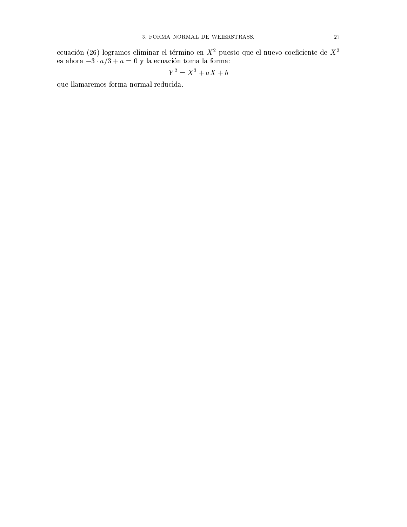ecuación (26) logramos eliminar el término en $X^2$ puesto que el nuevo coeficiente de $X^2$ es ahora $-3\cdot a/3+a=0$ y la ecuación toma la forma:

$$
Y^2 = X^3 + aX + b
$$

que llamaremos forma normal reducida.  $\,$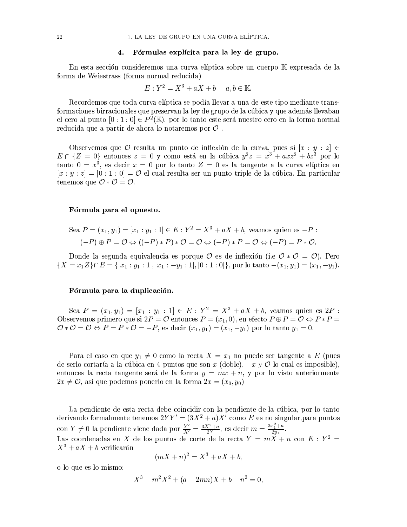#### Fórmulas explícita para la ley de grupo. 4.

En esta sección consideremos una curva elíptica sobre un cuerpo K expresada de la forma de Weiestrass (forma normal reducida)

$$
E: Y^2 = X^3 + aX + b \quad a, b \in \mathbb{K}.
$$

Recordemos que toda curva elíptica se podía llevar a una de este tipo mediante transformaciones birracionales que preservan la ley de grupo de la cúbica y que además llevaban el cero al punto  $[0:1:0] \in P^2(\mathbb{K})$ , por lo tanto este será nuestro cero en la forma normal reducida que a partir de ahora lo notaremos por  $\mathcal O$ .

Observemos que  $\mathcal O$  resulta un punto de inflexión de la curva, pues si  $[x : y : z] \in$  $E \cap \{Z = 0\}$  entonces  $z = 0$  y como está en la cúbica  $y^2z = x^3 + axz^2 + bz^3$  por lo tanto  $0 = x^3$ , es decir  $x = 0$  por lo tanto  $Z = 0$  es la tangente a la curva elíptica en  $[x:y:z] = [0:1:0] = \mathcal{O}$  el cual resulta ser un punto triple de la cúbica. En particular tenemos que  $\mathcal{O} * \mathcal{O} = \mathcal{O}.$ 

### Fórmula para el opuesto.

$$
\text{ Sea } P = (x_1, y_1) = [x_1 : y_1 : 1] \in E : Y^2 = X^3 + aX + b, \text{ veamos quien es } -P :
$$
\n
$$
(-P) \oplus P = \mathcal{O} \Leftrightarrow ((-P) * P) * \mathcal{O} = \mathcal{O} \Leftrightarrow (-P) * P = \mathcal{O} \Leftrightarrow (-P) = P * \mathcal{O}.
$$

Donde la segunda equivalencia es porque  $\mathcal O$  es de inflexión (i.e  $\mathcal O * \mathcal O = \mathcal O$ ). Pero  ${X = x_1 Z} \cap E = { [x_1 : y_1 : 1], [x_1 : -y_1 : 1], [0 : 1 : 0] },$  por lo tanto  $-(x_1, y_1) = (x_1, -y_1).$ 

### Fórmula para la duplicación.

Sea  $P = (x_1, y_1) = [x_1 : y_1 : 1] \in E : Y^2 = X^3 + aX + b$ , veamos quien es 2P : Observemos primero que si  $2P = \mathcal{O}$  entonces  $P = (x_1, 0)$ , en efecto  $P \oplus P = \mathcal{O} \Leftrightarrow P * P =$  $\mathcal{O} * \mathcal{O} = \mathcal{O} \Leftrightarrow P = P * \mathcal{O} = -P$ , es decir  $(x_1, y_1) = (x_1, -y_1)$  por lo tanto  $y_1 = 0$ .

Para el caso en que  $y_1 \neq 0$  como la recta  $X = x_1$  no puede ser tangente a E (pues de serlo cortaría a la cúbica en 4 puntos que son x (doble),  $-x \vee y$  lo cual es imposible), entonces la recta tangente será de la forma  $y = mx + n$ , y por lo visto anteriormente  $2x \neq 0$ , así que podemos ponerlo en la forma  $2x = (x_0, y_0)$ 

La pendiente de esta recta debe coincidir con la pendiente de la cúbica, por lo tanto derivando formalmente tenemos  $2YY' = (3X^2 + a)X'$  como E es no singular, para puntos con  $Y \neq 0$  la pendiente viene dada por  $\frac{Y}{X'} = \frac{3X^2 + a}{2Y}$ , es decir  $m = \frac{3x_1^2 + a}{2y_1}$ .<br>Las coordenadas en X de los puntos de corte de la recta  $Y = mX + n$  con  $E : Y^2 =$  $X^3 + aX + b$  verificarán

$$
(mX + n)2 = X3 + aX + b,
$$

o lo que es lo mismo:

$$
X^3 - m^2 X^2 + (a - 2mn)X + b - n^2 = 0
$$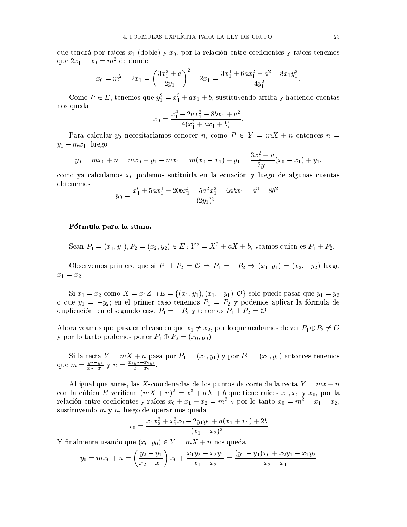que tendrá por raíces  $x_1$  (doble) y  $x_0$ , por la relación entre coeficientes y raíces tenemos que  $2x_1 + x_0 = m^2$  de donde

$$
x_0 = m^2 - 2x_1 = \left(\frac{3x_1^2 + a}{2y_1}\right)^2 - 2x_1 = \frac{3x_1^4 + 6ax_1^2 + a^2 - 8x_1y_1^2}{4y_1^2}.
$$

Como  $P \in E$ , tenemos que  $y_1^2 = x_1^3 + ax_1 + b$ , sustituyendo arriba y haciendo cuentas nos queda

$$
x_0 = \frac{x_1^4 - 2ax_1^2 - 8bx_1 + a^2}{4(x_1^3 + ax_1 + b)}
$$

Para calcular  $y_0$  necesitariamos conocer n, como  $P \in Y = mX + n$  entonces  $n =$  $y_1 - mx_1$ , luego

$$
y_0 = mx_0 + n = mx_0 + y_1 - mx_1 = m(x_0 - x_1) + y_1 = \frac{3x_1^2 + a}{2y_1}(x_0 - x_1) + y_1.
$$

como ya calculamos  $x_0$  podemos sutituirla en la ecuación y luego de algunas cuentas obtenemos

$$
y_0 = \frac{x_1^6 + 5ax_1^4 + 20bx_1^3 - 5a^2x_1^2 - 4abx_1 - a^3 - 8b^2}{(2y_1)^3}
$$

### Fórmula para la suma.

Sean  $P_1 = (x_1, y_1), P_2 = (x_2, y_2) \in E : Y^2 = X^3 + aX + b$ , veamos quien es  $P_1 + P_2$ .

Observemos primero que si  $P_1 + P_2 = \mathcal{O} \Rightarrow P_1 = -P_2 \Rightarrow (x_1, y_1) = (x_2, -y_2)$  luego  $x_1 = x_2.$ 

Si  $x_1 = x_2$  como  $X = x_1 Z \cap E = \{(x_1, y_1), (x_1, -y_1), \mathcal{O}\}$  solo puede pasar que  $y_1 = y_2$ <br>o que  $y_1 = -y_2$ ; en el primer caso tenemos  $P_1 = P_2$  y podemos aplicar la fórmula de duplicación, en el segundo caso  $P_1 = -P_2$  y tenemos  $P_1 + P_2 = \mathcal{O}$ .

Ahora veamos que pasa en el caso en que  $x_1 \neq x_2$ , por lo que acabamos de ver $P_1 \oplus P_2 \neq \mathcal{O}$ y por lo tanto podemos poner  $P_1 \oplus P_2 = (x_0, y_0)$ .

Si la recta  $Y = mX + n$  pasa por  $P_1 = (x_1, y_1)$  y por  $P_2 = (x_2, y_2)$  entonces tenemos que  $m = \frac{y_2 - y_1}{x_2 - x_1}$  y  $n = \frac{x_1 y_2 - x_2 y_1}{x_1 - x_2}$ .

Al igual que antes, las X-coordenadas de los puntos de corte de la recta  $Y = mx + n$ con la cúbica E verifican  $(mX + n)^2 = x^3 + aX + b$  que tiene raíces  $x_1, x_2$  y  $x_0$ , por la relación entre coeficientes y raíces  $x_0 + x_1 + x_2 = m^2$  y por lo tanto  $x_0 = m^2 - x_1 - x_2$ , sustituyendo  $m \, y \, n$ , luego de operar nos queda

$$
x_0 = \frac{x_1x_2^2 + x_1^2x_2 - 2y_1y_2 + a(x_1 + x_2) + 2b}{(x_1 - x_2)^2}
$$

Y finalmente usando que  $(x_0, y_0) \in Y = mX + n$  nos queda

$$
y_0 = mx_0 + n = \left(\frac{y_2 - y_1}{x_2 - x_1}\right)x_0 + \frac{x_1y_2 - x_2y_1}{x_1 - x_2} = \frac{(y_2 - y_1)x_0 + x_2y_1 - x_1y_2}{x_2 - x_1}
$$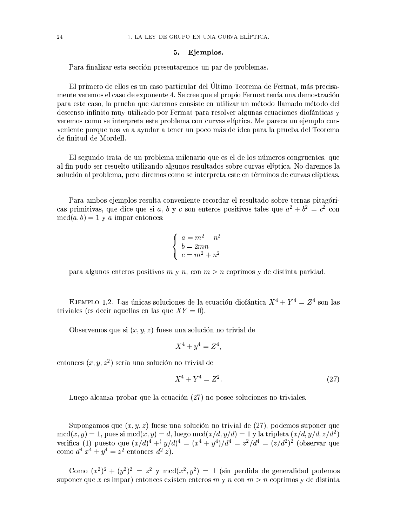#### Ejemplos. 5.

Para finalizar esta sección presentaremos un par de problemas.

El primero de ellos es un caso particular del Último Teorema de Fermat, más precisamente veremos el caso de exponente 4. Se cree que el propio Fermat tenía una demostración para este caso, la prueba que daremos consiste en utilizar un método llamado método del descenso infinito muy utilizado por Fermat para resolver algunas ecuaciones diofánticas y veremos como se interpreta este problema con curvas elíptica. Me parece un ejemplo conveniente porque nos va a ayudar a tener un poco más de idea para la prueba del Teorema de finitud de Mordell.

El segundo trata de un problema milenario que es el de los números congruentes, que al fin pudo ser resuelto utilizando algunos resultados sobre curvas elíptica. No daremos la solución al problema, pero diremos como se interpreta este en términos de curvas elípticas.

Para ambos ejemplos resulta conveniente recordar el resultado sobre ternas pitagóricas primitivas, que dice que si a, b y c son enteros positivos tales que  $a^2 + b^2 = c^2$  con  $\text{med}(a, b) = 1$  y a imparent onces:

$$
\begin{cases}\n a = m^2 - n^2 \\
 b = 2mn \\
 c = m^2 + n^2\n\end{cases}
$$

para algunos enteros positivos m y n, con  $m > n$  coprimos y de distinta paridad.

EJEMPLO 1.2. Las únicas soluciones de la ecuación diofántica  $X^4 + Y^4 = Z^4$  son las triviales (es decir aquellas en las que  $XY = 0$ ).

Observemos que si  $(x, y, z)$  fuese una solución no trivial de

$$
X^4 + y^4 = Z^4
$$

entonces  $(x, y, z^2)$  sería una solución no trivial de

$$
X^4 + Y^4 = Z^2. \t\t(27)
$$

Luego alcanza probar que la ecuación (27) no posee soluciones no triviales.

Supongamos que  $(x, y, z)$  fuese una solución no trivial de  $(27)$ , podemos suponer que  $\operatorname{med}(x, y) = 1$ , pues si  $\operatorname{med}(x, y) = d$ , luego  $\operatorname{med}(x/d, y/d) = 1$  y la tripleta  $(x/d, y/d, z/d^2)$ verifica (1) puesto que  $(x/d)^4 + (y/d)^4 = (x^4 + y^4)/d^4 = z^2/d^4 = (z/d^2)^2$  (observar que como  $d^4|x^4 + y^4 = z^2$  entonces  $d^2|z|$ .

Como  $(x^2)^2 + (y^2)^2 = z^2$  y mcd $(x^2, y^2) = 1$  (sin perdida de generalidad podemos suponer que x es impar) entonces existen enteros m y n con  $m > n$  coprimos y de distinta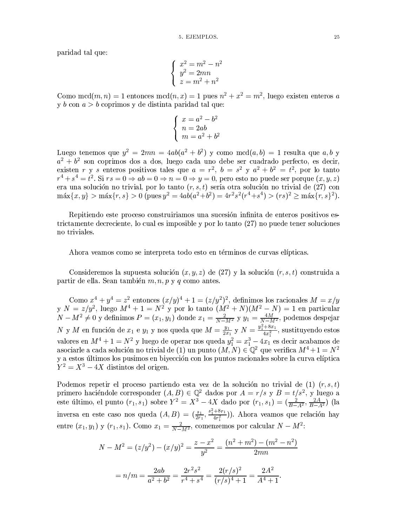paridad tal que:

$$
\begin{cases}\nx^2 = m^2 - n^2 \\
y^2 = 2mn \\
z = m^2 + n^2\n\end{cases}
$$

Como  $\text{mcd}(m, n) = 1$  entonces  $\text{mcd}(n, x) = 1$  pues  $n^2 + x^2 = m^2$ , luego existen enteros a y  $b$  con  $a > b$  coprimos y de distinta paridad tal que:

$$
\begin{cases}\n x = a^2 - b^2 \\
 n = 2ab \\
 m = a^2 + b^2\n\end{cases}
$$

Luego tenemos que  $y^2 = 2mn = 4ab(a^2 + b^2)$  y como mcd $(a, b) = 1$  resulta que  $a, b$  y  $a^2 + b^2$  son coprimos dos a dos, luego cada uno debe ser cuadrado perfecto, es decir,<br>existen r y s enteros positivos tales que  $a = r^2$ ,  $b = s^2$  y  $a^2 + b^2 = t^2$ , por lo tanto<br> $r^4 + s^4 = t^2$ . Si  $rs = 0 \Rightarrow ab = 0 \Rightarrow n = 0 \Rightarrow y = 0$ , p era una solución no trivial, por lo tanto  $(r, s, t)$  sería otra solución no trivial de (27) con  $\max\{x, y\} > \max\{r, s\} > 0$  (pues  $y^2 = 4ab(a^2 + b^2) = 4r^2s^2(r^4 + s^4) > (rs)^2 \ge \max\{r, s\}^2$ ).

Repitiendo este proceso construiriamos una sucesión infinita de enteros positivos estrictamente decreciente, lo cual es imposible y por lo tanto (27) no puede tener soluciones no triviales.

Ahora veamos como se interpreta todo esto en términos de curvas elípticas.

Consideremos la supuesta solución  $(x, y, z)$  de  $(27)$  y la solución  $(r, s, t)$  construida a partir de ella. Sean también  $m, n, p, y, q$  como antes.

Como  $x^4 + y^4 = z^2$  entonces  $(x/y)^4 + 1 = (z/y^2)^2$ , definimos los racionales  $M = x/y$ <br>y  $N = z/y^2$ , luego  $M^4 + 1 = N^2$  y por lo tanto  $(M^2 + N)(M^2 - N) = 1$  en particular<br> $N - M^2 \neq 0$  y definimos  $P = (x_1, y_1)$  donde  $x_1 = \frac{2}{N - M^2}$  y asociarle a cada solución no trivial de (1) un punto  $(M, N) \in \mathbb{Q}^2$  que verifica  $M^4 + 1 = N^2$ y a estos últimos los pusimos en biyección con los puntos racionales sobre la curva elíptica  $Y^2 = X^3 - 4X$  distintes del origen.

Podemos repetir el proceso partiendo esta vez de la solución no trivial de (1)  $(r, s, t)$ primero haciéndole corresponder  $(A, B) \in \mathbb{Q}^2$  dados por  $A = r/s$  y  $B = t/s^2$ , y luego a este último, el punto  $(r_1, s_1)$  sobre  $Y^2 = X^3 - 4X$  dado por  $(r_1, s_1) = (\frac{2}{B-A^2}, \frac{2A}{B-A^2})$  (la inversa en este caso nos queda  $(A, B) = (\frac{s_1}{2r_1}, \frac{s_1^2 + 8r_1}{4r_1^2})$ . Ahora veamos que relación hay entre  $(x_1, y_1)$  y  $(r_1, s_1)$ . Como  $x_1 = \frac{2}{N-M^2}$ , comenzemos por calcular  $N-M^2$ :

$$
N - M^{2} = (z/y^{2}) - (x/y)^{2} = \frac{z - x^{2}}{y^{2}} = \frac{(n^{2} + m^{2}) - (m^{2} - n^{2})}{2mn}
$$

$$
= n/m = \frac{2ab}{a^{2} + b^{2}} = \frac{2r^{2}s^{2}}{r^{4} + s^{4}} = \frac{2(r/s)^{2}}{(r/s)^{4} + 1} = \frac{2A^{2}}{A^{4} + 1}.
$$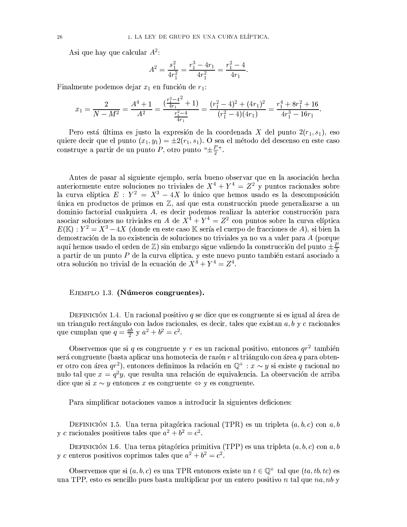Asi que hay que calcular  $A^2$ :

$$
A^{2} = \frac{s_{1}^{2}}{4r_{1}^{2}} = \frac{r_{1}^{3} - 4r_{1}}{4r_{1}^{2}} = \frac{r_{1}^{2} - 4}{4r_{1}}.
$$

Finalmente podemos dejar  $x_1$  en función de  $r_1$ :

$$
x_1 = \frac{2}{N - M^2} = \frac{A^4 + 1}{A^2} = \frac{\left(\frac{r_1^2 - 4}{4r_1} + 1\right)}{\frac{r_1^2 - 4}{4r_1}} = \frac{(r_1^2 - 4)^2 + (4r_1)^2}{(r_1^2 - 4)(4r_1)} = \frac{r_1^4 + 8r_1^2 + 16}{4r_1^3 - 16r_1}.
$$

Pero está última es justo la expresión de la coordenada X del punto  $2(r_1, s_1)$ , eso quiere decir que el punto  $(x_1, y_1) = \pm 2(r_1, s_1)$ . O sea el método del descenso en este caso construye a partir de un punto P, otro punto " $\pm \frac{P}{2}$ ".

Antes de pasar al siguiente ejemplo, sería bueno observar que en la asociación hecha anteriormente entre soluciones no triviales de  $X^4 + Y^4 = Z^2$  y puntos racionales sobre la curva elíptica  $E : Y^2 = X^3 - 4X$  lo único que hemos usado es la descomposición única en productos de primos en  $\mathbb Z$ , así que esta construcción puede generalizarse a un dominio factorial cualquiera A, es decir podemos realizar la anterior construcción para asociar soluciones no triviales en A de  $X^4 + Y^4 = Z^2$  con puntos sobre la curva elíptica  $E(\mathbb{K}): Y^2 = X^3 - 4X$  (donde en este caso K sería el cuerpo de fracciones de A), si bien la demostración de la no existencia de soluciones no triviales ya no va a valer para A (porque aquí hemos usado el orden de  $\mathbb{Z}$ ) sin embargo sigue valiendo la construcción del punto  $\pm \frac{P}{2}$ a partir de un punto P de la curva elíptica, y este nuevo punto también estará asociado a otra solución no trivial de la ecuación de  $X^4 + Y^4 = Z^4$ .

### EJEMPLO 1.3. (Números congruentes).

DEFINICIÓN 1.4. Un racional positivo q se dice que es congruente si es igual al área de un triangulo rectángulo con lados racionales, es decir, tales que existan  $a, b, y, c$  racionales que cumplan que  $q = \frac{ab}{2} y a^2 + b^2 = c^2$ .

Observemos que si q es congruente y r es un racional positivo, entonces  $qr^2$  también será congruente (basta aplicar una homotecia de razón  $r$  al triángulo con área  $q$  para obtener otro con área  $qr^2$ ), entonces definimos la relación en  $\mathbb{Q}^+ : x \sim y$  si existe q racional no nulo tal que  $x = q^2 y$ , que resulta una relación de equivalencia. La observación de arriba dice que si  $x \sim y$  entonces x es congruente  $\Leftrightarrow$  y es congruente.

Para simplificar notaciones vamos a introducir la siguientes deficiones:

DEFINICIÓN 1.5. Una terna pitagórica racional (TPR) es un tripleta  $(a, b, c)$  con  $a, b$ y c racionales positivos tales que  $a^2 + b^2 = c^2$ .

DEFINICIÓN 1.6. Una terna pitagórica primitiva (TPP) es una tripleta  $(a, b, c)$  con  $a, b$ y c enteros positivos coprimos tales que  $a^2 + b^2 = c^2$ .

Observemos que si  $(a, b, c)$  es una TPR entonces existe un  $t \in \mathbb{Q}^+$  tal que  $(ta, tb, tc)$  es una TPP, esto es sencillo pues basta multiplicar por un entero positivo n tal que  $na, nb$  y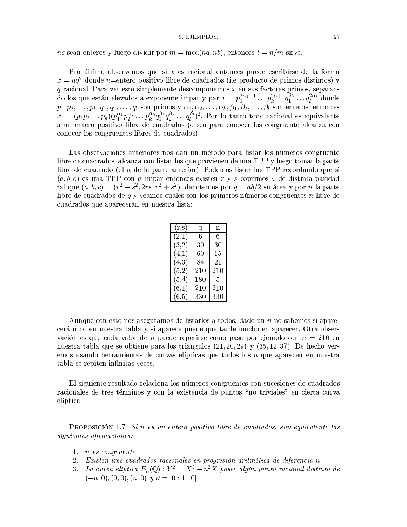### 5. EJEMPLOS.

nc sean enteros y luego dividir por  $m = \text{med}(na, nb)$ , entonces  $t = n/m$  sirve.

Pro último observemos que si  $x$  es racional entonces puede escribirse de la forma  $x = na^2$  donde *n*=entero positivo libre de cuadrados (i.e producto de primos distintos) y  $q$ racional. Para ver esto simplemente descomponemos  $x$  en sus factores primos, separanq racional. Fara ver esto simplemente descomponentos x en sus raciones primos, separan-<br>do los que están elevados a exponente impar y par  $x = p_1^{2\alpha_1+1} \dots p_k^{2\alpha+1} q_1^{2\beta} \dots q_l^{2\alpha_l}$  donde<br> $p_1, p_2, \dots, p_k, q_1, q_2, \dots, q_l$  s conocer los congruentes libres de cuadrados).

Las observaciones anteriores nos dan un método para listar los números congruente libre de cuadrados, alcanza con listar los que provienen de una TPP y luego tomar la parte libre de cuadrado (el  $n$  de la parte anterior). Podemos listar las TPP recordando que si  $(a, b, c)$  es una TPP con a imparentences existen r y s coprimos y de distinta paridad tal que  $(a, b, c) = (r^2 - s^2, 2rs, r^2 + s^2)$ , denotemos por  $q = ab/2$  su área y por n la parte libre de cuadrados de  $q$  y veamos cuales son los primeros números congruentes  $n$  libre de cuadrados que aparecerán en nuestra lista:

| $(\mathrm{r},\mathrm{s})$ | q   | n   |
|---------------------------|-----|-----|
| (2,1)                     | 6   | 6   |
| (3,2)                     | 30  | 30  |
| (4,1)                     | 60  | 15  |
| (4,3)                     | 84  | 21  |
| (5,2)                     | 210 | 210 |
| (5, 4)                    | 180 | 5   |
| (6,1)                     | 210 | 210 |
| (6, 5)                    | 330 | 330 |

Aunque con esto nos aseguramos de listarlos a todos, dado un n no sabemos si aparecerá o no en nuestra tabla y si aparece puede que tarde mucho en aparecer. Otra observación es que cada valor de *n* puede repetirse como pasa por ejemplo con  $n = 210$  en nuestra tabla que se obtiene para los triángulos  $(21, 20, 29)$  y  $(35, 12, 37)$ . De hecho veremos usando herramientas de curvas elípticas que todos los  $n$  que aparecen en nuestra tabla se repiten infinitas veces.

El siguiente resultado relaciona los números congruentes con sucesiones de cuadrados racionales de tres términos y con la existencia de puntos "no triviales" en cierta curva elíptica.

PROPOSICIÓN 1.7. Sin es un entero positivo libre de cuadrados, son equivalente las siguientes afirmaciones:

- 1.  $n$  es congruente.
- 2. Existen tres cuadrados racionales en progresión aritmética de diferencia n.
- 3. La curva elíptica  $E_n(\mathbb{Q}): Y^2 = X^3 n^2 X$  posee algún punto racional distinto de  $(-n, 0), (0, 0), (n, 0)$  y  $\vartheta = [0 : 1 : 0]$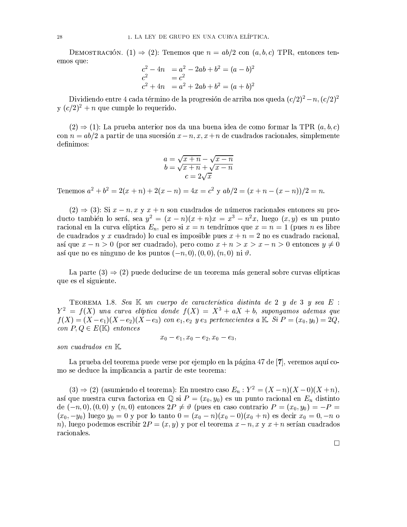DEMOSTRACIÓN. (1)  $\Rightarrow$  (2): Tenemos que  $n = ab/2$  con  $(a, b, c)$  TPR, entonces tenemos que:

$$
c2 - 4n = a2 - 2ab + b2 = (a - b)2
$$
  

$$
c2 = c2
$$
  

$$
c2 + 4n = a2 + 2ab + b2 = (a + b)2
$$

Dividiendo entre 4 cada término de la progresión de arriba nos queda  $(c/2)^2 - n$ ,  $(c/2)^2$  $y(c/2)^2 + n$  que cumple lo requerido.

 $(2) \Rightarrow (1)$ : La prueba anterior nos da una buena idea de como formar la TPR  $(a, b, c)$ con  $n = ab/2$  a partir de una sucesión  $x - n, x, x + n$  de cuadrados racionales, simplemente definimos:

$$
a = \sqrt{x+n} - \sqrt{x-n}
$$
  
\n
$$
b = \sqrt{x+n} + \sqrt{x-n}
$$
  
\n
$$
c = 2\sqrt{x}
$$

Tenemos  $a^2 + b^2 = 2(x + n) + 2(x - n) = 4x = c^2$  y  $ab/2 = (x + n - (x - n))/2 = n$ .

 $(2) \Rightarrow (3)$ : Si  $x - n, x, y, x + n$  son cuadrados de números racionales entonces su producto también lo será, se $a y^2 = (x - n)(x + n)x = x^3 - n^2x$ , luego  $(x, y)$  es un punto racional en la curva elíptica  $E_n$ , pero si  $x = n$  tendrímos que  $x = n = 1$  (pues n es libre de cuadrados y x cuadrado) lo cual es imposible pues  $x + n = 2$  no es cuadrado racional, así que  $x - n > 0$  (por ser cuadrado), pero como  $x + n > x > x - n > 0$  entonces  $y \neq 0$ así que no es ninguno de los puntos  $(-n,0)$ ,  $(0,0)$ ,  $(n,0)$  ni  $\vartheta$ .

La parte  $(3) \Rightarrow (2)$  puede deducirse de un teorema más general sobre curvas elípticas que es el siguiente.

TEOREMA 1.8. Sea  $\mathbb K$  un cuerpo de característica distinta de 2  $y$  de 3  $y$  sea  $E$ :  $Y^2 = f(X)$  una curva elíptica donde  $f(X) = X^3 + aX + b$ , supongamos ademas que  $f(X) = (X - e_1)(X - e_2)(X - e_3)$  con  $e_1, e_2, y, e_3$  pertenecientes a K. Si  $P = (x_0, y_0) = 2Q$ . con  $P, Q \in E(\mathbb{K})$  entonces

$$
x_0-e_1, x_0-e_2, x_0-e_3,
$$

son cuadrados en  $K$ .

La prueba del teorema puede verse por ejemplo en la página 47 de [7], veremos aquí como se deduce la implicancia a partir de este teorema:

 $(3) \Rightarrow (2)$  (asumiendo el teorema): En nuestro caso  $E_n: Y^2 = (X - n)(X - 0)(X + n)$ , así que nuestra curva factoriza en  $\mathbb Q$  si  $P = (x_0, y_0)$  es un punto racional en  $E_n$  distinto de  $(-n,0), (0,0)$  y  $(n,0)$  entonces  $2P \neq \vartheta$  (pues en caso contrario  $P = (x_0, y_0) = -P =$  $(x_0, -y_0)$  luego  $y_0 = 0$  y por lo tanto  $0 = (x_0 - n)(x_0 - 0)(x_0 + n)$  es decir  $x_0 = 0, -n$  o n), luego podemos escribir  $2P = (x, y)$  y por el teorema  $x - n$ , x y  $x + n$  serían cuadrados racionales.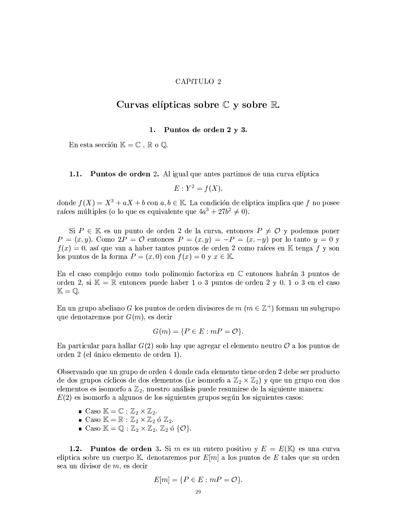### CAPíTULO 2

### Curvas elípticas sobre  $\mathbb C$  y sobre  $\mathbb R$ .

#### Puntos de orden 2 y 3. 1.

En esta sección  $\mathbb{K} = \mathbb{C}$ ,  $\mathbb{R}$  o  $\mathbb{Q}$ .

 $1.1.$ **Puntos de orden** 2. Al igual que antes partimos de una curva elíptica

$$
E: Y^2 = f(X).
$$

donde  $f(X) = X^3 + aX + b$  con  $a, b \in \mathbb{K}$ . La condición de elíptica implica que f no posee raíces múltiples (o lo que es equivalente que  $4a^3 + 27b^2 \neq 0$ ).

Si  $P \in \mathbb{K}$  es un punto de orden 2 de la curva, entonces  $P \neq \mathcal{O}$  y podemos poner  $P = (x, y)$ . Como  $2P = \mathcal{O}$  entonces  $P = (x, y) = -P = (x, -y)$  por lo tanto  $y = 0$  y  $f(x) = 0$ , así que van a haber tantos puntos de orden 2 como raíces en K tenga f y son los puntos de la forma  $P = (x, 0)$  con  $f(x) = 0$  y  $x \in \mathbb{K}$ .

En el caso complejo como todo polinomio factoriza en  $\mathbb C$  entonces habrán 3 puntos de orden 2, si  $\mathbb{K} = \mathbb{R}$  entonces puede haber 1 o 3 puntos de orden 2 y 0, 1 o 3 en el caso  $\mathbb{K}=\mathbb{O}.$ 

En un grupo abeliano G los puntos de orden divisores de  $m$  ( $m \in \mathbb{Z}^+$ ) forman un subgrupo que denotaremos por  $G(m)$ , es decir

$$
G(m) = \{ P \in E : mP = \mathcal{O} \}.
$$

En particular para hallar  $G(2)$  solo hay que agregar el elemento neutro  $\mathcal O$  a los puntos de orden 2 (el único elemento de orden 1).

Observando que un grupo de orden 4 donde cada elemento tiene orden 2 debe ser producto de dos grupos cíclicos de dos elementos (i.e isomorfo a  $\mathbb{Z}_2 \times \mathbb{Z}_2$ ) y que un grupo con dos elementos es isomorfo a  $\mathbb{Z}_2$ , nuestro análisis puede resumirse de la siguiente manera:  $E(2)$  es isomorfo a algunos de los siguientes grupos según los siguientes casos:

- Caso  $K = \mathbb{C} : \mathbb{Z}_2 \times \mathbb{Z}_2$ .
- Caso  $\mathbb{K} = \mathbb{R} : \mathbb{Z}_2 \times \mathbb{Z}_2$  ó  $\mathbb{Z}_2$ .
- Caso  $\mathbb{K} = \mathbb{Q} : \mathbb{Z}_2 \times \mathbb{Z}_2, \mathbb{Z}_2$  ó { $\mathcal{O}$ }.

**Puntos de orden** 3. Si m es un entero positivo y  $E = E(K)$  es una curva  $1.2.$ elíptica sobre un cuerpo  $\mathbb{K}$ , denotaremos por  $E[m]$  a los puntos de E tales que su orden sea un divisor de  $m$ , es decir

$$
E[m] = \{ P \in E : mP = \mathcal{O} \}.
$$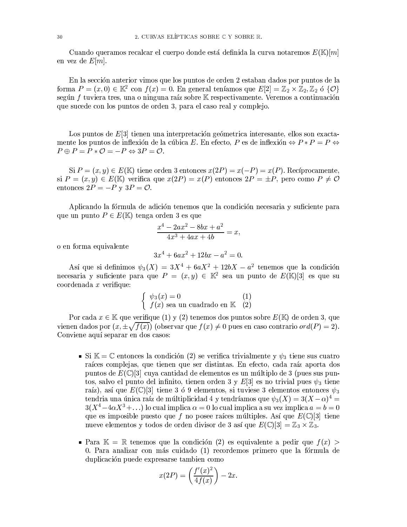Cuando queramos recalcar el cuerpo donde está definida la curva notaremos  $E(\mathbb{K})[m]$ en vez de  $E[m]$ .

En la sección anterior vimos que los puntos de orden 2 estaban dados por puntos de la forma  $P = (x, 0) \in \mathbb{K}^2$  con  $f(x) = 0$ . En general teníamos que  $E[2] = \mathbb{Z}_2 \times \mathbb{Z}_2$ ,  $\mathbb{Z}_2$  ó  $\{0\}$ según  $f$  tuviera tres, una o ninguna raíz sobre  $K$  respectivamente. Veremos a continuación que sucede con los puntos de orden 3, para el caso real y complejo.

Los puntos de  $E[3]$  tienen una interpretación geómetrica interesante, ellos son exactamente los puntos de inflexión de la cúbica $E.$ En efecto,  $P$ es de inflexión  $\Leftrightarrow P*P=P\Leftrightarrow$  $P \oplus P = P * \mathcal{O} = -P \Leftrightarrow 3P = \mathcal{O}.$ 

 $\text{Si } P = (x, y) \in E(\mathbb{K})$  tiene orden 3 entonces  $x(2P) = x(-P) = x(P)$ . Recíprocamente, si  $P = (x, y) \in E(\mathbb{K})$  verifica que  $x(2P) = x(P)$  entonces  $2P = \pm P$ , pero como  $P \neq \mathcal{O}$ entonces  $2P = -P y 3P = \mathcal{O}$ .

Aplicando la fórmula de adición tenemos que la condición necesaria y suficiente para que un punto  $P \in E(\mathbb{K})$  tenga orden 3 es que

$$
\frac{x^4 - 2ax^2 - 8bx + a^2}{4x^3 + 4ax + 4b} = x,
$$

o en forma equivalente

$$
3x^4 + 6ax^2 + 12bx - a^2 = 0.
$$

Así que si definimos  $\psi_3(X) = 3X^4 + 6aX^2 + 12bX - a^2$  tenemos que la condición necesaria y suficiente para que  $P = (x, y) \in \mathbb{K}^2$  sea un punto de  $E(\mathbb{K})[3]$  es que su  $coordenada x verifique:$ 

$$
\begin{cases} \psi_3(x) = 0 & (1) \\ f(x) \text{ sea un cuadrado en } \mathbb{K} & (2) \end{cases}
$$

Por cada  $x \in \mathbb{K}$  que verifique (1) y (2) tenemos dos puntos sobre  $E(\mathbb{K})$  de orden 3, que vienen dados por  $(x, \pm \sqrt{f(x)})$  (observar que  $f(x) \neq 0$  pues en caso contrario or  $d(P) = 2$ ). Conviene aquí separar en dos casos:

- Si  $\mathbb{K} = \mathbb{C}$  entonces la condición (2) se verifica trivialmente y  $\psi_3$  tiene sus cuatro raíces complejas, que tienen que ser distintas. En efecto, cada raíz aporta dos puntos de  $E(\mathbb{C})[3]$  cuya cantidad de elementos es un múltiplo de 3 (pues sus puntos, salvo el punto del infinito, tienen orden 3 y E[3] es no trivial pues  $\psi_3$  tiene raíz), así que  $E(\mathbb{C})[3]$  tiene 3 ó 9 elementos, si tuviese 3 elementos entonces  $\psi_3$ tendria una única raíz de múltiplicidad 4 y tendríamos que  $\psi_3(X) = 3(X - \alpha)^4$  $3(X^4-4\alpha X^3+\ldots)$  lo cual implica  $\alpha=0$  lo cual implica a su vez implica  $a=b=0$ que es imposible puesto que f no posee raíces múltiples. Así que  $E(\mathbb{C})[3]$  tiene nueve elementos y todos de orden divisor de 3 así que  $E(\mathbb{C})[3] = \mathbb{Z}_3 \times \mathbb{Z}_3$ .
- **Para**  $\mathbb{K} = \mathbb{R}$  tenemos que la condición (2) es equivalente a pedir que  $f(x)$ 0. Para analizar con más cuidado (1) recordemos primero que la fórmula de duplicación puede expresarse tambien como

$$
x(2P) = \left(\frac{f'(x)^2}{4f(x)}\right) - 2x.
$$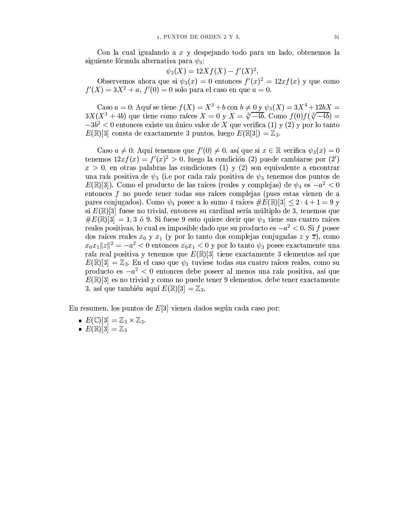Con la cual igualando a  $x$  y despejando todo para un lado, obtenemos la siguiente fórmula alternativa para  $\psi_3$ :

$$
\psi_3(X) = 12X f(X) - f'(X)^2.
$$

Observemos ahora que si  $\psi_3(x) = 0$  entonces  $f'(x)^2 = 12xf(x)$  y que como  $f'(X) = 3X^2 + a$ ,  $f'(0) = 0$  solo para el caso en que  $a = 0$ .

Caso  $a = 0$ : Aquí se tiene  $f(X) = X^3 + b$  con  $b \neq 0$  y  $\psi_3(X) = 3X^4 + 12bX$  $3X(X^3+4b)$  que tiene como raíces  $X=0$  y  $X=\sqrt[3]{-4b}$ . Como  $f(0)f(\sqrt[3]{-4b})=$  $-3b^2$  < 0 entonces existe un único valor de X que verifica (1) y (2) y por lo tanto  $E(\mathbb{R})[3]$  consta de exactamente 3 puntos, luego  $E(\mathbb{R}[3]) = \mathbb{Z}_3$ .

Caso  $a \neq 0$ : Aquí tenemos que  $f'(0) \neq 0$ , así que si  $x \in \mathbb{R}$  verifica  $\psi_3(x) = 0$ tenemos  $12xf(x) = f'(x)^2 > 0$ , luego la condición (2) puede cambiarse por (2)  $x > 0$ , en otras palabras las condiciones (1) y (2) son equivalente a encontrar una raíz positiva de  $\psi_3$  (i.e por cada raíz positiva de  $\psi_3$  tenemos dos puntos de  $E(\mathbb{R})[3]$ ). Como el producto de las raíces (reales y complejas) de  $\psi_3$  es  $-a^2 < 0$ entonces  $f$  no puede tener todas sus raíces complejas (pues estas vienen de a pares conjugados). Como  $\psi_3$  posee a lo sumo 4 raíces  $\#E(\mathbb{R})[3] \leq 2 \cdot 4 + 1 = 9$  y si  $E(\mathbb{R})[3]$  fuese no trivial, entonces su cardinal sería múltiplo de 3, tenemos que  $\#E(\mathbb{R})[3] = 1,3$  ó 9. Si fuese 9 esto quiere decir que  $\psi_3$  tiene sus cuatro raíces reales positivas, lo cual es imposible dado que su producto es $-a^2<0.$  Si $f$ posee dos raíces reales  $x_0$  y  $x_1$  (y por lo tanto dos complejas conjugadas z y  $\overline{z}$ ), como  $x_0x_1||z||^2 = -a^2 < 0$  entonces  $x_0x_1 < 0$  y por lo tanto  $\psi_3$  posee exactamente una raíz real positiva y tenemos que  $E(\mathbb{R})[3]$  tiene exactamente 3 elementos así que  $E(\mathbb{R})[3] = \mathbb{Z}_3$ . En el caso que  $\psi_3$  tuviese todas sus cuatro raíces reales, como su producto es  $-a^2 < 0$  entonces debe poseer al menos una raíz positiva, así que  $E(\mathbb{R})$ [3] es no trivial y como no puede tener 9 elementos, debe tener exactamente 3, así que también aquí  $E(\mathbb{R})[3] = \mathbb{Z}_3$ .

En resumen, los puntos de  $E[3]$  vienen dados según cada caso por:

- $E(\mathbb{C})[3] = \mathbb{Z}_3 \times \mathbb{Z}_3.$
- $E(\mathbb{R})[3] = \mathbb{Z}_3$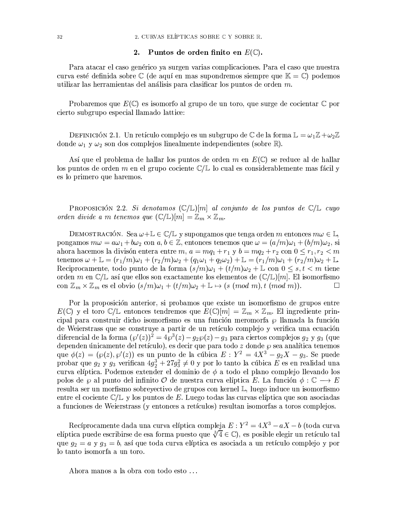#### $2.$ Puntos de orden finito en  $E(\mathbb{C})$ .

Para atacar el caso genérico ya surgen varias complicaciones. Para el caso que nuestra curva esté definida sobre  $\mathbb C$  (de aquí en mas supondremos siempre que  $\mathbb K = \mathbb C$ ) podemos utilizar las herramientas del análisis para clasificar los puntos de orden  $m$ .

Probaremos que  $E(\mathbb{C})$  es isomorfo al grupo de un toro, que surge de cocientar  $\mathbb{C}$  por cierto subgrupo especial llamado lattice:

DEFINICIÓN 2.1. Un retículo complejo es un subgrupo de  $\mathbb C$  de la forma  $\mathbb L = \omega_1 \mathbb Z + \omega_2 \mathbb Z$ donde  $\omega_1$  y  $\omega_2$  son dos complejos linealmente independientes (sobre R).

Así que el problema de hallar los puntos de orden m en  $E(\mathbb{C})$  se reduce al de hallar los puntos de orden m en el grupo cociente  $\mathbb{C}/\mathbb{L}$  lo cual es considerablemente mas fácil y es lo primero que haremos.

**PROPOSICIÓN 2.2.** Si denotamos  $(\mathbb{C}/\mathbb{L})[m]$  al conjunto de los puntos de  $\mathbb{C}/\mathbb{L}$  cuyo orden divide a m tenemos que  $(\mathbb{C}/\mathbb{L})[m] = \mathbb{Z}_m \times \mathbb{Z}_m$ .

DEMOSTRACIÓN. Sea  $\omega + \mathbb{L} \in \mathbb{C}/\mathbb{L}$  y supongamos que tenga orden m entonces  $m\omega \in \mathbb{L}$ , pongamos  $m\omega = a\omega_1 + b\omega_2$  con  $a, b \in \mathbb{Z}$ , entonces tenemos que  $\omega = (a/m)\omega_1 + (b/m)\omega_2$ , si ahora hacemos la divisón entera entre  $m, a = mq_1 + r_1$  y  $b = mq_2 + r_2$  con  $0 \le r_1, r_2 < m$ tenemos  $\omega + \mathbb{L} = (r_1/m)\omega_1 + (r_2/m)\omega_2 + (q_1\omega_1 + q_2\omega_2) + \mathbb{L} = (r_1/m)\omega_1 + (r_2/m)\omega_2 + \mathbb{L}$ Reciprocamente, todo punto de la forma  $(s/m)\omega_1 + (t/m)\omega_2 + \mathbb{L}$  con  $0 \leq s, t \leq m$  tiene orden  $m$ en  $\mathbb{C}/\mathbb{L}$ así que ellos son exactamente los elementos de  $(\mathbb{C}/\mathbb{L})[m].$  El isomorfismo con  $\mathbb{Z}_m \times \mathbb{Z}_m$  es el obvio  $(s/m)\omega_1 + (t/m)\omega_2 + \mathbb{L} \mapsto (s \pmod{m}, t \pmod{m}).$  $\Box$ 

Por la proposición anterior, si probamos que existe un isomorfismo de grupos entre  $E(\mathbb{C})$  y el toro  $\mathbb{C}/\mathbb{L}$  entonces tendremos que  $E(\mathbb{C})[m] = \mathbb{Z}_m \times \mathbb{Z}_m$ . El ingrediente principal para construir dicho isomorfismo es una función meromorfa  $\wp$  llamada la función de Weierstrass que se construye a partir de un retículo complejo y verifica una ecuación diferencial de la forma  $(\wp'(z))^2 = 4\wp^3(z) - g_2\wp(z) - g_3$  para ciertos complejos  $g_2$  y  $g_3$  (que dependen únicamente del retículo), es decir que para todo z donde  $\varphi$  sea analítica tenemos<br>que  $\phi(z) = (\varphi(z), \varphi'(z))$  es un punto de la cúbica  $E: Y^2 = 4X^3 - g_2X - g_3$ . Se puede probar que  $g_2$  y  $g_3$  verifican  $4g_2^3 + 27g_3^2 \neq 0$  y por lo tanto la cúbica E es en realidad una curva elíptica. Podemos extender el dominio de  $\phi$  a todo el plano complejo llevando los polos de  $\varphi$  al punto del infinito  $\mathcal O$  de nuestra curva elíptica E. La función  $\phi : \mathbb C \longrightarrow E$ resulta ser un morfismo sobrevectivo de grupos con kernel L, luego induce un isomorfismo entre el cociente  $\mathbb{C}/\mathbb{L}$  y los puntos de E. Luego todas las curvas elíptica que son asociadas a funciones de Weierstrass (y entonces a retículos) resultan isomorfas a toros complejos.

Recíprocamente dada una curva elíptica compleja  $E: Y^2 = 4X^3 - aX - b$  (toda curva elíptica puede escribirse de esa forma puesto que  $\sqrt[3]{4} \in \mathbb{C}$ , es posible elegir un retículo tal que  $g_2 = a$  y  $g_3 = b$ , así que toda curva elíptica es asociada a un retículo complejo y por lo tanto isomorfa a un toro.

Ahora manos a la obra con todo esto...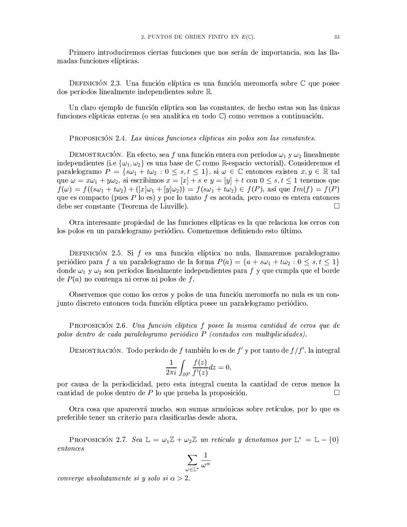Primero introduciremos ciertas funciones que nos serán de importancia, son las llamadas funciones elípticas.

DEFINICIÓN 2.3. Una función elíptica es una función meromorfa sobre  $\mathbb C$  que posee dos períodos linealmente independientes sobre R.

Un claro ejemplo de función elíptica son las constantes, de hecho estas son las únicas funciones elípticas enteras (o sea analítica en todo  $\mathbb{C}$ ) como veremos a continuación.

PROPOSICIÓN 2.4. Las únicas funciones elípticas sin polos son las constantes.

DEMOSTRACIÓN. En efecto, sea f una función entera con períodos  $\omega_1$  y  $\omega_2$  linealmente independientes (i.e  $\{\omega_1, \omega_2\}$  es una base de  $\mathbb C$  como R-espacio vectorial). Consideremos el paralelogramo  $P = \{s\omega_1 + t\omega_2 : 0 \leq s, t \leq 1\}$ , si  $\omega \in \mathbb{C}$  entonces existen  $x, y \in \mathbb{R}$  tal que  $\omega = x\omega_1 + y\omega_2$ , si escribimos  $x = [x] + s$  e  $y = [y] + t$  con  $0 \leq s, t \leq 1$  tenemos que  $f(\omega) = f((s\omega_1 + t\omega_2) + ([x]\omega_1 + [y]\omega_2)) = f(s\omega_1 + t\omega_2) \in f(P)$ , así que  $Im(f) = f(P)$ que es compacto (pues  $P$  lo es) y por lo tanto  $f$  es acotada, pero como es entera entonces debe ser constante (Teorema de Liuville).  $\Box$ 

Otra interesante propiedad de las funciones elípticas es la que relaciona los ceros con los polos en un paralelogramo periódico. Comenzemos definiendo esto último.

DEFINICIÓN 2.5. Si  $f$  es una función elíptica no nula, llamaremos paralelogramo periódico para f a un paralelogramo de la forma  $P(a) = \{a + s\omega_1 + t\omega_2 : 0 \le s, t \le 1\}$ donde  $\omega_1$  y  $\omega_2$  son períodos linealmente independientes para f y que cumpla que el borde de  $P(a)$  no contenga ni ceros ni polos de f.

Observemos que como los ceros y polos de una función meromorfa no nula es un conjunto discreto entonces toda función elíptica posee un paralelogramo periódico.

PROPOSICIÓN 2.6. Una función elíptica f posee la misma cantidad de ceros que de polos dentro de cada paralelogramo periódico P (contados con multiplicidades).

DEMOSTRACIÓN. Todo período de f también lo es de  $f'$  y por tanto de  $f/f'$ , la integral

$$
\frac{1}{2\pi i} \int_{\partial P} \frac{f(z)}{f'(z)} dz = 0,
$$

por causa de la periodicidad, pero esta integral cuenta la cantidad de ceros menos la cantidad de polos dentro de  $P$  lo que prueba la proposición.  $\Box$ 

Otra cosa que aparecerá mucho, son sumas armónicas sobre retículos, por lo que es preferible tener un criterio para clasificarlas desde ahora.

PROPOSICIÓN 2.7. Sea  $\mathbb{L} = \omega_1 \mathbb{Z} + \omega_2 \mathbb{Z}$  un retículo y denotamos por  $\mathbb{L}^* = \mathbb{L} - \{0\}$  $entonces$ 

$$
\sum_{\omega\in {\mathbb L}^*} \frac{1}{\omega^\alpha}
$$

converge absolutamente si y solo si  $\alpha > 2$ .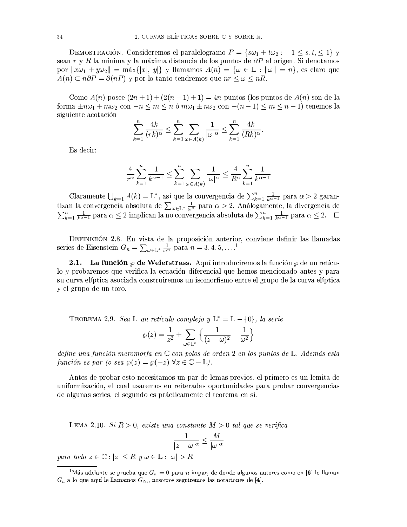DEMOSTRACIÓN. Consideremos el paralelogramo  $P = \{s\omega_1 + t\omega_2 : -1 \leq s, t, \leq 1\}$  y sean r y R la mínima y la máxima distancia de los puntos de  $\partial P$  al origen. Si denotamos por  $||x\omega_1 + y\omega_2|| = \max\{|x|, |y|\}$  y llamamos  $A(n) = \{\omega \in \mathbb{L} : ||\omega|| = n\}$ , es claro que  $A(n) \subset n\partial P = \partial(nP)$  y por lo tanto tendremos que  $nr \leq \omega \leq nR$ .

Como  $A(n)$  posee  $(2n+1) + (2(n-1)+1) = 4n$  puntos (los puntos de  $A(n)$  son de la forma  $\pm n\omega_1 + m\omega_2$  con  $-n \leq m \leq n$  ó  $m\omega_1 \pm n\omega_2$  con  $-(n-1) \leq m \leq n-1$  tenemos la siguiente acotación

$$
\sum_{k=1}^{n} \frac{4k}{(rk)^{\alpha}} \le \sum_{k=1}^{n} \sum_{\omega \in A(k)} \frac{1}{|\omega|^{\alpha}} \le \sum_{k=1}^{n} \frac{4k}{(Rk)^{\alpha}}
$$

Es decir:

$$
\frac{4}{r^{\alpha}} \sum_{k=1}^{n} \frac{1}{k^{\alpha-1}} \le \sum_{k=1}^{n} \sum_{\omega \in A(k)} \frac{1}{|\omega|^{\alpha}} \le \frac{4}{R^{\alpha}} \sum_{k=1}^{n} \frac{1}{k^{\alpha-1}}
$$

Claramente  $\bigcup_{k=1} A(k) = \mathbb{L}^*$ , así que la convergencia de  $\sum_{k=1}^n \frac{1}{k^{\alpha-1}}$  para  $\alpha > 2$  garantizan la convergencia absoluta de  $\sum_{\omega \in \mathbb{L}^*} \frac{1}{\omega^{\alpha}}$  para  $\alpha > 2$ . Análogamente, la divergencia de  $\sum_{k=1}^n \frac{1}{k^{\alpha-1}}$  para  $\alpha \leq 2$  implican la no convergencia absoluta de  $\sum_{k=1}^n \frac{1}{k^{\alpha-1}}$  para  $\alpha \leq 2$ .

DEFINICIÓN 2.8. En vista de la proposición anterior, conviene definir las llamadas series de Eisenstein  $G_n = \sum_{\omega \in \mathbb{L}^*} \frac{1}{\omega^n}$  para  $n = 3, 4, 5, \dots$ <sup>1</sup>

**2.1.** La función  $\varphi$  de Weierstrass. Aquí introduciremos la función  $\varphi$  de un retículo y probaremos que verifica la ecuación diferencial que hemos mencionado antes y para su curva elíptica asociada construiremos un isomorfismo entre el grupo de la curva elíptica y el grupo de un toro.

TEOREMA 2.9. Sea L un retículo complejo y  $\mathbb{L}^* = \mathbb{L} - \{0\}$ , la serie

$$
\wp(z) = \frac{1}{z^2} + \sum_{\omega \in \mathbb{L}^*} \left\{ \frac{1}{(z - \omega)^2} - \frac{1}{\omega^2} \right\}
$$

define una función meromorfa en  $\mathbb C$  con polos de orden 2 en los puntos de  $\mathbb L$ . Además esta función es par (o sea  $\wp(z) = \wp(-z)$   $\forall z \in \mathbb{C} - \mathbb{L}$ ).

Antes de probar esto necesitamos un par de lemas previos, el primero es un lemita de uniformización, el cual usaremos en reiteradas oportunidades para probar convergencias de algunas series, el segundo es prácticamente el teorema en si.

LEMA 2.10. Si  $R > 0$ , existe una constante  $M > 0$  tal que se verifica

$$
\frac{1}{|z-\omega|^{\alpha}} \le \frac{M}{|\omega|^{\alpha}}
$$

para todo  $z \in \mathbb{C} : |z| \leq R$   $y \omega \in \mathbb{L} : |\omega| > R$ 

<sup>&</sup>lt;sup>1</sup>Más adelante se prueba que  $G_n = 0$  para n impar, de donde algunos autores como en [6] le llaman  $G_n$  a lo que aquí le llamamos  $G_{2n}$ , nosotros seguiremos las notaciones de [4].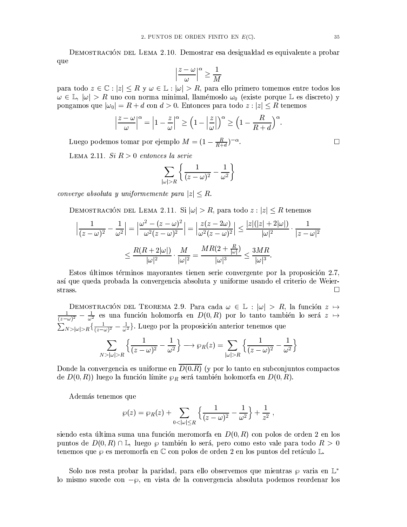DEMOSTRACIÓN DEL LEMA 2.10. Demostrar esa desigualdad es equivalente a probar que

$$
\left|\frac{z-\omega}{\omega}\right|^{\alpha} \ge \frac{1}{M}
$$

para todo  $z \in \mathbb{C} : |z| \leq R$  y  $\omega \in \mathbb{L} : |\omega| > R$ , para ello primero tomemos entre todos los  $\omega \in \mathbb{L}, |\omega| > R$  uno con norma minimal, llamémoslo  $\omega_0$  (existe porque  $\mathbb{L}$  es discreto) y pongamos que  $|\omega_0| = R + d$  con  $d > 0$ . Entonces para todo  $z : |z| \le R$  tenemos

$$
\left|\frac{z-\omega}{\omega}\right|^{\alpha} = \left|1-\frac{z}{\omega}\right|^{\alpha} \ge \left(1-\left|\frac{z}{\omega}\right|\right)^{\alpha} \ge \left(1-\frac{R}{R+d}\right)^{\alpha}.
$$

Luego podemos tomar por ejemplo  $M = (1 - \frac{R}{R+d})^{-\alpha}$ .

LEMA 2.11. Si  $R > 0$  entonces la serie

$$
\sum_{|\omega|>R} \left\{ \frac{1}{(z-\omega)^2} - \frac{1}{\omega^2} \right\}
$$

converge absoluta y uniformemente para  $|z| \leq R$ .

DEMOSTRACIÓN DEL LEMA 2.11. Si  $|\omega| > R$ , para todo  $z : |z| \le R$  tenemos

$$
\left|\frac{1}{(z-\omega)^2} - \frac{1}{\omega^2}\right| = \left|\frac{\omega^2 - (z-\omega)^2}{\omega^2 (z-\omega)^2}\right| = \left|\frac{z(z-2\omega)}{\omega^2 (z-\omega)^2}\right| \le \frac{|z|(|z|+2|\omega|)}{|\omega|^2} \cdot \frac{1}{|z-\omega|^2}
$$

$$
\le \frac{R(R+2|\omega|)}{|\omega|^2} \cdot \frac{M}{|\omega|^2} = \frac{MR(2+\frac{R}{|\omega|})}{|\omega|^3} \le \frac{3MR}{|\omega|^3}.
$$

Estos últimos términos mayorantes tienen serie convergente por la proposición 2.7, así que queda probada la convergencia absoluta y uniforme usando el criterio de Weier- $\Box$ strass.

DEMOSTRACIÓN DEL TEOREMA 2.9. Para cada  $\omega \in \mathbb{L} : |\omega| > R$ , la función  $z \mapsto$  $\frac{1}{(z-\omega)^2} - \frac{1}{\omega^2}$  es una función holomorfa en  $D(0,R)$  por lo tanto también lo será  $z \mapsto$  $\sum_{N>|\omega|>R} \left\{ \frac{1}{(z-\omega)^2} - \frac{1}{\omega^2} \right\}$ . Luego por la proposición anterior tenemos que  $\sim$   $\sim$  $1<sub>1</sub>$  $1<sup>1</sup>$  $\mathbf{1}$  $\overline{1}$ 

$$
\sum_{N>|\omega|>R}\left\{\frac{1}{(z-\omega)^2}-\frac{1}{\omega^2}\right\}\longrightarrow \wp_R(z)=\sum_{|\omega|>R}\left\{\frac{1}{(z-\omega)^2}-\frac{1}{\omega^2}\right\}
$$

Donde la convergencia es uniforme en  $\overline{D(0.R)}$  (y por lo tanto en subconjuntos compactos de  $D(0, R)$  luego la función límite  $\wp_R$  será también holomorfa en  $D(0, R)$ .

Además tenemos que

$$
\wp(z) = \wp_R(z) + \sum_{0 < |\omega| \leq R} \left\{ \frac{1}{(z - \omega)^2} - \frac{1}{\omega^2} \right\} + \frac{1}{z^2} \;,
$$

siendo esta última suma una función meromorfa en  $D(0,R)$  con polos de orden 2 en los puntos de  $D(0, R) \cap \mathbb{L}$ , luego  $\wp$  también lo será, pero como esto vale para todo  $R > 0$ tenemos que  $\wp$  es meromorfa en  $\mathbb C$  con polos de orden 2 en los puntos del retículo L.

Solo nos resta probar la paridad, para ello observemos que mientras  $\wp$  varia en  $\mathbb{L}^*$ lo mismo sucede con  $-\wp$ , en vista de la convergencia absoluta podemos reordenar los

 $\Box$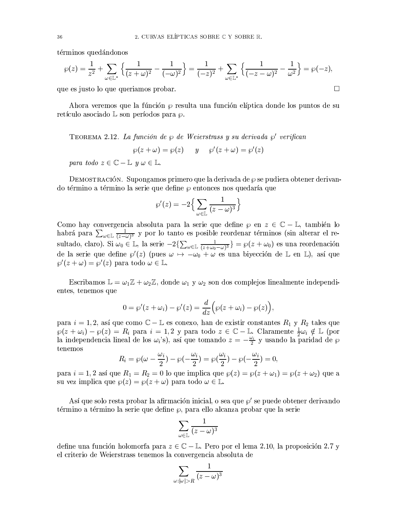términos quedándonos

$$
\wp(z) = \frac{1}{z^2} + \sum_{\omega \in \mathbb{L}^*} \left\{ \frac{1}{(z + \omega)^2} - \frac{1}{(-\omega)^2} \right\} = \frac{1}{(-z)^2} + \sum_{\omega \in \mathbb{L}^*} \left\{ \frac{1}{(-z - \omega)^2} - \frac{1}{\omega^2} \right\} = \wp(-z),
$$
  
e es iusto lo que queriamos probar.

que es justo lo que queriamos probar.

Ahora veremos que la fúnción  $\wp$  resulta una función elíptica donde los puntos de su retículo asociado  $\mathbb L$  son períodos para  $\wp$ .

TEOREMA 2.12. La función de  $\omega$  de Weierstrass y su derivada  $\omega'$  verifican

$$
\wp(z+\omega)=\wp(z)\qquad y\qquad \wp'(z+\omega)=\wp'(z)
$$

para todo  $z \in \mathbb{C} - \mathbb{L}$   $y \omega \in \mathbb{L}$ .

DEMOSTRACIÓN. Supongamos primero que la derivada de  $\wp$  se pudiera obtener derivando término a término la serie que define  $\varphi$  entonces nos quedaría que

$$
\wp'(z) = -2\Big\{\sum_{\omega \in \mathbb{L}} \frac{1}{(z-\omega)^3}\Big\}
$$

Como hay convergencia absoluta para la serie que define  $\wp$  en  $z \in \mathbb{C} - \mathbb{L}$ , también lo habrá para  $\sum_{\omega \in \mathbb{L}} \frac{1}{(z-\omega)^3}$  y por lo tanto es posible reordenar términos (sin alterar el resultado, claro). Si  $\omega_0 \in \mathbb{L}$ , la serie  $-2\{\sum_{\omega \in \mathbb{L}} \frac{1}{(z+\omega_0-\omega)^3}\} = \wp(z+\omega_0)$  es una reordenación de la serie que define  $\wp'(z)$  (pues  $\omega \mapsto -\omega_0 + \omega$  es una biyección de L en L), así que  $\wp'(z+\omega)=\wp'(z)$  para todo  $\omega\in\mathbb{L}$ .

Escribamos  $\mathbb{L} = \omega_1 \mathbb{Z} + \omega_2 \mathbb{Z}$ , donde  $\omega_1$  y  $\omega_2$  son dos complejos linealmente independientes, tenemos que

$$
0 = \wp'(z + \omega_i) - \wp'(z) = \frac{d}{dz} \Big( \wp(z + \omega_i) - \wp(z) \Big),
$$

para  $i = 1, 2$ , así que como  $\mathbb{C} - \mathbb{L}$  es conexo, han de existir constantes  $R_1$  y  $R_2$  tales que  $\wp(z+\omega_i)-\wp(z)=R_i$  para  $i=1,2$  y para todo  $z\in\mathbb{C}-\mathbb{L}$ . Claramente  $\frac{1}{2}\omega_i\notin\mathbb{L}$  (por la independencia lineal de los  $\omega_i$ 's), así que tomando  $z = -\frac{\omega_i}{2}$  y usando la paridad de  $\wp$ tenemos

$$
R_i = \wp(\omega - \frac{\omega_i}{2}) - \wp(-\frac{\omega_i}{2}) = \wp(\frac{\omega_i}{2}) - \wp(-\frac{\omega_i}{2}) = 0,
$$

para  $i = 1, 2$  así que  $R_1 = R_2 = 0$  lo que implica que  $\wp(z) = \wp(z + \omega_1) = \wp(z + \omega_2)$  que a su vez implica que  $\wp(z) = \wp(z + \omega)$  para todo  $\omega \in \mathbb{L}$ .

Así que solo resta probar la afirmación inicial, o sea que  $\wp'$  se puede obtener derivando término a término la serie que define  $\wp$ , para ello alcanza probar que la serie

$$
\sum_{\omega\in\mathbb{L}}\frac{1}{(z-\omega)^3}
$$

define una función holomorfa para  $z \in \mathbb{C} - \mathbb{L}$ . Pero por el lema 2.10, la proposición 2.7 y el criterio de Weierstrass tenemos la convergencia absoluta de

$$
\sum_{\omega: |\omega|>R} \frac{1}{(z-\omega)^3}
$$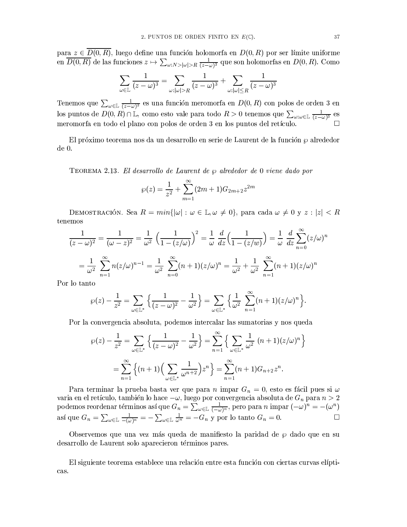para  $z \in \overline{D(0,R)}$ , luego define una función holomorfa en  $D(0,R)$  por ser límite uniforme en  $\overline{D(0,R)}$  de las funciones  $z \mapsto \sum_{\omega: N > |\omega| > R} \frac{1}{(z-\omega)^3}$  que son holomorfas en  $D(0,R)$ . Como

$$
\sum_{\omega \in \mathbb{L}} \frac{1}{(z - \omega)^3} = \sum_{\omega : |\omega| > R} \frac{1}{(z - \omega)^3} + \sum_{\omega : |\omega| \le R} \frac{1}{(z - \omega)^3}
$$

Tenemos que  $\sum_{\omega \in \mathbb{L}} \frac{1}{(z-\omega)^3}$ es una función meromorfa en  $D(0,R)$  con polos de orden 3 en los puntos de  $D(0, R) \cap \mathbb{L}$ , como esto vale para todo  $R > 0$  tenemos que  $\sum_{\omega : \omega \in \mathbb{L}} \frac{1}{(z - \omega)^3}$  es meromorfa en todo el plano con polos de orden 3 en los puntos del retículo.

El próximo teorema nos da un desarrollo en serie de Laurent de la función  $\wp$  alrededor  $de 0.$ 

TEOREMA 2.13. El desarrollo de Laurent de  $\wp$  alrededor de 0 viene dado por

$$
\wp(z) = \frac{1}{z^2} + \sum_{m=1}^{\infty} (2m+1)G_{2m+2}z^{2m}
$$

DEMOSTRACIÓN. Sea  $R = min\{|\omega| : \omega \in \mathbb{L}, \omega \neq 0\}$ , para cada  $\omega \neq 0$  y  $z : |z| < R$ tenemos

$$
\frac{1}{(z-\omega)^2} = \frac{1}{(\omega-z)^2} = \frac{1}{\omega^2} \left(\frac{1}{1-(z/\omega)}\right)^2 = \frac{1}{\omega} \frac{d}{dz} \left(\frac{1}{1-(z/w)}\right) = \frac{1}{\omega} \frac{d}{dz} \sum_{n=0}^{\infty} (z/\omega)^n
$$

$$
= \frac{1}{\omega^2} \sum_{n=1}^{\infty} n(z/\omega)^{n-1} = \frac{1}{\omega^2} \sum_{n=0}^{\infty} (n+1)(z/\omega)^n = \frac{1}{\omega^2} + \frac{1}{\omega^2} \sum_{n=1}^{\infty} (n+1)(z/\omega)^n
$$

Por lo tanto

$$
\wp(z)-\frac{1}{z^2}=\sum_{\omega\in\mathbb{L}^*}\Big\{\frac{1}{(z-\omega)^2}-\frac{1}{\omega^2}\Big\}=\sum_{\omega\in\mathbb{L}^*}\Big\{\frac{1}{\omega^2}\sum_{n=1}^\infty (n+1)(z/\omega)^n\Big\}.
$$

Por la convergencia absoluta, podemos intercalar las sumatorias y nos queda

$$
\wp(z) - \frac{1}{z^2} = \sum_{\omega \in \mathbb{L}^*} \left\{ \frac{1}{(z - \omega)^2} - \frac{1}{\omega^2} \right\} = \sum_{n=1}^{\infty} \left\{ \sum_{\omega \in \mathbb{L}^*} \frac{1}{\omega^2} (n+1)(z/\omega)^n \right\}
$$

$$
= \sum_{n=1}^{\infty} \left\{ (n+1) \left( \sum_{\omega \in \mathbb{L}^*} \frac{1}{\omega^{n+2}} \right) z^n \right\} = \sum_{n=1}^{\infty} (n+1) G_{n+2} z^n.
$$

 Para terminar la prueba basta ver que para  $n$ impar $G_n=0,$ esto es fácil pues si $\omega$ varia en el retículo, también lo hace  $-\omega$ , luego por convergencia absoluta de  $G_n$  para  $n > 2$ <br>podemos reordenar términos así que  $G_n = \sum_{\omega \in \mathbb{L}} \frac{1}{(-\omega)^n}$ , pero para n impar  $(-\omega)^n = -(\omega^n)$ así que  $G_n = \sum_{\omega \in \mathbb{L}} \frac{1}{-(\omega)^n} = -\sum_{\omega \in \mathbb{L}} \frac{1}{\omega^n} = -G_n$  y por lo tanto  $G_n = 0$ .  $\Box$ 

Observemos que una vez más queda de manifiesto la paridad de  $\wp$  dado que en su desarrollo de Laurent solo aparecieron términos pares.

El siguiente teorema establece una relación entre esta función con ciertas curvas elípticas.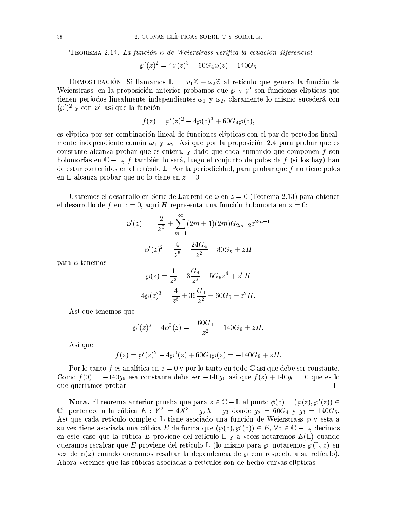TEOREMA 2.14. La función  $\wp$  de Weierstrass verifica la ecuación diferencial

$$
\wp'(z)^2 = 4\wp(z)^3 - 60G_4\wp(z) - 140G_6
$$

DEMOSTRACIÓN. Si llamamos  $\mathbb{L} = \omega_1 \mathbb{Z} + \omega_2 \mathbb{Z}$  al retículo que genera la función de Weierstrass, en la proposición anterior probamos que  $\wp$  y  $\wp'$  son funciones elípticas que tienen períodos linealmente independientes  $\omega_1$  y  $\omega_2$ , claramente lo mismo sucederá con  $(\wp')^2$  y con  $\wp^3$  así que la función

$$
f(z) = \wp'(z)^2 - 4 \wp(z)^3 + 60 G_4 \wp(z),
$$

es elíptica por ser combinación lineal de funciones elípticas con el par de períodos linealmente independiente común  $\omega_1$  y  $\omega_2$ . Así que por la proposición 2.4 para probar que es constante alcanza probar que es entera, y dado que cada sumando que componen f son holomorfas en  $\mathbb{C}-\mathbb{L}$ , f también lo será, luego el conjunto de polos de f (si los hay) han de estar contenidos en el retículo L. Por la periodicidad, para probar que f no tiene polos en L alcanza probar que no lo tiene en  $z=0$ .

Usaremos el desarrollo en Serie de Laurent de  $\varphi$  en  $z = 0$  (Teorema 2.13) para obtener el desarrollo de f en  $z = 0$ , aquí H representa una función holomorfa en  $z = 0$ :

$$
\wp'(z) = -\frac{2}{z^3} + \sum_{m=1}^{\infty} (2m+1)(2m)G_{2m+2}z^{2m-1}
$$

$$
\wp'(z)^2 = \frac{4}{z^6} - \frac{24G_4}{z^2} - 80G_6 + zH
$$

para  $\wp$  tenemos

$$
\wp(z) = \frac{1}{z^2} - 3\frac{G_4}{z^2} - 5G_6 z^4 + z^6 H
$$
  

$$
4\wp(z)^3 = \frac{4}{z^6} + 36\frac{G_4}{z^2} + 60G_6 + z^2 H.
$$

Así que tenemos que

$$
\wp'(z)^2 - 4\wp^3(z) = -\frac{60G_4}{z^2} - 140G_6 + zH.
$$

Así que

$$
f(z) = \wp'(z)^2 - 4\wp^3(z) + 60G_4\wp(z) = -140G_6 + zH.
$$

Por lo tanto f es analítica en  $z = 0$  y por lo tanto en todo  $\mathbb C$  así que debe ser constante. Como  $f(0) = -140g_6$  esa constante debe ser  $-140g_6$  así que  $f(z) + 140g_6 = 0$  que es lo que queriamos probar.  $\Box$ 

**Nota.** El teorema anterior prueba que para  $z \in \mathbb{C} - \mathbb{L}$  el punto  $\phi(z) = (\wp(z), \wp'(z)) \in \mathbb{C}^2$  pertenece a la cúbica  $E : Y^2 = 4X^3 - g_2X - g_3$  donde  $g_2 = 60G_4$  y  $g_3 = 140G_6$ . Así que cada retículo complejo  $\mathbb L$  tiene asociado una función de Weierstrass  $\wp$  y esta a su vez tiene asociada una cúbica E de forma que  $(\wp(z), \wp'(z)) \in E$ ,  $\forall z \in \mathbb{C} - \mathbb{L}$ , decimos en este caso que la cúbica E proviene del retículo  $\mathbb{L}$  y a veces notaremos  $E(\mathbb{L})$  cuando queramos recalcar que E proviene del retículo L (lo mismo para  $\varphi$ , notaremos  $\varphi(L, z)$  en vez de  $\wp(z)$  cuando queramos resaltar la dependencia de  $\wp$  con respecto a su retículo). Ahora veremos que las cúbicas asociadas a retículos son de hecho curvas elípticas.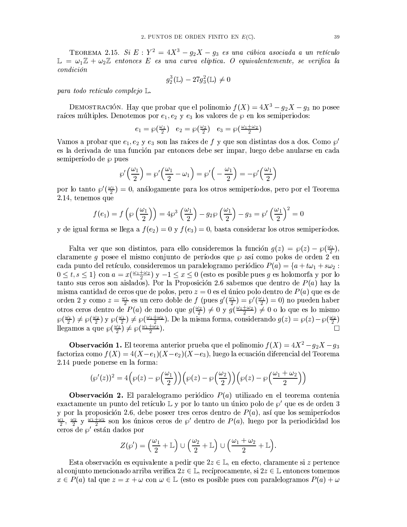TEOREMA 2.15. Si  $E: Y^2 = 4X^3 - g_2X - g_3$  es una cúbica asociada a un retículo  $\mathbb{L} = \omega_1 \mathbb{Z} + \omega_2 \mathbb{Z}$  entonces E es una curva elíptica. O equivalentemente, se verifica la  $condition$ 

$$
g_2^3(\mathbb{L})-27g_3^2(\mathbb{L})\neq 0
$$

para todo retículo complejo  $\mathbb{L}$ .

DEMOSTRACIÓN. Hay que probar que el polinomio  $f(X) = 4X^3 - g_2X - g_3$  no posee raíces múltiples. Denotemos por  $e_1, e_2$  y  $e_3$  los valores de  $\wp$  en los semiperiodos:

$$
e_1 = \wp\left(\frac{\omega_1}{2}\right) \quad e_2 = \wp\left(\frac{\omega_2}{2}\right) \quad e_3 = \wp\left(\frac{\omega_1 + \omega_2}{2}\right)
$$

Vamos a probar que  $e_1, e_2$  y  $e_3$  son las raíces de f y que son distintas dos a dos. Como  $\wp'$ es la derivada de una función par entonces debe ser impar, luego debe anularse en cada semiperíodo de  $\wp$  pues

$$
\wp'\left(\frac{\omega_1}{2}\right) = \wp'\left(\frac{\omega_1}{2} - \omega_1\right) = \wp'\left(-\frac{\omega_1}{2}\right) = -\wp'\left(\frac{\omega_1}{2}\right)
$$

por lo tanto  $\wp'(\frac{\omega_1}{2})=0$ , análogamente para los otros semiperíodos, pero por el Teorema 2.14, tenemos que

$$
f(e_1) = f\left(\wp\left(\frac{\omega_1}{2}\right)\right) = 4\wp^3\left(\frac{\omega_1}{2}\right) - g_2\wp\left(\frac{\omega_1}{2}\right) - g_3 = \wp'\left(\frac{\omega_1}{2}\right)^2 = 0
$$

y de igual forma se llega a  $f(e_2) = 0$  y  $f(e_3) = 0$ , basta considerar los otros semiperíodos.

Falta ver que son distintos, para ello consideremos la función  $g(z) = \wp(z) - \wp(\frac{\omega_1}{2}),$ claramente g posee el mismo conjunto de períodos que  $\wp$  así como polos de orden 2 en cada punto del retículo, consideremos un paralelogramo periódico  $P(a) = \{a + t\omega_1 + s\omega_2 :$  $0 \le t, s \le 1$  con  $a = x(\frac{\omega_1 + \omega_2}{2})$  y  $-1 \le x \le 0$  (esto es posible pues g es holomorfa y por lo tanto sus ceros son aislados). Por la Proposición 2.6 sabemos que dentro de  $P(a)$  hay la misma cantidad de ceros que de polos, pero  $z = 0$  es el único polo dentro de  $P(a)$  que es de orden 2 y como  $z = \frac{\omega_1}{2}$  es un cero doble de f (pues  $g'(\frac{\omega_1}{2}) = \wp'(\frac{\omega_1}{2}) = 0$ ) no pueden haber otros ceros dentro de  $P(a)$  de modo que  $g(\frac{\omega_2}{2}) \neq 0$  y  $g(\frac{\omega_1 + \omega_2}{2}) \neq 0$  o lo que es lo mismo  $\wp(\frac{\omega_1}{2}) \neq \wp(\frac{\omega_2}{2})$  y  $\wp(\frac{\omega_1}{2}) \neq \wp(\frac{\omega_1 + \omega_2}{2})$ . De la misma forma, considerando  $g(z) = \wp(z) - \wp(\frac{\omega_2}{2})$ llegamos a que  $\wp(\frac{\omega_2}{2}) \neq \wp(\frac{\omega_1 + \omega_2}{2})$ .  $\Box$ 

**Observación 1.** El teorema anterior prueba que el polinomio  $f(X) = 4X^2 - g_2X - g_3$ factoriza como  $f(X) = 4(X-e_1)(X-e_2)(X-e_3)$ , luego la ecuación diferencial del Teorema 2.14 puede ponerse en la forma:

$$
(\wp'(z))^2 = 4\left(\wp(z) - \wp\left(\frac{\omega_1}{2}\right)\right)\left(\wp(z) - \wp\left(\frac{\omega_2}{2}\right)\right)\left(\wp(z) - \wp\left(\frac{\omega_1 + \omega_2}{2}\right)\right)
$$

**Observación 2.** El paralelogramo periódico  $P(a)$  utilizado en el teorema contenia exactamente un punto del retículo  $\mathbb{L}$  y por lo tanto un único polo de  $\wp'$  que es de orden 3 y por la proposición 2.6, debe poseer tres ceros dentro de  $P(a)$ , así que los semiperíodos  $\frac{\omega_1}{2}$ ,  $\frac{\omega_2}{2}$  y  $\frac{\omega_1+\omega_2}{2}$  son los únicos ceros de  $\wp'$  dentro de  $P(a)$ , luego por la periodicidad los ceros de  $\varphi'$  están dados por

$$
Z(\wp') = \left(\frac{\omega_1}{2} + \mathbb{L}\right) \cup \left(\frac{\omega_2}{2} + \mathbb{L}\right) \cup \left(\frac{\omega_1 + \omega_2}{2} + \mathbb{L}\right).
$$

Esta observación es equivalente a pedir que  $2z \in \mathbb{L}$ , en efecto, claramente si z pertence al conjunto mencionado arriba verifica  $2z \in \mathbb{L}$ , recíprocamente, si  $2z \in \mathbb{L}$  entonces tomemos  $x \in P(a)$  tal que  $z = x + \omega$  con  $\omega \in \mathbb{L}$  (esto es posible pues con paralelogramos  $P(a) + \omega$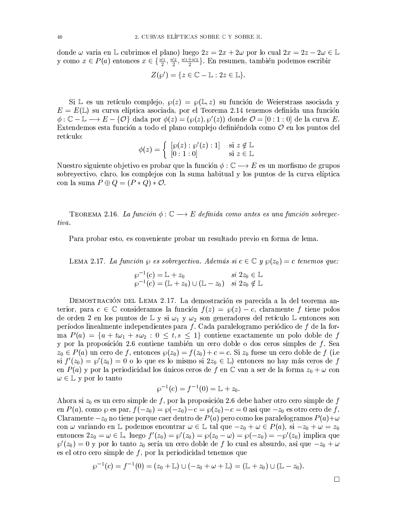donde $\omega$ varia en  $\mathbb L$ cubrimos el plano) luego $2z=2x+2\omega$ por lo cual $2x=2z-2\omega\in\mathbb L$ y como  $x \in P(a)$  entonces  $x \in \{\frac{\omega_1}{2}, \frac{\omega_2}{2}, \frac{\omega_1 + \omega_2}{2}\}.$  En resumen, también podemos escribir

$$
Z(\wp') = \{ z \in \mathbb{C} - \mathbb{L} : 2z \in \mathbb{L} \}.
$$

Si L es un retículo complejo,  $\wp(z) = \wp(\mathbb{L}, z)$  su función de Weierstrass asociada y  $E = E(\mathbb{L})$  su curva elíptica asociada, por el Teorema 2.14 tenemos definida una función  $\phi: \mathbb{C} - \mathbb{L} \longrightarrow E - \{ \mathcal{O} \}$  dada por  $\phi(z) = (\wp(z), \wp'(z))$  donde  $\mathcal{O} = [0:1:0]$  de la curva E. Extendemos esta función a todo el plano complejo definiéndola como  $\mathcal O$  en los puntos del retículo:

$$
\phi(z) = \begin{cases} [\wp(z) : \wp'(z) : 1] & \text{si } z \notin \mathbb{L} \\ [0 : 1 : 0] & \text{si } z \in \mathbb{L} \end{cases}
$$

Nuestro siguiente objetivo es probar que la función  $\phi : \mathbb{C} \longrightarrow E$  es un morfismo de grupos sobreyectivo, claro, los complejos con la suma habitual y los puntos de la curva elíptica con la suma  $P \oplus Q = (P * Q) * \mathcal{O}.$ 

TEOREMA 2.16. La función  $\phi : \mathbb{C} \longrightarrow E$  definida como antes es una función sobreyectiva.

Para probar esto, es conveniente probar un resultado previo en forma de lema.

LEMA 2.17. La función  $\wp$  es sobreyectiva. Además si  $c \in \mathbb{C}$  y  $\wp(z_0) = c$  tenemos que:

$$
\varphi^{-1}(c) = \mathbb{L} + z_0 \qquad \text{si } 2z_0 \in \mathbb{L}
$$
  

$$
\varphi^{-1}(c) = (\mathbb{L} + z_0) \cup (\mathbb{L} - z_0) \quad \text{si } 2z_0 \notin \mathbb{L}
$$

DEMOSTRACIÓN DEL LEMA 2.17. La demostración es parecida a la del teorema anterior, para  $c \in \mathbb{C}$  consideramos la función  $f(z) = \wp(z) - c$ , claramente f tiene polos de orden 2 en los puntos de  $\mathbb{L}$  y si  $\omega_1$  y  $\omega_2$  son generadores del retículo  $\mathbb{L}$  entonces son períodos linealmente independientes para f. Cada paralelogramo periódico de f de la forma  $P(a) = \{a + t\omega_1 + s\omega_2 : 0 \le t, s \le 1\}$  contiene exactamente un polo doble de f y por la proposición 2.6 contiene también un cero doble o dos ceros simples de f. Sea  $z_0 \in P(a)$  un cero de f, entonces  $\wp(z_0) = f(z_0) + c = c$ . Si  $z_0$  fuese un cero doble de f (i.e. si  $f'(z_0) = \wp'(z_0) = 0$  o lo que es lo mismo si  $2z_0 \in \mathbb{L}$  entonces no hay más ceros de f en  $P(a)$  y por la periodicidad los únicos ceros de f en  $\mathbb C$  van a ser de la forma  $z_0 + \omega$  con  $\omega \in \mathbb{L}$  y por lo tanto

$$
\varphi^{-1}(c) = f^{-1}(0) = \mathbb{L} + z_0.
$$

Ahora si  $z_0$  es un cero simple de f, por la proposición 2.6 debe haber otro cero simple de f en  $P(a)$ , como  $\wp$  es par,  $f(-z_0) = \wp(-z_0) - c = \wp(z_0) - c = 0$  asi que  $-z_0$  es otro cero de f. Claramente  $-z_0$  no tiene porque caer dentro de  $P(a)$  pero como los paralelogramos  $P(a)+\omega$ con  $\omega$  variando en L podemos encontrar  $\omega \in \mathbb{L}$  tal que  $-z_0 + \omega \in P(a)$ , si  $-z_0 + \omega = z_0$ entonces  $2z_0 = \omega \in \mathbb{L}$ , luego  $f'(z_0) = \wp'(z_0) = \wp(z_0 - \omega) = \wp(-z_0) = -\wp'(z_0)$  implica que  $\wp'(z_0) = 0$  y por lo tanto  $z_0$  sería un cero doble de f lo cual es absurdo, así que  $-z_0 + \omega$ es el otro cero simple de  $f$ , por la periodicidad tenemos que

$$
\wp^{-1}(c) = f^{-1}(0) = (z_0 + \mathbb{L}) \cup (-z_0 + \omega + \mathbb{L}) = (\mathbb{L} + z_0) \cup (\mathbb{L} - z_0).
$$

 $\Box$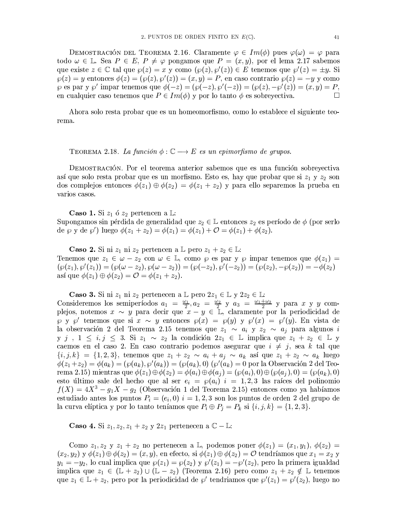DEMOSTRACIÓN DEL TEOREMA 2.16. Claramente  $\varphi \in Im(\phi)$  pues  $\varphi(\omega) = \varphi$  para todo  $\omega \in \mathbb{L}$ . Sea  $P \in E$ ,  $P \neq \varphi$  pongamos que  $P = (x, y)$ , por el lema 2.17 sabemos que existe  $z \in \mathbb{C}$  tal que  $\wp(z) = x$  y como  $(\wp(z), \wp'(z)) \in E$  tenemos que  $\wp'(z) = \pm y$ . Si  $\wp(z) = y$  entonces  $\phi(z) = (\wp(z), \wp'(z)) = (x, y) = P$ , en caso contrario  $\wp(z) = -y$  y como  $\wp$  es par y  $\wp'$  impartenemos que  $\phi(-z) = (\wp(-z), \wp'(-z)) = (\wp(z), -\wp'(z)) = (x, y) = P$ , en cualquier caso tenemos que  $P \in Im(\phi)$  y por lo tanto  $\phi$  es sobreyectiva.  $\Box$ 

Ahora solo resta probar que es un homeomorfismo, como lo establece el siguiente teorema.

TEOREMA 2.18. La función  $\phi : \mathbb{C} \longrightarrow E$  es un epimorfismo de grupos.

DEMOSTRACIÓN. Por el teorema anterior sabemos que es una función sobreyectiva así que solo resta probar que es un morfismo. Esto es, hay que probar que si  $z_1$  y  $z_2$  son dos complejos entonces  $\phi(z_1) \oplus \phi(z_2) = \phi(z_1 + z_2)$  y para ello separemos la prueba en varios casos.

**Caso 1.** Si  $z_1$  ó  $z_2$  pertencen a L:

Supongamos sin pérdida de generalidad que  $z_2 \in \mathbb{L}$  entonces  $z_2$  es período de  $\phi$  (por serlo de  $\wp$  y de  $\wp'$ ) luego  $\phi(z_1 + z_2) = \phi(z_1) = \phi(z_1) + \mathcal{O} = \phi(z_1) + \phi(z_2)$ .

**Caso 2.** Si ni  $z_1$  ni  $z_2$  pertencen a L pero  $z_1 + z_2 \in \mathbb{L}$ : Tenemos que  $z_1 \in \omega - z_2$  con  $\omega \in \mathbb{L}$ , como  $\varphi$  es par y  $\varphi$  impartenemos que  $\phi(z_1)$  $(\wp(z_1), \wp'(z_1)) = (\wp(\omega - z_2), \wp(\omega - z_2)) = (\wp(-z_2), \wp'(-z_2)) = (\wp(z_2), -\wp(z_2)) = -\phi(z_2)$ así que  $\phi(z_1) \oplus \phi(z_2) = \mathcal{O} = \phi(z_1 + z_2)$ .

**Caso 3.** Si ni  $z_1$  ni  $z_2$  pertenecen a  $\mathbb{L}$  pero  $2z_1 \in \mathbb{L}$  y  $2z_2 \in \mathbb{L}$ :

Consideremos los semiperíodos  $a_1 = \frac{\omega_1}{2}, a_2 = \frac{\omega_2}{2}$  y  $a_3 = \frac{\omega_1 + \omega_2}{2}$  y para x y y complejos, notemos  $x \sim y$  para decir que  $x - y \in \mathbb{L}$ , claramente por la periodicidad de  $\wp$  y  $\wp'$  tenemos que si  $x \sim y$  entonces  $\wp(x) = \wp(y)$  y  $\wp'(x) = \wp'(y)$ . En vista de la observación 2 del Teorema 2.15 tenemos que  $z_1 \sim a_i$  y  $z_2 \sim a_j$  para algunos i y j,  $1 \leq i, j \leq 3$ . Si  $z_1 \sim z_2$  la condición  $2z_1 \in \mathbb{L}$  implica que  $z_1 + z_2 \in \mathbb{L}$  y caemos en el caso 2. En caso contrario podemos asegurar que  $i \neq j$ , sea k tal que  $\{i, j, k\} = \{1, 2, 3\}$ , tenemos que  $z_1 + z_2 \sim a_i + a_j \sim a_k$  así que  $z_1 + z_2 \sim a_k$  luego  $\phi(z_1+z_2)=\phi(a_k)=(\phi(a_k),\phi'(a_k))=(\phi(a_k),0)(\phi'(a_k)=0)$  por la Observación 2 del Teorema 2.15) mientras que  $\phi(z_1) \oplus \phi(z_2) = \phi(a_i) \oplus \phi(a_j) = (\wp(a_i), 0) \oplus (\wp(a_j), 0) = (\wp(a_k), 0)$ esto último sale del hecho que al ser  $e_i = \wp(a_i)$  i = 1,2,3 las raíces del polinomio  $f(X) = 4X^3 - g_1X - g_2$  (Observación 1 del Teorema 2.15) entonces como ya habíamos estudiado antes los puntos  $P_i = (e_i, 0)$   $i = 1, 2, 3$  son los puntos de orden 2 del grupo de la curva elíptica y por lo tanto teníamos que  $P_i \oplus P_j = P_k$  si  $\{i, j, k\} = \{1, 2, 3\}.$ 

**Caso 4.** Si  $z_1, z_2, z_1 + z_2$  y  $2z_1$  pertenecen a  $\mathbb{C} - \mathbb{L}$ :

Como  $z_1, z_2$  y  $z_1 + z_2$  no pertenecen a L, podemos poner  $\phi(z_1) = (x_1, y_1), \phi(z_2) =$  $(x_2, y_2)$  y  $\phi(z_1) \oplus \phi(z_2) = (x, y)$ , en efecto, si  $\phi(z_1) \oplus \phi(z_2) = \mathcal{O}$  tendríamos que  $x_1 = x_2$  y  $y_1 = -y_2$ , lo cual implica que  $\wp(z_1) = \wp(z_2)$  y  $\wp'(z_1) = -\wp'(z_2)$ , pero la primera igualdad implica que  $z_1 \in (\mathbb{L} + z_2) \cup (\mathbb{L} - z_2)$  (Teorema 2.16) pero como  $z_1 + z_2 \notin \mathbb{L}$  tenemos que  $z_1 \in \mathbb{L} + z_2$ , pero por la periodicidad de  $\wp'$  tendriamos que  $\wp'(z_1) = \wp'(z_2)$ , luego no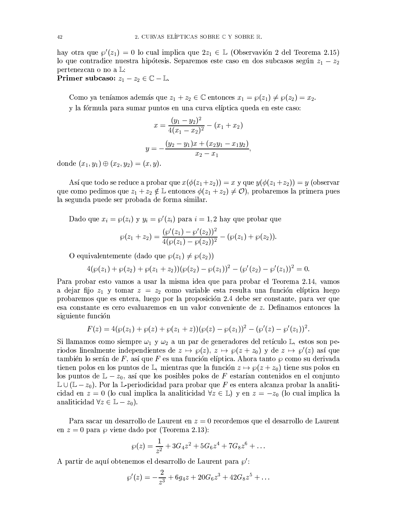hay otra que  $\wp'(z_1) = 0$  lo cual implica que  $2z_1 \in \mathbb{L}$  (Observavión 2 del Teorema 2.15) lo que contradice nuestra hipótesis. Separemos este caso en dos subcasos según  $z_1 - z_2$ pertenezcan o no a L:

**Primer subcaso:**  $z_1 - z_2 \in \mathbb{C} - \mathbb{L}$ .

Como ya teníamos además que  $z_1 + z_2 \in \mathbb{C}$  entonces  $x_1 = \wp(z_1) \neq \wp(z_2) = x_2$ . y la fórmula para sumar puntos en una curva elíptica queda en este caso:

$$
x = \frac{(y_1 - y_2)^2}{4(x_1 - x_2)^2} - (x_1 + x_2)
$$

$$
y = -\frac{(y_2 - y_1)x + (x_2y_1 - x_1y_2)}{x_2 - x_1},
$$

donde  $(x_1, y_1) \oplus (x_2, y_2) = (x, y).$ 

Así que todo se reduce a probar que  $x(\phi(z_1+z_2))=x$  y que  $y(\phi(z_1+z_2))=y$  (observar que como pedimos que  $z_1 + z_2 \notin \mathbb{L}$  entonces  $\phi(z_1 + z_2) \neq \mathcal{O}$ , probaremos la primera pues la segunda puede ser probada de forma similar.

Dado que  $x_i = \wp(z_i)$  y  $y_i = \wp'(z_i)$  para  $i = 1, 2$  hay que probar que

$$
\wp(z_1+z_2)=\frac{(\wp'(z_1)-\wp'(z_2))^2}{4(\wp(z_1)-\wp(z_2))^2}-(\wp(z_1)+\wp(z_2)).
$$

O equivalentemente (dado que  $\wp(z_1) \neq \wp(z_2)$ )

$$
4(\wp(z_1)+\wp(z_2)+\wp(z_1+z_2))(\wp(z_2)-\wp(z_1))^2-(\wp'(z_2)-\wp'(z_1))^2=0.
$$

Para probar esto vamos a usar la misma idea que para probar el Teorema 2.14, vamos a dejar fijo  $z_1$  y tomar  $z = z_2$  como variable esta resulta una función elíptica luego probaremos que es entera, luego por la proposición 2.4 debe ser constante, para ver que esa constante es cero evaluaremos en un valor conveniente de z. Definamos entonces la siguiente función

$$
F(z) = 4(\wp(z_1) + \wp(z) + \wp(z_1 + z))(\wp(z) - \wp(z_1))^2 - (\wp'(z) - \wp'(z_1))^2.
$$

Si llamamos como siempre  $\omega_1$  y  $\omega_2$  a un par de generadores del retículo L, estos son periodos linealmente independientes de  $z \mapsto \varphi(z), z \mapsto \varphi(z+z_0)$  y de  $z \mapsto \varphi'(z)$  así que también lo serán de F, así que F es una función elíptica. Ahora tanto  $\wp$  como su derivada tienen polos en los puntos de L, mientras que la función  $z \mapsto \varphi(z + z_0)$  tiene sus polos en los puntos de  $\mathbb{L} - z_0$ , así que los posibles polos de F estarían contenidos en el conjunto  $\mathbb{L} \cup (\mathbb{L} - z_0)$ . Por la L-periodicidad para probar que F es entera alcanza probar la analiticidad en  $z = 0$  (lo cual implica la analiticidad  $\forall z \in \mathbb{L}$ ) y en  $z = -z_0$  (lo cual implica la analiticidad  $\forall z \in \mathbb{L} - z_0$ .

Para sacar un desarrollo de Laurent en  $z = 0$  recordemos que el desarrollo de Laurent en  $z = 0$  para  $\wp$  viene dado por (Teorema 2.13):

$$
\wp(z) = \frac{1}{z^2} + 3G_4z^2 + 5G_6z^4 + 7G_8z^6 + \dots
$$

A partir de aquí obtenemos el desarrollo de Laurent para  $\wp'$ :

$$
\wp'(z) = -\frac{2}{z^3} + 6g_4z + 20G_6z^3 + 42G_8z^5 + \dots
$$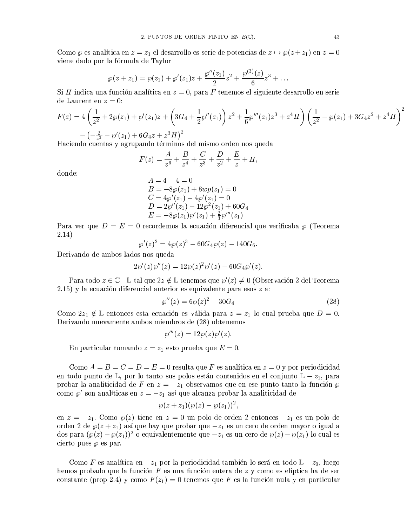Como  $\wp$  es analítica en  $z = z_1$  el desarrollo es serie de potencias de  $z \mapsto \wp(z + z_1)$  en  $z = 0$ viene dado por la fórmula de Taylor

$$
\wp(z+z_1)=\wp(z_1)+\wp'(z_1)z+\frac{\wp''(z_1)}{2}z^2+\frac{\wp^{(3)}(z)}{6}z^3+\ldots
$$

Si H indica una función analítica en  $z = 0$ , para F tenemos el siguiente desarrollo en serie de Laurent en  $z=0$ :

$$
F(z) = 4\left(\frac{1}{z^2} + 2\wp(z_1) + \wp'(z_1)z + \left(3G_4 + \frac{1}{2}\wp''(z_1)\right)z^2 + \frac{1}{6}\wp'''(z_1)z^3 + z^4H\right)\left(\frac{1}{z^2} - \wp(z_1) + 3G_4z^2 + z^4H\right)^2
$$

$$
- \left(-\frac{2}{z^3} - \wp'(z_1) + 6G_4z + z^3H\right)^2
$$

Haciendo cuentas y agrupando términos del mismo orden nos queda

$$
F(z) = \frac{A}{z^6} + \frac{B}{z^4} + \frac{C}{z^3} + \frac{D}{z^2} + \frac{E}{z} + H,
$$

donde:

$$
A = 4 - 4 = 0
$$
  
\n
$$
B = -8\wp(z_1) + 8wp(z_1) = 0
$$
  
\n
$$
C = 4\wp'(z_1) - 4\wp'(z_1) = 0
$$
  
\n
$$
D = 2\wp''(z_1) - 12\wp^2(z_1) + 60G_4
$$
  
\n
$$
E = -8\wp(z_1)\wp'(z_1) + \frac{2}{3}\wp'''(z_1)
$$

Para ver que  $D = E = 0$  recordemos la ecuación diferencial que verificaba  $\wp$  (Teorema  $2.14)$ 

$$
\wp'(z)^2 = 4\wp(z)^3 - 60G_4\wp(z) - 140G_6.
$$

Derivando de ambos lados nos queda

$$
2\wp'(z)\wp''(z) = 12\wp(z)^2\wp'(z) - 60G_4\wp'(z).
$$

Para todo  $z \in \mathbb{C} - \mathbb{L}$  tal que  $2z \notin \mathbb{L}$  tenemos que  $\wp'(z) \neq 0$  (Observación 2 del Teorema  $(2.15)$  y la ecuación diferencial anterior es equivalente para esos  $z$  a:

$$
\wp''(z) = 6\wp(z)^2 - 30G_4\tag{28}
$$

Como  $2z_1 \notin \mathbb{L}$  entonces esta ecuación es válida para  $z = z_1$  lo cual prueba que  $D = 0$ . Derivando nuevamente ambos miembros de (28) obtenemos

$$
\wp'''(z) = 12\wp(z)\wp'(z).
$$

En particular tomando  $z = z_1$  esto prueba que  $E = 0$ .

Como  $A = B = C = D = E = 0$  resulta que F es analítica en  $z = 0$  y por periodicidad en todo punto de L, por lo tanto sus polos están contenidos en el conjunto  $\mathbb{L} - z_1$ , para probar la analiticidad de F en  $z = -z_1$  observamos que en ese punto tanto la función  $\wp$ como  $\wp'$  son analíticas en  $z = -z_1$  así que alcanza probar la analíticidad de

$$
\wp(z+z_1)(\wp(z)-\wp(z_1))^2
$$

en  $z = -z_1$ . Como  $\wp(z)$  tiene en  $z = 0$  un polo de orden 2 entonces  $-z_1$  es un polo de orden 2 de  $\wp(z+z_1)$  así que hay que probar que  $-z_1$  es un cero de orden mayor o igual a dos para  $(\wp(z)-\wp(z_1))^2$  o equivalentemente que  $-z_1$  es un cero de  $\wp(z)-\wp(z_1)$  lo cual es cierto pues  $\wp$  es par.

Como F es analítica en  $-z_1$  por la periodicidad también lo será en todo  $\mathbb{L} - z_0$ , luego hemos probado que la función  $F$  es una función entera de  $z$  y como es elíptica ha de ser constante (prop 2.4) y como  $F(z_1) = 0$  tenemos que F es la función nula y en particular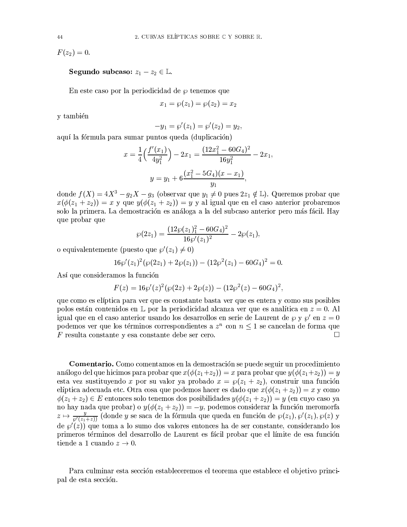$F(z_2)=0.$ 

## **Segundo subcaso:**  $z_1 - z_2 \in \mathbb{L}$ .

En este caso por la periodicidad de  $\varphi$  tenemos que

$$
x_1 = \wp(z_1) = \wp(z_2) = x_2
$$

y también

$$
-y_1 = \wp'(z_1) = \wp'(z_2) = y_2,
$$

aquí la fórmula para sumar puntos queda (duplicación)

$$
x = \frac{1}{4} \left( \frac{f'(x_1)}{4y_1^2} \right) - 2x_1 = \frac{(12x_1^2 - 60G_4)^2}{16y_1^2} - 2x_1,
$$
  

$$
y = y_1 + 6 \frac{(x_1^2 - 5G_4)(x - x_1)}{y_1},
$$

donde  $f(X) = 4X^3 - g_2X - g_3$  (observar que  $y_1 \neq 0$  pues  $2z_1 \notin \mathbb{L}$ ). Queremos probar que  $x(\phi(z_1 + z_2)) = x$  y que  $y(\phi(z_1 + z_2)) = y$  y al igual que en el caso anterior probaremos solo la primera. La demostración es análoga a la del subcaso anterior pero más fácil. Hay que probar que

$$
\wp(2z_1)=\frac{(12\wp(z_1)_1^2-60G_4)^2}{16\wp'(z_1)^2}-2\wp(z_1),
$$

o equivalentemente (puesto que  $\wp'(z_1) \neq 0$ )

$$
16\wp'(z_1)^2(\wp(2z_1)+2\wp(z_1))-(12\wp^2(z_1)-60G_4)^2=0.
$$

Así que consideramos la función

$$
F(z) = 16\wp'(z)^{2}(\wp(2z) + 2\wp(z)) - (12\wp^{2}(z) - 60G_{4})^{2},
$$

que como es elíptica para ver que es constante basta ver que es entera y como sus posibles polos están contenidos en  $\mathbb L$  por la periodicidad alcanza ver que es analítica en  $z=0$ . Al igual que en el caso anterior usando los desarrollos en serie de Laurent de  $\wp$  y  $\wp'$  en  $z=0$ podemos ver que los términos correspondientes a  $z^n$  con  $n \leq 1$  se cancelan de forma que  $F$  resulta constante y esa constante debe ser cero.  $\Box$ 

**Comentario.** Como comentamos en la demostración se puede seguir un procedimiento análogo del que hicimos para probar que  $x(\phi(z_1+z_2))=x$  para probar que  $y(\phi(z_1+z_2))=y$ esta vez sustituyendo x por su valor ya probado  $x = \wp(z_1 + z_2)$ , construir una función elíptica adecuada etc. Otra cosa que podemos hacer es dado que  $x(\phi(z_1 + z_2)) = x$  y como  $\phi(z_1+z_2) \in E$  entonces solo tenemos dos posibilidades  $y(\phi(z_1+z_2)) = y$  (en cuyo caso ya no hay nada que probar) o  $y(\phi(z_1 + z_2)) = -y$ , podemos considerar la función meromorfa  $z \mapsto \frac{y}{\wp'(z_1+z_1)}$  (donde y se saca de la fórmula que queda en función de  $\wp(z_1), \wp'(z_1), \wp(z)$  y de  $\varphi'(z)$  que toma a lo sumo dos valores entonces ha de ser constante, considerando los primeros términos del desarrollo de Laurent es fácil probar que el límite de esa función tiende a 1 cuando  $z \to 0$ .

Para culminar esta sección estableceremos el teorema que establece el objetivo principal de esta sección.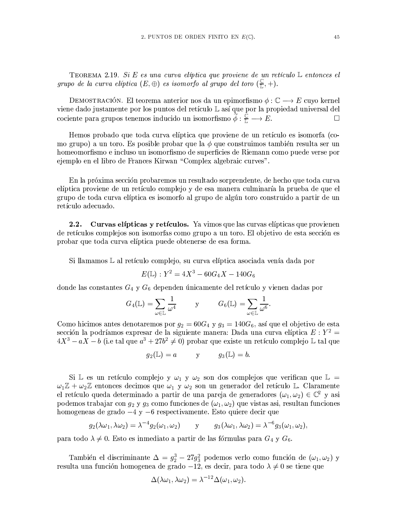TEOREMA 2.19. Si E es una curva elíptica que proviene de un retículo  $\mathbb L$  entonces el grupo de la curva elíptica  $(E, \oplus)$  es isomorfo al grupo del toro  $(\frac{\mathbb{C}}{\mathbb{L}}, +)$ .

DEMOSTRACIÓN. El teorema anterior nos da un epimorfismo  $\phi : \mathbb{C} \longrightarrow E$  cuyo kernel viene dado justamente por los puntos del retículo L así que por la propiedad universal del cociente para grupos tenemos inducido un isomorfismo  $\widetilde{\phi}: \frac{\mathbb{C}}{\mathbb{L}} \longrightarrow E$ .  $\Box$ 

Hemos probado que toda curva elíptica que proviene de un retículo es isomorfa (como grupo) a un toro. Es posible probar que la  $\phi$  que construimos también resulta ser un homeomorfismo e incluso un isomorfismo de superficies de Riemann como puede verse por ejemplo en el libro de Frances Kirwan "Complex algebraic curves".

En la próxima sección probaremos un resultado sorprendente, de hecho que toda curva elíptica proviene de un retículo complejo y de esa manera culminaría la prueba de que el grupo de toda curva elíptica es isomorfo al grupo de algún toro construido a partir de un retículo adecuado.

Curvas elípticas y retículos. Ya vimos que las curvas elípticas que provienen  $2.2.$ de retículos complejos son isomorfas como grupo a un toro. El objetivo de esta sección es probar que toda curva elíptica puede obtenerse de esa forma.

Si llamamos L al retículo complejo, su curva elíptica asociada venía dada por

$$
E(\mathbb{L}):Y^2=4X^3-60G_4X-140G_6
$$

donde las constantes  ${\cal G}_4$  y  ${\cal G}_6$  dependen únicamente del retículo y vienen dadas por

$$
G_4(\mathbb{L})\, = \sum_{\omega \in \mathbb{L}} \frac{1}{\omega^4} \hspace{1cm} \text{ y} \hspace{1cm} G_6(\mathbb{L})\, = \sum_{\omega \in \mathbb{L}} \frac{1}{\omega^6}.
$$

Como hicimos antes denotaremos por  $g_2 = 60G_4$  y  $g_3 = 140G_6$ , así que el objetivo de esta sección la podríamos expresar de la siguiente manera: Dada una curva elíptica  $E: Y^2 =$  $4X^3 - aX - b$  (i.e tal que  $a^3 + 27b^2 \neq 0$ ) probar que existe un retículo complejo L tal que

$$
g_2(\mathbb{L})=a \hspace{1cm} \text{ y } \hspace{1cm} g_3(\mathbb{L})=b
$$

Si L es un retículo complejo y  $\omega_1$  y  $\omega_2$  son dos complejos que verifican que L =  $\omega_1 \mathbb{Z} + \omega_2 \mathbb{Z}$  entonces decimos que  $\omega_1$  y  $\omega_2$  son un generador del retículo L. Claramente el retículo queda determinado a partir de una pareja de generadores  $(\omega_1, \omega_2) \in \mathbb{C}^2$  y asi podemos trabajar con  $g_2$  y  $g_3$  como funciones de  $(\omega_1, \omega_2)$  que vistas asi, resultan funciones homogeneas de grado  $-4y -6$  respectivamente. Esto quiere decir que

$$
g_2(\lambda\omega_1,\lambda\omega_2)=\lambda^{-4}g_2(\omega_1,\omega_2) \qquad \text{y} \qquad g_3(\lambda\omega_1,\lambda\omega_2)=\lambda^{-6}g_3(\omega_1,\omega_2),
$$

para todo  $\lambda \neq 0$ . Esto es inmediato a partir de las fórmulas para  $G_4$  y  $G_6$ .

También el discriminante  $\Delta = g_2^3 - 27g_3^2$  podemos verlo como función de  $(\omega_1, \omega_2)$  y resulta una función homogenea de grado -12, es decir, para todo  $\lambda \neq 0$  se tiene que

$$
\Delta(\lambda\omega_1, \lambda\omega_2) = \lambda^{-12}\Delta(\omega_1, \omega_2).
$$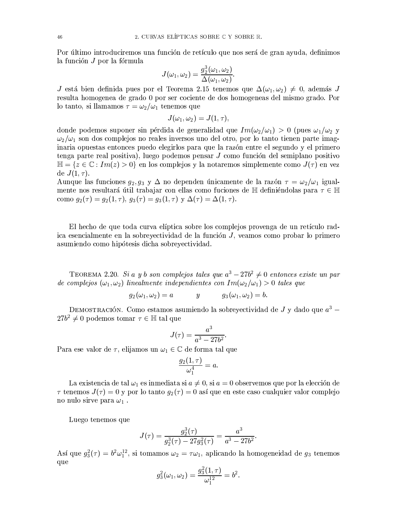Por último introduciremos una función de retículo que nos será de gran ayuda, definimos la función J por la fórmula

$$
J(\omega_1, \omega_2) = \frac{g_2^3(\omega_1, \omega_2)}{\Delta(\omega_1, \omega_2)}.
$$

J está bien definida pues por el Teorema 2.15 tenemos que  $\Delta(\omega_1, \omega_2) \neq 0$ , además J resulta homogenea de grado 0 por ser cociente de dos homogeneas del mismo grado. Por lo tanto, si llamamos  $\tau = \omega_2/\omega_1$  tenemos que

$$
J(\omega_1, \omega_2) = J(1, \tau),
$$

donde podemos suponer sin pérdida de generalidad que  $Im(\omega_2/\omega_1) > 0$  (pues  $\omega_1/\omega_2$  y  $\omega_2/\omega_1$  son dos complejos no reales inversos uno del otro, por lo tanto tienen parte imaginaria opuestas entonces puedo elegirlos para que la razón entre el segundo y el primero tenga parte real positiva), luego podemos pensar  $J$  como función del semiplano positivo  $\mathbb{H} = \{z \in \mathbb{C} : Im(z) > 0\}$  en los complejos y la notaremos simplemente como  $J(\tau)$  en vez de  $J(1, \tau)$ .

Aunque las funciones  $g_2, g_3 \, y \, \Delta$  no dependen únicamente de la razón  $\tau = \omega_2/\omega_1$  igualmente nos resultará útil trabajar con ellas como fuciones de  $\mathbb H$  definiéndolas para  $\tau \in \mathbb H$ como  $g_2(\tau) = g_2(1, \tau), g_3(\tau) = g_3(1, \tau)$  y  $\Delta(\tau) = \Delta(1, \tau)$ .

El hecho de que toda curva elíptica sobre los complejos provenga de un retículo radica esencialmente en la sobreyectividad de la función J, veamos como probar lo primero asumiendo como hipótesis dicha sobreyectividad.

TEOREMA 2.20. Si a y b son complejos tales que  $a^3 - 27b^2 \neq 0$  entonces existe un par de complejos  $(\omega_1, \omega_2)$  linealmente independientes con  $Im(\omega_2/\omega_1) > 0$  tales que

$$
g_2(\omega_1, \omega_2) = a \qquad \qquad y \qquad \qquad g_3(\omega_1, \omega_2) = b.
$$

DEMOSTRACIÓN. Como estamos asumiendo la sobreyectividad de J y dado que  $a^3$  –  $27b^2 \neq 0$  podemos tomar  $\tau \in \mathbb{H}$  tal que

$$
J(\tau) = \frac{a^3}{a^3 - 27b^2}.
$$

Para ese valor de  $\tau$ , elijamos un  $\omega_1 \in \mathbb{C}$  de forma tal que

$$
\frac{g_2(1,\tau)}{\omega_1^4}=a.
$$

La existencia de tal  $\omega_1$  es inmediata si  $a \neq 0$ , si  $a = 0$  observemos que por la elección de  $\tau$  tenemos  $J(\tau) = 0$  y por lo tanto  $g_2(\tau) = 0$  así que en este caso cualquier valor complejo no nulo sirve para  $\omega_1$ .

Luego tenemos que

$$
J(\tau)=\frac{g_2^3(\tau)}{g_2^3(\tau)-27g_3^2(\tau)}=\frac{a^3}{a^3-27b^2}
$$

Así que  $g_3^2(\tau) = b^2 \omega_1^{12}$ , si tomamos  $\omega_2 = \tau \omega_1$ , aplicando la homogeneidad de  $g_3$  tenemos que

$$
g_3^2(\omega_1, \omega_2) = \frac{g_3^2(1, \tau)}{\omega_1^{12}} = b^2.
$$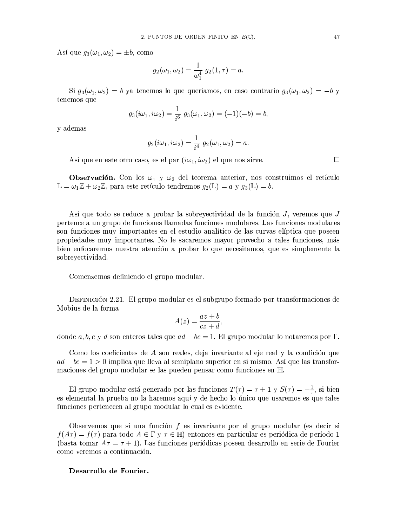Así que  $g_3(\omega_1, \omega_2) = \pm b$ , como

$$
g_2(\omega_1,\omega_2)=\frac{1}{\omega_1^4}\;g_2(1,\tau)=a
$$

Si  $g_3(\omega_1, \omega_2) = b$  ya tenemos lo que queriamos, en caso contrario  $g_3(\omega_1, \omega_2) = -b$  y tenemos que

$$
g_3(i\omega_1, i\omega_2) = \frac{1}{i^6} g_3(\omega_1, \omega_2) = (-1)(-b) = b,
$$

y ademas

$$
g_2(i\omega_1,i\omega_2)=\frac{1}{i^4}\,\,g_2(\omega_1,\omega_2)=a.
$$

Así que en este otro caso, es el par  $(i\omega_1, i\omega_2)$  el que nos sirve.

**Observación.** Con los  $\omega_1$  y  $\omega_2$  del teorema anterior, nos construimos el retículo  $\mathbb{L} = \omega_1 \mathbb{Z} + \omega_2 \mathbb{Z}$ , para este retículo tendremos  $g_2(\mathbb{L}) = a$  y  $g_3(\mathbb{L}) = b$ .

Así que todo se reduce a probar la sobreyectividad de la función J, veremos que J pertence a un grupo de funciones llamadas funciones modulares. Las funciones modulares son funciones muy importantes en el estudio analítico de las curvas elíptica que poseen propiedades muy importantes. No le sacaremos mayor provecho a tales funciones, más bien enfocaremos nuestra atención a probar lo que necesitamos, que es simplemente la sobrevectividad.

Comenzemos definiendo el grupo modular.

DEFINICIÓN 2.21. El grupo modular es el subgrupo formado por transformaciones de Mobius de la forma

$$
A(z) = \frac{az+b}{cz+d},
$$

donde a, b, c y d son enteros tales que  $ad - bc = 1$ . El grupo modular lo notaremos por  $\Gamma$ .

Como los coeficientes de A son reales, deja invariante al eje real y la condición que  $ad - bc = 1 > 0$  implica que lleva al semiplano superior en si mismo. Así que las transformaciones del grupo modular se las pueden pensar como funciones en H

El grupo modular está generado por las funciones  $T(\tau) = \tau + 1$  y  $S(\tau) = -\frac{1}{\tau}$ , si bien es elemental la prueba no la haremos aquí y de hecho lo único que usaremos es que tales funciones pertenecen al grupo modular lo cual es evidente.

Observemos que si una función  $f$  es invariante por el grupo modular (es decir si  $f(A\tau) = f(\tau)$  para todo  $A \in \Gamma$  y  $\tau \in \mathbb{H}$  entonces en particular es periódica de período 1 (basta tomar  $A\tau = \tau + 1$ ). Las funciones periódicas poseen desarrollo en serie de Fourier como veremos a continuación.

### Desarrollo de Fourier.

 $\Box$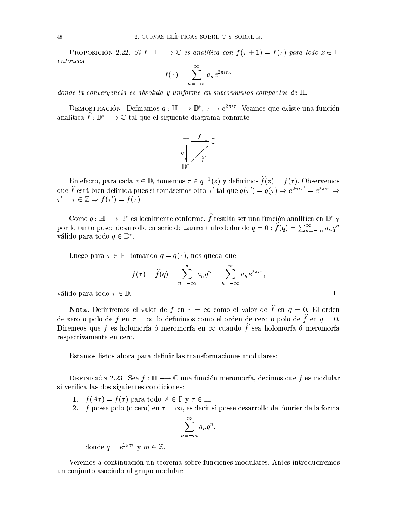PROPOSICIÓN 2.22. Si  $f : \mathbb{H} \longrightarrow \mathbb{C}$  es analítica con  $f(\tau + 1) = f(\tau)$  para todo  $z \in \mathbb{H}$  $entonces$ 

$$
f(\tau) = \sum_{n=-\infty}^{\infty} a_n e^{2\pi i n \tau}
$$

donde la convergencia es absoluta y uniforme en subconjuntos compactos de  $\mathbb H$ .

DEMOSTRACIÓN. Definamos  $q : \mathbb{H} \longrightarrow \mathbb{D}^*, \tau \mapsto e^{2\pi i \tau}$ . Veamos que existe una función analítica  $\hat{f} : \mathbb{D}^* \longrightarrow \mathbb{C}$  tal que el siguiente diagrama conmute



En efecto, para cada  $z \in \mathbb{D}$ , tomemos  $\tau \in q^{-1}(z)$  y definimos  $\widehat{f}(z) = f(\tau)$ . Observemos que  $\hat{f}$  está bien definida pues si tomásemos otro  $\tau'$  tal que  $q(\tau') = q(\tau) \Rightarrow e^{2\pi i \tau'} = e^{2\pi i \tau} \Rightarrow$  $\tau' - \tau \in \mathbb{Z} \Rightarrow f(\tau') = f(\tau).$ 

Como  $q : \mathbb{H} \longrightarrow \mathbb{D}^*$  es localmente conforme,  $\widehat{f}$  resulta ser una función analítica en  $\mathbb{D}^*$  y por lo tanto posee desarrollo en serie de Laurent alrededor de  $q = 0$ :  $\hat{f}(q) = \sum_{n=-\infty}^{\infty} a_n q^n$ válido para todo  $q \in \mathbb{D}^*$ .

Luego para  $\tau \in \mathbb{H}$ , tomando  $q = q(\tau)$ , nos queda que

$$
f(\tau) = \widehat{f}(q) = \sum_{n=-\infty}^{\infty} a_n q^n = \sum_{n=-\infty}^{\infty} a_n e^{2\pi i \tau},
$$
  
D.

 $\Box$ 

válido para todo  $\tau \in \mathbb{D}$ 

**Nota.** Definiremos el valor de  $f$  en  $\tau = \infty$  como el valor de  $\hat{f}$  en  $q = 0$ . El orden de zero o polo de f en  $\tau = \infty$  lo definimos como el orden de cero o polo de  $\hat{f}$  en  $q = 0$ . Diremeos que f es holomorfa ó meromorfa en  $\infty$  cuando  $\hat{f}$  sea holomorfa ó meromorfa respectivamente en cero.

Estamos listos ahora para definir las transformaciones modulares:

DEFINICIÓN 2.23. Sea  $f : \mathbb{H} \longrightarrow \mathbb{C}$  una función meromorfa, decimos que f es modular si verifica las dos siguientes condiciones:

- 1.  $f(A\tau) = f(\tau)$  para todo  $A \in \Gamma$  y  $\tau \in \mathbb{H}$ .
- 2. f posee polo (o cero) en  $\tau = \infty$ , es decir si posee desarrollo de Fourier de la forma

$$
\sum_{n=-m}^{\infty} a_n q^n,
$$

donde  $q = e^{2\pi i \tau}$  y  $m \in \mathbb{Z}$ .

Veremos a continuación un teorema sobre funciones modulares. Antes introduciremos un conjunto asociado al grupo modular: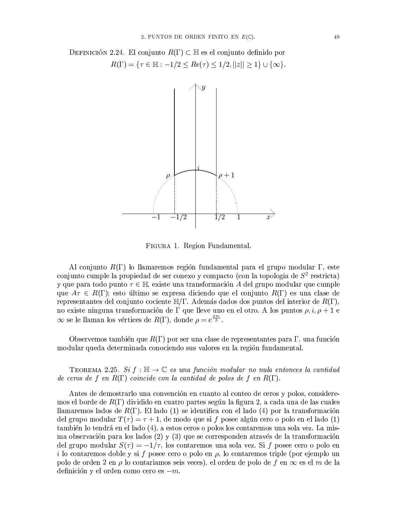DEFINICIÓN 2.24. El conjunto  $R(\Gamma) \subset \mathbb{H}$  es el conjunto definido por  $R(\Gamma) = \{ \tau \in \mathbb{H} : -1/2 \leq Re(\tau) \leq 1/2, ||z|| \geq 1 \} \cup \{ \infty \}.$ 



FIGURA 1. Region Fundamental.

Al conjunto  $R(\Gamma)$  lo llamaremos región fundamental para el grupo modular  $\Gamma$ , este conjunto cumple la propiedad de ser conexo y compacto (con la topologia de  $S<sup>2</sup>$  restricta) y que para todo punto  $\tau \in \mathbb{H}$ , existe una transformación A del grupo modular que cumple que  $A\tau \in R(\Gamma)$ ; esto último se expresa diciendo que el conjunto  $R(\Gamma)$  es una clase de representantes del conjunto cociente  $\mathbb{H}/\Gamma$ . Además dados dos puntos del interior de  $R(\Gamma)$ , no existe ninguna transformación de  $\Gamma$ que lleve uno en el otro. A los puntos  $\rho, i, \rho + 1$  e  $\infty$  se le llaman los vértices de  $R(\Gamma)$ , donde  $\rho = e^{\frac{2\pi i}{3}}$ .

Observemos también que  $R(\Gamma)$  por ser una clase de representantes para  $\Gamma$ , una función modular queda determinada conociendo sus valores en la región fundamental.

TEOREMA 2.25. Si  $f : \mathbb{H} \to \mathbb{C}$  es una función modular no nula entonces la cantidad de ceros de f en  $R(\Gamma)$  coincide con la cantidad de polos de f en  $R(\Gamma)$ .

Antes de demostrarlo una convención en cuanto al conteo de ceros y polos, consideremos el borde de  $R(\Gamma)$  dividido en cuatro partes según la figura 2, a cada una de las cuales llamaremos lados de  $R(\Gamma)$ . El lado (1) se identifica con el lado (4) por la transformación del grupo modular  $T(\tau) = \tau + 1$ , de modo que si f posee algún cero o polo en el lado (1) también lo tendrá en el lado (4), a estos ceros o polos los contaremos una sola vez. La misma observación para los lados (2) y (3) que se corresponden através de la transformación del grupo modular  $S(\tau) = -1/\tau$ , los contaremos una sola vez. Si f posee cero o polo en i lo contaremos doble y si f posee cero o polo en  $\rho$ , lo contaremos triple (por ejemplo un polo de orden 2 en  $\rho$  lo contariamos seis veces), el orden de polo de f en  $\infty$  es el m de la definición y el orden como cero es  $-m$ .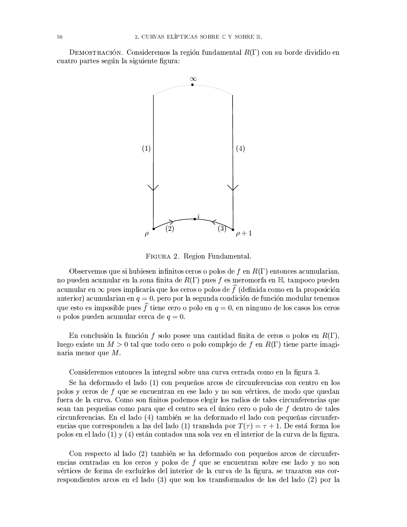DEMOSTRACIÓN. Consideremos la región fundamental  $R(\Gamma)$  con su borde dividido en cuatro partes según la siguiente figura:



FIGURA 2. Region Fundamental.

Observemos que si hubiesen infinitos ceros o polos de f en  $R(\Gamma)$  entonces acumularian, no pueden acumular en la zona finita de  $R(\Gamma)$  pues f es meromorfa en  $\mathbb{H}$ , tampoco pueden acumular en  $\infty$  pues implicaría que los ceros o polos de  $\hat{f}$  (definida como en la proposición anterior) acumularian en  $q = 0$ , pero por la segunda condición de función modular tenemos que esto es imposible pues  $\hat{f}$  tiene cero o polo en  $q = 0$ , en ninguno de los casos los ceros o polos pueden acumular cerca de  $q=0$ .

En conclusión la función f solo posee una cantidad finita de ceros o polos en  $R(\Gamma)$ , luego existe un  $M > 0$  tal que todo cero o polo complejo de f en  $R(\Gamma)$  tiene parte imaginaria menor que  $M$ .

Consideremos entonces la integral sobre una curva cerrada como en la figura 3.

Se ha deformado el lado (1) con pequeños arcos de circunferencias con centro en los polos y ceros de f que se encuentran en ese lado y no son vértices, de modo que quedan fuera de la curva. Como son finitos podemos elegir los radios de tales circunferencias que sean tan pequeñas como para que el centro sea el único cero o polo de f dentro de tales circunferencias. En el lado (4) también se ha deformado el lado con pequeñas circunferencias que corresponden a las del lado (1) translada por  $T(\tau) = \tau + 1$ . De está forma los polos en el lado (1) y (4) están contados una sola vez en el interior de la curva de la figura.

Con respecto al lado (2) también se ha deformado con pequeños arcos de circunferencias centradas en los ceros y polos de f que se encuentran sobre ese lado y no son vértices de forma de excluirlos del interior de la curva de la figura, se trazaron sus correspondientes arcos en el lado (3) que son los transformados de los del lado (2) por la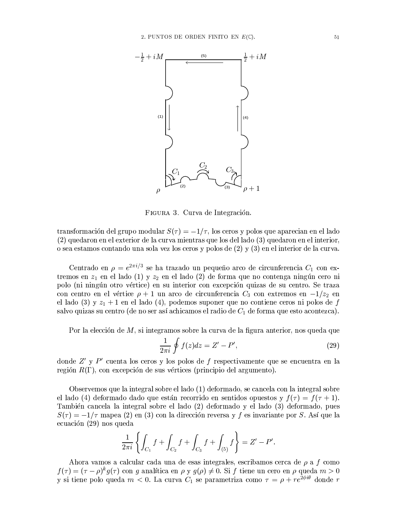

FIGURA 3. Curva de Integración.

transformación del grupo modular  $S(\tau) = -1/\tau$ , los ceros y polos que aparecian en el lado (2) quedaron en el exterior de la curva mientras que los del lado (3) quedaron en el interior. o sea estamos contando una sola vez los ceros y polos de (2) y (3) en el interior de la curva.

Centrado en  $\rho=e^{2\pi i/3}$ se ha trazado un pequeño arco de circunferencia $C_1$ con extremos en  $z_1$  en el lado (1) y  $z_2$  en el lado (2) de forma que no contenga ningún cero ni polo (ni ningún otro vértice) en su interior con excepción quizas de su centro. Se traza con centro en el vértice  $\rho + 1$  un arco de circunferencia  $C_3$  con extremos en  $-1/z_2$  en el lado (3) y  $z_1 + 1$  en el lado (4), podemos suponer que no contiene ceros ni polos de f salvo quizas su centro (de no ser así achicamos el radio de  $C_1$  de forma que esto acontezca).

Por la elección de M, si integramos sobre la curva de la figura anterior, nos queda que

$$
\frac{1}{2\pi i} \oint f(z)dz = Z' - P',\tag{29}
$$

donde  $Z'$  y  $P'$  cuenta los ceros y los polos de f respectivamente que se encuentra en la región  $R(\Gamma)$ , con excepción de sus vértices (principio del argumento).

Observemos que la integral sobre el lado (1) deformado, se cancela con la integral sobre el lado (4) deformado dado que están recorrido en sentidos opuestos y  $f(\tau) = f(\tau + 1)$ . También cancela la integral sobre el lado (2) deformado y el lado (3) deformado, pues  $S(\tau) = -1/\tau$  mapea (2) en (3) con la dirección reversa y f es invariante por S. Así que la ecuación (29) nos queda

$$
\frac{1}{2\pi i} \left\{ \int_{C_1} f + \int_{C_2} f + \int_{C_3} f + \int_{(5)} f \right\} = Z' - P'.
$$

Ahora vamos a calcular cada una de esas integrales, escribamos cerca de  $\rho$  a f como  $f(\tau)=(\tau-\rho)^{k}g(\tau)$  con  $g$  analítica en  $\rho$  y  $g(\rho)\neq 0$ . Si  $f$  tiene un cero en  $\rho$  queda  $m>0$ y si tiene polo queda  $m < 0$ . La curva  $C_1$  se parametriza como  $\tau = \rho + re^{2\phi i \theta}$  donde r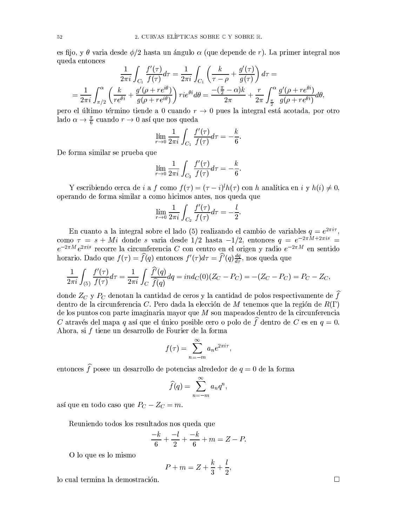es fijo, y  $\theta$  varia desde  $\phi/2$  hasta un ángulo  $\alpha$  (que depende de r). La primer integral nos queda entonces

$$
\frac{1}{2\pi i} \int_{C_1} \frac{f'(\tau)}{f(\tau)} d\tau = \frac{1}{2\pi i} \int_{C_1} \left(\frac{k}{\tau - \rho} + \frac{g'(\tau)}{g(\tau)}\right) d\tau =
$$
\n
$$
= \frac{1}{2\pi i} \int_{\pi/2}^{\alpha} \left(\frac{k}{r e^{\theta i}} + \frac{g'(\rho + re^{i\theta})}{g(\rho + re^{i\theta})}\right) r i e^{\theta i} d\theta = \frac{-(\frac{\pi}{2} - \alpha)k}{2\pi} + \frac{r}{2\pi} \int_{\frac{\pi}{2}}^{\alpha} \frac{g'(\rho + re^{\theta i})}{g(\rho + re^{\theta i})} d\theta
$$

pero el último término tiende a 0 cuando  $r \to 0$  pues la integral está acotada, por otro lado  $\alpha \to \frac{\pi}{6}$  cuando  $r \to 0$  así que nos queda

$$
\lim_{r \to 0} \frac{1}{2\pi i} \int_{C_1} \frac{f'(\tau)}{f(\tau)} d\tau = -\frac{k}{6}.
$$

De forma similar se prueba que

$$
\lim_{r \to 0} \frac{1}{2\pi i} \int_{C_3} \frac{f'(\tau)}{f(\tau)} d\tau = -\frac{k}{6}.
$$

Y escribiendo cerca de *i* a f como  $f(\tau) = (\tau - i)^l h(\tau)$  con *h* analítica en *i* y  $h(i) \neq 0$ , operando de forma similar a como hicimos antes, nos queda que

$$
\lim_{r \to 0} \frac{1}{2\pi i} \int_{C_2} \frac{f'(\tau)}{f(\tau)} d\tau = -\frac{l}{2}.
$$

En cuanto a la integral sobre el lado (5) realizando el cambio de variables  $q = e^{2\pi i \tau}$ ,<br>como  $\tau = s + Mi$  donde s varia desde 1/2 hasta  $-1/2$ , entonces  $q = e^{-2\pi M + 2\pi i s}$  $e^{-2\pi M}e^{2\pi i s}$  recorre la circunferencia C con centro en el origen y radio  $e^{-2\pi M}$  en sentido horario. Dado que  $f(\tau) = \hat{f}(q)$  entonces  $f'(\tau) d\tau = \hat{f}'(q) \frac{dq}{d\tau}$ , nos queda que

$$
\frac{1}{2\pi i} \int_{(5)} \frac{f'(\tau)}{f(\tau)} d\tau = \frac{1}{2\pi i} \int_C \frac{\widehat{f}'(q)}{\widehat{f}(q)} dq = ind_C(0) (Z_C - P_C) = -(Z_C - P_C) = P_C - Z_C,
$$

donde  $Z_C$  y  $P_C$  denotan la cantidad de ceros y la cantidad de polos respectivamente de  $\widehat{f}$ dentro de la circunferencia C. Pero dada la elección de M tenemos que la región de  $R(\Gamma)$ de los puntos con parte imaginaria mayor que  $M$  son mapeados dentro de la circunferencia C através del mapa q así que el único posible cero o polo de  $\hat{f}$  dentro de C es en  $q = 0$ . Ahora, si f tiene un desarrollo de Fourier de la forma

$$
f(\tau) = \sum_{n=-m}^{\infty} a_n e^{2\pi i \tau}
$$

entonces  $\widehat{f}$ posee un desarrollo de potencias alrededor de  $q=0$  de la forma

$$
\widehat{f}(q) = \sum_{n=-m}^{\infty} a_n q^n,
$$

así que en todo caso que  $P_C - Z_C = m$ .

Reuniendo todos los resultados nos queda que

$$
\frac{-k}{6} + \frac{-l}{2} + \frac{-k}{6} + m = Z - P
$$

O lo que es lo mismo

$$
P + m = Z + \frac{k}{3} + \frac{l}{2}
$$

lo cual termina la demostración.

 $\Box$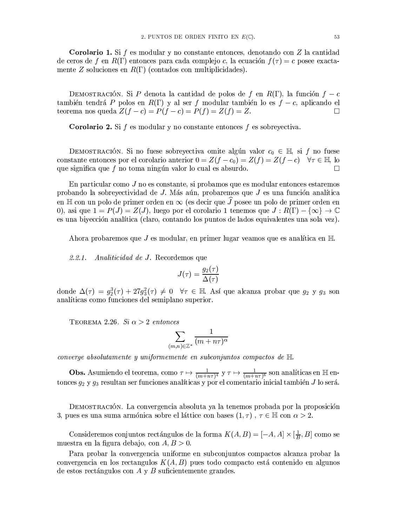**Corolario 1.** Si f es modular y no constante entonces, denotando con  $Z$  la cantidad de ceros de f en  $R(\Gamma)$  entonces para cada complejo c, la ecuación  $f(\tau) = c$  posee exactamente Z soluciones en  $R(\Gamma)$  (contados con multiplicidades).

DEMOSTRACIÓN. Si P denota la cantidad de polos de f en  $R(\Gamma)$ , la función  $f - c$ también tendrá P polos en  $R(\Gamma)$  y al ser f modular también lo es  $f - c$ , aplicando el teorema nos queda  $Z(f-c) = P(f-c) = P(f) = Z(f) = Z$ .  $\Box$ 

**Corolario 2.** Si  $f$  es modular y no constante entonces  $f$  es sobreyectiva.

DEMOSTRACIÓN. Si no fuese sobreyectiva omite algún valor  $c_0 \in \mathbb{H}$ , si f no fuese constante entonces por el corolario anterior  $0 = Z(f - c_0) = Z(f) = Z(f - c)$   $\forall \tau \in \mathbb{H}$ , lo que significa que  $f$  no toma ningún valor lo cual es absurdo.  $\Box$ 

En particular como  $J$  no es constante, si probamos que es modular entonces estaremos probando la sobreyectividad de J. Más aún, probaremos que J es una función analítica en H con un polo de primer orden en  $\infty$  (es decir que  $\widehat{J}$  posee un polo de primer orden en 0), así que  $1 = P(J) = Z(J)$ , luego por el corolario 1 tenemos que  $J: R(\Gamma) - {\infty} \rightarrow \mathbb{C}$ es una bivección analítica (claro, contando los puntos de lados equivalentes una sola vez).

Ahora probaremos que J es modular, en primer lugar veamos que es analítica en  $\mathbb H$ 

 $2.2.1.$ *Analiticidad de J.* Recordemos que

$$
J(\tau)=\frac{g_2(\tau)}{\Delta(\tau)}
$$

donde  $\Delta(\tau) = g_2^3(\tau) + 27g_3^2(\tau) \neq 0$   $\forall \tau \in \mathbb{H}$ . Así que alcanza probar que  $g_2$  y  $g_3$  son analíticas como funciones del semiplano superior.

TEOREMA 2.26. Si  $\alpha > 2$  entonces

$$
\sum_{(m,n)\in\mathbb{Z}^*}\frac{1}{(m+n\tau)^\alpha}
$$

converge absolutamente y uniformemente en subconjuntos compactos de  $H$ .

**Obs.** Asumiendo el teorema, como  $\tau \mapsto \frac{1}{(m+n\tau)^4}$  y  $\tau \mapsto \frac{1}{(m+n\tau)^6}$  son analíticas en Hentonces  $g_2$  y  $g_3$  resultan ser funciones analíticas y por el comentario inicial también J lo será.

DEMOSTRACIÓN. La convergencia absoluta ya la tenemos probada por la proposición 3, pues es una suma armónica sobre el láttice con bases  $(1, \tau)$ ,  $\tau \in \mathbb{H}$  con  $\alpha > 2$ .

Consideremos conjuntos rectángulos de la forma  $K(A, B) = [-A, A] \times [\frac{1}{B}, B]$  como se muestra en la figura debajo, con  $A, B > 0$ .

Para probar la convergencia uniforme en subconjuntos compactos alcanza probar la convergencia en los rectangulos  $K(A, B)$  pues todo compacto está contenido en algunos de estos rectángulos con  $A \, y \, B$  suficientemente grandes.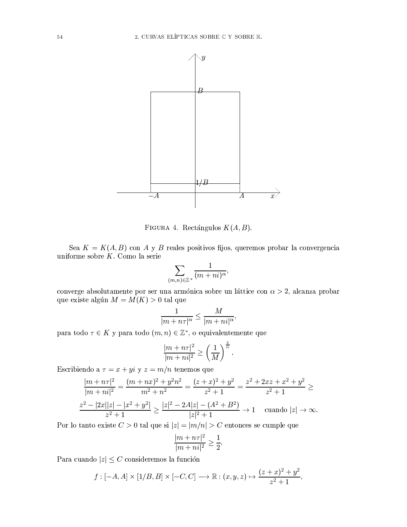

FIGURA 4. Rectángulos  $K(A, B)$ .

Sea  $K = K(A, B)$  con A y B reales positivos fijos, queremos probar la convergencia uniforme sobre  $K$ . Como la serie

$$
\sum_{(m,n)\in\mathbb{Z}^*}\frac{1}{(m+ni)^\alpha},
$$

converge absolutamente por ser una armónica sobre un láttice con  $\alpha > 2$ , alcanza probar que existe algún  $M = M(K) > 0$  tal que

$$
\frac{1}{|m+n\tau|^{\alpha}} \le \frac{M}{|m+ni|^{\alpha}},
$$

para todo $\tau \in K$ y para todo $(m,n) \in \mathbb{Z}^*,$ o equivalentemente que

$$
\frac{|m+n\tau|^2}{|m+ni|^2} \ge \left(\frac{1}{M}\right)^{\frac{2}{\alpha}}.
$$

Escribiendo a  $\tau = x + yi$  y  $z = m/n$  tenemos que

$$
\frac{|m+n\tau|^2}{|m+ni|^2} = \frac{(m+nx)^2 + y^2n^2}{m^2+n^2} = \frac{(z+x)^2 + y^2}{z^2+1} = \frac{z^2+2xz+x^2+y^2}{z^2+1} \ge
$$
  

$$
\frac{z^2-|2x||z|-|x^2+y^2|}{z^2+1} \ge \frac{|z|^2-2A|z|-(A^2+B^2)}{|z|^2+1} \to 1 \quad \text{cuando } |z| \to \infty.
$$

Por lo tanto existe  $C > 0$  tal que si  $|z| = |m/n| > C$  entonces se cumple que

$$
\frac{|m+n\tau|^2}{|m+ni|^2} \ge \frac{1}{2}
$$

Para cuando  $|z| \leq C$  consideremos la función

$$
f: [-A, A] \times [1/B, B] \times [-C, C] \longrightarrow \mathbb{R}: (x, y, z) \mapsto \frac{(z+x)^2 + y^2}{z^2 + 1},
$$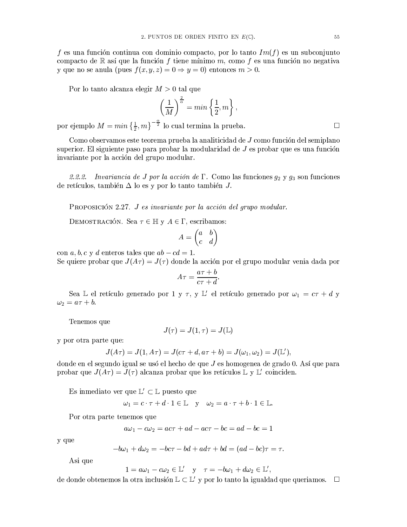f es una función continua con dominio compacto, por lo tanto  $Im(f)$  es un subconjunto compacto de R así que la función f tiene mínimo m, como f es una función no negativa y que no se anula (pues  $f(x, y, z) = 0 \Rightarrow y = 0$ ) entonces  $m > 0$ .

Por lo tanto alcanza elegir  $M > 0$  tal que

$$
\left(\frac{1}{M}\right)^{\frac{2}{\alpha}} = \min\left\{\frac{1}{2}, m\right\},\,
$$

por ejemplo  $M = min\left\{\frac{1}{2}, m\right\}^{-\frac{\alpha}{2}}$  lo cual termina la prueba.

Como observamos este teorema prueba la analiticidad de  $J$  como función del semiplano superior. El siguiente paso para probar la modularidad de  $J$  es probar que es una función invariante por la acción del grupo modular.

2.2.2. Invariancia de J por la acción de  $\Gamma$ . Como las funciones  $g_2$  y  $g_3$  son funciones de retículos, también  $\Delta$  lo es y por lo tanto también J.

PROPOSICIÓN 2.27. J es invariante por la acción del grupo modular.

DEMOSTRACIÓN. Sea  $\tau \in \mathbb{H}$  y  $A \in \Gamma$ , escribamos:

$$
A = \begin{pmatrix} a & b \\ c & d \end{pmatrix}
$$

con a, b, c y d enteros tales que  $ab - cd = 1$ . Se quiere probar que  $J(A\tau) = J(\tau)$  donde la acción por el grupo modular venia dada por

$$
A\tau = \frac{a\tau + b}{c\tau + d}.
$$

Sea L el retículo generado por 1 y  $\tau$ , y L' el retículo generado por  $\omega_1 = c\tau + d$  y  $\omega_2 = a\tau + b.$ 

Tenemos que

$$
J(\tau) = J(1, \tau) = J(\mathbb{L})
$$

y por otra parte que:

$$
J(A\tau) = J(1, A\tau) = J(c\tau + d, a\tau + b) = J(\omega_1, \omega_2) = J(\mathbb{L}'),
$$

donde en el segundo igual se usó el hecho de que  $J$  es homogenea de grado 0. Así que para probar que  $J(A\tau) = J(\tau)$  alcanza probar que los retículos  $\mathbb{L} \times \mathbb{L}'$  coinciden.

Es inmediato ver que  $\mathbb{L}' \subset \mathbb{L}$  puesto que

 $\mathbf{1}$ 

$$
\omega_1 = c \cdot \tau + d \cdot 1 \in \mathbb{L} \quad \text{y} \quad \omega_2 = a \cdot \tau + b \cdot 1 \in \mathbb{L}.
$$

Por otra parte tenemos que

$$
a\omega_1 - c\omega_2 = ac\tau + ad - ac\tau - bc = ad - bc = 1
$$

y que

$$
-b\omega_1 + d\omega_2 = -bc\tau - bd + ad\tau + bd = (ad - bc)\tau = \tau.
$$

Asi que

$$
= a\omega_1 - c\omega_2 \in \mathbb{L}' \quad \text{y} \quad \tau = -b\omega_1 + d\omega_2 \in \mathbb{L}',
$$

de donde obtenemos la otra inclusión  $\mathbb{L} \subset \mathbb{L}'$  y por lo tanto la igualdad que queriamos.  $\Box$ 

 $\Box$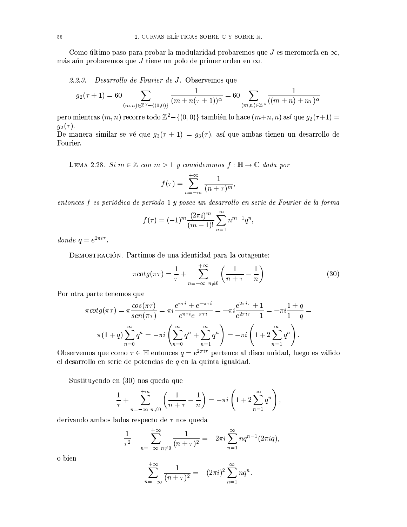Como último paso para probar la modularidad probaremos que J es meromorfa en  $\infty$ , más aún probaremos que J tiene un polo de primer orden en  $\infty$ .

2.2.3. Desarrollo de Fourier de J. Observemos que

$$
g_2(\tau+1) = 60 \sum_{(m,n)\in\mathbb{Z}^2-\{(0,0)\}} \frac{1}{(m+n(\tau+1))^{\alpha}} = 60 \sum_{(m,n)\in\mathbb{Z}^*} \frac{1}{((m+n)+n\tau)^{\alpha}}
$$

pero mientras  $(m, n)$  recorre todo  $\mathbb{Z}^2 - \{(0, 0)\}\)$  también lo hace  $(m+n, n)$  así que  $g_2(\tau+1) =$  $q_2(\tau)$ .

De manera similar se vé que  $g_3(\tau + 1) = g_3(\tau)$ , así que ambas tienen un desarrollo de Fourier.

LEMA 2.28. Si  $m \in \mathbb{Z}$  con  $m > 1$  y consideramos  $f : \mathbb{H} \to \mathbb{C}$  dada por

$$
f(\tau) = \sum_{n=-\infty}^{+\infty} \frac{1}{(n+\tau)^m},
$$

entonces f es periódica de período 1 y posee un desarrollo en serie de Fourier de la forma

$$
f(\tau) = (-1)^m \frac{(2\pi i)^m}{(m-1)!} \sum_{n=1}^{\infty} n^{m-1} q^n,
$$

donde  $q = e^{2\pi i \tau}$ .

DEMOSTRACIÓN. Partimos de una identidad para la cotagente:

$$
\pi \cot \left(\pi \tau\right) = \frac{1}{\tau} + \sum_{n=-\infty}^{+\infty} \frac{1}{n \neq 0} \left(\frac{1}{n+\tau} - \frac{1}{n}\right) \tag{30}
$$

Por otra parte tenemos que

$$
\pi \cot g(\pi \tau) = \pi \frac{\cos(\pi \tau)}{\sec(n \pi \tau)} = \pi i \frac{e^{\pi \tau i} + e^{-\pi \tau i}}{e^{\pi \tau i} e^{-\pi \tau i}} = -\pi i \frac{e^{2\pi i \tau} + 1}{e^{2\pi i \tau} - 1} = -\pi i \frac{1+q}{1-q} = \pi (1+q) \sum_{n=0}^{\infty} q^n = -\pi i \left( \sum_{n=0}^{\infty} q^n + \sum_{n=1}^{\infty} q^n \right) = -\pi i \left( 1 + 2 \sum_{n=1}^{\infty} q^n \right).
$$

Observemos que como  $\tau \in \mathbb{H}$  entonces  $q = e^{2\pi i \tau}$  pertence al disco unidad, luego es válido el desarrollo en serie de potencias de  $q$  en la quinta igualdad.

Sustituyendo en (30) nos queda que

$$
\frac{1}{\tau} + \sum_{n=-\infty}^{+\infty} \frac{1}{n\neq 0} \left( \frac{1}{n+\tau} - \frac{1}{n} \right) = -\pi i \left( 1 + 2 \sum_{n=1}^{\infty} q^n \right),
$$

derivando ambos lados respecto de  $\tau$  nos queda

$$
\frac{1}{\tau^2} - \sum_{n=-\infty}^{+\infty} \frac{1}{(n+\tau)^2} = -2\pi i \sum_{n=1}^{\infty} nq^{n-1} (2\pi i q),
$$

o bien

$$
\sum_{n=-\infty}^{+\infty} \frac{1}{(n+\tau)^2} = -(2\pi i)^2 \sum_{n=1}^{\infty} nq^n.
$$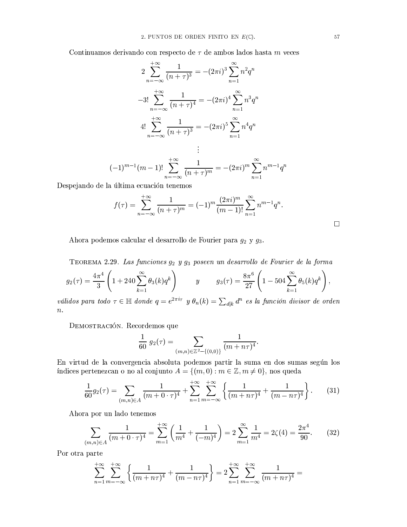Continuamos derivando con respecto de  $\tau$  de ambos lados hasta  $m$  veces

$$
2\sum_{n=-\infty}^{+\infty} \frac{1}{(n+\tau)^3} = -(2\pi i)^3 \sum_{n=1}^{\infty} n^2 q^n
$$
  

$$
-3! \sum_{n=-\infty}^{+\infty} \frac{1}{(n+\tau)^4} = -(2\pi i)^4 \sum_{n=1}^{\infty} n^3 q^n
$$
  

$$
4! \sum_{n=-\infty}^{+\infty} \frac{1}{(n+\tau)^3} = -(2\pi i)^5 \sum_{n=1}^{\infty} n^4 q^n
$$
  

$$
\vdots
$$
  

$$
(-1)^{m-1} (m-1)! \sum_{n=-\infty}^{+\infty} \frac{1}{(n+\tau)^m} = -(2\pi i)^m \sum_{n=1}^{\infty} n^{m-1} q^n
$$

Despejando de la última ecuación tenemos

$$
f(\tau) = \sum_{n=-\infty}^{+\infty} \frac{1}{(n+\tau)^m} = (-1)^m \frac{(2\pi i)^m}{(m-1)!} \sum_{n=1}^{\infty} n^{m-1} q^n.
$$

Ahora podemos calcular el desarrollo de Fourier para  $g_2$  y  $g_3$ .

TEOREMA 2.29. Las funciones  $g_2$  y  $g_3$  poseen un desarrollo de Fourier de la forma

$$
g_2(\tau) = \frac{4\pi^4}{3} \left( 1 + 240 \sum_{k=1}^{\infty} \theta_3(k) q^k \right) \qquad y \qquad g_3(\tau) = \frac{8\pi^6}{27} \left( 1 - 504 \sum_{k=1}^{\infty} \theta_5(k) q^k \right),
$$

válidos para todo  $\tau \in \mathbb{H}$  donde  $q = e^{2\pi i \tau}$  y  $\theta_n(k) = \sum_{d|k} d^n$  es la función divisor de orden  $\overline{n}$ .

DEMOSTRACIÓN. Recordemos que

$$
\frac{1}{60} g_2(\tau) = \sum_{(m,n)\in\mathbb{Z}^2 - \{(0,0)\}} \frac{1}{(m+n\tau)^4}
$$

En virtud de la convergencia absoluta podemos partir la suma en dos sumas según los índices pertenezcan o no al conjunto  $A = \{(m, 0) : m \in \mathbb{Z}, m \neq 0\}$ , nos queda

$$
\frac{1}{60}g_2(\tau) = \sum_{(m,n)\in A} \frac{1}{(m+0\cdot\tau)^4} + \sum_{n=1}^{+\infty} \sum_{m=-\infty}^{+\infty} \left\{ \frac{1}{(m+n\tau)^4} + \frac{1}{(m-n\tau)^4} \right\}.
$$
 (31)

Ahora por un lado tenemos

$$
\sum_{(m,n)\in A} \frac{1}{(m+0\cdot\tau)^4} = \sum_{m=1}^{+\infty} \left(\frac{1}{m^4} + \frac{1}{(-m)^4}\right) = 2\sum_{m=1}^{\infty} \frac{1}{m^4} = 2\zeta(4) = \frac{2\pi^4}{90}.
$$
 (32)

Por otra parte

$$
\sum_{n=1}^{+\infty} \sum_{m=-\infty}^{+\infty} \left\{ \frac{1}{(m+n\tau)^4} + \frac{1}{(m-n\tau)^4} \right\} = 2 \sum_{n=1}^{+\infty} \sum_{m=-\infty}^{+\infty} \frac{1}{(m+n\tau)^4} =
$$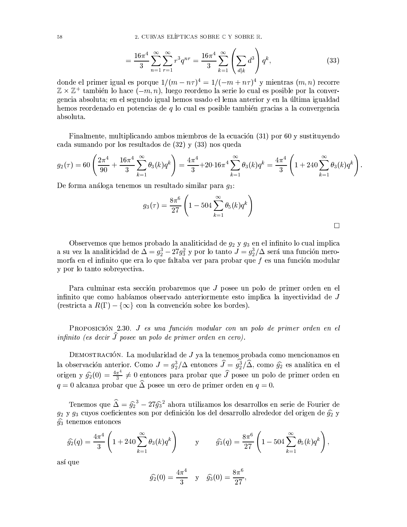$$
= \frac{16\pi^4}{3} \sum_{n=1}^{\infty} \sum_{r=1}^{\infty} r^3 q^{nr} = \frac{16\pi^4}{3} \sum_{k=1}^{\infty} \left( \sum_{d|k} d^3 \right) q^k,
$$
 (33)

donde el primer igual es porque  $1/(m - n\tau)^4 = 1/(-m + n\tau)^4$  y mientras  $(m, n)$  recorre  $\mathbb{Z} \times \mathbb{Z}^+$  también lo hace  $(-m, n)$ , luego reordeno la serie lo cual es posible por la convergencia absoluta; en el segundo igual hemos usado el lema anterior y en la última igualdad hemos reordenado en potencias de  $q$  lo cual es posible también gracias a la convergencia absoluta.

Finalmente, multiplicando ambos miembros de la ecuación (31) por 60 y sustituyendo cada sumando por los resultados de (32) y (33) nos queda

$$
g_2(\tau) = 60 \left( \frac{2\pi^4}{90} + \frac{16\pi^4}{3} \sum_{k=1}^{\infty} \theta_3(k) q^k \right) = \frac{4\pi^4}{3} + 20.16\pi^4 \sum_{k=1}^{\infty} \theta_3(k) q^k = \frac{4\pi^4}{3} \left( 1 + 240 \sum_{k=1}^{\infty} \theta_3(k) q^k \right)
$$

De forma análoga tenemos un resultado similar para  $q_3$ :

$$
g_3(\tau)=\frac{8\pi^6}{27}\left(1-504\sum_{k=1}^\infty \theta_5(k)q^k\right)
$$

 $\Box$ 

Observemos que hemos probado la analiticidad de  $q_2$  y  $q_3$  en el infinito lo cual implica a su vez la analiticidad de  $\Delta = g_2^3 - 27g_3^2$  y por lo tanto  $J = g_2^3/\Delta$  será una función meromorfa en el infinito que era lo que faltaba ver para probar que  $f$  es una función modular v por lo tanto sobrevectiva.

Para culminar esta sección probaremos que J posee un polo de primer orden en el infinito que como habíamos observado anteriormente esto implica la invectividad de J (restricta a  $R(\Gamma) - \{\infty\}$  con la convención sobre los bordes).

PROPOSICIÓN 2.30. J es una función modular con un polo de primer orden en el infinito (es decir  $\widehat{J}$  posee un polo de primer orden en cero).

 $D$ EMOSTRACIÓN. La modularidad de  $J$  ya la tenemos probada como mencionamos en la observación anterior. Como  $J = g_2^3/\Delta$  entonces  $\hat{J} = \hat{g}_2^3/\hat{\Delta}$ , como  $\hat{g}_2$  es analítica en el origen y  $\hat{g}_2(0) = \frac{4\pi^4}{3} \neq 0$  entonces para probar que  $\hat{J}$  posee un polo de primer orden en  $q=0$  alcanza probar que  $\widehat{\Delta}$  posee un cero de primer orden en  $q=0$ .

Tenemos que  $\hat{\Delta} = \hat{g_2}^3 - 27\hat{g_3}^2$  ahora utilizamos los desarrollos en serie de Fourier de  $g_2$  y  $g_3$  cuyos coeficientes son por definición los del desarrollo alrededor del origen de  $\widehat{g_2}$  y  $\widehat{g}_3$  tenemos entonces

$$
\widehat{g_2}(q) = \frac{4\pi^4}{3} \left( 1 + 240 \sum_{k=1}^{\infty} \theta_3(k) q^k \right) \qquad \text{y} \qquad \widehat{g_3}(q) = \frac{8\pi^6}{27} \left( 1 - 504 \sum_{k=1}^{\infty} \theta_5(k) q^k \right),
$$

así que

$$
\widehat{g}_2(0) = \frac{4\pi^4}{3}
$$
 y  $\widehat{g}_3(0) = \frac{8\pi^6}{27}$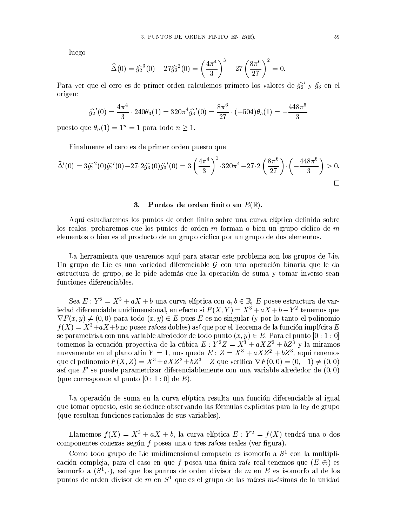luego

$$
\widehat{\Delta}(0) = \widehat{g_2}^3(0) - 27 \widehat{g_3}^2(0) = \left(\frac{4\pi^4}{3}\right)^3 - 27\left(\frac{8\pi^6}{27}\right)^2 = 0.
$$

Para ver que el cero es de primer orden calculemos primero los valores de  $\hat{g_2}'$  y  $\hat{g_3}$  en el origen:

$$
\widehat{g_2}'(0) = \frac{4\pi^4}{3} \cdot 240\theta_3(1) = 320\pi^4 \widehat{g_3}'(0) = \frac{8\pi^6}{27} \cdot (-504)\theta_5(1) = -\frac{448\pi^6}{3}
$$

puesto que  $\theta_n(1) = 1^n = 1$  para todo  $n \ge 1$ .

Finalmente el cero es de primer orden puesto que

$$
\widehat{\Delta}'(0) = 3\widehat{g_2}^2(0)\widehat{g_2}'(0) - 27 \cdot 2\widehat{g_3}(0)\widehat{g_3}'(0) = 3\left(\frac{4\pi^4}{3}\right)^2 \cdot 320\pi^4 - 27 \cdot 2\left(\frac{8\pi^6}{27}\right) \cdot \left(-\frac{448\pi^6}{3}\right) > 0.
$$

### Puntos de orden finito en  $E(\mathbb{R})$ .  $3.$

Aquí estudiaremos los puntos de orden finito sobre una curva elíptica definida sobre los reales, probaremos que los puntos de orden m forman o bien un grupo cíclico de m elementos o bien es el producto de un grupo cíclico por un grupo de dos elementos.

La herramienta que usaremos aquí para atacar este problema son los grupos de Lie. Un grupo de Lie es una variedad diferenciable  $\mathcal G$  con una operación binaria que le da estructura de grupo, se le pide además que la operación de suma y tomar inverso sean funciones diferenciables.

Sea  $E: Y^2 = X^3 + aX + b$  una curva elíptica con  $a, b \in \mathbb{R}, E$  posee estructura de variedad diferenciable unidimensional, en efecto si  $F(X, Y) = X^3 + aX + b - Y^2$  tenemos que  $\nabla F(x, y) \neq (0, 0)$  para todo  $(x, y) \in E$  pues E es no singular (y por lo tanto el polinomio  $f(X) = X^3 + aX + b$  no posee raíces dobles) así que por el Teorema de la función implícita E se parametriza con una variable alrededor de todo punto  $(x, y) \in E$ . Para el punto  $[0:1:0]$ tomemos la ecuación proyectiva de la cúbica  $E: Y^2Z = X^3 + aXZ^2 + bZ^3$  y la miramos nuevamente en el plano afín  $Y = 1$ , nos queda  $E: Z = X^3 + aXZ^2 + bZ^3$ , aquí tenemos que el polinomio  $F(X, Z) = X^3 + aXZ^2 + bZ^3 - Z$  que verifica  $\nabla F(0, 0) = (0, -1) \neq (0, 0)$ así que F se puede parametrizar diferenciablemente con una variable alrededor de  $(0,0)$ (que corresponde al punto  $[0:1:0]$  de E).

La operación de suma en la curva elíptica resulta una función diferenciable al igual que tomar opuesto, esto se deduce observando las fórmulas explícitas para la ley de grupo (que resultan funciones racionales de sus variables).

Llamemos  $f(X) = X^3 + aX + b$ , la curva elíptica  $E: Y^2 = f(X)$  tendrá una o dos componentes conexas según  $f$  posea una o tres raíces reales (ver figura).

Como todo grupo de Lie unidimensional compacto es isomorfo a  $S<sup>1</sup>$  con la multiplicación compleja, para el caso en que f posea una única raíz real tenemos que  $(E, \oplus)$  es isomorfo a  $(S^1, \cdot)$ , así que los puntos de orden divisor de m en E es isomorfo al de los puntos de orden divisor de  $m$  en  $S^1$  que es el grupo de las raíces  $m$ -ésimas de la unidad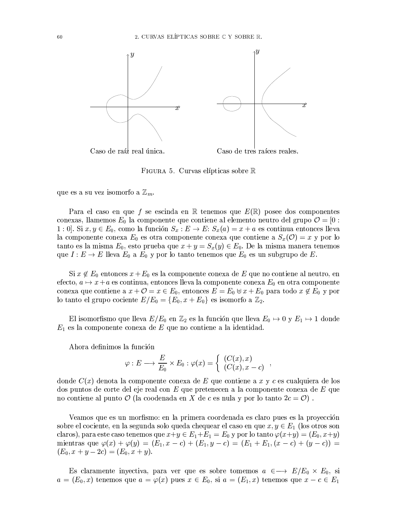

FIGURA 5. Curvas elípticas sobre R

que es a su vez isomorfo a  $\mathbb{Z}_m$ .

Para el caso en que f se escinda en  $\mathbb R$  tenemos que  $E(\mathbb R)$  posee dos componentes conexas, llamemos  $E_0$  la componente que contiene al elemento neutro del grupo  $\mathcal{O} = \begin{bmatrix} 0 \\ \end{bmatrix}$ 1 : 0. Si  $x, y \in E_0$ , como la función  $S_x : E \to E$ :  $S_x(a) = x + a$  es continua entonces lleva la componente conexa  $E_0$  es otra componente conexa que contiene a  $S_x(\mathcal{O}) = x$  y por lo tanto es la misma  $E_0$ , esto prueba que  $x + y = S_x(y) \in E_0$ . De la misma manera tenemos que  $I: E \to E$  lleva  $E_0$  a  $E_0$  y por lo tanto tenemos que  $E_0$  es un subgrupo de E.

Si  $x \notin E_0$  entonces  $x + E_0$  es la componente conexa de  $E$  que no contiene al neutro, en efecto,  $a \mapsto x + a$  es continua, entonces lleva la componente conexa  $E_0$  en otra componente conexa que contiene a  $x + \mathcal{O} = x \in E_0$ , entonces  $E = E_0 \oplus x + E_0$  para todo  $x \notin E_0$  y por lo tanto el grupo cociente  $E/E_0 = \{E_0, x + E_0\}$  es isomorfo a  $\mathbb{Z}_2$ .

El isomorfismo que lleva  $E/E_0$  en  $\mathbb{Z}_2$  es la función que lleva  $E_0 \rightarrow 0$  y  $E_1 \rightarrow 1$  donde  $E_1$  es la componente conexa de E que no contiene a la identidad.

Ahora definimos la función

$$
\varphi: E \longrightarrow \frac{E}{E_0} \times E_0 : \varphi(x) = \left\{ \begin{array}{l} (C(x), x) \\ (C(x), x - c) \end{array} \right.
$$

donde  $C(x)$  denota la componente conexa de E que contiene a x y c es cualquiera de los dos puntos de corte del eje real con E que pretenecen a la componente conexa de E que no contiene al punto  $\mathcal{O}$  (la coodenada en X de c es nula y por lo tanto  $2c = \mathcal{O}$ ).

Veamos que es un morfismo: en la primera coordenada es claro pues es la proyección sobre el cociente, en la segunda solo queda chequear el caso en que  $x, y \in E_1$  (los otros son claros), para este caso tenemos que  $x+y \in E_1+E_1=E_0$  y por lo tanto  $\varphi(x+y)=(E_0,x+y)$ mientras que  $\varphi(x) + \varphi(y) = (E_1, x - c) + (E_1, y - c) = (E_1 + E_1, (x - c) + (y - c)) =$  $(E_0, x + y - 2c) = (E_0, x + y).$ 

Es claramente inyectiva, para ver que es sobre tomemos  $a \in \rightarrow E/E_0 \times E_0$ , si  $a = (E_0, x)$  tenemos que  $a = \varphi(x)$  pues  $x \in E_0$ , si  $a = (E_1, x)$  tenemos que  $x - c \in E_1$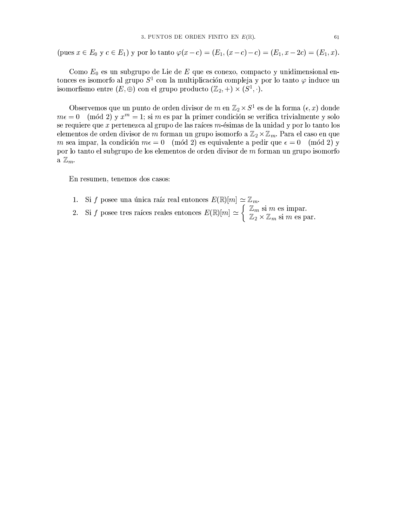(pues  $x \in E_0$  y  $c \in E_1$ ) y por lo tanto  $\varphi(x-c) = (E_1, (x-c) - c) = (E_1, x - 2c) = (E_1, x)$ .

Como  $E_0$  es un subgrupo de Lie de  $E$  que es conexo, compacto y unidimensional entonces es isomorfo al grupo  $S^1$  con la multiplicación compleja y por lo tanto  $\varphi$  induce un isomorfismo entre  $(E, \oplus)$  con el grupo producto  $(\mathbb{Z}_2, +) \times (S^1, \cdot)$ .

Observemos que un punto de orden divisor de m en  $\mathbb{Z}_2 \times S^1$  es de la forma  $(\epsilon, x)$  donde  $m\epsilon = 0$  (mód 2) y  $x^m = 1$ ; si m es par la primer condición se verifica trivialmente y solo se requiere que  $x$  pertenezca al grupo de las raíces  $m$ -ésimas de la unidad y por lo tanto los elementos de orden divisor de m forman un grupo isomorfo a  $\mathbb{Z}_2 \times \mathbb{Z}_m$ . Para el caso en que m sea impar, la condición  $m\epsilon = 0 \pmod{2}$  es equivalente a pedir que  $\epsilon = 0 \pmod{2}$  y por lo tanto el subgrupo de los elementos de orden divisor de m forman un grupo isomorfo a  $\mathbb{Z}_m$ .

En resumen, tenemos dos casos:

- Si f posee una única raíz real entonces  $E(\mathbb{R})[m] \simeq \mathbb{Z}_m$ . 1.
- Si f posee this time rate from the motion  $\sum_{n=1}^{\infty}$  of  $\mathbb{Z}_m$  is m es impartions  $E(\mathbb{R})[m] \simeq \begin{cases} \mathbb{Z}_m$  si m es impartions  $\mathbb{Z}_2 \times \mathbb{Z}_m$  si m es particles particles rates rates rates rates entonces  $E(\math$  $2.$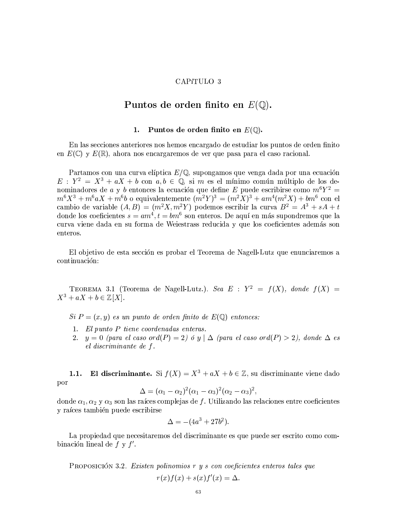# CAPíTULO 3

# Puntos de orden finito en  $E(\mathbb{Q})$ .

#### Puntos de orden finito en  $E(\mathbb{Q})$ . 1.

En las secciones anteriores nos hemos encargado de estudiar los puntos de orden finito en  $E(\mathbb{C})$  y  $E(\mathbb{R})$ , ahora nos encargaremos de ver que pasa para el caso racional.

Partamos con una curva elíptica  $E/\mathbb{Q}$ , supongamos que venga dada por una ecuación  $E: Y^2 = X^3 + aX + b$  con  $a, b \in \mathbb{Q}$ , si m es el mínimo común múltiplo de los denominadores de *a* y *b* entonces la ecuación que define E puede escribirse como  $m^6Y^2 = m^6X^3 + m^6aX + m^6b$  o equivalentemente  $(m^2Y)^3 = (m^2X)^3 + am^4(m^2X) + bm^6$  con el cambio de variable  $(A, B) = (m^2 X, m^2 Y)$  podemos escribir la curva  $B^2 = A^3 + sA + t$ donde los coeficientes  $s = am^4$ ,  $t = bm^6$  son enteros. De aquí en más supondremos que la curva viene dada en su forma de Weiestrass reducida y que los coeficientes además son enteros.

El objetivo de esta sección es probar el Teorema de Nagell-Lutz que enunciaremos a continuación:

TEOREMA 3.1 (Teorema de Nagell-Lutz.). Sea E :  $Y^2 = f(X)$ , donde  $f(X) =$  $X^3 + aX + b \in \mathbb{Z}[X].$ 

 $Si P = (x, y)$  es un punto de orden finito de  $E(\mathbb{Q})$  entonces:

- 1. El punto P tiene coordenadas enteras.
- $y = 0$  (para el caso ord(P) = 2) ó y |  $\Delta$  (para el caso ord(P) > 2), donde  $\Delta$  es  $2.$ el discriminante de f.

El discriminante. Si  $f(X) = X^3 + aX + b \in \mathbb{Z}$ , su discriminante viene dado  $1.1.$ por

$$
\Delta=(\alpha_1-\alpha_2)^2(\alpha_1-\alpha_3)^2(\alpha_2-\alpha_3)^2,
$$

donde  $\alpha_1, \alpha_2$  y  $\alpha_3$  son las raíces complejas de f. Utilizando las relaciones entre coeficientes y raíces también puede escribirse

$$
\Delta = -(4a^3+27b^2)
$$

La propiedad que necesitaremos del discriminante es que puede ser escrito como combinación lineal de  $f y f'$ .

PROPOSICIÓN 3.2. Existen polinomios r y s con coeficientes enteros tales que  $r(x) f(x) + s(x) f'(x) = \Delta.$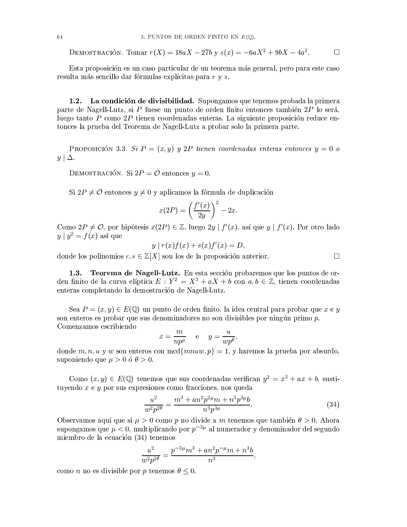DEMOSTRACIÓN. Tomar  $r(X) = 18aX - 27b$  y  $s(x) = -6aX^2 + 9bX - 4a^2$ .  $\Box$ 

Esta proposición es un caso particular de un teorema más general, pero para este caso resulta más sencillo dar fórmulas explícitas para r y s.

La condición de divisibilidad. Supongamos que tenemos probada la primera  $1.2.$ parte de Nagell-Lutz, si P fuese un punto de orden finito entonces también 2P lo será, luego tanto P como  $2P$  tienen coordenadas enteras. La siguiente proposición reduce entonces la prueba del Teorema de Nagell-Lutz a probar solo la primera parte.

PROPOSICIÓN 3.3. Si  $P = (x, y)$  y 2P tienen coordenadas enteras entonces  $y = 0$  o  $y\mid \Delta$ .

DEMOSTRACIÓN. Si  $2P = \mathcal{O}$  entonces  $y = 0$ .

Si  $2P \neq \mathcal{O}$  entonces  $y \neq 0$  y aplicamos la fórmula de duplicación

$$
x(2P) = \left(\frac{f'(x)}{2y}\right)^2 - 2x.
$$

Como  $2P \neq \mathcal{O}$ , por hipótesis  $x(2P) \in \mathbb{Z}$ , luego  $2y | f'(x)$ , así que y |  $f'(x)$ . Por otro lado  $y | y^2 = f(x)$  así que

$$
y | r(x)f(x) + s(x)f'(x) = D,
$$

donde los polinomios  $r, s \in \mathbb{Z}[X]$  son los de la proposición anterior.

**Teorema de Nagell-Lutz.** En esta sección probaremos que los puntos de or- $1.3.$ den finito de la curva elíptica  $E: Y^2 = X^3 + aX + b$  con  $a, b \in \mathbb{Z}$ , tienen coordenadas enteras completando la demostración de Nagell-Lutz.

Sea  $P = (x, y) \in E(\mathbb{Q})$  un punto de orden finito, la idea central para probar que x e y son enteros es probar que sus denominadores no son divisibles por ningún primo  $p$ . Comenzamos escribiendo

$$
x = \frac{m}{np^{\mu}} \quad e \quad y = \frac{u}{wp^{\theta}}
$$

donde m, n, u y w son enteros con mcd{ $mnu, p$ } = 1, y haremos la prueba por absurdo, suponiendo que  $\mu > 0$  ó  $\theta > 0$ .

Como  $(x, y) \in E(\mathbb{Q})$  tenemos que sus coordenadas verifican  $y^2 = x^3 + ax + b$ , sustituyendo  $x \in y$  por sus expresiones como fracciones, nos queda

$$
\frac{u^2}{w^2 p^{2\theta}} = \frac{m^3 + an^2 p^{2\mu} m + n^3 p^{3\mu} b}{n^3 p^{3\mu}}.
$$
\n(34)

 $\Box$ 

Observamos aquí que si  $\mu > 0$  como p no divide a m tenemos que también  $\theta > 0$ . Ahora supongamos que  $\mu < 0$ , multiplicando por  $p^{-3\mu}$  al numerador y denominador del segundo miembro de la ecuación (34) tenemos

$$
\frac{u^2}{w^2p^{2\theta}} = \frac{p^{-3\mu}m^3 + an^2p^{-\mu}m + n^3b}{n^3},
$$

como *n* no es divisible por *p* tenemos  $\theta \leq 0$ .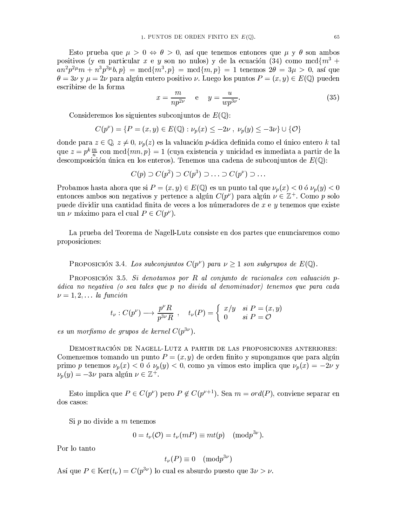Esto prueba que  $\mu > 0 \Leftrightarrow \theta > 0$ , así que tenemos entonces que  $\mu y \theta$  son ambos positivos (y en particular x e y son no nulos) y de la ecuación (34) como mcd $\{m^3 +$  $an^2 p^{2\mu} m + n^3 p^{3\mu} b, p$  = mcd{ $m^3, p$ } = mcd{ $m, p$ } = 1 tenemos  $2\theta = 3\mu > 0$ , así que  $\theta = 3\nu$  y  $\mu = 2\nu$  para algún entero positivo  $\nu$ . Luego los puntos  $P = (x, y) \in E(\mathbb{Q})$  pueden escribirse de la forma

$$
x = \frac{m}{np^{2\nu}} \quad \text{e} \quad y = \frac{u}{wp^{3\nu}}.
$$
 (35)

Consideremos los siguientes subconjuntos de  $E(\mathbb{Q})$ :

$$
C(p^{\nu}) = \{ P = (x, y) \in E(\mathbb{Q}) : \nu_p(x) \leq -2\nu , \nu_p(y) \leq -3\nu \} \cup \{ \mathcal{O} \}
$$

donde para  $z \in \mathbb{Q}$ ,  $z \neq 0$ ,  $\nu_p(z)$  es la valuación p-ádica definida como el único entero k tal que  $z = p^k \frac{m}{n}$  con mcd $\{mn, p\} = 1$  (cuya existencia y unicidad es inmediata a partir de la descomposición única en los enteros). Tenemos una cadena de subconjuntos de  $E(\mathbb{Q})$ :

$$
C(p) \supset C(p^2) \supset C(p^3) \supset \ldots \supset C(p^{\nu}) \supset \ldots
$$

Probamos hasta ahora que si  $P = (x, y) \in E(\mathbb{Q})$  es un punto tal que  $\nu_p(x) < 0$  ó  $\nu_p(y) < 0$ entonces ambos son negativos y pertence a algún  $C(p^{\nu})$  para algún  $\nu \in \mathbb{Z}^{+}$ . Como p solo puede dividir una cantidad finita de veces a los númeradores de  $x e y$  tenemos que existe un  $\nu$  máximo para el cual  $P \in C(p^{\nu}).$ 

La prueba del Teorema de Nagell-Lutz consiste en dos partes que enunciaremos como proposiciones:

PROPOSICIÓN 3.4. Los subconjuntos  $C(p^{\nu})$  para  $\nu \geq 1$  son subgrupos de  $E(\mathbb{Q})$ .

PROPOSICIÓN 3.5. Si denotamos por R al conjunto de racionales con valuación pádica no negativa (o sea tales que p no divida al denominador) tenemos que para cada  $\nu = 1, 2, \ldots$  la función

$$
t_{\nu}: C(p^{\nu}) \longrightarrow \frac{p^{\nu}R}{p^{3\nu}R}
$$
,  $t_{\nu}(P) = \begin{cases} x/y & \text{si } P = (x, y) \\ 0 & \text{si } P = \mathcal{O} \end{cases}$ 

es un morfismo de grupos de kernel  $C(p^{3\nu})$ .

DEMOSTRACIÓN DE NAGELL-LUTZ A PARTIR DE LAS PROPOSICIONES ANTERIORES: Comenzemos tomando un punto  $P = (x, y)$  de orden finito y supongamos que para algún primo p tenemos  $\nu_p(x) < 0$  ó  $\nu_p(y) < 0$ , como ya vimos esto implica que  $\nu_p(x) = -2\nu$  y  $\nu_p(y) = -3\nu$  para algún  $\nu \in \mathbb{Z}^+$ .

Esto implica que  $P \in C(p^{\nu})$  pero  $P \notin C(p^{\nu+1})$ . Sea  $m = \text{ord}(P)$ , conviene separar en dos casos:

Si  $p$  no divide a  $m$  tenemos

$$
0 = t_{\nu}(\mathcal{O}) = t_{\nu}(mP) \equiv mt(p) \pmod{p^{3\nu}}.
$$

Por lo tanto

$$
t_{\nu}(P) \equiv 0 \pmod{p^{3\nu}}
$$

Así que  $P \in \text{Ker}(t_{\nu}) = C(p^{3\nu})$  lo cual es absurdo puesto que  $3\nu > \nu$ .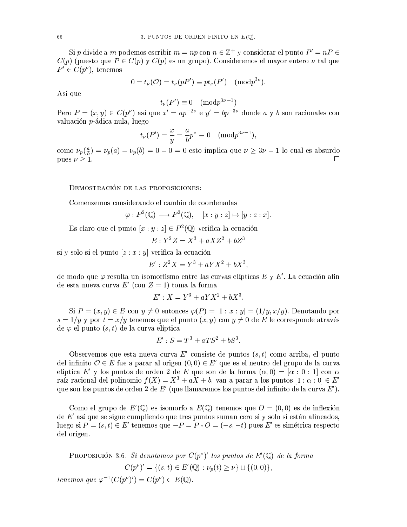Si p divide a m podemos escribir  $m = np$  con  $n \in \mathbb{Z}^+$  y considerar el punto  $P' = nP \in$  $C(p)$  (puesto que  $P \in C(p)$  y  $C(p)$  es un grupo). Consideremos el mayor entero  $\nu$  tal que  $P' \in C(p^{\nu})$ , tenemos

$$
0 = t_{\nu}(\mathcal{O}) = t_{\nu}(pP') \equiv pt_{\nu}(P') \pmod{p^{3\nu}}.
$$

Así que

$$
t_{\nu}(P') \equiv 0 \pmod{p^{3\nu-1}}
$$

Pero  $P = (x, y) \in C(p^{\nu})$  así que  $x' = ap^{-2\nu}$  e  $y' = bp^{-3\nu}$  donde a y b son racionales con valuación p-ádica nula, luego

$$
t_{\nu}(P') = \frac{x}{y} = \frac{a}{b}p^{\nu} \equiv 0 \pmod{p^{3\nu-1}},
$$

como  $\nu_p(\frac{a}{b}) = \nu_p(a) - \nu_p(b) = 0 - 0 = 0$  esto implica que  $\nu \ge 3\nu - 1$  lo cual es absurdo pues  $\nu \ge 1$ .

DEMOSTRACIÓN DE LAS PROPOSICIONES:

Comenzemos considerando el cambio de coordenadas

$$
\varphi: P^2(\mathbb{Q}) \longrightarrow P^2(\mathbb{Q}), \quad [x:y:z] \mapsto [y:z:x].
$$

Es claro que el punto  $[x:y:z] \in P^2(\mathbb{Q})$  verifica la ecuación

$$
E: Y^2Z = X^3 + aXZ^2 + bZ^3
$$

si y solo si el punto  $[z:x:y]$  verifica la ecuación

$$
E' : Z^2 X = Y^3 + aYX^2 + bX^3
$$

de modo que  $\varphi$  resulta un isomorfismo entre las curvas elípticas E y E'. La ecuación afin de esta nueva curva E' (con  $Z = 1$ ) toma la forma

$$
E' : X = Y^3 + aYX^2 + bX^3
$$

Si  $P = (x, y) \in E$  con  $y \neq 0$  entonces  $\varphi(P) = [1 : x : y] = (1/y, x/y)$ . Denotando por  $s = 1/y$  y por  $t = x/y$  tenemos que el punto  $(x, y)$  con  $y \neq 0$  de E le corresponde através de  $\varphi$  el punto  $(s, t)$  de la curva elíptica

$$
E': S = T^3 + aTS^2 + bS^3.
$$

Observemos que esta nueva curva  $E'$  consiste de puntos  $(s, t)$  como arriba, el punto del infinito  $\mathcal{O} \in E$  fue a parar al origen  $(0,0) \in E'$  que es el neutro del grupo de la curva elíptica E' y los puntos de orden 2 de E que son de la forma  $(\alpha, 0) = [\alpha : 0 : 1]$  con  $\alpha$ raíz racional del polinomio  $f(X) = X^3 + aX + b$ , van a parar a los puntos  $[1 : \alpha : 0] \in E'$ que son los puntos de orden 2 de  $E'$  (que llamaremos los puntos del infinito de la curva  $E'$ ).

Como el grupo de  $E'(\mathbb{Q})$  es isomorfo a  $E(\mathbb{Q})$  tenemos que  $O = (0,0)$  es de inflexión de  $E'$  así que se sigue cumpliendo que tres puntos suman cero si y solo si están alineados, luego si  $P = (s, t) \in E'$  tenemos que  $-P = P * O = (-s, -t)$  pues E' es simétrica respecto del origen.

PROPOSICIÓN 3.6. Si denotamos por  $C(p^{\nu})'$  los puntos de  $E'(\mathbb{Q})$  de la forma  $C(p^{\nu})' = \{(s, t) \in E'(\mathbb{Q}) : \nu_n(t) > \nu\} \cup \{(0, 0)\},\$ tenemos que  $\varphi^{-1}(C(p^{\nu})') = C(p^{\nu}) \subset E(\mathbb{Q}).$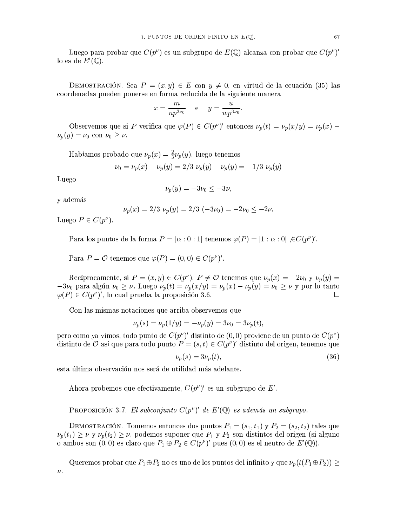Luego para probar que  $C(p^{\nu})$  es un subgrupo de  $E(\mathbb{Q})$  alcanza con probar que  $C(p^{\nu})'$ lo es de  $E'(\mathbb{Q})$ .

DEMOSTRACIÓN. Sea  $P = (x, y) \in E$  con  $y \neq 0$ , en virtud de la ecuación (35) las coordenadas pueden ponerse en forma reducida de la siguiente manera

$$
x = \frac{m}{np^{2\nu_0}} \qquad e \qquad y = \frac{u}{wp^{3\nu_0}}.
$$

Observemos que si P verifica que  $\varphi(P) \in C(p^{\nu})'$  entonces  $\nu_p(t) = \nu_p(x/y) = \nu_p(x)$  $\nu_p(y) = \nu_0$  con  $\nu_0 \geq \nu$ .

Habíamos probado que  $\nu_p(x) = \frac{2}{3}\nu_p(y)$ , luego tenemos

$$
\nu_0 = \nu_p(x) - \nu_p(y) = 2/3 \nu_p(y) - \nu_p(y) = -1/3 \nu_p(y)
$$

Luego

$$
\nu_p(y) = -3\nu_0 \le -3\nu,
$$

y además

$$
\nu_p(x) = 2/3 \, \nu_p(y) = 2/3 \, (-3\nu_0) = -2\nu_0 \le -2\nu.
$$

Luego  $P \in C(p^{\nu}).$ 

Para los puntos de la forma  $P = [\alpha : 0 : 1]$  tenemos  $\varphi(P) = [1 : \alpha : 0] \nsubseteq C(p^{\nu})'$ .

Para  $P = \mathcal{O}$  tenemos que  $\varphi(P) = (0,0) \in C(p^{\nu})'$ .

Recíprocamente, si  $P = (x, y) \in C(p^{\nu})$ ,  $P \neq \mathcal{O}$  tenemos que  $\nu_p(x) = -2\nu_0$  y  $\nu_p(y) =$  $-3\nu_0$  para algún  $\nu_0 \ge \nu$ . Luego  $\nu_p(t) = \nu_p(x/y) = \nu_p(x) - \nu_p(y) = \nu_0 \ge \nu$  y por lo tanto  $\varphi(P) \in C(p^{\nu})'$ , lo cual prueba la proposición 3.6.  $\Box$ 

Con las mismas notaciones que arriba observemos que

$$
\nu_p(s) = \nu_p(1/y) = -\nu_p(y) = 3\nu_0 = 3\nu_p(t),
$$

pero como ya vimos, todo punto de  $C(p^{\nu})'$  distinto de  $(0,0)$  proviene de un punto de  $C(p^{\nu})$ distinto de  $\mathcal O$  así que para todo punto  $P = (s, t) \in C(p^{\nu})'$  distinto del origen, tenemos que

$$
\nu_p(s) = 3\nu_p(t),\tag{36}
$$

esta última observación nos será de utilidad más adelante.

Ahora probemos que efectivamente,  $C(p^{\nu})'$  es un subgrupo de E'.

PROPOSICIÓN 3.7. El subconjunto  $C(p^{\nu})'$  de  $E'(\mathbb{Q})$  es además un subgrupo.

DEMOSTRACIÓN. Tomemos entonces dos puntos  $P_1 = (s_1, t_1)$  y  $P_2 = (s_2, t_2)$  tales que  $\nu_p(t_1) \geq \nu$  y  $\nu_p(t_2) \geq \nu$ , podemos suponer que  $P_1$  y  $P_2$  son distintos del origen (si alguno o ambos son  $(0,0)$  es claro que  $P_1 \oplus P_2 \in C(p^{\nu})'$  pues  $(0,0)$  es el neutro de  $E'(\mathbb{Q})$ .

Queremos probar que  $P_1 \oplus P_2$  no es uno de los puntos del infinito y que  $\nu_p(t(P_1 \oplus P_2)) \ge$  $\nu$ .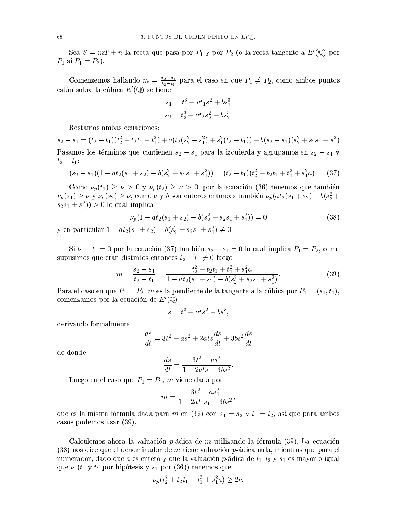Sea  $S = mT + n$  la recta que pasa por  $P_1$  y por  $P_2$  (o la recta tangente a  $E'(\mathbb{Q})$  por  $P_1$  si  $P_1 = P_2$ ).

Comenzemos hallando  $m = \frac{s_2 - s_1}{t_2 - t_1}$  para el caso en que  $P_1 \neq P_2$ , como ambos puntos están sobre la cúbica  $E'(\mathbb{Q})$  se tiene

$$
s_1 = t_1^3 + at_1 s_1^2 + bs_1^3
$$
  

$$
s_2 = t_2^3 + at_2 s_2^2 + bs_2^3.
$$

Restamos ambas ecuaciones:

 $s_2 - s_1 = (t_2 - t_1)(t_2^2 + t_2t_1 + t_1^2) + a(t_2(s_2^2 - s_1^2) + s_1^2(t_2 - t_1)) + b(s_2 - s_1)(s_2^2 + s_2s_1 + s_1^2)$ Pasamos los términos que contienen  $s_2 - s_1$  para la izquierda y agrupamos en  $s_2 - s_1$  y  $t_2 - t_1$ :

$$
(s_2 - s_1)(1 - at_2(s_1 + s_2) - b(s_2^2 + s_2s_1 + s_1^2)) = (t_2 - t_1)(t_2^2 + t_2t_1 + t_1^2 + s_1^2a)
$$
 (37)

Como  $\nu_p(t_1) \geq \nu > 0$  y  $\nu_p(t_2) \geq \nu > 0$ , por la ecuación (36) tenemos que también  $\nu_p(s_1) \geq \nu$  y  $\nu_p(s_2) \geq \nu$ , como a y b son enteros entonces también  $\nu_p(at_2(s_1 + s_2) + b(s_2^2 + s_1))$  $(s_2s_1 + s_1^2) > 0$  lo cual implica

$$
\nu_p(1 - at_2(s_1 + s_2) - b(s_2^2 + s_2s_1 + s_1^2)) = 0 \tag{38}
$$

y en particular  $1 - at_2(s_1 + s_2) - b(s_2^2 + s_2s_1 + s_1^2) \neq 0$ .

Si  $t_2 - t_1 = 0$  por la ecuación (37) también  $s_2 - s_1 = 0$  lo cual implica  $P_1 = P_2$ , como supusimos que eran distintos entonces  $t_2 - t_1 \neq 0$  luego

$$
m = \frac{s_2 - s_1}{t_2 - t_1} = \frac{t_2^2 + t_2 t_1 + t_1^2 + s_1^2 a}{1 - at_2(s_1 + s_2) - b(s_2^2 + s_2 s_1 + s_1^2)}.
$$
(39)

Para el caso en que  $P_1 = P_2$ , m es la pendiente de la tangente a la cúbica por  $P_1 = (s_1, t_1)$ , comenzamos por la ecuación de  $E'(\mathbb{Q})$ 

$$
s = t^3 + ats^2 + bs^3,
$$

derivando formalmente:

$$
\frac{ds}{dt} = 3t^2 + as^2 + 2ats\frac{ds}{dt} + 3bs^2\frac{ds}{dt}
$$

de donde

$$
\frac{ds}{dt} = \frac{3t^2 + as^2}{1 - 2ats - 3bs^2}.
$$

Luego en el caso que  $P_1 = P_2$ , m viene dada por

$$
m = \frac{3t_1^2 + as_1^2}{1 - 2at_1s_1 - 3bs_1^2}
$$

que es la misma fórmula dada para m en (39) con  $s_1 = s_2$  y  $t_1 = t_2$ , así que para ambos casos podemos usar (39).

Calculemos ahora la valuación p-ádica de m utilizando la fórmula (39). La ecuación  $(38)$  nos dice que el denominador de m tiene valuación p-ádica nula, mientras que para el numerador, dado que a es entero y que la valuación p-ádica de  $t_1, t_2$  y  $s_1$  es mayor o igual que  $\nu$  ( $t_1$  y  $t_2$  por hipótesis y  $s_1$  por (36)) tenemos que

$$
\nu_p(t_2^2 + t_2t_1 + t_1^2 + s_1^2a) \ge 2\nu.
$$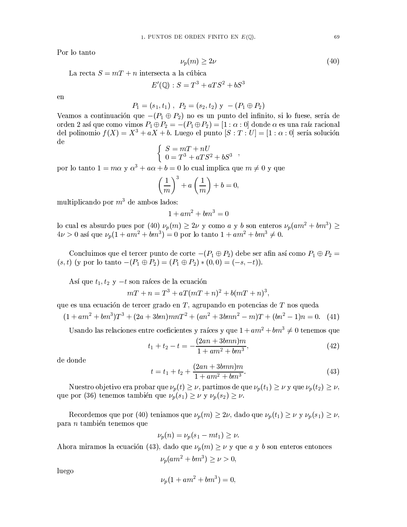Por lo tanto

$$
\nu_p(m) \ge 2\nu \tag{40}
$$

La recta  $S = mT + n$  intersecta a la cúbica

$$
E'(\mathbb{Q}): S = T^3 + aTS^2 + bS^3
$$

 $en$ 

$$
P_1 = (s_1, t_1), P_2 = (s_2, t_2) \mathbf{y} - (P_1 \oplus P_2)
$$

Veamos a continuación que  $-(P_1 \oplus P_2)$  no es un punto del infinito, si lo fuese, sería de orden 2 así que como vimos  $P_1 \oplus P_2 = -(P_1 \oplus P_2) = [1 : \alpha : 0]$  donde  $\alpha$  es una raíz racional del polinomio  $f(X) = X^3 + aX + b$ . Luego el punto  $[S : T : U] = [1 : \alpha : 0]$  sería solución  $\mathrm{d}\mathrm{e}$ 

$$
\left\{\begin{array}{l} S = mT + nU \\ 0 = T^3 + aTS^2 + bS^3 \end{array}\right.
$$

por lo tanto  $1 = m\alpha$  y  $\alpha^3 + a\alpha + b = 0$  lo cual implica que  $m \neq 0$  y que

$$
\left(\frac{1}{m}\right)^3 + a\left(\frac{1}{m}\right) + b = 0,
$$

multiplicando por  $m^3$  de ambos lados:

$$
1 + am^2 + bm^3 = 0
$$

lo cual es absurdo pues por (40)  $\nu_p(m) \ge 2\nu$  y como *a* y *b* son enteros  $\nu_p(am^2 + bm^3) \ge 4\nu > 0$  así que  $\nu_p(1 + am^2 + bm^3) = 0$  por lo tanto  $1 + am^2 + bm^3 \ne 0$ .

Concluimos que el tercer punto de corte  $-(P_1 \oplus P_2)$  debe ser afin así como  $P_1 \oplus P_2 =$  $(s, t)$  (y por lo tanto  $-(P_1 \oplus P_2) = (P_1 \oplus P_2) * (0, 0) = (-s, -t)$ ).

Así que  $t_1, t_2$  y  $-t$  son raíces de la ecuación

$$
nT + n = T3 + aT(mT + n)2 + b(mT + n)3,
$$

que es una ecuación de tercer grado en  $T$ , agrupando en potencias de  $T$  nos queda

$$
(1 + am2 + bm3)T3 + (2a + 3bm)mnT2 + (an2 + 3bmn2 - m)T + (bn2 - 1)n = 0.
$$
 (41)

Usando las relaciones entre coeficientes y raíces y que  $1 + am^2 + bm^3 \neq 0$  tenemos que

$$
t_1 + t_2 - t = -\frac{(2an + 3bmn)m}{1 + am^2 + bm^3},\tag{42}
$$

de donde

$$
t = t_1 + t_2 + \frac{(2an + 3bmn)m}{1 + am^2 + bm^3}.
$$
\n(43)

Nuestro objetivo era probar que  $\nu_p(t) \geq \nu$ , partimos de que  $\nu_p(t_1) \geq \nu$  y que  $\nu_p(t_2) \geq \nu$ , que por (36) tenemos también que  $\nu_p(s_1) \geq \nu$  y  $\nu_p(s_2) \geq \nu$ .

Recordemos que por (40) teniamos que  $\nu_p(m) \geq 2\nu$ , dado que  $\nu_p(t_1) \geq \nu$  y  $\nu_p(s_1) \geq \nu$ , para *n* también tenemos que

$$
\nu_p(n) = \nu_p(s_1 - mt_1) \ge \nu.
$$

Ahora miramos la ecuación (43), dado que  $\nu_p(m) \geq \nu$  y que a y b son enteros entonces

$$
\nu_p(am^2 + bm^3) \ge \nu > 0,
$$

luego

$$
\nu_p(1+am^2+bm^3)=0,
$$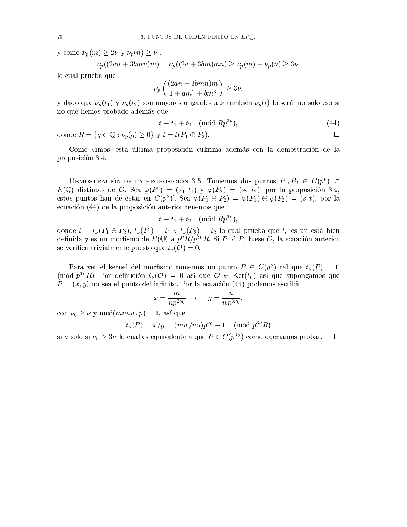y como  $\nu_p(m) \geq 2\nu$  y  $\nu_p(n) \geq \nu$ :

$$
\nu_p((2an + 3bmn)m) = \nu_p((2a + 3bm)mn) \ge \nu_p(m) + \nu_p(n) \ge 3\nu_p(m)
$$

lo cual prueba que

$$
\nu_p\left(\frac{(2an+3bmn)m}{1+am^2+bm^3}\right) \ge 3\nu
$$

y dado que  $\nu_p(t_1)$  y  $\nu_p(t_2)$  son mayores o iguales a  $\nu$  también  $\nu_p(t)$  lo será; no solo eso si no que hemos probado además que

$$
t \equiv t_1 + t_2 \pmod{Rp^{3\nu}},\tag{44}
$$

 $\Box$ 

donde  $R = \{q \in \mathbb{Q} : \nu_p(q) > 0\}$  y  $t = t(P_1 \oplus P_2)$ .

Como vimos, esta última proposición culmina además con la demostración de la proposición 3.4.

DEMOSTRACIÓN DE LA PROPOSICIÓN 3.5. Tomemos dos puntos  $P_1, P_2 \in C(p^{\nu}) \subset$  $E(\mathbb{Q})$  distintos de  $\mathcal{O}$ . Sea  $\varphi(P_1) = (s_1, t_1)$  y  $\varphi(P_2) = (s_2, t_2)$ , por la proposición 3.4, estos puntos han de estar en  $C(p^{\nu})'$ . Sea  $\varphi(P_1 \oplus P_2) = \varphi(P_1) \oplus \varphi(P_2) = (s,t)$ , por la ecuación (44) de la proposición anterior tenemos que

$$
t \equiv t_1 + t_2 \pmod{Rp^{3\nu}}
$$

donde  $t = t_{\nu}(P_1 \oplus P_2)$ ,  $t_{\nu}(P_1) = t_1$  y  $t_{\nu}(P_2) = t_2$  lo cual prueba que  $t_{\nu}$  es un está bien definida y es un morfismo de  $E(\mathbb{Q})$  a  $p^{\nu}R/p^{3\nu}R$ . Si  $P_1$  ó  $P_2$  fuese  $\mathcal{O}$ , la ecuación anterior se verifica trivialmente puesto que  $t_{\nu}(\mathcal{O})=0$ .

Para ver el kernel del morfismo tomemos un punto  $P \in C(p^{\nu})$  tal que  $t_{\nu}(P) = 0$ (mód  $p^{3\nu}R$ ). Por definición  $t_{\nu}(\mathcal{O})=0$  así que  $\mathcal{O} \in \text{Ker}(t_{\nu})$  así que supongamos que  $P=(x, y)$  no sea el punto del infinito. Por la ecuación (44) podemos escribir

$$
x = \frac{m}{np^{2\nu_0}} \qquad e \qquad y = \frac{u}{wp^{3\nu_0}}
$$

con  $\nu_0 \geq \nu$  y mcd $(mnu, p) = 1$ , así que

$$
t_{\nu}(P) = x/y = (mw/nu)p^{\nu_0} \equiv 0 \pmod{p^{3\nu}R}
$$

si y solo si  $\nu_0 \geq 3\nu$  lo cual es equivalente a que  $P \in C(p^{3\nu})$  como queriamos probar.  $\Box$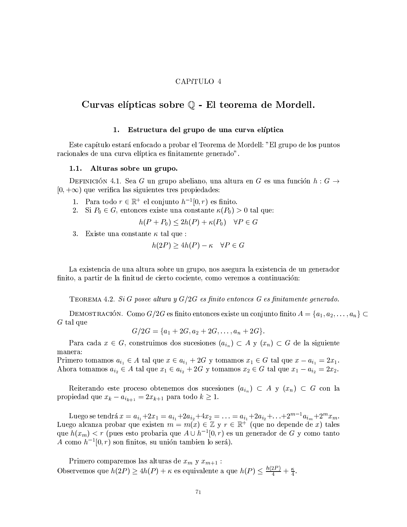### CAPíTULO 4

## Curvas elípticas sobre Q - El teorema de Mordell.

#### Estructura del grupo de una curva elíptica 1.

Este capítulo estará enfocado a probar el Teorema de Mordell: "El grupo de los puntos racionales de una curva elíptica es finitamente generado".

#### Alturas sobre un grupo.  $1.1.$

DEFINICIÓN 4.1. Sea G un grupo abeliano, una altura en G es una función  $h: G \rightarrow$  $[0, +\infty)$  que verifica las siguientes tres propiedades:

- 1. Para todo  $r \in \mathbb{R}^+$  el conjunto  $h^{-1}[0,r)$  es finito.
- 2. Si  $P_0 \in G$ , entonces existe una constante  $\kappa(P_0) > 0$  tal que:

$$
h(P + P_0) \le 2h(P) + \kappa(P_0) \quad \forall P \in G
$$

3. Existe una constante  $\kappa$  tal que :

$$
h(2P) \ge 4h(P) - \kappa \quad \forall P \in G
$$

La existencia de una altura sobre un grupo, nos asegura la existencia de un generador finito, a partir de la finitud de cierto cociente, como veremos a continuación:

TEOREMA 4.2. Si G posee altura y  $G/2G$  es finito entonces G es finitamente generado.

DEMOSTRACIÓN. Como  $G/2G$  es finito entonces existe un conjunto finito  $A = \{a_1, a_2, \ldots, a_n\} \subset$  $G$  tal que

$$
G/2G = \{a_1 + 2G, a_2 + 2G, \ldots, a_n + 2G\}.
$$

Para cada  $x \in G$ , construimos dos sucesiones  $(a_{i_n}) \subset A$  y  $(x_n) \subset G$  de la siguiente manera:

Primero tomamos  $a_{i_1} \in A$  tal que  $x \in a_{i_1} + 2G$  y tomamos  $x_1 \in G$  tal que  $x - a_{i_1} = 2x_1$ . Ahora tomamos  $a_{i_2} \in A$  tal que  $x_1 \in a_{i_2} + 2G$  y tomamos  $x_2 \in G$  tal que  $x_1 - a_{i_2} = 2x_2$ .

Reiterando este proceso obtenemos dos sucesiones  $(a_{i_n}) \subset A$  y  $(x_n) \subset G$  con la propiedad que  $x_k - a_{i_{k+1}} = 2x_{k+1}$  para todo  $k \geq 1$ .

Luego se tendrá  $x = a_{i_1} + 2x_1 = a_{i_1} + 2a_{i_2} + 4x_2 = \ldots = a_{i_1} + 2a_{i_2} + \ldots + 2^{m-1}a_{i_m} + 2^m x_m$ .<br>Luego alcanza probar que existen  $m = m(x) \in \mathbb{Z}$  y  $r \in \mathbb{R}^+$  (que no depende de x) tales que  $h(x_m) < r$  (pues esto probaria que  $A \cup h^{-1}[0,r)$  es un generador de G y como tanto A como  $h^{-1}[0,r)$  son finitos, su unión tambien lo será).

Primero comparemos las alturas de  $x_m$  y  $x_{m+1}$ : Observemos que  $h(2P) \ge 4h(P) + \kappa$  es equivalente a que  $h(P) \le \frac{h(2P)}{4} + \frac{\kappa}{4}$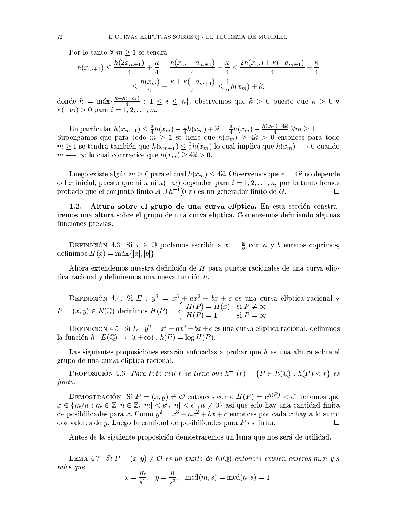Por lo tanto  $\forall m \geq 1$  se tendrá

$$
h(x_{m+1}) \le \frac{h(2x_{m+1})}{4} + \frac{\kappa}{4} = \frac{h(x_m - a_{m+1})}{4} + \frac{\kappa}{4} \le \frac{2h(x_m) + \kappa(-a_{m+1})}{4} + \frac{\kappa}{4}
$$

$$
\le \frac{h(x_m)}{2} + \frac{\kappa + \kappa(-a_{m+1})}{4} \le \frac{1}{2}h(x_m) + \widehat{\kappa},
$$

donde  $\hat{\kappa} = \max\{\frac{\kappa + \kappa(-a_i)}{4} : 1 \le i \le n\}$ , observemos que  $\hat{\kappa} > 0$  puesto que  $\kappa > 0$  y  $\kappa(-a_i) > 0$  para  $i = 1, 2, ..., m$ .

En particular  $h(x_{m+1}) \leq \frac{3}{4}h(x_m) - \frac{1}{4}h(x_m) + \hat{\kappa} = \frac{3}{4}h(x_m) - \frac{h(x_m) - 4\hat{\kappa}}{4}$   $\forall m \geq 1$ <br>Supongamos que para todo  $m \geq 1$  se tiene que  $h(x_m) \geq 4\hat{\kappa} > 0$  entonces para todo  $m \geq 1$  se tendrá también que  $h(x_{m+1}) \leq \frac{3}{4}h(x_m)$  lo cual implica que  $h(x_m) \longrightarrow 0$  cuando  $m \longrightarrow \infty$  lo cual contradice que  $h(x_m) \geq 4\hat{\kappa} > 0$ .

Luego existe algún  $m \geq 0$  para el cual  $h(x_m) \leq 4\hat{\kappa}$ . Observemos que  $r = 4\hat{\kappa}$  no depende del x inicial, puesto que ni  $\kappa$  ni  $\kappa(-a_i)$  dependen para  $i = 1, 2, ..., n$ , por lo tanto hemos probado que el conjunto finito  $A \cup h^{-1}[0,r)$  es un generador finito de G.  $\Box$ 

1.2. Altura sobre el grupo de una curva elíptica. En esta sección construiremos una altura sobre el grupo de una curva elíptica. Comenzemos definiendo algunas funciones previas:

DEFINICIÓN 4.3. Si  $x \in \mathbb{Q}$  podemos escribir a  $x = \frac{a}{b}$  con a y b enteros coprimos, definimos  $H(x) = \max\{|a|, |b|\}.$ 

Ahora extendemos nuestra definición de H para puntos racionales de una curva eliptica racional y definiremos una nueva función h.

DEFINICIÓN 4.4. Si  $E: y^2 = x^3 + ax^2 + bx + c$  es una curva elíptica racional y<br>  $P = (x, y) \in E(\mathbb{Q})$  definimos  $H(P) = \begin{cases} H(P) = H(x) & \text{si } P \neq \infty \\ H(P) = 1 & \text{si } P = \infty \end{cases}$ 

DEFINICIÓN 4.5. Si  $E: y^2 = x^3 + ax^2 + bx + c$  es una curva elíptica racional, definimos la función  $h: E(\mathbb{Q}) \to [0, +\infty) : h(P) = \log H(P)$ .

Las siguientes proposiciónes estarán enfocadas a probar que h es una altura sobre el grupo de una curva elíptica racional.

**PROPOSICIÓN** 4.6. Para todo real r se tiene que  $h^{-1}(r) = \{P \in E(\mathbb{Q}) : h(P) < r\}$  es finito.

DEMOSTRACIÓN. Si  $P = (x, y) \neq \mathcal{O}$  entonces como  $H(P) = e^{h(P)} < e^r$  tenemos que  $x \in \{m/n : m \in \mathbb{Z}, n \in \mathbb{Z}, |m| < e^r, |n| < e^r, n \neq 0\}$  asi que solo hay una cantidad finita<br>de posibilidades para x. Como  $y^2 = x^3 + ax^2 + bx + c$  entonces por cada x hay a lo sumo dos valores de  $\boldsymbol{v}$ . Luego la cantidad de posibilidades para  $\boldsymbol{P}$  es finita.  $\Box$ 

Antes de la siguiente proposición demostraremos un lema que nos será de utilidad.

LEMA 4.7. Si  $P = (x, y) \neq 0$  es un punto de  $E(\mathbb{Q})$  entonces existen enteros m, n y s tales que

$$
x = \frac{m}{s^2}
$$
,  $y = \frac{n}{s^3}$ ,  $mcd(m, s) = mcd(n, s) = 1$ .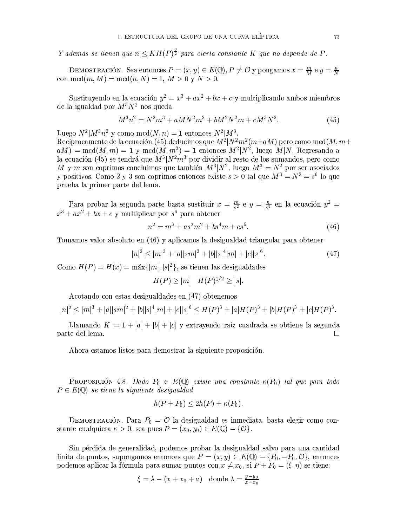Y además se tienen que  $n \leq KH(P)^{\frac{3}{2}}$  para cierta constante K que no depende de P.

DEMOSTRACIÓN. Sea entonces  $P = (x, y) \in E(\mathbb{Q}), P \neq \mathcal{O}$  y pongamos  $x = \frac{m}{M}$  e  $y = \frac{n}{N}$ con mcd $(m, M) = \text{mcd}(n, N) = 1, M > 0$  y  $N > 0$ .

Sustituyendo en la ecuación  $y^2 = x^3 + ax^2 + bx + c$  y multiplicando ambos miembros de la igualdad por  $M^3N^2$  nos queda

$$
M^{3}n^{2} = N^{2}m^{3} + aMN^{2}m^{2} + bM^{2}N^{2}m + cM^{3}N^{2}.
$$
 (45)

Luego  $N^2|M^3n^2$  y como mcd $(N, n) = 1$  entonces  $N^2|M^3$ . Recíprocamente de la ecuación (45) deducimos que  $M^2|N^2m^2(m+aM)$  pero como mcd $(M, m+aM)$  $aM$  = mcd $(M, m) = 1$  y mcd $(M, m^2) = 1$  entonces  $M^2|N^2$ , luego  $M|N$ . Regresando a la ecuación (45) se tendrá que  $M^3|N^2m^3$  por dividir al resto de los sumandos, pero como M y m son coprimos concluimos que también  $M^3|N^2$ , luego  $M^3 = N^2$  por ser asociados<br>y positivos. Como 2 y 3 son coprimos entonces existe  $s > 0$  tal que  $M^3 = N^2 = s^6$  lo que prueba la primer parte del lema.

Para probar la segunda parte basta sustituir  $x = \frac{m}{s^2}$  e  $y = \frac{n}{s^3}$  en la ecuación  $y^2 =$  $x^3 + ax^2 + bx + c$  y multiplicar por  $s^6$  para obtener

$$
n^2 = m^3 + as^2m^2 + bs^4m + cs^6.
$$
 (46)

Tomamos valor absoluto en (46) y aplicamos la desigualdad triangular para obtener

$$
|n|^2 \le |m|^3 + |a||sm|^2 + |b||s|^4|m| + |c||s|^6. \tag{47}
$$

Como  $H(P) = H(x) = \max\{|m|, |s|^2\}$ , se tienen las desigualdades

$$
H(P) \ge |m| \quad H(P)^{1/2} \ge |s|
$$

Acotando con estas desigualdades en (47) obtenemos

$$
|n|^2 \le |m|^3 + |a||sm|^2 + |b||s|^4|m| + |c||s|^6 \le H(P)^3 + |a|H(P)^3 + |b|H(P)^3 + |c|H(P)^3.
$$

Llamando  $K = 1 + |a| + |b| + |c|$  y extrayendo raíz cuadrada se obtiene la segunda parte del lema.  $\Box$ 

Ahora estamos listos para demostrar la siguiente proposición.

PROPOSICIÓN 4.8. Dado  $P_0 \in E(\mathbb{Q})$  existe una constante  $\kappa(P_0)$  tal que para todo  $P \in E(\mathbb{Q})$  se tiene la siquiente desigualdad

$$
h(P + P_0) \le 2h(P) + \kappa(P_0).
$$

DEMOSTRACIÓN. Para  $P_0 = \mathcal{O}$  la desigualdad es inmediata, basta elegir como constante cualquiera  $\kappa > 0$ , sea pues  $P = (x_0, y_0) \in E(\mathbb{Q}) - \{ \mathcal{O} \}.$ 

Sin pérdida de generalidad, podemos probar la desigualdad salvo para una cantidad finita de puntos, supongamos entonces que  $P = (x, y) \in E(\mathbb{Q}) - \{P_0, -P_0, \mathcal{O}\}\,$ entonces podemos aplicar la fórmula para sumar puntos con  $x \neq x_0$ , si  $P + P_0 = (\xi, \eta)$  se tiene:

$$
\xi = \lambda - (x + x_0 + a) \quad \text{donde } \lambda = \frac{y - y_0}{x - x_0}
$$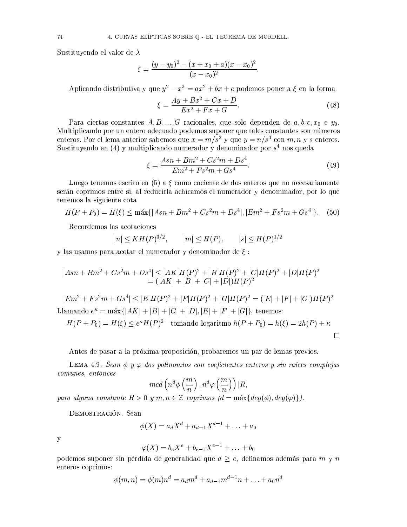Sustituyendo el valor de  $\lambda$ 

$$
\xi = \frac{(y - y_0)^2 - (x + x_0 + a)(x - x_0)^2}{(x - x_0)^2}
$$

Aplicando distributiva y que  $y^2 - x^3 = ax^2 + bx + c$  podemos poner a  $\xi$  en la forma

$$
\xi = \frac{Ay + Bx^2 + Cx + D}{Ex^2 + Fx + G}.\tag{48}
$$

Para ciertas constantes  $A, B, ..., G$  racionales, que solo dependen de  $a, b, c, x_0$  e  $y_0$ . Multiplicando por un entero adecuado podemos suponer que tales constantes son números enteros. Por el lema anterior sabemos que  $x = m/s^2$  y que  $y = n/s^3$  con m, n y s enteros. Sustituyendo en (4) y multiplicando numerador y denominador por  $s<sup>4</sup>$  nos queda

$$
\xi = \frac{Asn + Bm^2 + Cs^2m + Ds^4}{Em^2 + Fs^2m + Gs^4}.\tag{49}
$$

Luego tenemos escrito en  $(5)$  a  $\xi$  como cociente de dos enteros que no necesariamente serán coprimos entre si, al reducirla achicamos el numerador y denominador, por lo que tenemos la siguiente cota

$$
H(P + P_0) = H(\xi) \le \max\{|Asn + Bm^2 + Cs^2m + Ds^4|, |Em^2 + Fs^2m + Gs^4|\}.
$$
 (50)

Recordemos las acotaciones

$$
|n| \leq KH(P)^{3/2}, \qquad |m| \leq H(P), \qquad |s| \leq H(P)^{1/2}
$$

y las usamos para acotar el numerador y denominador de  $\xi$ :

$$
|Asn + Bm2 + Cs2m + Ds4| \le |AK|H(P)2 + |B|H(P)2 + |C|H(P)2 + |D|H(P)2
$$
  
= (|AK| + |B| + |C| + |D|)H(P)<sup>2</sup>

 $|Em^2 + Fs^2m + Gs^4| \leq |E|H(P)^2 + |F|H(P)^2 + |G|H(P)^2 = (|E| + |F| + |G|)H(P)^2$ Llamando  $e^{k} = \max\{|AK| + |B| + |C| + |D|, |E| + |F| + |G|\}$ , tenemos:

$$
H(P + P_0) = H(\xi) \le e^{\kappa} H(P)^2 \quad \text{tomando logarithno } h(P + P_0) = h(\xi) = 2h(P) + \kappa
$$

 $\Box$ 

Antes de pasar a la próxima proposición, probaremos un par de lemas previos.

LEMA 4.9. Sean  $\phi \, y \varphi$  dos polinomios con coeficientes enteros y sin raíces complejas comunes, entonces

$$
mcd\left(n^d\phi\left(\frac{m}{n}\right),n^d\varphi\left(\frac{m}{n}\right)\right)|R,
$$

para alguna constante  $R > 0$  y m,  $n \in \mathbb{Z}$  coprimos  $(d = \max\{deg(\phi), deg(\varphi)\}).$ 

DEMOSTRACIÓN. Sean

$$
\phi(X) = a_d X^d + a_{d-1} X^{d-1} + \ldots + a_0
$$

 $\mathbf y$ 

$$
\varphi(X) = b_e X^e + b_{e-1} X^{e-1} + \ldots + b_0
$$

podemos suponer sin pérdida de generalidad que  $d \geq e$ , definamos además para m y n enteros coprimos:

$$
\phi(m,n) = \phi(m)n^d = a_d m^d + a_{d-1} m^{d-1} n + \ldots + a_0 n^d
$$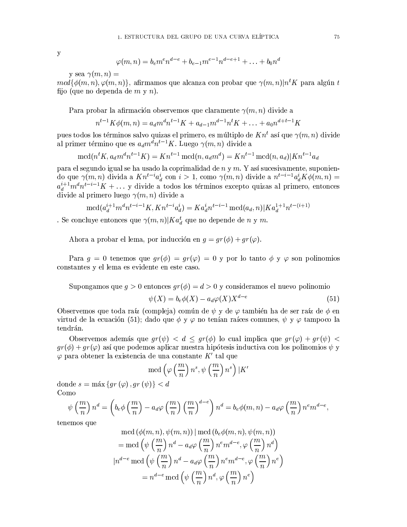$\mathbf y$ 

$$
\varphi(m,n) = b_e m^e n^{d-e} + b_{e-1} m^{e-1} n^{d-e+1} + \ldots + b_0 n^d
$$

y sea  $\gamma(m,n) =$ 

 $mcd{\phi(m,n),\phi(m,n)}$ , afirmamos que alcanza con probar que  $\gamma(m,n)|n^t K$  para algún t fijo (que no dependa de  $m \nvert y \nvert n$ ).

Para probar la afirmación observemos que claramente  $\gamma(m, n)$  divide a

$$
n^{t-1} K \phi(m, n) = a_d m^d n^{t-1} K + a_{d-1} m^{d-1} n^t K + \ldots + a_0 n^{d+t-1} K
$$

pues todos los términos salvo quizas el primero, es múltiplo de  $Kn<sup>t</sup>$  así que  $\gamma(m, n)$  divide al primer término que es  $a_d m^d n^{t-1} K$ . Luego  $\gamma(m, n)$  divide a

$$
\operatorname{mcd}(n^t K, a_d m^d n^{t-1} K) = K n^{t-1} \operatorname{mcd}(n, a_d m^d) = K n^{t-1} \operatorname{mcd}(n, a_d) | K n^{t-1} a_d |
$$

para el segundo igual se ha usado la coprimalidad de  $n \, y \, m$ . Y así sucesivamente, suponiendo que  $\gamma(m,n)$  divida a  $Kn^{t-i}a_d^i$  con  $i>1$ , como  $\gamma(m,n)$  divide a  $n^{t-i-1}a_d^iK\phi(m,n)$  $a_d^{i+1} m^d n^{t-i-1} K + \ldots$  y divide a todos los términos excepto quizas al primero, entonces divide al primero luego  $\gamma(m, n)$  divide a

$$
\operatorname{mcd}(a_d^{i+1}m^d n^{t-i-1}K, K n^{t-i} a_d^i) = K a_d^i n^{t-i-1} \operatorname{mcd}(a_d, n) |K a_d^{1+1} n^{t-(i+1)}
$$

. Se concluye entonces que  $\gamma(m,n)|Ka_d^t$  que no depende de n y m.

Ahora a probar el lema, por inducción en  $q = qr(\phi) + qr(\varphi)$ .

Para  $q = 0$  tenemos que  $qr(\phi) = qr(\varphi) = 0$  y por lo tanto  $\phi \circ \varphi$  son polinomios constantes y el lema es evidente en este caso.

Supongamos que  $q > 0$  entonces  $qr(\phi) = d > 0$  y consideramos el nuevo polinomio

$$
\psi(X) = b_e \phi(X) - a_d \varphi(X) X^{d-e} \tag{51}
$$

Observemos que toda raíz (compleja) común de  $\psi$  y de  $\varphi$  también ha de ser raíz de  $\phi$  en virtud de la ecuación (51); dado que  $\phi \vee \varphi$  no tenían raíces comunes,  $\psi \vee \varphi$  tampoco la tendrán.

Observemos además que  $qr(\psi) < d \leq qr(\phi)$  lo cual implica que  $qr(\varphi) + qr(\psi)$  $gr(\phi) + gr(\phi)$  así que podemos aplicar nuestra hipótesis inductiva con los polinomios  $\psi$  y  $\varphi$  para obtener la existencia de una constante K' tal que

$$
\mathrm{mcd}\left(\varphi\left(\frac{m}{n}\right)n^s, \psi\left(\frac{m}{n}\right)n^s\right)|K|
$$

donde  $s = \max \{qr(\varphi), qr(\psi)\} < d$ Como

$$
\psi\left(\frac{m}{n}\right)n^d = \left(b_e\phi\left(\frac{m}{n}\right) - a_d\varphi\left(\frac{m}{n}\right)\left(\frac{m}{n}\right)^{d-e}\right)n^d = b_e\phi(m,n) - a_d\varphi\left(\frac{m}{n}\right)n^e m^{d-e},
$$

tenemos que

$$
\operatorname{mcd}(\phi(m, n), \psi(m, n)) | \operatorname{mcd}(b_e \phi(m, n), \psi(m, n))
$$
\n
$$
= \operatorname{mcd}\left(\psi\left(\frac{m}{n}\right) n^d - a_d \varphi\left(\frac{m}{n}\right) n^e m^{d-e}, \varphi\left(\frac{m}{n}\right) n^d\right)
$$
\n
$$
n^{d-e} \operatorname{mcd}\left(\psi\left(\frac{m}{n}\right) n^d - a_d \varphi\left(\frac{m}{n}\right) n^e m^{d-e}, \varphi\left(\frac{m}{n}\right) n^e\right)
$$
\n
$$
= n^{d-e} \operatorname{mcd}\left(\psi\left(\frac{m}{n}\right) n^d, \varphi\left(\frac{m}{n}\right) n^e\right)
$$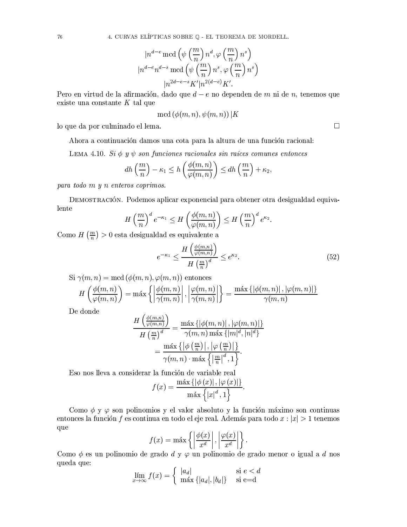$$
|n^{d-e} \bmod \left(\psi\left(\frac{m}{n}\right) n^d, \varphi\left(\frac{m}{n}\right) n^s\right) |n^{d-e}n^{d-s} \bmod \left(\psi\left(\frac{m}{n}\right) n^s, \varphi\left(\frac{m}{n}\right) n^s\right) |n^{2d-e-s} K'|n^{2(d-e)} K'.
$$

Pero en virtud de la afirmación, dado que  $d-e$  no dependen de m ni de n, tenemos que existe una constante  $K$  tal que

$$
\text{mcd}\left(\phi(m,n),\psi(m,n)\right)|K
$$

lo que da por culminado el lema.

Ahora a continuación damos una cota para la altura de una función racional:

LEMA 4.10. Si  $\phi$  y  $\psi$  son funciones racionales sin raíces comunes entonces

$$
dh\left(\frac{m}{n}\right) - \kappa_1 \le h\left(\frac{\phi(m,n)}{\varphi(m,n)}\right) \le dh\left(\frac{m}{n}\right) + \kappa_2
$$

 $para$  todo  $m$   $y$   $n$  enteros coprimos.

DEMOSTRACIÓN. Podemos aplicar exponencial para obtener otra desigualdad equivalente

$$
H\left(\frac{m}{n}\right)^d e^{-\kappa_1} \le H\left(\frac{\phi(m,n)}{\varphi(m,n)}\right) \le H\left(\frac{m}{n}\right)^d e^{\kappa_2}
$$

Como  $H\left(\frac{m}{n}\right) > 0$  esta desigualdad es equivalente a

$$
e^{-\kappa_1} \le \frac{H\left(\frac{\phi(m,n)}{\varphi(m,n)}\right)}{H\left(\frac{m}{n}\right)^d} \le e^{\kappa_2}.\tag{52}
$$

Si  $\gamma(m, n) = \text{mcd}(\phi(m, n), \varphi(m, n))$  entonces

$$
H\left(\frac{\phi(m,n)}{\varphi(m,n)}\right) = \max\left\{ \left|\frac{\phi(m,n)}{\gamma(m,n)}\right|, \left|\frac{\varphi(m,n)}{\gamma(m,n)}\right|\right\} = \frac{\max\left\{ |\phi(m,n)|, |\varphi(m,n)| \right\}}{\gamma(m,n)}
$$

De donde

$$
\frac{H\left(\frac{\phi(m,n)}{\varphi(m,n)}\right)}{H\left(\frac{m}{n}\right)^d} = \frac{\max\left\{ |\phi(m,n)| \, , |\varphi(m,n)| \right\}}{\gamma(m,n) \max\left\{ |m|^d, |n|^d \right\}}
$$

$$
= \frac{\max\left\{ \left| \phi\left(\frac{m}{n}\right) \right| , \left| \varphi\left(\frac{m}{n}\right) \right| \right\}}{\gamma(m,n) \cdot \max\left\{ \left| \frac{m}{n} \right|^{d}, 1 \right\}}.
$$

Eso nos lleva a considerar la función de variable real

$$
f(x) = \frac{\max \{ |\phi(x)|, |\varphi(x)| \}}{\max \{ |x|^{d}, 1 \}}.
$$

Como  $\phi$  y  $\varphi$  son polinomios y el valor absoluto y la función máximo son continuas entonces la función f es continua en todo el eje real. Además para todo  $x : |x| > 1$  tenemos que

$$
f(x) = \max \left\{ \left| \frac{\phi(x)}{x^d} \right|, \left| \frac{\varphi(x)}{x^d} \right| \right\}.
$$

Como  $\phi$  es un polinomio de grado  $d \gamma \varphi$  un polinomio de grado menor o igual a d nos queda que:

$$
\lim_{x \to \infty} f(x) = \begin{cases} |a_d| & \text{si } e < d \\ \max \{ |a_d|, |b_d| \} & \text{si } e = d \end{cases}
$$

 $\Box$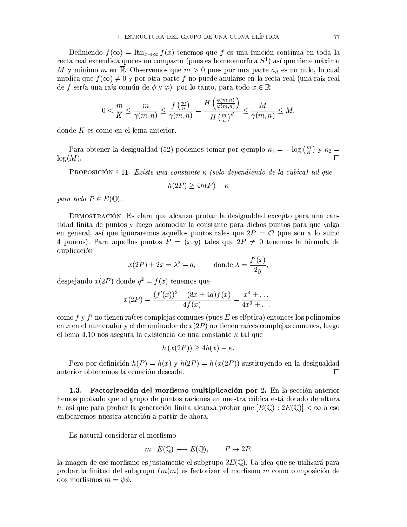Definiendo  $f(\infty) = \lim_{x\to\infty} f(x)$  tenemos que f es una función continua en toda la recta real extendida que es un compacto (pues es homeomorfo a  $S^1$ ) así que tiene máximo M y mínimo m en  $\overline{\mathbb{R}}$ . Observemos que  $m > 0$  pues por una parte  $a_d$  es no nulo, lo cual implica que  $f(\infty) \neq 0$  y por otra parte f no puede anularse en la recta real (una raíz real de f sería una raíz común de  $\phi$  y  $\varphi$ ), por lo tanto, para todo  $x \in \mathbb{R}$ .

$$
0<\frac{m}{K}\leq \frac{m}{\gamma(m,n)}\leq \frac{f\left(\frac{m}{n}\right)}{\gamma(m,n)}=\frac{H\left(\frac{\phi(m,n)}{\varphi(m,n)}\right)}{H\left(\frac{m}{n}\right)^d}\leq \frac{M}{\gamma(m,n)}\leq M,
$$

donde  $K$  es como en el lema anterior.

Para obtener la desigualdad (52) podemos tomar por ejemplo  $\kappa_1 = -\log\left(\frac{m}{K}\right)$  y  $\kappa_2 =$  $log(M).$ 

PROPOSICIÓN 4.11. Existe una constante  $\kappa$  (solo dependiendo de la cúbica) tal que

$$
h(2P) \ge 4h(P) - \kappa
$$

para todo  $P \in E(\mathbb{Q})$ .

DEMOSTRACIÓN. Es claro que alcanza probar la desigualdad excepto para una cantidad finita de puntos y luego acomodar la constante para dichos puntos para que valga en general, así que ignoraremos aquellos puntos tales que  $2P = \mathcal{O}$  (que son a lo sumo 4 puntos). Para aquellos puntos  $P = (x, y)$  tales que  $2P \neq 0$  tenemos la fórmula de duplicación

$$
x(2P) + 2x = \lambda^2 - a, \qquad \text{donde } \lambda = \frac{f'(x)}{2y}
$$

despejando  $x(2P)$  donde  $y^2 = f(x)$  tenemos que

$$
x(2P) = \frac{(f'(x))^2 - (8x + 4a)f(x)}{4f(x)} = \frac{x^4 + \dots}{4x^3 + \dots},
$$

como f y f' no tienen raíces complejas comunes (pues E es elíptica) entonces los polinomios en x en el numerador y el denominador de  $x(2P)$  no tienen raíces complejas comunes, luego el lema 4.10 nos asegura la existencia de una constante  $\kappa$  tal que

$$
h(x(2P)) \ge 4h(x) - \kappa
$$

Pero por definición  $h(P) = h(x)$  y  $h(2P) = h(x(2P))$  sustituyendo en la desigualdad anterior obtenemos la ecuación deseada.  $\Box$ 

Factorización del morfismo multiplicación por 2. En la sección anterior  $1.3.$ hemos probado que el grupo de puntos raciones en nuestra cúbica está dotado de altura h, así que para probar la generación finita alcanza probar que  $[E(\mathbb{Q}) : 2E(\mathbb{Q})] < \infty$  a eso enfocaremos nuestra atención a partir de ahora.

Es natural considerar el morfismo

$$
m: E(\mathbb{Q}) \longrightarrow E(\mathbb{Q}), \qquad P \mapsto 2P,
$$

la imagen de ese morfismo es justamente el subgrupo  $2E(\mathbb{Q})$ . La idea que se utilizará para probar la finitud del subgrupo  $Im(m)$  es factorizar el morfismo m como composición de dos morfismos  $m = \psi \phi$ .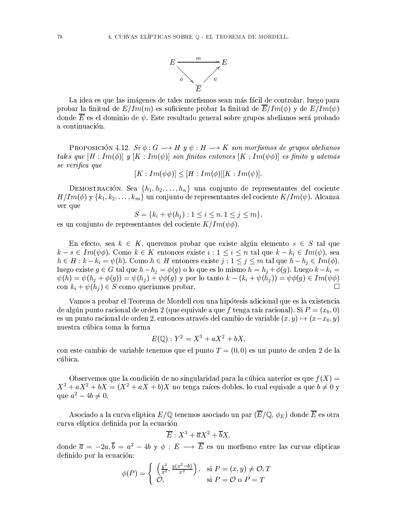

La idea es que las imágenes de tales morfismos sean más fácil de controlar, luego para probar la finitud de  $E/Im(m)$  es suficiente probar la finitud de  $\overline{E}/Im(\phi)$  y de  $E/Im(\psi)$ donde  $\overline{E}$  es el dominio de  $\psi$ . Este resultado general sobre grupos abelianos será probado a continuación.

**PROPOSICIÓN** 4.12. Si  $\phi: G \longrightarrow H$  y  $\psi: H \longrightarrow K$  son morfismos de grupos abelianos tales que  $[H:Im(\phi)]$  y  $[K:Im(\psi)]$  son finitos entonces  $[K:Im(\psi\phi)]$  es finito y además se verifica que

 $[K: Im(\psi \phi)] < [H: Im(\phi)][K: Im(\psi)].$ 

DEMOSTRACIÓN. Sea  $\{h_1, h_2, \ldots, h_n\}$  una conjunto de representantes del cociente  $H/Im(\phi)$  y  $\{k_1, k_2, \ldots, k_m\}$  un conjunto de representantes del cociente  $K/Im(\psi)$ . Alcanza ver que

 $S = \{k_i + \psi(h_i) : 1 \leq i \leq n, 1 \leq j \leq m\},\$ 

es un conjunto de representantes del cociente  $K/Im(\psi\phi)$ .

En efecto, sea  $k \in K$ , queremos probar que existe algún elemento  $s \in S$  tal que  $k-s \in Im(\psi \phi)$ . Como  $k \in K$  entonces existe  $i: 1 \leq i \leq n$  tal que  $k - k_i \in Im(\psi)$ , sea  $h \in H : k - k_i = \psi(h)$ . Como  $h \in H$  entonces existe  $j : 1 \leq j \leq m$  tal que  $h - h_j \in Im(\phi)$ , luego existe  $g \in G$  tal que  $h - h_j = \phi(g)$  o lo que es lo mismo  $h = h_j + \phi(g)$ . Luego  $k - k_i =$  $\psi(h) = \psi(h_i + \phi(g)) = \psi(h_i) + \psi(\phi(g))$  y por lo tanto  $k - (k_i + \psi(h_i)) = \psi(\phi(g)) \in Im(\psi(\phi))$ con  $k_i + \psi(h_i) \in S$  como queriamos probar.  $\sqrt{ }$ 

Vamos a probar el Teorema de Mordell con una hipótesis adicional que es la existencia de algún punto racional de orden 2 (que equivale a que f tenga raíz racional). Si  $P=(x_0,0)$ es un punto racional de orden 2, entonces através del cambio de variable  $(x, y) \mapsto (x-x_0, y)$ nuestra cúbica toma la forma

$$
E(\mathbb{Q}): Y^2 = X^3 + aX^2 + bX
$$

con este cambio de variable tenemos que el punto  $T = (0,0)$  es un punto de orden 2 de la cúbica.

Observemos que la condición de no singularidad para la cúbica anterior es que  $f(X)$  $X^3 + aX^2 + bX = (X^2 + aX + b)X$  no tenga raíces dobles, lo cual equivale a que  $b \neq 0$  y que  $a^2 - 4b \neq 0$ .

Asociado a la curva elíptica  $E/\mathbb{Q}$  tenemos asociado un par  $(\overline{E}/\mathbb{Q}, \phi_E)$  donde  $\overline{E}$  es otra curva elíptica definida por la ecuación

$$
\overline{E}: X^3 + \overline{a}X^2 + \overline{b}X,
$$

donde  $\overline{a} = -2a$ ,  $\overline{b} = a^2 - 4b$  y  $\phi : E \longrightarrow \overline{E}$  es un morfismo entre las curvas elípticas definido por la ecuación:

$$
\phi(P) = \begin{cases} \left(\frac{y^2}{x^2}, \frac{y(x^2 - b)}{x^2}\right), & \text{si } P = (x, y) \neq \mathcal{O}, T \\ \mathcal{O}, & \text{si } P = \mathcal{O} \text{ o } P = T \end{cases}
$$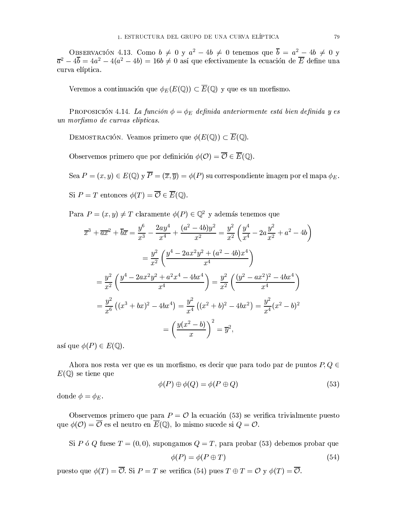OBSERVACIÓN 4.13. Como  $b \neq 0$  y  $a^2 - 4b \neq 0$  tenemos que  $\overline{b} = a^2 - 4b \neq 0$  y  $\overline{a}^2 - 4\overline{b} = 4a^2 - 4(a^2 - 4b) = 16b \neq 0$  así que efectivamente la ecuación de  $\overline{E}$  define una curva elíptica.

Veremos a continuación que  $\phi_E(E(\mathbb{Q})) \subset \overline{E}(\mathbb{Q})$  y que es un morfismo.

PROPOSICIÓN 4.14. La función  $\phi = \phi_E$  definida anteriormente está bien definida y es un morfismo de curvas elípticas.

DEMOSTRACIÓN. Veamos primero que  $\phi(E(\mathbb{Q})) \subset \overline{E}(\mathbb{Q})$ .

Observemos primero que por definición  $\phi(\mathcal{O}) = \overline{\mathcal{O}} \in \overline{E}(\mathbb{Q})$ .

Sea  $P = (x, y) \in E(\mathbb{Q})$  y  $\overline{P} = (\overline{x}, \overline{y}) = \phi(P)$  su correspondiente imagen por el mapa  $\phi_E$ . Si  $P = T$  entonces  $\phi(T) = \overline{\mathcal{O}} \in \overline{E}(\mathbb{Q}).$ 

Para  $P = (x, y) \neq T$  claramente  $\phi(P) \in \mathbb{Q}^2$  y además tenemos que

$$
\overline{x}^{3} + \overline{ax}^{2} + \overline{b}\overline{x} = \frac{y^{6}}{x^{3}} - \frac{2ay^{4}}{x^{4}} + \frac{(a^{2} - 4b)y^{2}}{x^{2}} = \frac{y^{2}}{x^{2}} \left(\frac{y^{4}}{x^{4}} - 2a\frac{y^{2}}{x^{2}} + a^{2} - 4b\right)
$$

$$
= \frac{y^{2}}{x^{2}} \left(\frac{y^{4} - 2ax^{2}y^{2} + (a^{2} - 4b)x^{4}}{x^{4}}\right)
$$

$$
= \frac{y^{2}}{x^{2}} \left(\frac{y^{4} - 2ax^{2}y^{2} + a^{2}x^{4} - 4bx^{4}}{x^{4}}\right) = \frac{y^{2}}{x^{2}} \left(\frac{(y^{2} - ax^{2})^{2} - 4bx^{4}}{x^{4}}\right)
$$

$$
= \frac{y^{2}}{x^{6}} \left((x^{3} + bx)^{2} - 4bx^{4}\right) = \frac{y^{2}}{x^{4}} \left((x^{2} + b)^{2} - 4bx^{2}\right) = \frac{y^{2}}{x^{4}}(x^{2} - b)^{2}
$$

$$
= \left(\frac{y(x^{2} - b)}{x}\right)^{2} = \overline{y}^{2},
$$

así que  $\phi(P) \in E(\mathbb{Q})$ .

Ahora nos resta ver que es un morfismo, es decir que para todo par de puntos  $P, Q \in$  $E(\mathbb{Q})$  se tiene que

$$
\phi(P) \oplus \phi(Q) = \phi(P \oplus Q) \tag{53}
$$

donde  $\phi = \phi_E$ .

Observemos primero que para  $P = \mathcal{O}$  la ecuación (53) se verifica trivialmente puesto que  $\phi(\mathcal{O}) = \overline{\mathcal{O}}$  es el neutro en  $\overline{E}(\mathbb{Q})$ , lo mismo sucede si  $Q = \mathcal{O}$ .

Si P ó Q fuese  $T = (0,0)$ , supongamos  $Q = T$ , para probar (53) debemos probar que

$$
\phi(P) = \phi(P \oplus T) \tag{54}
$$

puesto que  $\phi(T) = \overline{\mathcal{O}}$ . Si  $P = T$  se verifica (54) pues  $T \oplus T = \mathcal{O}$  y  $\phi(T) = \overline{\mathcal{O}}$ .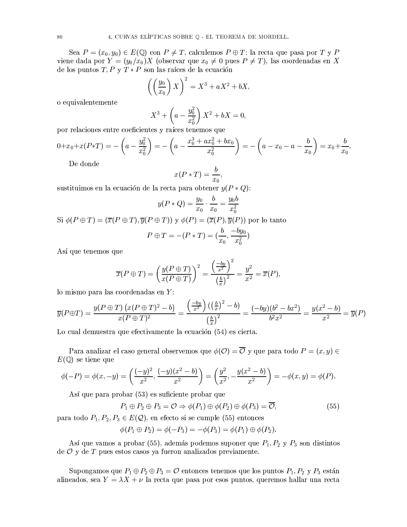Sea  $P = (x_0, y_0) \in E(\mathbb{Q})$  con  $P \neq T$ , calculemos  $P \oplus T$ : la recta que pasa por T y P viene dada por  $Y = (y_0/x_0)X$  (observar que  $x_0 \neq 0$  pues  $P \neq T$ ), las coordenadas en X de los puntos  $T, P, Y, T * P$  son las raíces de la ecuación

$$
\left(\left(\frac{y_0}{x_0}\right)X\right)^2 = X^3 + aX^2 + bX,
$$

o equivalentemente

$$
X^{3} + \left(a - \frac{y_{0}^{2}}{x_{0}^{2}}\right)X^{2} + bX = 0,
$$

por relaciones entre coeficientes y raíces tenemos que

$$
0+x_0+x(P*T)=-\left(a-\frac{y_0^2}{x_0^2}\right)=-\left(a-\frac{x_0^3+ax_0^2+bx_0}{x_0^2}\right)=-\left(a-x_0-a-\frac{b}{x_0}\right)=x_0+\frac{b}{x_0}
$$

De donde

$$
x(P*T) = \frac{b}{x_0},
$$

sustituimos en la ecuación de la recta para obtener  $y(P \ast Q)$ :

$$
y(P*Q) = \frac{y_0}{x_0} \cdot \frac{b}{x_0} = \frac{y_0 b}{x_0^2}
$$

Si  $\phi(P \oplus T) = (\overline{x}(P \oplus T), \overline{y}(P \oplus T))$  y  $\phi(P) = (\overline{x}(P), \overline{y}(P))$  por lo tanto

$$
P \oplus T = -(P * T) = (\frac{b}{x_0}, \frac{-by_0}{x_0^2})
$$

Así que tenemos que

$$
\overline{x}(P \oplus T) = \left(\frac{y(P \oplus T)}{x(P \oplus T)}\right)^2 = \frac{\left(\frac{-by}{x^2}\right)^2}{\left(\frac{b}{x}\right)^2} = \frac{y^2}{x^2} = \overline{x}(P),
$$

 $\lambda$  $\sim 100$  km s  $^{-1}$ 

lo mismo para las coordenadas en Y:

$$
\overline{y}(P \oplus T) = \frac{y(P \oplus T) (x(P \oplus T)^2 - b)}{x(P \oplus T)^2} = \frac{\left(\frac{-by}{x^2}\right) \left(\left(\frac{b}{x}\right)^2 - b\right)}{\left(\frac{b}{x}\right)^2} = \frac{(-by)(b^2 - bx^2)}{b^2 x^2} = \frac{y(x^2 - b)}{x^2} = \overline{y}(P)
$$

Lo cual demuestra que efectivamente la ecuación (54) es cierta.

Para analizar el caso general observemos que  $\phi(\mathcal{O}) = \overline{\mathcal{O}}$  y que para todo  $P = (x, y) \in$  $E(\mathbb{Q})$  se tiene que

$$
\phi(-P) = \phi(x, -y) = \left(\frac{(-y)^2}{x^2}, \frac{(-y)(x^2 - b)}{x^2}\right) = \left(\frac{y^2}{x^2}, -\frac{y(x^2 - b)}{x^2}\right) = -\phi(x, y) = \phi(P).
$$

Así que para probar (53) es suficiente probar que

$$
P_1 \oplus P_2 \oplus P_3 = \mathcal{O} \Rightarrow \phi(P_1) \oplus \phi(P_2) \oplus \phi(P_3) = \overline{\mathcal{O}},\tag{55}
$$

para todo  $P_1, P_2, P_3 \in E(\mathcal{Q})$ , en efecto si se cumple (55) entonces

$$
\phi(P_1 \oplus P_2) = \phi(-P_3) = -\phi(P_3) = \phi(P_1) \oplus \phi(P_2).
$$

Así que vamos a probar (55), además podemos suponer que  $P_1, P_2$  y  $P_3$  son distintos de  $\mathcal O$  y de T pues estos casos ya fueron analizados previamente.

Supongamos que  $P_1 \oplus P_2 \oplus P_3 = \mathcal{O}$  entonces tenemos que los puntos  $P_1, P_2$  y  $P_3$  están alineados, sea  $Y = \lambda X + \nu$  la recta que pasa por esos puntos, queremos hallar una recta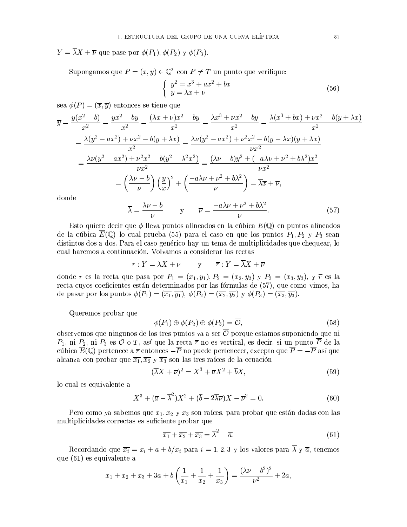$Y = \overline{\lambda}X + \overline{\nu}$  que pase por  $\phi(P_1), \phi(P_2)$  y  $\phi(P_3)$ .

Supongamos que  $P = (x, y) \in \mathbb{Q}^2$  con  $P \neq T$  un punto que verifique:

$$
\begin{cases}\n y^2 = x^3 + ax^2 + bx \\
 y = \lambda x + \nu\n\end{cases}
$$
\n(56)

sea  $\phi(P) = (\overline{x}, \overline{y})$  entonces se tiene que

$$
\overline{y} = \frac{y(x^2 - b)}{x^2} = \frac{yx^2 - by}{x^2} = \frac{(\lambda x + \nu)x^2 - by}{x^2} = \frac{\lambda x^3 + \nu x^2 - by}{x^2} = \frac{\lambda(x^3 + bx) + \nu x^2 - b(y + \lambda x)}{x^2}
$$

$$
= \frac{\lambda(y^2 - ax^2) + \nu x^2 - b(y + \lambda x)}{x^2} = \frac{\lambda \nu(y^2 - ax^2) + \nu^2 x^2 - b(y - \lambda x)(y + \lambda x)}{\nu x^2}
$$

$$
= \frac{\lambda \nu(y^2 - ax^2) + \nu^2 x^2 - b(y^2 - \lambda^2 x^2)}{\nu x^2} = \frac{(\lambda \nu - b)y^2 + (-a\lambda \nu + \nu^2 + b\lambda^2)x^2}{\nu x^2}
$$

$$
= \left(\frac{\lambda \nu - b}{\nu}\right) \left(\frac{y}{x}\right)^2 + \left(\frac{-a\lambda \nu + \nu^2 + b\lambda^2}{\nu}\right) = \overline{\lambda x} + \overline{\nu},
$$
donde

$$
\overline{\lambda} = \frac{\lambda \nu - b}{\nu} \qquad \text{y} \qquad \overline{\nu} = \frac{-a\lambda \nu + \nu^2 + b\lambda^2}{\nu}.
$$
 (57)

Esto quiere decir que  $\phi$  lleva puntos alineados en la cúbica  $E(\mathbb{Q})$  en puntos alineados de la cúbica  $\overline{E}(\mathbb{Q})$  lo cual prueba (55) para el caso en que los puntos  $P_1, P_2 \vee P_3$  sean distintos dos a dos. Para el caso genérico hay un tema de multiplicidades que chequear, lo cual haremos a continuación. Volvamos a considerar las rectas

$$
r: Y = \lambda X + \nu \qquad \text{y} \qquad \overline{r}: Y = \overline{\lambda}X + \overline{\nu}
$$

donde r es la recta que pasa por  $P_1 = (x_1, y_1), P_2 = (x_2, y_2)$  y  $P_3 = (x_3, y_3),$  y  $\bar{r}$  es la recta cuyos coeficientes están determinados por las fórmulas de (57), que como vimos, ha de pasar por los puntos  $\phi(P_1) = (\overline{x_1}, \overline{y_1})$ ,  $\phi(P_2) = (\overline{x_2}, \overline{y_2})$  y  $\phi(P_3) = (\overline{x_3}, \overline{y_3})$ .

Queremos probar que

$$
\phi(P_1) \oplus \phi(P_2) \oplus \phi(P_3) = \overline{\mathcal{O}},\tag{58}
$$

observemos que ningunos de los tres puntos va a ser  $\overline{\mathcal{O}}$  porque estamos suponiendo que ni  $P_1$ , ni  $P_2$ , ni  $P_3$  es  $\overline{\mathcal{O}}$  o T, así que la recta  $\overline{r}$  no es vertical, es decir, si un punto  $\overline{P}$  de la cúbica  $\overline{E}(\mathbb{Q})$  pertenece a  $\overline{r}$  entonces  $-\overline{P}$  no puede pertenecer, excepto que  $\overline{P} = -\overline{P}$  así que alcanza con probar que  $\overline{x_1}, \overline{x_2}$  y  $\overline{x_3}$  son las tres raíces de la ecuación

$$
(\overline{\lambda}X + \overline{\nu})^2 = X^3 + \overline{a}X^2 + \overline{b}X,\tag{59}
$$

lo cual es equivalente a

$$
X^{3} + (\overline{a} - \overline{\lambda}^{2})X^{2} + (\overline{b} - 2\overline{\lambda}\overline{\nu})X - \overline{\nu}^{2} = 0.
$$
 (60)

Pero como ya sabemos que  $x_1, x_2, y_3$  son raíces, para probar que están dadas con las multiplicidades correctas es suficiente probar que

$$
\overline{x_1} + \overline{x_2} + \overline{x_3} = \overline{\lambda}^2 - \overline{a}.\tag{61}
$$

Recordando que  $\overline{x_i} = x_i + a + b/x_i$  para  $i = 1, 2, 3$  y los valores para  $\overline{\lambda}$  y  $\overline{a}$ , tenemos que (61) es equivalente a

$$
x_1 + x_2 + x_3 + 3a + b\left(\frac{1}{x_1} + \frac{1}{x_2} + \frac{1}{x_3}\right) = \frac{(\lambda\nu - b^2)^2}{\nu^2} + 2a,
$$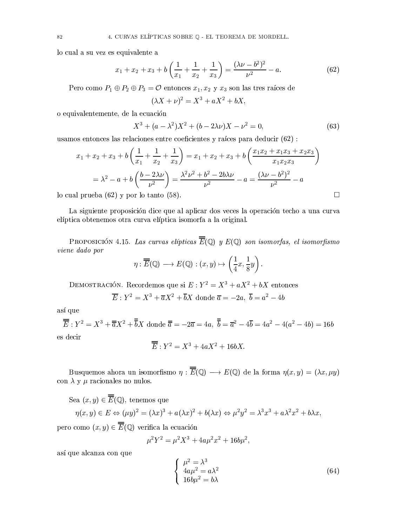lo cual a su vez es equivalente a

$$
x_1 + x_2 + x_3 + b\left(\frac{1}{x_1} + \frac{1}{x_2} + \frac{1}{x_3}\right) = \frac{(\lambda\nu - b^2)^2}{\nu^2} - a.
$$
 (62)

Pero como  $P_1 \oplus P_2 \oplus P_3 = \mathcal{O}$  entonces  $x_1, x_2$  y  $x_3$  son las tres raíces de

$$
(\lambda X + \nu)^2 = X^3 + aX^2 + bX,
$$

o equivalentemente, de la ecuación

$$
X^{3} + (a - \lambda^{2})X^{2} + (b - 2\lambda\nu)X - \nu^{2} = 0,
$$
\n(63)

usamos entonces las relaciones entre coeficientes y raíces para deducir (62) :

$$
x_1 + x_2 + x_3 + b\left(\frac{1}{x_1} + \frac{1}{x_2} + \frac{1}{x_3}\right) = x_1 + x_2 + x_3 + b\left(\frac{x_1x_2 + x_1x_3 + x_2x_3}{x_1x_2x_3}\right)
$$
  
=  $\lambda^2 - a + b\left(\frac{b - 2\lambda\nu}{\nu^2}\right) = \frac{\lambda^2\nu^2 + b^2 - 2b\lambda\nu}{\nu^2} - a = \frac{(\lambda\nu - b^2)^2}{\nu^2} - a$   
1 prueba (62) v por lo tanto (58).

lo cual prueba  $(62)$  y por lo tanto  $(58)$ .

La siguiente proposición dice que al aplicar dos veces la operación techo a una curva elíptica obtenemos otra curva elíptica isomorfa a la original.

PROPOSICIÓN 4.15. Las curvas elípticas  $\overline{\overline{E}}(\mathbb{Q})$  y  $E(\mathbb{Q})$  son isomorfas, el isomorfismo viene dado por

$$
\eta : \overline{\overline{E}}(\mathbb{Q}) \longrightarrow E(\mathbb{Q}) : (x, y) \mapsto \left(\frac{1}{4}x, \frac{1}{8}y\right).
$$

DEMOSTRACIÓN. Recordemos que si  $E: Y^2 = X^3 + aX^2 + bX$  entonces

$$
\overline{E}: Y^2 = X^3 + \overline{a}X^2 + \overline{b}X
$$
 donde  $\overline{a} = -2a, \overline{b} = a^2 - 4b$ 

así que

$$
\overline{\overline{E}}: Y^2 = X^3 + \overline{a}X^2 + \overline{b}X \text{ donde } \overline{a} = -2\overline{a} = 4a, \ \overline{b} = \overline{a}^2 - 4\overline{b} = 4a^2 - 4(a^2 - 4b) = 16b
$$
  
es decir

$$
\overline{E}: Y^2 = X^3 + 4aX^2 + 16bX.
$$

Busquemos ahora un isomorfismo  $\eta : \overline{\overline{E}}(\mathbb{Q}) \longrightarrow E(\mathbb{Q})$  de la forma  $\eta(x, y) = (\lambda x, \mu y)$ con  $\lambda$  y  $\mu$  racionales no nulos.

Sea  $(x, y) \in \overline{\overline{E}}(\mathbb{Q})$ , tenemos que

$$
\eta(x, y) \in E \Leftrightarrow (\mu y)^2 = (\lambda x)^3 + a(\lambda x)^2 + b(\lambda x) \Leftrightarrow \mu^2 y^2 = \lambda^3 x^3 + a \lambda^2 x^2 + b \lambda x,
$$

pero como  $(x, y) \in \overline{E}(\mathbb{Q})$  verifica la ecuación

$$
\mu^2 Y^2 = \mu^2 X^3 + 4a\mu^2 x^2 + 16b\mu^2,
$$

así que alcanza con que

$$
\begin{cases}\n\mu^2 = \lambda^3 \\
4a\mu^2 = a\lambda^2 \\
16b\mu^2 = b\lambda\n\end{cases}
$$
\n(64)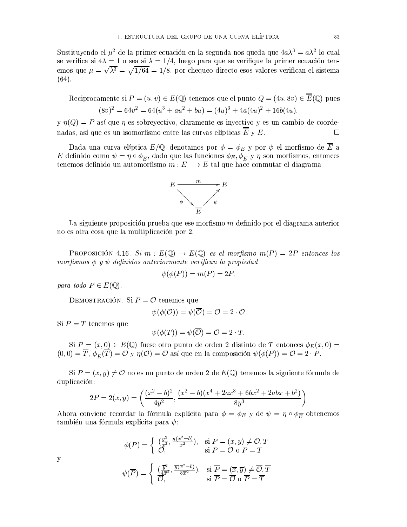Sustituyendo el  $\mu^2$  de la primer ecuación en la segunda nos queda que  $4a\lambda^3 = a\lambda^2$  lo cual se verifica si  $4\lambda = 1$  o sea si  $\lambda = 1/4$ , luego para que se verifique la primer ecuación tenemos que  $\mu = \sqrt{\lambda^3} = \sqrt{1/64} = 1/8$ , por chequeo directo esos valores verifican el sistema

Reciprocamente si  $P = (u, v) \in E(\mathbb{Q})$  tenemos que el punto  $Q = (4u, 8v) \in \overline{E}(\mathbb{Q})$  pues  $(8v)^2 = 64v^2 = 64(u^3 + au^2 + bu) = (4u)^3 + 4a(4u)^2 + 16b(4u),$ 

 $\gamma$   $\eta(Q) = P$  así que  $\eta$  es sobrevectivo, claramente es invectivo y es un cambio de coordenadas, así que es un isomorfismo entre las curvas elípticas  $\overline{\overline{E}}$  y E.  $\Box$ 

Dada una curva elíptica  $E/\mathbb{Q}$ , denotamos por  $\phi = \phi_E$  y por  $\psi$  el morfismo de  $\overline{E}$  a E definido como  $\psi = \eta \circ \phi_{\overline{E}}$ , dado que las funciones  $\phi_E, \phi_{\overline{E}}$  y  $\eta$  son morfismos, entonces tenemos definido un automorfismo  $m: E \longrightarrow E$  tal que hace conmutar el diagrama



La siguiente proposición prueba que ese morfismo m definido por el diagrama anterior no es otra cosa que la multiplicación por 2.

PROPOSICIÓN 4.16. Si  $m : E(\mathbb{Q}) \to E(\mathbb{Q})$  es el morfismo  $m(P) = 2P$  entonces los morfismos  $\phi$  y  $\psi$  definidos anteriormente verifican la propiedad

$$
\phi(\phi(P)) = m(P) = 2P,
$$

para todo  $P \in E(\mathbb{Q})$ .

DEMOSTRACIÓN. Si  $P = \mathcal{O}$  tenemos que

$$
\psi(\phi(\mathcal{O})) = \psi(\overline{\mathcal{O}}) = \mathcal{O} = 2 \cdot \mathcal{O}
$$

Si  $P = T$  tenemos que

$$
\psi(\phi(T)) = \psi(\overline{\mathcal{O}}) = \mathcal{O} = 2 \cdot T
$$

Si  $P = (x, 0) \in E(\mathbb{Q})$  fuese otro punto de orden 2 distinto de T entonces  $\phi_E(x, 0) =$  $(0,0) = \overline{T}, \ \phi_{\overline{F}}(\overline{T}) = \overline{O} \ \overline{y} \ \eta(\mathcal{O}) = \overline{O}$  así que en la composición  $\psi(\phi(P)) = \overline{O} = 2 \cdot P$ .

Si  $P = (x, y) \neq 0$  no es un punto de orden 2 de  $E(\mathbb{Q})$  tenemos la siguiente fórmula de duplicación:

$$
2P = 2(x, y) = \left(\frac{(x^2 - b)^2}{4y^2}, \frac{(x^2 - b)(x^4 + 2ax^3 + 6bx^2 + 2abx + b^2)}{8y^3}\right)
$$

Ahora conviene recordar la fórmula explícita para  $\phi = \phi_E$  y de  $\psi = \eta \circ \phi_{\overline{E}}$  obtenemos también una fórmula explícita para  $\psi$ :

$$
\phi(P) = \begin{cases} \left(\frac{y^2}{x^2}, \frac{y(x^2 - b)}{x^2}\right), & \text{si } P = (x, y) \neq \mathcal{O}, T \\ \mathcal{O}, & \text{si } P = \mathcal{O} \text{ o } P = T \end{cases}
$$

$$
\psi(\overline{P}) = \begin{cases} \left(\frac{\overline{y}^2}{4\overline{x}^2}, \frac{\overline{y}(\overline{x}^2 - \overline{b})}{8\overline{x}^2}\right), & \text{si } \overline{P} = (\overline{x}, \overline{y}) \neq \overline{\mathcal{O}}, \overline{T} \\ \overline{\mathcal{O}}, & \text{si } \overline{P} = \overline{\mathcal{O}} \text{ o } \overline{P} = \overline{T} \end{cases}
$$

y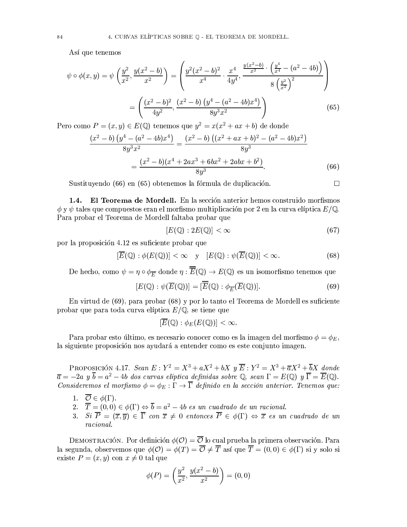Así que tenemos

$$
\psi \circ \phi(x, y) = \psi\left(\frac{y^2}{x^2}, \frac{y(x^2 - b)}{x^2}\right) = \left(\frac{y^2(x^2 - b)^2}{x^4} \cdot \frac{x^4}{4y^4}, \frac{\frac{y(x^2 - b)}{x^2} \cdot \left(\frac{y^4}{x^4} - (a^2 - 4b)\right)}{8\left(\frac{y^2}{x^2}\right)^2}\right)
$$

$$
= \left(\frac{(x^2 - b)^2}{4y^2}, \frac{(x^2 - b)\left(y^4 - (a^2 - 4b)x^4\right)}{8y^3x^2}\right) \tag{65}
$$

Pero como  $P = (x, y) \in E(\mathbb{Q})$  tenemos que  $y^2 = x(x^2 + ax + b)$  de donde

$$
\frac{(x^2 - b) (y^4 - (a^2 - 4b)x^4)}{8y^3x^2} = \frac{(x^2 - b) ((x^2 + ax + b)^2 - (a^2 - 4b)x^2)}{8y^3}
$$

$$
= \frac{(x^2 - b)(x^4 + 2ax^3 + 6bx^2 + 2abx + b^2)}{8y^3}.
$$
(66)

Sustituyendo (66) en (65) obtenemos la fórmula de duplicación.

 $\Box$ 

1.4. El Teorema de Mordell. En la sección anterior hemos construido morfismos  $\phi$  y  $\psi$  tales que compuestos eran el morfismo multiplicación por 2 en la curva elíptica  $E/\mathbb{Q}$ . Para probar el Teorema de Mordell faltaba probar que

$$
[E(\mathbb{Q}) : 2E(\mathbb{Q})] < \infty \tag{67}
$$

por la proposición 4.12 es suficiente probar que

$$
[\overline{E}(\mathbb{Q}):\phi(E(\mathbb{Q}))]<\infty \quad y \quad [E(\mathbb{Q}):\psi(\overline{E}(\mathbb{Q}))]<\infty. \tag{68}
$$

De hecho, como  $\psi = \eta \circ \phi_{\overline{E}}$  donde  $\eta : \overline{\overline{E}}(\mathbb{Q}) \to E(\mathbb{Q})$  es un isomorfismo tenemos que

$$
[E(\mathbb{Q}) : \psi(\overline{E}(\mathbb{Q}))] = [\overline{\overline{E}}(\mathbb{Q}) : \phi_{\overline{E}}(\overline{E}(\mathbb{Q}))]. \tag{69}
$$

En virtud de (69), para probar (68) y por lo tanto el Teorema de Mordell es suficiente probar que para toda curva elíptica  $E/\mathbb{Q}$ , se tiene que

$$
[\overline{E}(\mathbb{Q}):\phi_E(E(\mathbb{Q}))]<\infty
$$

Para probar esto último, es necesario conocer como es la imagen del morfismo  $\phi = \phi_E$ , la siguiente proposición nos ayudará a entender como es este conjunto imagen.

PROPOSICIÓN 4.17. Sean  $E: Y^2 = X^3 + aX^2 + bX y \overline{E}: Y^2 = X^3 + \overline{a}X^2 + \overline{b}X$  donde  $\overline{a} = -2a \, y \, \overline{b} = a^2 - 4b$  dos curvas elíptica definidas sobre Q, sean  $\Gamma = E(\mathbb{Q}) \, y \, \overline{\Gamma} = \overline{E}(\mathbb{Q})$ . Consideremos el morfismo  $\phi = \phi_E : \Gamma \to \overline{\Gamma}$  definido en la sección anterior. Tenemos que:

- 1.  $\overline{\mathcal{O}} \in \phi(\Gamma)$ .
- 2.  $\overline{T} = (0,0) \in \phi(\Gamma) \Leftrightarrow \overline{b} = a^2 4b$  es un cuadrado de un racional.
- 3. Si  $\overline{P} = (\overline{x}, \overline{y}) \in \overline{\Gamma}$  con  $\overline{x} \neq 0$  entonces  $\overline{P} \in \phi(\Gamma) \Leftrightarrow \overline{x}$  es un cuadrado de un racional.

DEMOSTRACIÓN. Por definición  $\phi(\mathcal{O}) = \overline{\mathcal{O}}$  lo cual prueba la primera observación. Para la segunda, observemos que  $\phi(\mathcal{O}) = \phi(T) = \overline{\mathcal{O}} \neq \overline{T}$  así que  $\overline{T} = (0,0) \in \phi(\Gamma)$  si y solo si existe  $P = (x, y)$  con  $x \neq 0$  tal que

$$
\phi(P) = \left(\frac{y^2}{x^2}, \frac{y(x^2 - b)}{x^2}\right) = (0, 0)
$$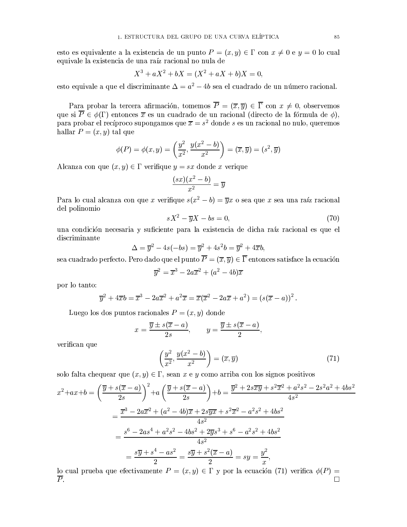esto es equivalente a la existencia de un punto  $P = (x, y) \in \Gamma$  con  $x \neq 0$  e  $y = 0$  lo cual equivale la existencia de una raíz racional no nula de

$$
X^3 + aX^2 + bX = (X^2 + aX + b)X = 0
$$

esto equivale a que el discriminante  $\Delta = a^2 - 4b$  sea el cuadrado de un número racional.

Para probar la tercera afirmación, tomemos  $\overline{P} = (\overline{x}, \overline{y}) \in \overline{\Gamma}$  con  $x \neq 0$ , observemos que si  $\overline{P} \in \phi(\Gamma)$  entonces  $\overline{x}$  es un cuadrado de un racional (directo de la fórmula de  $\phi$ ), para probar el recíproco supongamos que  $\overline{x} = s^2$  donde s es un racional no nulo, queremos hallar  $P = (x, y)$  tal que

$$
\phi(P) = \phi(x, y) = \left(\frac{y^2}{x^2}, \frac{y(x^2 - b)}{x^2}\right) = (\overline{x}, \overline{y}) = (s^2, \overline{y})
$$

Alcanza con que  $(x, y) \in \Gamma$  verifique  $y = sx$  donde x verique

$$
\frac{(sx)(x^2 - b)}{x^2} = \overline{y}
$$

Para lo cual alcanza con que x verifique  $s(x^2 - b) = \overline{y}x$  o sea que x sea una raíz racional del polinomio

$$
sX^2 - \overline{y}X - bs = 0,\t(70)
$$

una condición necesaria y suficiente para la existencia de dicha raíz racional es que el discriminante

$$
\Delta = \overline{y}^2 - 4s(-bs) = \overline{y}^2 + 4s^2b = \overline{y}^2 + 4\overline{x}b,
$$

sea cuadrado perfecto. Pero dado que el punto  $\overline{P} = (\overline{x}, \overline{y}) \in \overline{\Gamma}$  entonces satisface la ecuación

$$
\overline{y}^2 = \overline{x}^3 - 2a\overline{x}^2 + (a^2 - 4b)\overline{x}
$$

por lo tanto:

$$
\overline{y}^2 + 4\overline{x}b = \overline{x}^3 - 2a\overline{x}^2 + a^2\overline{x} = \overline{x}(\overline{x}^2 - 2a\overline{x} + a^2) = (s(\overline{x} - a))^2
$$

Luego los dos puntos racionales  $P = (x, y)$  donde

$$
x = \frac{\overline{y} \pm s(\overline{x} - a)}{2s}, \qquad y = \frac{\overline{y} \pm s(\overline{x} - a)}{2}
$$

verifican que

$$
\left(\frac{y^2}{x^2}, \frac{y(x^2 - b)}{x^2}\right) = (\overline{x}, \overline{y})\tag{71}
$$

solo falta chequear que  $(x, y) \in \Gamma$ , sean x e y como arriba con los signos positivos

$$
x^{2} + ax + b = \left(\frac{\overline{y} + s(\overline{x} - a)}{2s}\right)^{2} + a\left(\frac{\overline{y} + s(\overline{x} - a)}{2s}\right) + b = \frac{\overline{y}^{2} + 2s\overline{x}\overline{y} + s^{2}\overline{x}^{2} + a^{2}s^{2} - 2s^{2}a^{2} + 4bs^{2}}{4s^{2}}
$$
  

$$
= \frac{\overline{x}^{3} - 2a\overline{x}^{2} + (a^{2} - 4b)\overline{x} + 2s\overline{yx} + s^{2}\overline{x}^{2} - a^{2}s^{2} + 4bs^{2}}{4s^{2}}
$$
  

$$
= \frac{s^{6} - 2as^{4} + a^{2}s^{2} - 4bs^{2} + 2\overline{y}s^{3} + s^{6} - a^{2}s^{2} + 4bs^{2}}{4s^{2}}
$$
  

$$
= \frac{s\overline{y} + s^{4} - as^{2}}{2} = \frac{s\overline{y} + s^{2}(\overline{x} - a)}{2} = sy = \frac{y^{2}}{x},
$$

lo cual prueba que efectivamente  $P = (x, y) \in \Gamma$  y por la ecuación (71) verifica  $\phi(P)$  $\overline{P}$ .  $\Box$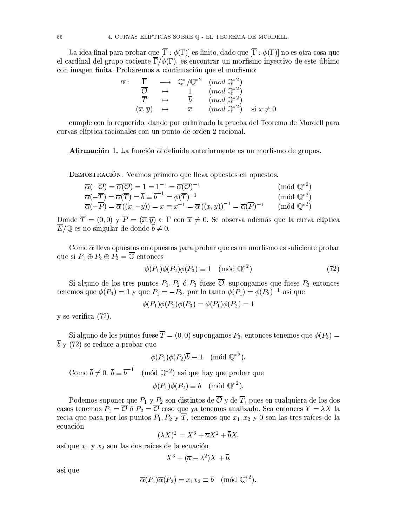La idea final para probar que  $[\overline{\Gamma} : \phi(\Gamma)]$  es finito, dado que  $[\overline{\Gamma} : \phi(\Gamma)]$  no es otra cosa que el cardinal del grupo cociente  $\overline{\Gamma}/\phi(\Gamma)$ , es encontrar un morfismo inyectivo de este último con imagen finita. Probaremos a continuación que el morfismo:

$$
\overline{\alpha} : \overline{\Gamma} \longrightarrow \mathbb{Q}^*/\mathbb{Q}^{*2} \pmod{\mathbb{Q}^{*2}}
$$
\n
$$
\overline{\mathcal{O}} \longrightarrow \overline{1} \pmod{\mathbb{Q}^{*2}}
$$
\n
$$
\overline{T} \longrightarrow \overline{b} \pmod{\mathbb{Q}^{*2}}
$$
\n
$$
(\overline{x}, \overline{y}) \longrightarrow \overline{x} \pmod{\mathbb{Q}^{*2}}
$$
\n
$$
(\text{mod } \mathbb{Q}^{*2}) \text{ si } x \neq 0
$$

cumple con lo requerido, dando por culminado la prueba del Teorema de Mordell para curvas elíptica racionales con un punto de orden 2 racional.

**Afirmación 1.** La función  $\overline{\alpha}$  definida anteriormente es un morfismo de grupos.

DEMOSTRACIÓN. Veamos primero que lleva opuestos en opuestos.

$$
\overline{\alpha}(-\overline{C}) = \overline{\alpha}(\overline{C}) = 1 = 1^{-1} = \overline{\alpha}(\overline{C})^{-1} \qquad (\text{mod } \mathbb{Q}^{*2})
$$
  
\n
$$
\overline{\alpha}(-\overline{T}) = \overline{\alpha}(\overline{T}) = \overline{b} \equiv \overline{b}^{-1} = \phi(\overline{T})^{-1} \qquad (\text{mod } \mathbb{Q}^{*2})
$$
  
\n
$$
\overline{\alpha}(-\overline{P}) = \overline{\alpha}((x, -y)) = x \equiv x^{-1} = \overline{\alpha}((x, y))^{-1} = \overline{\alpha}(\overline{P})^{-1} \qquad (\text{mod } \mathbb{Q}^{*2})
$$

Donde  $\overline{T} = (0,0)$  y  $\overline{P} = (\overline{x}, \overline{y}) \in \overline{\Gamma}$  con  $\overline{x} \neq 0$ . Se observa además que la curva elíptica  $\overline{E}/\mathbb{Q}$  es no singular de donde  $\overline{b} \neq 0$ .

Como  $\overline{\alpha}$  lleva opuestos en opuestos para probar que es un morfismo es suficiente probar que si  $P_1 \oplus P_2 \oplus P_3 = \overline{\mathbb{O}}$  entonces

$$
\phi(P_1)\phi(P_2)\phi(P_3) \equiv 1 \pmod{\mathbb{Q}^{*2}}
$$
\n(72)

Si alguno de los tres puntos  $P_1, P_2$  ó  $P_3$  fuese  $\overline{\mathcal{O}}$ , supongamos que fuese  $P_3$  entonces tenemos que  $\phi(P_3) = 1$  y que  $P_1 = -P_2$ , por lo tanto  $\phi(P_1) = \phi(P_2)^{-1}$  así que

$$
\phi(P_1)\phi(P_2)\phi(P_3) = \phi(P_1)\phi(P_2) = 1
$$

 $y$  se verifica  $(72)$ .

Si alguno de los puntos fuese  $\overline{T} = (0,0)$  supongamos  $P_3$ , entonces tenemos que  $\phi(P_3)$  $\overline{b}$  y (72) se reduce a probar que

$$
\phi(P_1)\phi(P_2)\overline{b} \equiv 1 \pmod{\mathbb{Q}^{*2}}.
$$

Como  $\overline{b} \neq 0$ ,  $\overline{b} \equiv \overline{b}^{-1}$  (mód  $\mathbb{Q}^{*2}$ ) así que hay que probar que  $\phi(P_1)\phi(P_2) \equiv \overline{b} \pmod{\mathbb{Q}^{*2}}$ .

Podemos suponer que  $P_1$  y  $P_2$  son distintos de  $\overline{\mathcal{O}}$  y de  $\overline{T}$ , pues en cualquiera de los dos casos tenemos  $P_1 = \overline{\mathcal{O}}$  ó  $P_2 = \overline{\mathcal{O}}$  caso que ya tenemos analizado. Sea entonces  $Y = \lambda X$  la recta que pasa por los puntos  $P_1, P_2 \, y \, \overline{T}$ , tenemos que  $x_1, x_2 \, y \, 0$  son las tres raíces de la ecuación

$$
(\lambda X)^2 = X^3 + \overline{a}X^2 + \overline{b}X,
$$

así que  $x_1$  y  $x_2$  son las dos raíces de la ecuación

$$
X^3 + (\overline{a} - \lambda^2)X + \overline{b},
$$

asi que

$$
\overline{\alpha}(P_1)\overline{\alpha}(P_2) = x_1x_2 \equiv \overline{b} \pmod{\mathbb{Q}^{*2}}.
$$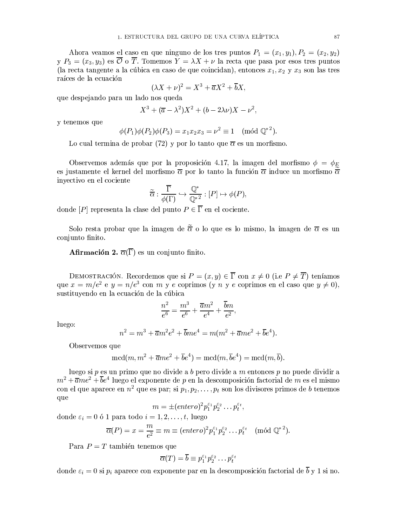Ahora veamos el caso en que ninguno de los tres puntos  $P_1 = (x_1, y_1), P_2 = (x_2, y_2)$ y  $P_3 = (x_3, y_3)$  es  $\overline{\mathcal{O}}$  o  $\overline{T}$ . Tomemos  $\overline{Y} = \lambda X + \nu$  la recta que pasa por esos tres puntos (la recta tangente a la cúbica en caso de que coincidan), entonces  $x_1, x_2, y_1, x_3$  son las tres raíces de la ecuación

$$
(\lambda X + \nu)^2 = X^3 + \overline{a}X^2 + \overline{b}X
$$

que despejando para un lado nos queda

$$
X^3 + (\overline{a} - \lambda^2)X^2 + (b - 2\lambda\nu)X - \nu^2,
$$

y tenemos que

$$
\phi(P_1)\phi(P_2)\phi(P_3) = x_1x_2x_3 = \nu^2 \equiv 1 \pmod{\mathbb{Q}^{*2}}
$$

Lo cual termina de probar (72) y por lo tanto que  $\bar{\alpha}$  es un morfismo.

Observemos además que por la proposición 4.17, la imagen del morfismo  $\phi = \phi_E$ es justamente el kernel del morfismo  $\bar{\alpha}$  por lo tanto la función  $\bar{\alpha}$  induce un morfismo  $\bar{\alpha}$ inyectivo en el cociente

$$
\widetilde{\overline{\alpha}} : \frac{\overline{\Gamma}}{\phi(\Gamma)} \hookrightarrow \frac{\mathbb{Q}^*}{\mathbb{Q}^{*^2}} : [P] \mapsto \phi(P),
$$

donde [P] representa la clase del punto  $P \in \overline{\Gamma}$  en el cociente.

Solo resta probar que la imagen de  $\widetilde{\overline{\alpha}}$  o lo que es lo mismo, la imagen de  $\overline{\alpha}$  es un conjunto finito.

**Afirmación 2.**  $\overline{\alpha}(\overline{\Gamma})$  es un conjunto finito.

DEMOSTRACIÓN. Recordemos que si  $P = (x, y) \in \overline{\Gamma}$  con  $x \neq 0$  (i.e  $P \neq \overline{T}$ ) teníamos que  $x = m/e^2$  e  $y = n/e^3$  con m y e coprimos (y n y e coprimos en el caso que  $y \neq 0$ ), sustituyendo en la ecuación de la cúbica

$$
\frac{n^2}{e^6} = \frac{m^3}{e^6} + \frac{\overline{a}m^2}{e^4} + \frac{\overline{b}m}{e^2},
$$

luego:

$$
n^{2} = m^{3} + \overline{a}m^{2}e^{2} + \overline{b}me^{4} = m(m^{2} + \overline{a}me^{2} + \overline{b}e^{4}).
$$

Observemos que

$$
\mathrm{mcd}(m,m^2+\overline{a}me^2+\overline{b}e^4)=\mathrm{mcd}(m,\overline{b}e^4)=\mathrm{mcd}(m,\overline{b}).
$$

luego si  $p$  es un primo que no divide a  $b$  pero divide a  $m$  entonces  $p$  no puede dividir a  $m^2 + \overline{a}me^2 + \overline{b}e^4$  luego el exponente de p en la descomposición factorial de m es el mismo con el que aparece en  $n^2$  que es par; si  $p_1, p_2, \ldots, p_t$  son los divisores primos de b tenemos que

$$
m = \pm (entero)^2 p_1^{\varepsilon_1} p_2^{\varepsilon_2} \dots p_t^{\varepsilon_t},
$$

donde  $\varepsilon_i = 0$  ó 1 para todo  $i = 1, 2, \ldots, t$ , luego

$$
\overline{\alpha}(P) = x = \frac{m}{e^2} \equiv m \equiv (entero)^2 p_1^{\varepsilon_1} p_2^{\varepsilon_2} \dots p_t^{\varepsilon_t} \pmod{\mathbb{Q}^{*2}}.
$$

Para  $P = T$  también tenemos que

$$
\overline{\alpha}(T) = \overline{b} \equiv p_1^{\varepsilon_1} p_2^{\varepsilon_2} \dots p_t^{\varepsilon_t}
$$

donde  $\varepsilon_i = 0$  si  $p_i$  aparece con exponente par en la descomposición factorial de  $\overline{b}$  y 1 si no.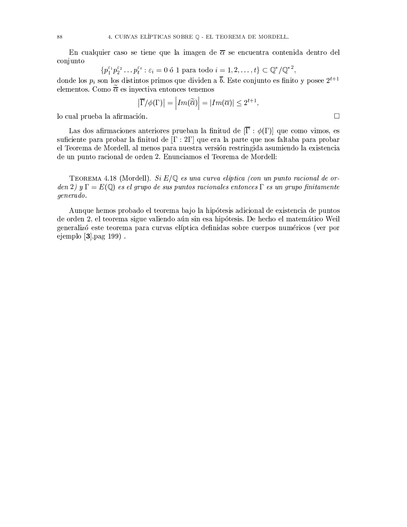En cualquier caso se tiene que la imagen de  $\overline{\alpha}$  se encuentra contenida dentro del conjunto

$$
\{p_1^{\varepsilon_1}p_2^{\varepsilon_2}\dots p_t^{\varepsilon_t} : \varepsilon_i = 0 \text{ of } 1 \text{ para todo } i = 1, 2, \dots, t\} \subset \mathbb{Q}^*/\mathbb{Q}^*^2
$$

donde los  $p_i$  son los distintos primos que dividen a  $\overline{b}$ . Este conjunto es finito y posee  $2^{t+1}$ elementos. Como  $\tilde{\overline{\alpha}}$  es invectiva entonces tenemos

$$
\left|\overline{\Gamma}/\phi(\Gamma)\right| = \left|Im(\overline{\widetilde{\alpha}})\right| = |Im(\overline{\alpha})| \leq 2^{t+1},
$$

 $\Box$ 

lo cual prueba la afirmación.

Las dos afirmaciones anteriores prueban la finitud de  $[\overline{\Gamma} : \phi(\Gamma)]$  que como vimos, es suficiente para probar la finitud de  $[\Gamma : 2\Gamma]$  que era la parte que nos faltaba para probar el Teorema de Mordell, al menos para nuestra versión restringida asumiendo la existencia de un punto racional de orden 2. Enunciamos el Teorema de Mordell:

TEOREMA 4.18 (Mordell). Si  $E/\mathbb{Q}$  es una curva elíptica (con un punto racional de orden 2) y  $\Gamma = E(\mathbb{Q})$  es el grupo de sus puntos racionales entonces  $\Gamma$  es un grupo finitamente generado.

Aunque hemos probado el teorema bajo la hipótesis adicional de existencia de puntos de orden 2, el teorema sigue valiendo aún sin esa hipótesis. De hecho el matemático Weil generalizó este teorema para curvas elíptica definidas sobre cuerpos numéricos (ver por ejemplo  $[3]$ , pag 199).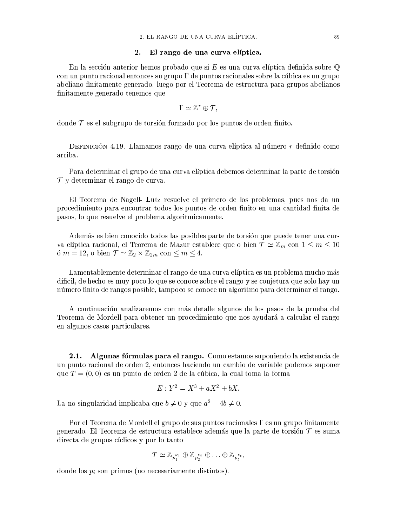#### $2.$ El rango de una curva elíptica.

En la sección anterior hemos probado que si E es una curva elíptica definida sobre  $\mathbb Q$ con un punto racional entonces su grupo  $\Gamma$  de puntos racionales sobre la cúbica es un grupo abeliano finitamente generado, luego por el Teorema de estructura para grupos abelianos finitamente generado tenemos que

$$
\Gamma \simeq \mathbb{Z}^r \oplus \mathcal{T},
$$

donde  $\mathcal T$  es el subgrupo de torsión formado por los puntos de orden finito.

DEFINICIÓN 4.19. Llamamos rango de una curva elíptica al número r definido como arriba.

Para determinar el grupo de una curva elíptica debemos determinar la parte de torsión  $\mathcal T$  y determinar el rango de curva.

El Teorema de Nagell-Lutz resuelve el primero de los problemas, pues nos da un procedimiento para encontrar todos los puntos de orden finito en una cantidad finita de pasos, lo que resuelve el problema algoritmicamente.

Además es bien conocido todos las posibles parte de torsión que puede tener una curva elíptica racional, el Teorema de Mazur establece que o bien  $\mathcal{T} \simeq \mathbb{Z}_m$  con  $1 \leq m \leq 10$ ó  $m = 12$ , o bien  $\mathcal{T} \simeq \mathbb{Z}_2 \times \mathbb{Z}_{2m}$  con  $\leq m \leq 4$ .

Lamentablemente determinar el rango de una curva elíptica es un problema mucho más dificil, de hecho es muy poco lo que se conoce sobre el rango y se conjetura que solo hay un número finito de rangos posible, tampoco se conoce un algoritmo para determinar el rango.

A continuación analizaremos con más detalle algunos de los pasos de la prueba del Teorema de Mordell para obtener un procedimiento que nos ayudará a calcular el rango en algunos casos particulares.

Algunas fórmulas para el rango. Como estamos suponiendo la existencia de  $2.1.$ un punto racional de orden 2, entonces haciendo un cambio de variable podemos suponer que  $T=(0,0)$  es un punto de orden 2 de la cúbica, la cual toma la forma

$$
E: Y^2 = X^3 + aX^2 + bX
$$

La no singularidad implicaba que  $b \neq 0$  y que  $a^2 - 4b \neq 0$ .

Por el Teorema de Mordell el grupo de sus puntos racionales  $\Gamma$  es un grupo finitamente generado. El Teorema de estructura establece además que la parte de torsión  $\mathcal T$  es suma directa de grupos cíclicos y por lo tanto

$$
T \simeq \mathbb{Z}_{p_1^{\nu_1}} \oplus \mathbb{Z}_{p_2^{\nu_2}} \oplus \ldots \oplus \mathbb{Z}_{p_t^{\nu_t}},
$$

donde los  $p_i$  son primos (no necesariamente distintos).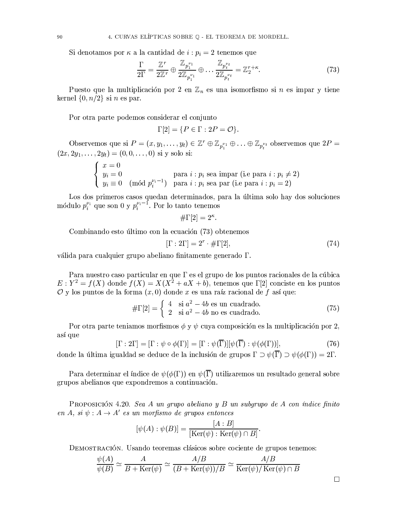Si denotamos por  $\kappa$  a la cantidad de  $i : p_i = 2$  tenemos que

$$
\frac{\Gamma}{2\Gamma} = \frac{\mathbb{Z}^r}{2\mathbb{Z}^r} \oplus \frac{\mathbb{Z}_{p_1^{\nu_1}}}{2\mathbb{Z}_{p_1^{\nu_1}}} \oplus \dots \frac{\mathbb{Z}_{p_t^{\nu_t}}}{2\mathbb{Z}_{p_t^{\nu_t}}} = \mathbb{Z}_2^{r+\kappa}.
$$
\n(73)

Puesto que la multiplicación por 2 en  $\mathbb{Z}_n$  es una isomorfismo si n es impar y tiene kernel  $\{0, n/2\}$  si *n* es par.

Por otra parte podemos considerar el conjunto

$$
\Gamma[2] = \{ P \in \Gamma : 2P = \mathcal{O} \}
$$

Observemos que si  $P = (x, y_1, \dots, y_t) \in \mathbb{Z}^r \oplus \mathbb{Z}_{p_1^{\nu_1}} \oplus \dots \oplus \mathbb{Z}_{p_t^{\nu_t}}$  observemos que  $2P =$  $(2x, 2y_1, \ldots, 2y_t) = (0, 0, \ldots, 0)$  si y solo si:

$$
\begin{cases}\n x = 0 \\
 y_i = 0 \\
 y_i \equiv 0\n\end{cases}
$$
 para  $i : p_i$  sea impar (i.e para  $i : p_i \neq 2$ )  
\n
$$
y_i \equiv 0 \pmod{p_i^{v_i-1}}
$$
 para  $i : p_i$  sea par (i.e para  $i : p_i = 2$ )

Los dos primeros casos quedan determinados, para la última solo hay dos soluciones módulo  $p_i^{\nu_i}$  que son 0 y  $p_i^{\nu_i-1}$ . Por lo tanto tenemos

$$
\#\Gamma[2] = 2^{\kappa}.
$$

Combinando esto último con la ecuación (73) obtenemos

$$
[\Gamma : 2\Gamma] = 2^r \cdot \#\Gamma[2],\tag{74}
$$

válida para cualquier grupo abeliano finitamente generado  $\Gamma$ .

Para nuestro caso particular en que  $\Gamma$  es el grupo de los puntos racionales de la cúbica  $E: Y^2 = f(X)$  donde  $f(X) = X(X^2 + aX + b)$ , tenemos que  $\Gamma[2]$  conciste en los puntos O y los puntos de la forma  $(x,0)$  donde x es una raíz racional de f así que:

$$
\#\Gamma[2] = \begin{cases} 4 & \text{si } a^2 - 4b \text{ es un cuadrado.} \\ 2 & \text{si } a^2 - 4b \text{ no es cuadrado.} \end{cases}
$$
 (75)

Por otra parte teniamos morfismos  $\phi \circ \psi$  cuva composición es la multiplicación por 2. así que

$$
[\Gamma : 2\Gamma] = [\Gamma : \psi \circ \phi(\Gamma)] = [\Gamma : \psi(\overline{\Gamma})] [\psi(\overline{\Gamma}) : \psi(\phi(\Gamma))],
$$
\n(76)

donde la última igualdad se deduce de la inclusión de grupos  $\Gamma \supset \psi(\overline{\Gamma}) \supset \psi(\phi(\Gamma)) = 2\Gamma$ .

Para determinar el índice de  $\psi(\phi(\Gamma))$  en  $\psi(\overline{\Gamma})$  utilizaremos un resultado general sobre grupos abelianos que expondremos a continuación.

PROPOSICIÓN 4.20. Sea A un grupo abeliano y B un subgrupo de A con índice finito en A, si  $\psi: A \to A'$  es un morfismo de grupos entonces

$$
[\psi(A) : \psi(B)] = \frac{[A : B]}{[\text{Ker}(\psi) : \text{Ker}(\psi) \cap B]}
$$

DEMOSTRACIÓN, Usando teoremas clásicos sobre cociente de grupos tenemos:

$$
\frac{\psi(A)}{\psi(B)} \simeq \frac{A}{B + \text{Ker}(\psi)} \simeq \frac{A/B}{(B + \text{Ker}(\psi))/B} \simeq \frac{A/B}{\text{Ker}(\psi)/\text{Ker}(\psi) \cap B}
$$

 $\Box$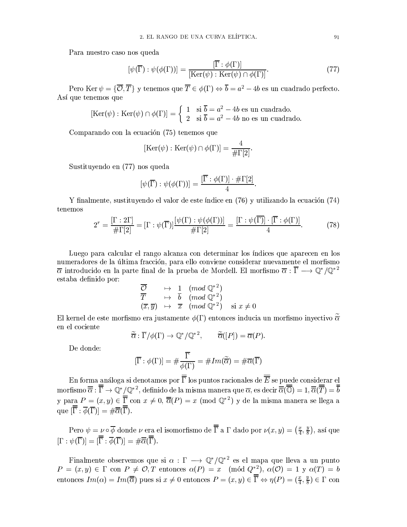Para nuestro caso nos queda

$$
[\psi(\overline{\Gamma}) : \psi(\phi(\Gamma))] = \frac{[\overline{\Gamma} : \phi(\Gamma)]}{[\text{Ker}(\psi) : \text{Ker}(\psi) \cap \phi(\Gamma)]}.
$$
\n(77)

Pero Ker  $\psi = \{\overline{\mathcal{O}}, \overline{T}\}\$ y tenemos que  $\overline{T} \in \phi(\Gamma) \Leftrightarrow \overline{b} = a^2 - 4b$  es un cuadrado perfecto. Así que tenemos que

$$
[\text{Ker}(\psi) : \text{Ker}(\psi) \cap \phi(\Gamma)] = \begin{cases} 1 & \text{si } \overline{b} = a^2 - 4b \text{ es un cuadrado.} \\ 2 & \text{si } \overline{b} = a^2 - 4b \text{ no es un cuadrado.} \end{cases}
$$

Comparando con la ecuación (75) tenemos que

$$
[\mathrm{Ker}(\psi) : \mathrm{Ker}(\psi) \cap \phi(\Gamma)] = \frac{4}{\#\Gamma[2]}
$$

Sustituyendo en (77) nos queda

$$
[\psi(\overline{\Gamma}) : \psi(\phi(\Gamma))] = \frac{[\overline{\Gamma} : \phi(\Gamma)] \cdot \# \Gamma[2]}{4}
$$

Y finalmente, sustituyendo el valor de este índice en (76) y utilizando la ecuación (74) tenemos

$$
2^r = \frac{\left[\Gamma : 2\Gamma\right]}{\# \Gamma[2]} = \left[\Gamma : \psi(\overline{\Gamma})\right] \frac{\left[\psi(\Gamma) : \psi(\phi(\Gamma))\right]}{\# \Gamma[2]} = \frac{\left[\Gamma : \psi(\overline{\Gamma})\right] \cdot \left[\overline{\Gamma} : \phi(\Gamma)\right]}{4}.\tag{78}
$$

Luego para calcular el rango alcanza con determinar los índices que aparecen en los numeradores de la última fracción, para ello conviene considerar nuevamente el morfismo  $\overline{\alpha}$  introducido en la parte final de la prueba de Mordell. El morfismo  $\overline{\alpha}:\overline{\Gamma}\longrightarrow \mathbb{Q}^*/\mathbb{Q}^{*2}$ estaba definido por:

$$
\begin{array}{ccl}\n\overline{\mathcal{O}} & \mapsto & \frac{1}{b} \pmod{\mathbb{Q}^{*2}} \\
\overline{T} & \mapsto & \overline{b} \pmod{\mathbb{Q}^{*2}} \\
(\overline{x}, \overline{y}) & \mapsto & \overline{x} \pmod{\mathbb{Q}^{*2}} \qquad \text{si } x \neq 0\n\end{array}
$$

El kernel de este morfismo era justamente  $\phi(\Gamma)$  entonces inducia un morfismo inyectivo  $\tilde{\overline{\alpha}}$ en el cociente

$$
\widetilde{\overline{\alpha}} : \overline{\Gamma}/\phi(\Gamma) \to \mathbb{Q}^*/\mathbb{Q}^{*2}, \qquad \widetilde{\overline{\alpha}}([P]) = \overline{\alpha}(P).
$$

De donde:

$$
[\overline{\Gamma} : \phi(\Gamma)] = \# \frac{\overline{\Gamma}}{\phi(\Gamma)} = \# Im(\widetilde{\overline{\alpha}}) = \# \overline{\alpha}(\overline{\Gamma})
$$

En forma análoga si denotamos por  $\overline{\overline{\Gamma}}$  los puntos racionales de  $\overline{\overline{E}}$  se puede considerar el morfismo  $\overline{\overline{\alpha}} : \overline{\overline{\Gamma}} \to \mathbb{Q}^*/\mathbb{Q}^{*2}$ , definido de la misma manera que  $\overline{\alpha}$ , es decir  $\overline{\overline{\alpha}}(\overline{\overline{\mathbb{O}}}) = 1, \overline{\overline{\alpha}}(\overline{\overline{\overline{\Gamma}}}) = \overline{\overline{b}}$ y para  $P = (x, y) \in \overline{\overline{\Gamma}}$  con  $x \neq 0$ ,  $\overline{\overline{\alpha}}(P) = x \pmod{{\mathbb{Q}}^*}$  y de la misma manera se llega a que  $[\overline{\overline{\Gamma}} : \overline{\phi}(\overline{\Gamma})] = \#\overline{\overline{\alpha}}(\overline{\overline{\Gamma}})$ 

Pero  $\psi = \nu \circ \overline{\phi}$  donde  $\nu$  era el isomorfismo de  $\overline{\overline{\Gamma}}$  a  $\Gamma$  dado por  $\nu(x, y) = (\frac{x}{4}, \frac{y}{8})$ , así que  $[\Gamma : \psi(\overline{\Gamma})] = [\overline{\overline{\Gamma}} : \overline{\phi}(\overline{\Gamma})] = \#\overline{\overline{\alpha}}(\overline{\overline{\Gamma}})$ .

Finalmente observemos que si  $\alpha : \Gamma \longrightarrow \mathbb{Q}^*/\mathbb{Q}^{*2}$  es el mapa que lleva a un punto  $P = (x, y) \in \Gamma$  con  $P \neq \mathcal{O}, T$  entonces  $\alpha(P) = x \pmod{Q^*}$ ,  $\alpha(\mathcal{O}) = 1$  y  $\alpha(T) = b$ entonces  $Im(\alpha) = Im(\overline{\overline{\alpha}})$  pues si  $x \neq 0$  entonces  $P = (x, y) \in \overline{\overline{\Gamma}} \Leftrightarrow \eta(P) = (\frac{x}{4}, \frac{y}{8}) \in \Gamma$  con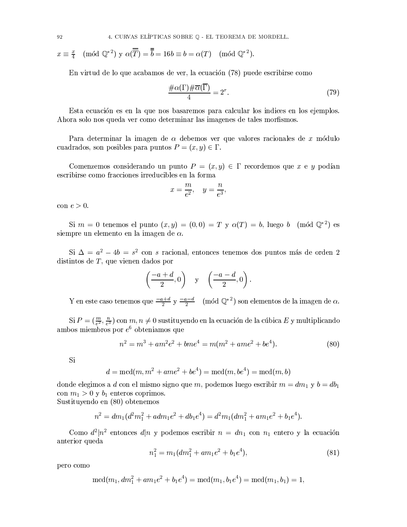4. CURVAS ELÍPTICAS SOBRE Q - EL TEOREMA DE MORDELL.

$$
x \equiv \frac{x}{4} \pmod{\mathbb{Q}^{*2}}
$$
  $y \alpha(\overline{\overline{T}}) = \overline{\overline{b}} = 16b \equiv b = \alpha(T) \pmod{\mathbb{Q}^{*2}}$ .

En virtud de lo que acabamos de ver, la ecuación (78) puede escribirse como

$$
\frac{\#\alpha(\Gamma)\#\overline{\alpha}(\overline{\Gamma})}{4} = 2^r. \tag{79}
$$

Esta ecuación es en la que nos basaremos para calcular los indices en los ejemplos. Ahora solo nos queda ver como determinar las imagenes de tales morfismos.

Para determinar la imagen de  $\alpha$  debemos ver que valores racionales de x módulo cuadrados, son posibles para puntos  $P = (x, y) \in \Gamma$ .

Comenzemos considerando un punto  $P = (x, y) \in \Gamma$  recordemos que x e y podían escribirse como fracciones irreducibles en la forma

$$
x = \frac{m}{e^2}, \quad y = \frac{n}{e^3},
$$

con  $e > 0$ .

Si  $m = 0$  tenemos el punto  $(x, y) = (0, 0) = T$  y  $\alpha(T) = b$ , luego b (mód  $\mathbb{Q}^{*2}$ ) es siempre un elemento en la imagen de  $\alpha$ .

Si  $\Delta = a^2 - 4b = s^2$  con *s* racional, entonces tenemos dos puntos más de orden 2 distintos de  $T$ , que vienen dados por

$$
\left(\frac{-a+d}{2},0\right) \quad y \quad \left(\frac{-a-d}{2},0\right).
$$

Y en este caso tenemos que  $\frac{-a+d}{2}$  y  $\frac{-a-d}{2}$  (mód  $\mathbb{Q}^{*2}$ ) son elementos de la imagen de  $\alpha$ .

Si  $P = (\frac{m}{e^2}, \frac{n}{e^3})$  con  $m, n \neq 0$  sustituyendo en la ecuación de la cúbica E y multiplicando ambos miembros por  $e^6$  obteniamos que

$$
m^{2} = m^{3} + am^{2}e^{2} + bme^{4} = m(m^{2} + ame^{2} + be^{4}).
$$
\n(80)

Si

$$
d = \mathrm{mcd}(m, m^2 + ame^2 + be^4) = \mathrm{mcd}(m, be^4) = \mathrm{mcd}(m, b)
$$

donde elegimos a d con el mismo signo que m, podemos luego escribir  $m = dm_1$  y  $b = db_1$ con  $m_1 > 0$  y  $b_1$  enteros coprimos.

Sustituyendo en (80) obtenemos

$$
n^{2} = dm_{1}(d^{2}m_{1}^{2} + adm_{1}e^{2} + db_{1}e^{4}) = d^{2}m_{1}(dm_{1}^{2} + am_{1}e^{2} + b_{1}e^{4}).
$$

Como  $d^2|n^2$  entonces  $d|n \times p$  podemos escribir  $n = dn_1$  con  $n_1$  entero y la ecuación anterior queda

$$
n_1^2 = m_1 (dm_1^2 + am_1 e^2 + b_1 e^4),
$$
\n(81)

pero como

$$
\mathrm{mcd}(m_1, dm_1^2 + am_1e^2 + b_1e^4) = \mathrm{mcd}(m_1, b_1e^4) = \mathrm{mcd}(m_1, b_1) = 1,
$$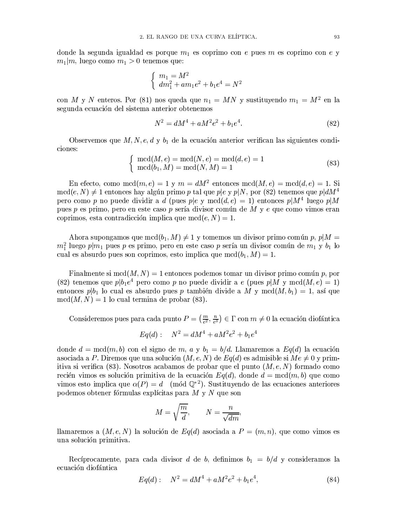donde la segunda igualdad es porque  $m_1$  es coprimo con e pues m es coprimo con e y  $m_1|m$ , luego como  $m_1 > 0$  tenemos que:

$$
\begin{cases}\nm_1 = M^2 \\
dm_1^2 + am_1e^2 + b_1e^4 = N^2\n\end{cases}
$$

con M y N enteros. Por (81) nos queda que  $n_1 = MN$  y sustituyendo  $m_1 = M^2$  en la segunda ecuación del sistema anterior obtenemos

$$
N^2 = dM^4 + aM^2e^2 + b_1e^4.
$$
\n(82)

Observemos que  $M, N, e, d, y, b_1$  de la ecuación anterior verifican las siguientes condiciones:

$$
\begin{cases} \text{mcd}(M,e) = \text{mcd}(N,e) = \text{mcd}(d,e) = 1\\ \text{mcd}(b_1, M) = \text{mcd}(N, M) = 1 \end{cases}
$$
 (83)

En efecto, como mcd $(m, e) = 1$  y  $m = dM^2$  entonces mcd $(M, e) = \text{mod}(d, e) = 1$ . Si  $\mathrm{mcd}(e, N) \neq 1$  entonces hay algún primo p tal que p|e y p|N, por (82) tenemos que p|dM<sup>4</sup> pero como p no puede dividir a d (pues  $p|e$  y mcd $(d,e) = 1$ ) entonces  $p|M^4$  luego  $p|M$ pues p es primo, pero en este caso p sería divisor común de M y e que como vimos eran coprimos, esta contradicción implica que mcd $(e, N) = 1$ .

Ahora supongamos que mcd $(b_1, M) \neq 1$  y tomemos un divisor primo común p,  $p|M =$  $m_1^2$  luego  $p|m_1$  pues p es primo, pero en este caso p sería un divisor común de  $m_1$  y  $b_1$  lo cual es absurdo pues son coprimos, esto implica que mcd $(b_1, M) = 1$ .

Finalmente si mcd $(M, N) = 1$  entonces podemos tomar un divisor primo común p, por (82) tenemos que  $p|b_1e^4$  pero como p no puede dividir a e (pues  $p|M$  y mcd $(M,e) = 1$ ) entonces  $p|b_1$  lo cual es absurdo pues p también divide a M y mcd $(M, b_1) = 1$ , así que  $\operatorname{med}(M, N) = 1$  lo cual termina de probar (83).

Consideremos pues para cada punto  $P = \left(\frac{m}{e^2}, \frac{n}{e^3}\right) \in \Gamma$  con  $m \neq 0$  la ecuación diofántica

$$
Eq(d): \quad N^2 = dM^4 + aM^2e^2 + b_1e^4
$$

donde  $d = \text{med}(m, b)$  con el signo de m, a y  $b_1 = b/d$ . Llamaremos a  $Eq(d)$  la ecuación asociada a P. Diremos que una solución  $(M, e, N)$  de  $Eq(d)$  es admisible si  $Me \neq 0$  y primitiva si verifica (83). Nosotros acabamos de probar que el punto  $(M, e, N)$  formado como recién vimos es solución primitiva de la ecuación  $Eq(d)$ , donde  $d = \text{med}(m, b)$  que como vimos esto implica que  $\alpha(P) = d \pmod{Q^{*2}}$ . Sustituyendo de las ecuaciones anteriores podemos obtener fórmulas explícitas para  $M \vee N$  que son

$$
M = \sqrt{\frac{m}{d}}, \qquad N = \frac{n}{\sqrt{dm}}.
$$

llamaremos a  $(M, e, N)$  la solución de  $Eq(d)$  asociada a  $P = (m, n)$ , que como vimos es una solución primitiva.

Recíprocamente, para cada divisor d de b, definimos  $b_1 = b/d$  y consideramos la ecuación diofántica

$$
Eq(d): \quad N^2 = dM^4 + aM^2e^2 + b_1e^4,\tag{84}
$$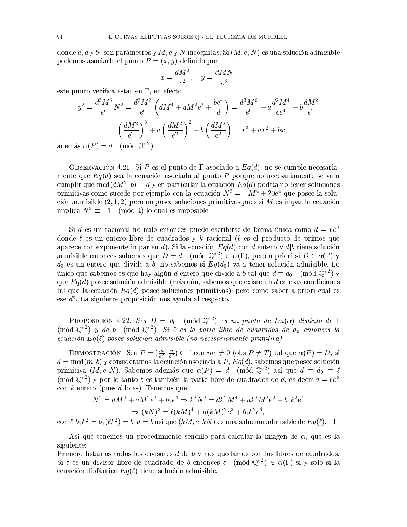donde a, d y  $b_1$  son parámetros y M, e y N incógnitas. Si  $(M, e, N)$  es una solución admisible podemos asociarle el punto  $P=(x, y)$  definido por

$$
x=\frac{dM^2}{e^2},\quad y=\frac{dMN}{e^3}
$$

este punto verifica estar en  $\Gamma$ , en efecto

$$
y^2 = \frac{d^2M^2}{e^6}N^2 = \frac{d^2M^2}{e^6}\left(dM^4 + aM^2e^2 + \frac{be^4}{d}\right) = \frac{d^3M^6}{e^6} + a\frac{d^2M^4}{ce^4} + b\frac{dM^2}{e^2}
$$

$$
= \left(\frac{dM^2}{e^2}\right)^3 + a\left(\frac{dM^2}{e^2}\right)^2 + b\left(\frac{dM^2}{e^2}\right) = x^3 + ax^2 + bx,
$$

 $adem*é*$ 

OBSERVACIÓN 4.21. Si P es el punto de  $\Gamma$  asociado a  $Eq(d)$ , no se cumple necesariamente que  $Eq(d)$  sea la ecuación asociada al punto P porque no necesariamente se va a cumplir que mcd $(dM^2, b) = d$  y en particular la ecuación  $Eq(d)$  podría no tener soluciones primitivas como sucede por ejemplo con la ecuación  $N^2 = -M^4 + 20e^4$  que posee la solución admisible  $(2, 1, 2)$  pero no posee soluciones primitivas pues si M es impar la ecuación implica  $N^2 \equiv -1 \pmod{4}$  lo cual es imposible.

Si d es un racional no nulo entonces puede escribirse de forma única como  $d = \ell k^2$ donde  $\ell$  es un entero libre de cuadrados y k racional ( $\ell$  es el producto de primos que aparece con exponente imparent d). Si la ecuación  $Eq(d)$  con d entero y d|b tiene solución admisible entonces sabemos que  $D = d \pmod{\mathbb{Q}^{*2}} \in \alpha(\Gamma)$ , pero a priori si  $D \in \alpha(\Gamma)$  y  $d_0$  es un entero que divide a b, no sabemos si  $Eq(d_0)$  va a tener solución admisible. Lo único que sabemos es que hay algún d entero que divide a b tal que  $d \equiv d_0 \pmod{\mathbb{Q}^{*2}}$  y que  $Eq(d)$  posee solución admisible (más aún, sabemos que existe un d en esas condiciones tal que la ecuación  $Eq(d)$  posee soluciones primitivas), pero como saber a priori cual es ese d?. La siguiente proposición nos ayuda al respecto.

PROPOSICIÓN 4.22. Sea  $D = d_0 \pmod{\mathbb{Q}^{*2}}$  es un punto de  $Im(\alpha)$  distinto de 1  $(\text{mod }Q^*)$  y de b  $(\text{mod }Q^*)$ . Si  $\ell$  es la parte libre de cuadrados de  $d_0$  entonces la ecuación  $Eq(\ell)$  posee solución admisible (no necesariamente primitiva).

DEMOSTRACIÓN. Sea  $P = (\frac{m}{e^2}, \frac{n}{e^2}) \in \Gamma$  con  $me \neq 0$  (obs  $P \neq T$ ) tal que  $\alpha(P) = D$ , si  $d = \text{med}(m, b)$  y consideramos la ecuación asociada a  $P$ ,  $Eq(d)$ , sabemos que posee solución primitiva  $(M, e, N)$ . Sabemos además que  $\alpha(P) = d \pmod{Q^{*2}}$  así que  $d \equiv d_0 \equiv \ell$ (mód  $\mathbb{Q}^{*2}$ ) y por lo tanto  $\ell$  es también la parte libre de cuadrados de d, es decir  $d = \ell k^2$ con k entero (pues d lo es). Tenemos que

$$
N^2 = dM^4 + aM^2e^2 + b_1e^4 \Rightarrow k^2N^2 = dk^2M^4 + ak^2M^2e^2 + b_1k^2e^4
$$
  

$$
\Rightarrow (kN)^2 = \ell(kM)^4 + a(kM)^2e^2 + b_1k^2e^4,
$$

con  $\ell \cdot b_1 k^2 = b_1(\ell k^2) = b_1 d = b$  así que  $(kM, e, kN)$  es una solución admisible de  $Eq(\ell)$ .  $\Box$ 

Así que tenemos un procedimiento sencillo para calcular la imagen de  $\alpha$ , que es la siguiente:

Primero listamos todos los divisores  $d$  de  $b$  y nos quedamos con los libres de cuadrados. Si  $\ell$  es un divisor libre de cuadrado de b entonces  $\ell$  (mód  $\mathbb{Q}^{*2}$ )  $\in \alpha(\Gamma)$  si y solo si la ecuación diofántica  $Eq(\ell)$  tiene solución admisible.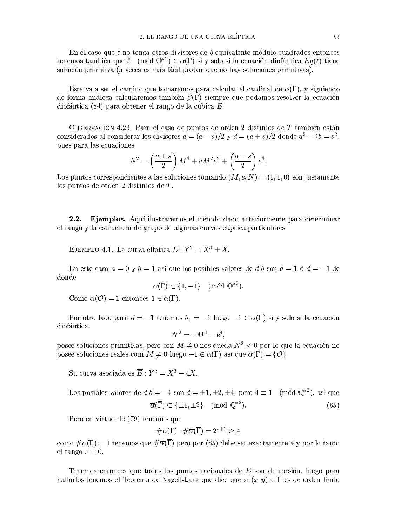En el caso que  $\ell$  no tenga otros divisores de  $b$  equivalente módulo cuadrados entonces tenemos también que  $\ell$  (mód  $\mathbb{Q}^{*2}$ )  $\in \alpha(\Gamma)$  si y solo si la ecuación diofántica  $Eq(\ell)$  tiene solución primitiva (a veces es más fácil probar que no hay soluciones primitivas).

Este va a ser el camino que tomaremos para calcular el cardinal de  $\alpha(\overline{\Gamma})$ , y siguiendo de forma análoga calcularemos también  $\beta(\Gamma)$  siempre que podamos resolver la ecuación diofántica (84) para obtener el rango de la cúbica  $E$ .

OBSERVACIÓN 4.23. Para el caso de puntos de orden 2 distintos de  $T$  también están considerados al considerar los divisores  $d = (a - s)/2$  y  $d = (a + s)/2$  donde  $a^2 - 4b = s^2$ , pues para las ecuaciones

$$
N^{2} = \left(\frac{a \pm s}{2}\right)M^{4} + aM^{2}e^{2} + \left(\frac{a \mp s}{2}\right)e^{4}.
$$

Los puntos correspondientes a las soluciones tomando  $(M, e, N) = (1, 1, 0)$  son justamente los puntos de orden 2 distintos de  $T$ .

 $2.2.$ Ejemplos. Aquí ilustraremos el método dado anteriormente para determinar el rango y la estructura de grupo de algunas curvas elíptica particulares.

EJEMPLO 4.1. La curva elíptica  $E: Y^2 = X^3 + X$ .

En este caso  $a = 0$  y  $b = 1$  así que los posibles valores de d|b son  $d = 1$  ó  $d = -1$  de donde

$$
\alpha(\Gamma) \subset \{1, -1\} \pmod{\mathbb{Q}^{*2}}.
$$

Como  $\alpha(\mathcal{O}) = 1$  entonces  $1 \in \alpha(\Gamma)$ .

Por otro lado para  $d = -1$  tenemos  $b_1 = -1$  luego  $-1 \in \alpha(\Gamma)$  si y solo si la ecuación diofántica

$$
N^2 = -M^4 - e^4,
$$

posee soluciones primitivas, pero con  $M \neq 0$  nos queda  $N^2 < 0$  por lo que la ecuación no posee soluciones reales com  $M \neq 0$  luego  $-1 \notin \alpha(\Gamma)$  así que  $\alpha(\Gamma) = \{O\}.$ 

Su curva asociada es  $\overline{E}: Y^2 = X^3 - 4X$ .

Los posibles valores de 
$$
d|\overline{b} = -4
$$
 son  $d = \pm 1, \pm 2, \pm 4$ , pero  $4 \equiv 1 \pmod{\mathbb{Q}^{*2}}$ . así que  $\overline{\alpha}(\overline{\Gamma}) \subset {\pm 1, \pm 2} \pmod{\mathbb{Q}^{*2}}$ . (85)

Pero en virtud de (79) tenemos que

$$
\#\alpha(\Gamma)\cdot\#\overline{\alpha}(\overline{\Gamma})=2^{r+2}\geq 4
$$

como  $\#\alpha(\Gamma) = 1$  tenemos que  $\#\overline{\alpha}(\overline{\Gamma})$  pero por (85) debe ser exactamente 4 y por lo tanto el rango  $r=0$ .

Tenemos entonces que todos los puntos racionales de E son de torsión, luego para hallarlos tenemos el Teorema de Nagell-Lutz que dice que si  $(x, y) \in \Gamma$  es de orden finito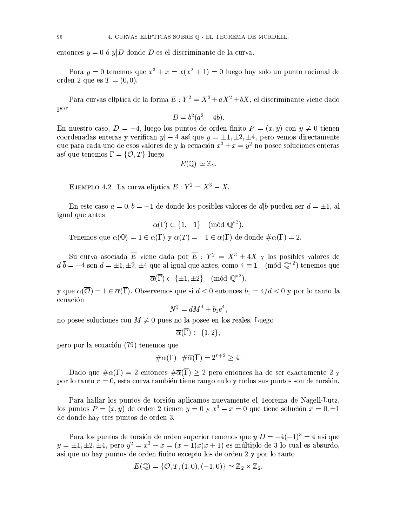entonces  $y = 0$  ó  $y|D$  donde D es el discriminante de la curva.

Para  $y = 0$  tenemos que  $x^3 + x = x(x^2 + 1) = 0$  luego hay solo un punto racional de orden 2 que es  $T = (0,0)$ .

Para curvas elíptica de la forma  $E: Y^2 = X^3 + aX^2 + bX$ , el discriminante viene dado por

$$
D = b^2(a^2 - 4b).
$$

En nuestro caso,  $D = -4$ , luego los puntos de orden finito  $P = (x, y)$  con  $y \neq 0$  tienen coordenadas enteras y verifican  $y$  – 4 así que  $y = \pm 1, \pm 2, \pm 4$ , pero vemos directamente que para cada uno de esos valores de y la ecuación  $x^3 + x = y^2$  no posee soluciones enteras así que tenemos  $\Gamma = \{O, T\}$  luego

$$
E(\mathbb{Q}) \simeq \mathbb{Z}_2.
$$

EJEMPLO 4.2. La curva elíptica  $E: Y^2 = X^3 - X$ .

En este caso  $a = 0, b = -1$  de donde los posibles valores de  $d|b$  pueden ser  $d = \pm 1$ , al igual que antes

$$
\alpha(\Gamma) \subset \{1, -1\} \pmod{\mathbb{Q}^{*2}}.
$$

Tenemos que  $\alpha(\mathbb{O}) = 1 \in \alpha(\Gamma)$  y  $\alpha(T) = -1 \in \alpha(\Gamma)$  de donde  $\#\alpha(\Gamma) = 2$ .

Su curva asociada  $\overline{E}$  viene dada por  $\overline{E}: Y^2 = X^3 + 4X$  y los posibles valores de  $d\overline{b} = -4$  son  $d = \pm 1, \pm 2, \pm 4$  que al igual que antes, como  $4 \equiv 1 \pmod{\mathbb{Q}^{*}}$  tenemos que

$$
\overline{\alpha}(\overline{\Gamma}) \subset \{\pm 1, \pm 2\} \pmod{\mathbb{Q}^{*2}},
$$

y que  $\alpha(\overline{O}) = 1 \in \overline{\alpha}(\overline{\Gamma})$ . Observemos que si  $d < 0$  entonces  $b_1 = 4/d < 0$  y por lo tanto la ecuación

$$
N^2 = dM^4 + b_1e^4,
$$

no posee soluciones con  $M \neq 0$  pues no la posee en los reales. Luego

$$
\overline{\alpha}(\overline{\Gamma}) \subset \{1,2\},\
$$

pero por la ecuación (79) tenemos que

$$
\#\alpha(\Gamma) \cdot \#\overline{\alpha}(\overline{\Gamma}) = 2^{r+2} \ge 4.
$$

Dado que  $\#\alpha(\Gamma) = 2$  entonces  $\#\overline{\alpha}(\overline{\Gamma}) \ge 2$  pero entonces ha de ser exactamente 2 y por lo tanto  $r = 0$ , esta curva también tiene rango nulo y todos sus puntos son de torsión.

Para hallar los puntos de torsión aplicamos nuevamente el Teorema de Nagell-Lutz. los puntos  $P = (x, y)$  de orden 2 tienen  $y = 0$  y  $x^3 - x = 0$  que tiene solución  $x = 0, \pm 1$ de donde hay tres puntos de orden 3.

Para los puntos de torsión de orden superior tenemos que  $y|D = -4(-1)^3 = 4$  así que  $y = \pm 1, \pm 2, \pm 4$ , pero  $y^2 = x^3 - x = (x - 1)x(x + 1)$  es múltiplo de 3 lo cual es absurdo, asi que no hay puntos de orden finito excepto los de orden 2 y por lo tanto

$$
E(\mathbb{Q}) = \{ \mathcal{O}, T, (1,0), (-1,0) \} \simeq \mathbb{Z}_2 \times \mathbb{Z}_2.
$$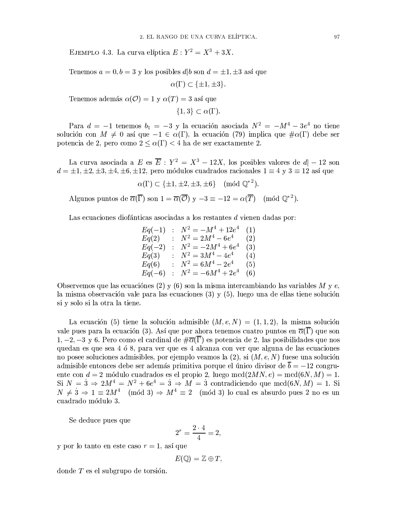EJEMPLO 4.3. La curva elíptica  $E: Y^2 = X^3 + 3X$ .

Tenemos  $a = 0, b = 3$  y los posibles  $d/b$  son  $d = \pm 1, \pm 3$  así que

 $\alpha(\Gamma) \subset {\pm 1, \pm 3}.$ 

Tenemos además  $\alpha(\mathcal{O}) = 1$  y  $\alpha(T) = 3$  así que

 $\{1,3\} \subset \alpha(\Gamma).$ 

Para  $d = -1$  tenemos  $b_1 = -3$  y la ecuación asociada  $N^2 = -M^4 - 3e^4$  no tiene solución con  $M \neq 0$  así que  $-1 \in \alpha(\Gamma)$ , la ecuación (79) implica que  $\# \alpha(\Gamma)$  debe ser potencia de 2, pero como  $2 \leq \alpha(\Gamma) < 4$  ha de ser exactamente 2.

La curva asociada a E es  $\overline{E}: Y^2 = X^3 - 12X$ , los posibles valores de  $d - 12$  son  $d = \pm 1, \pm 2, \pm 3, \pm 4, \pm 6, \pm 12$ , pero módulos cuadrados racionales  $1 \equiv 4$  y  $3 \equiv 12$  así que

 $\alpha(\Gamma) \subset {\pm 1, \pm 2, \pm 3, \pm 6}$  (mód  $\mathbb{Q}^{*2}$ ).

Algunos puntos de  $\overline{\alpha}(\overline{\Gamma})$  son  $1 = \overline{\alpha}(\overline{\mathcal{O}})$  y  $-3 \equiv -12 = \alpha(\overline{T}) \pmod{\mathbb{O}^{*2}}$ .

Las ecuaciones diofánticas asociadas a los restantes d vienen dadas por:

 $Eq(-1) : N^2 = -M^4 + 12e^4 \quad (1) \ \nEq(2) : N^2 = 2M^4 - 6e^4 \quad (2) \ \nEq(-2) : N^2 = -2M^4 + 6e^4 \quad (3) \ \nEq(3) : N^2 = 3M^4 - 4e^4 \quad (4) \ \nEq(6) : N^2 = 6M^4 - 2e^4 \quad (5) \ \nEq(-6) : N^2 = -6M^4 + 2e^4 \quad (6)$ 

Observemos que las ecuaciónes (2) y (6) son la misma intercambiando las variables M y e, la misma observación vale para las ecuaciones  $(3)$  y  $(5)$ , luego una de ellas tiene solución si y solo si la otra la tiene.

La ecuación (5) tiene la solución admisible  $(M, e, N) = (1, 1, 2)$ , la misma solución vale pues para la ecuación (3). Así que por ahora tenemos cuatro puntos en  $\overline{\alpha}(\overline{\Gamma})$  que son  $1, -2, -3$  y 6. Pero como el cardinal de  $\#\overline{\alpha}(\overline{\Gamma})$  es potencia de 2, las posibilidades que nos quedan es que sea 4 ó 8, para ver que es 4 alcanza con ver que alguna de las ecuaciones no posee soluciones admisibles, por ejemplo veamos la  $(2)$ , si  $(M, e, N)$  fuese una solución admisible entonces debe ser además primitiva porque el único divisor de  $\overline{b} = -12$  congruente con  $d = 2$  módulo cuadrados es el propio 2, luego mcd $(2MN, e) = \text{med}(6N, M) = 1$ . Si  $N = 3 \Rightarrow 2M^4 = N^2 + 6e^4 = 3 \Rightarrow M = 3$  contradiciendo que mcd $(6N, M) = 1$ . Si  $N \neq 3 \Rightarrow 1 \equiv 2M^4 \pmod{3} \Rightarrow M^4 \equiv 2 \pmod{3}$  lo cual es absurdo pues 2 no es un cuadrado módulo 3.

Se deduce pues que

$$
2^r = \frac{2 \cdot 4}{4} = 2
$$

y por lo tanto en este caso  $r = 1$ , así que

 $E(\mathbb{Q}) = \mathbb{Z} \oplus T$ ,

donde  $T$  es el subgrupo de torsión.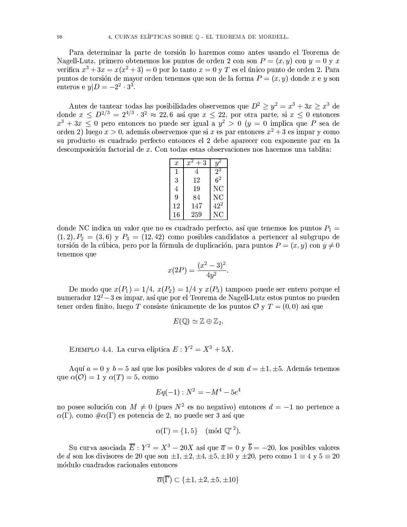Para determinar la parte de torsión lo haremos como antes usando el Teorema de Nagell-Lutz, primero obtenemos los puntos de orden 2 con son  $P = (x, y)$  con  $y = 0$  y x verifica  $x^3 + 3x = x(x^2 + 3) = 0$  por lo tanto  $x = 0$  y T es el único punto de orden 2. Para puntos de torsión de mayor orden tenemos que son de la forma  $P = (x, y)$  donde x e y son enteros e  $y|D = -2^2 \cdot 3^3$ .

Antes de tantear todas las posibilidades observemos que  $D^2 \ge y^2 = x^3 + 3x \ge x^3$  de donde  $x \le D^{2/3} = 2^{4/3} \cdot 3^2 \approx 22, 6$  así que  $x \le 22$ , por otra parte, si  $x \le 0$  entonces  $x^3 + 3x \leq 0$  pero entonces no puede ser igual a  $y^2 > 0$  ( $y = 0$  implica que P sea de orden 2) luego  $x > 0$ , además observemos que si x es par entonces  $x^2 + 3$  es impar y como su producto es cuadrado perfecto entonces el 2 debe aparecer con exponente par en la descomposición factorial de x. Con todas estas observaciones nos hacemos una tablita:

| $\boldsymbol{x}$ | 3<br>x | и              |
|------------------|--------|----------------|
| 1                | 4      | 2 <sup>2</sup> |
| 3                | 12     | 6 <sup>2</sup> |
| 4                | 19     | ΝC             |
| 9                | 84     | ΝC             |
| 12               | 147    | $42^2$         |
| 16               | 259    | NС             |

donde NC indica un valor que no es cuadrado perfecto, así que tenemos los puntos  $P_1$  =  $(1,2), P_2 = (3,6)$  y  $P_3 = (12,42)$  como posibles candidatos a pertencer al subgrupo de torsión de la cúbica, pero por la fórmula de duplicación, para puntos  $P = (x, y)$  con  $y \neq 0$ tenemos que

$$
x(2P) = \frac{(x^2 - 3)^2}{4y^2}.
$$

De modo que  $x(P_1) = 1/4$ ,  $x(P_2) = 1/4$  y  $x(P_3)$  tampoco puede ser entero porque el numerador  $12^2 - 3$  es impar, así que por el Teorema de Nagell-Lutz estos puntos no pueden tener orden finito, luego T consiste únicamente de los puntos  $\mathcal{O} \vee T = (0,0)$  así que

$$
E(\mathbb{Q}) \simeq \mathbb{Z} \oplus \mathbb{Z}_2
$$

EJEMPLO 4.4. La curva elíptica  $E: Y^2 = X^3 + 5X$ .

Aquí  $a = 0$  y  $b = 5$  así que los posibles valores de d son  $d = \pm 1, \pm 5$ . Además tenemos que  $\alpha(\mathcal{O}) = 1$  y  $\alpha(T) = 5$ , como

$$
Eq(-1):N^2=-M^4-5e^4\\
$$

no posee solución con  $M \neq 0$  (pues  $N^2$  es no negativo) entonces  $d = -1$  no pertence a  $\alpha(\Gamma)$ , como  $\#\alpha(\Gamma)$  es potencia de 2, no puede ser 3 así que

$$
\alpha(\Gamma) = \{1, 5\} \pmod{\mathbb{Q}^{*2}}.
$$

Su curva asociada  $\overline{E}: Y^2 = X^3 - 20X$  así que  $\overline{a} = 0$  y  $\overline{b} = -20$ , los posibles valores de *d* son los divisores de 20 que son  $\pm 1, \pm 2, \pm 4, \pm 5, \pm 10$  y  $\pm 20$ , pero como  $1 \equiv 4$  y  $5 \equiv 20$ módulo cuadrados racionales entonces

$$
\overline{\alpha}(\overline{\Gamma}) \subset \{\pm 1, \pm 2, \pm 5, \pm 10\}
$$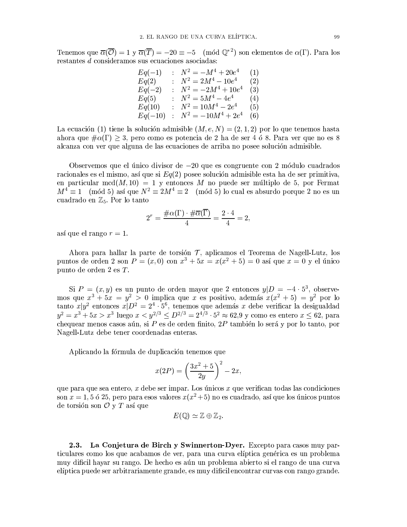Tenemos que  $\overline{\alpha}(\overline{\mathcal{O}}) = 1$  y  $\overline{\alpha}(\overline{T}) = -20 \equiv -5 \pmod{0^*}^2$  son elementos de  $\alpha(\Gamma)$ . Para los restantes d consideramos sus ecuaciones asociadas:

$$
Eq(-1) : N^2 = -M^4 + 20e^4 \t (1)
$$
  
\n
$$
Eq(2) : N^2 = 2M^4 - 10e^4 \t (2)
$$
  
\n
$$
Eq(-2) : N^2 = -2M^4 + 10e^4 \t (3)
$$
  
\n
$$
Eq(5) : N^2 = 5M^4 - 4e^4 \t (4)
$$
  
\n
$$
Eq(10) : N^2 = 10M^4 - 2e^4 \t (5)
$$
  
\n
$$
Eq(-10) : N^2 = -10M^4 + 2e^4 \t (6)
$$

La ecuación (1) tiene la solución admisible  $(M, e, N) = (2, 1, 2)$  por lo que tenemos hasta ahora que  $\#\alpha(\Gamma) \geq 3$ , pero como es potencia de 2 ha de ser 4 ó 8. Para ver que no es 8 alcanza con ver que alguna de las ecuaciones de arriba no posee solución admisible.

Observemos que el único divisor de  $-20$  que es congruente con 2 módulo cuadrados racionales es el mismo, así que si  $Eq(2)$  posee solución admisible esta ha de ser primitiva, en particular mcd $(M, 10) = 1$  y entonces M no puede ser múltiplo de 5, por Fermat  $M^4 \equiv 1 \pmod{5}$  así que  $N^2 \equiv 2M^4 \equiv 2 \pmod{5}$  lo cual es absurdo porque 2 no es un cuadrado en  $\mathbb{Z}_5$ . Por lo tanto

$$
2^r = \frac{\#\alpha(\Gamma) \cdot \#\overline{\alpha}(\overline{\Gamma})}{4} = \frac{2 \cdot 4}{4} = 2,
$$

así que el rango  $r=1$ .

Ahora para hallar la parte de torsión  $\mathcal{T}$ , aplicamos el Teorema de Nagell-Lutz, los puntos de orden 2 son  $P = (x, 0)$  con  $x^3 + 5x = x(x^2 + 5) = 0$  así que  $x = 0$  y el único punto de orden 2 es T.

Si  $P = (x, y)$  es un punto de orden mayor que 2 entonces  $y|D = -4 \cdot 5^3$ , observemos que  $x^3 + 5x = y^2 > 0$  implica que x es positivo, además  $x(x^2 + 5) = y^2$  por lo<br>tanto  $x|y^2$  entonces  $x|D^2 = 2^4 \cdot 5^6$ , tenemos que además x debe verificar la desigualdad<br> $y^2 = x^3 + 5x > x^3$  luego  $x < y^{2/3} \le D^{2/3} = 2^{4$ chequear menos casos aún, si P es de orden finito,  $2P$  también lo será y por lo tanto, por Nagell-Lutz debe tener coordenadas enteras.

Aplicando la fórmula de duplicación tenemos que

$$
x(2P) = \left(\frac{3x^2 + 5}{2y}\right)^2 - 2x,
$$

que para que sea entero,  $x$  debe ser impar. Los únicos  $x$  que verifican todas las condiciones son  $x = 1, 5, 6, 25$ , pero para esos valores  $x(x^2+5)$  no es cuadrado, así que los únicos puntos de torsión son  $\mathcal O$  y  $T$  así que

$$
E(\mathbb{Q}) \simeq \mathbb{Z} \oplus \mathbb{Z}_2.
$$

 $2.3.$ La Conjetura de Birch y Swinnerton-Dyer. Excepto para casos muy particulares como los que acabamos de ver, para una curva elíptica genérica es un problema muy dificil hayar su rango. De hecho es aún un problema abierto si el rango de una curva elíptica puede ser arbitrariamente grande, es muy dificil encontrar curvas con rango grande.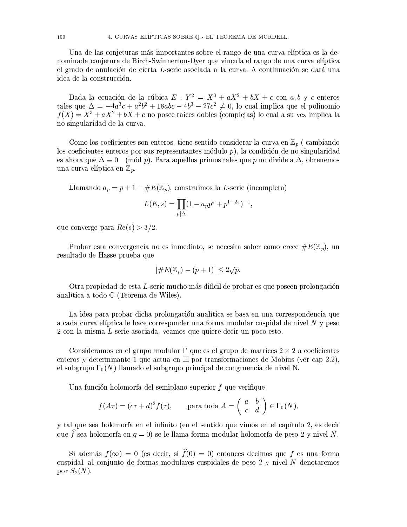Una de las conjeturas más importantes sobre el rango de una curva elíptica es la denominada conjetura de Birch-Swinnerton-Dyer que vincula el rango de una curva elíptica el grado de anulación de cierta L-serie asociada a la curva. A continuación se dará una idea de la construcción.

Dada la ecuación de la cúbica  $E: Y^2 = X^3 + aX^2 + bX + c$  con  $a, b$  y c enteros tales que  $\Delta = -4a^3c + a^2b^2 + 18abc - 4b^3 - 27c^2 \neq 0$ , lo cual implica que el polinomio  $f(X) = X^3 + aX^2 + bX + c$  no posee raíces dobles (complejas) lo cual a su vez implica la no singularidad de la curva.

Como los coeficientes son enteros, tiene sentido considerar la curva en  $\mathbb{Z}_p$  (cambiando los coeficientes enteros por sus representantes módulo  $p$ ), la condición de no singularidad es ahora que  $\Delta \equiv 0 \pmod{p}$ . Para aquellos primos tales que p no divide a  $\Delta$ , obtenemos una curva elíptica en  $\mathbb{Z}_p$ .

Llamando  $a_p = p + 1 - \#E(\mathbb{Z}_p)$ , construimos la L-serie (incompleta)

$$
L(E, s) = \prod_{p \nmid \Delta} (1 - a_p p^s + p^{1-2s})^{-1},
$$

que converge para  $Re(s) > 3/2$ .

Probar esta convergencia no es inmediato, se necesita saber como crece  $\#E(\mathbb{Z}_p)$ , un resultado de Hasse prueba que

$$
|\#E(\mathbb{Z}_p)-(p+1)|\leq 2\sqrt{p}.
$$

Otra propiedad de esta L-serie mucho más dificil de probar es que poseen prolongación analítica a todo  $\mathbb C$  (Teorema de Wiles).

La idea para probar dicha prolongación analítica se basa en una correspondencia que a cada curva elíptica le hace corresponder una forma modular cuspidal de nivel N y peso 2 con la misma L-serie asociada, veamos que quiere decir un poco esto.

Consideramos en el grupo modular  $\Gamma$  que es el grupo de matrices  $2 \times 2$  a coeficientes enteros y determinante 1 que actua en  $\mathbb{H}$  por transformaciones de Mobius (ver cap 2.2), el subgrupo  $\Gamma_0(N)$  llamado el subgrupo principal de congruencia de nivel N.

Una función holomorfa del semiplano superior  $f$  que verifique

$$
f(A\tau) = (c\tau + d)^2 f(\tau)
$$
, para toda  $A = \begin{pmatrix} a & b \\ c & d \end{pmatrix} \in \Gamma_0(N)$ ,

y tal que sea holomorfa en el infinito (en el sentido que vimos en el capítulo 2, es decir que f sea holomorfa en  $q = 0$ ) se le llama forma modular holomorfa de peso 2 y nivel N.

Si además  $f(\infty) = 0$  (es decir, si  $\hat{f}(0) = 0$ ) entonces decimos que f es una forma cuspidal, al conjunto de formas modulares cuspidales de peso 2 y nivel N denotaremos por  $S_2(N)$ .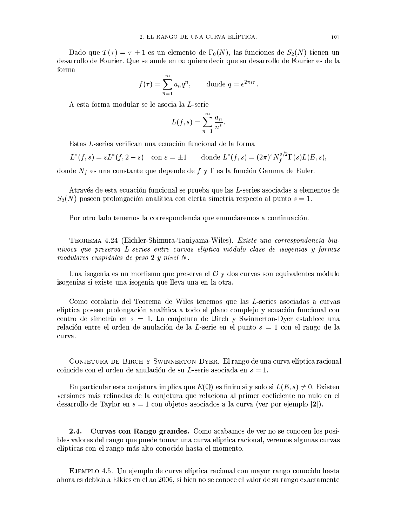Dado que  $T(\tau) = \tau + 1$  es un elemento de  $\Gamma_0(N)$ , las funciones de  $S_2(N)$  tienen un desarrollo de Fourier. Que se anule en  $\infty$  quiere decir que su desarrollo de Fourier es de la forma

$$
f(\tau) = \sum_{n=1}^{\infty} a_n q^n, \quad \text{donde } q = e^{2\pi i \tau}.
$$

A esta forma modular se le asocia la *L*-serie

$$
L(f,s) = \sum_{n=1}^{\infty} \frac{a_n}{n^s}.
$$

Estas L-series verifican una ecuación funcional de la forma

$$
L^*(f,s) = \varepsilon L^*(f,2-s) \quad \text{con } \varepsilon = \pm 1 \qquad \text{donde } L^*(f,s) = (2\pi)^s N_f^{s/2} \Gamma(s) L(E,s),
$$

donde  $N_f$ es una constante que depende de  $f$ y $\Gamma$ es la función Gamma de Euler.

Através de esta ecuación funcional se prueba que las L-series asociadas a elementos de  $S_2(N)$  poseen prolongación analítica con cierta simetria respecto al punto  $s=1$ .

Por otro lado tenemos la correspondencia que enunciaremos a continuación.

TEOREMA 4.24 (Eichler-Shimura-Taniyama-Wiles). Existe una correspondencia biunivoca que preserva L-series entre curvas elíptica módulo clase de isogenias y formas modulares cuspidales de peso  $2 \,$ y nivel N.

Una isogenia es un morfismo que preserva el  $\mathcal O$  y dos curvas son equivalentes módulo isogenias si existe una isogenia que lleva una en la otra.

Como corolario del Teorema de Wiles tenemos que las L-series asociadas a curvas elíptica poseen prolongación analítica a todo el plano complejo y ecuación funcional con centro de simetría en  $s = 1$ . La conjetura de Birch y Swinnerton-Dyer establece una relación entre el orden de anulación de la L-serie en el punto  $s = 1$  con el rango de la curva.

CONJETURA DE BIRCH Y SWINNERTON-DYER. El rango de una curva elíptica racional coincide con el orden de anulación de su L-serie asociada en  $s = 1$ .

En particular esta conjetura implica que  $E(\mathbb{Q})$  es finito si y solo si  $L(E, s) \neq 0$ . Existen versiones más refinadas de la conjetura que relaciona al primer coeficiente no nulo en el desarrollo de Taylor en  $s = 1$  con objetos asociados a la curva (ver por ejemplo [2]).

2.4. Curvas con Rango grandes. Como acabamos de ver no se conocen los posibles valores del rango que puede tomar una curva elíptica racional, veremos algunas curvas elípticas con el rango más alto conocido hasta el momento.

EJEMPLO 4.5. Un ejemplo de curva elíptica racional con mayor rango conocido hasta ahora es debida a Elkies en el ao 2006, si bien no se conoce el valor de su rango exactamente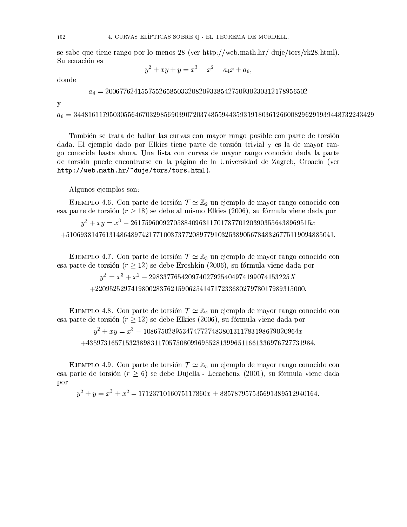se sabe que tiene rango por lo menos 28 (ver http://web.math.hr/ duje/tors/rk28.html). Su ecuación es

$$
y^2 + xy + y = x^3 - x^2 - a_4x + a_6,
$$

donde

 $a_4 = 20067762415575526585033208209338542750930230312178956502$ 

y

 $a_6 = 34481611795030556467032985690390720374855944359319180361266008296291939448732243429$ 

También se trata de hallar las curvas con mayor rango posible con parte de torsión dada. El ejemplo dado por Elkies tiene parte de torsión trivial y es la de mayor rango conocida hasta ahora. Una lista con curvas de mayor rango conocido dada la parte de torsión puede encontrarse en la página de la Universidad de Zagreb, Croacia (ver http://web.math.hr/~duje/tors/tors.html).

Algunos ejemplos son:

EJEMPLO 4.6. Con parte de torsión  $\mathcal{T} \simeq \mathbb{Z}_2$  un ejemplo de mayor rango conocido con esa parte de torsión ( $r \geq 18$ ) se debe al mismo Elkies (2006), su fórmula viene dada por

 $u^2 + xu = x^3 - 26175960092705884096311701787701203903556438969515x$  $+51069381476131486489742177100373772089779103253890567848326775119094885041.$ 

EJEMPLO 4.7. Con parte de torsión  $\mathcal{T} \simeq \mathbb{Z}_3$  un ejemplo de mayor rango conocido con esa parte de torsión ( $r \geq 12$ ) se debe Eroshkin (2006), su fórmula viene dada por

> $y^2 = x^3 + x^2 - 298337765420974027925404974199074153225X$  $+2209525297419800283762159062541471723368027978017989315000.$

EJEMPLO 4.8. Con parte de torsión  $\mathcal{T} \simeq \mathbb{Z}_4$  un ejemplo de mayor rango conocido con esa parte de torsión ( $r \geq 12$ ) se debe Elkies (2006), su fórmula viene dada por

 $y^2 + xy = x^3 - 1086750289534747727483801311783198679020964x$ 

 $+ 435973165715323898311705750809969552813996511661336976727731984.$ 

EJEMPLO 4.9. Con parte de torsión  $\mathcal{T} \simeq \mathbb{Z}_5$  un ejemplo de mayor rango conocido con esa parte de torsión ( $r \geq 6$ ) se debe Dujella - Lecacheux (2001), su fórmula viene dada por

 $y^2 + y = x^3 + x^2 - 1712371016075117860x + 885787957535691389512940164.$ 

102